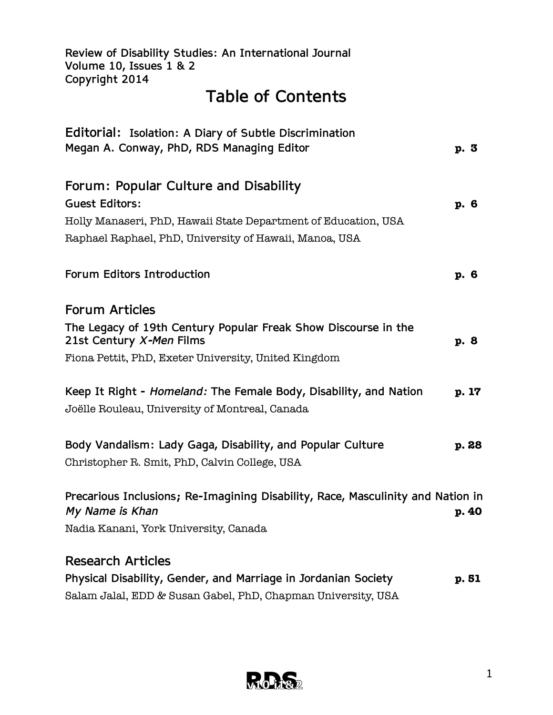**Review of Disability Studies: An International Journal Volume 10, Issues 1 & 2 Copyright 2014**

# **Table of Contents**

| Editorial: Isolation: A Diary of Subtle Discrimination                                     |      |       |
|--------------------------------------------------------------------------------------------|------|-------|
| Megan A. Conway, PhD, RDS Managing Editor                                                  | p. 3 |       |
| Forum: Popular Culture and Disability                                                      |      |       |
| <b>Guest Editors:</b>                                                                      | p. 6 |       |
| Holly Manaseri, PhD, Hawaii State Department of Education, USA                             |      |       |
| Raphael Raphael, PhD, University of Hawaii, Manoa, USA                                     |      |       |
| Forum Editors Introduction                                                                 | p. 6 |       |
| <b>Forum Articles</b>                                                                      |      |       |
| The Legacy of 19th Century Popular Freak Show Discourse in the<br>21st Century X-Men Films | p. 8 |       |
| Fiona Pettit, PhD, Exeter University, United Kingdom                                       |      |       |
| Keep It Right - Homeland: The Female Body, Disability, and Nation                          |      | p. 17 |
| Joëlle Rouleau, University of Montreal, Canada                                             |      |       |
| Body Vandalism: Lady Gaga, Disability, and Popular Culture                                 |      | p. 28 |
| Christopher R. Smit, PhD, Calvin College, USA                                              |      |       |
| Precarious Inclusions; Re-Imagining Disability, Race, Masculinity and Nation in            |      |       |
| My Name is Khan                                                                            |      | p. 40 |
| Nadia Kanani, York University, Canada                                                      |      |       |
| <b>Research Articles</b>                                                                   |      |       |
| Physical Disability, Gender, and Marriage in Jordanian Society                             |      | p. 51 |
| Salam Jalal, EDD & Susan Gabel, PhD, Chapman University, USA                               |      |       |

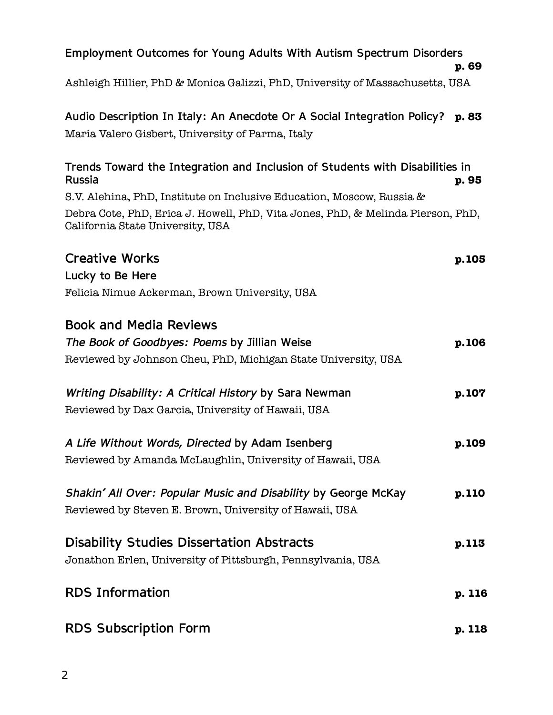| Employment Outcomes for Young Adults With Autism Spectrum Disorders                                                         | p. 69  |
|-----------------------------------------------------------------------------------------------------------------------------|--------|
| Ashleigh Hillier, PhD & Monica Galizzi, PhD, University of Massachusetts, USA                                               |        |
| Audio Description In Italy: An Anecdote Or A Social Integration Policy?<br>María Valero Gisbert, University of Parma, Italy | p. 83  |
| Trends Toward the Integration and Inclusion of Students with Disabilities in<br><b>Russia</b>                               | p. 95  |
| S.V. Alehina, PhD, Institute on Inclusive Education, Moscow, Russia &                                                       |        |
| Debra Cote, PhD, Erica J. Howell, PhD, Vita Jones, PhD, & Melinda Pierson, PhD,<br>California State University, USA         |        |
| <b>Creative Works</b>                                                                                                       | p.105  |
| Lucky to Be Here                                                                                                            |        |
| Felicia Nimue Ackerman, Brown University, USA                                                                               |        |
| <b>Book and Media Reviews</b>                                                                                               |        |
| The Book of Goodbyes: Poems by Jillian Weise                                                                                | p.106  |
| Reviewed by Johnson Cheu, PhD, Michigan State University, USA                                                               |        |
| Writing Disability: A Critical History by Sara Newman                                                                       | p.107  |
| Reviewed by Dax Garcia, University of Hawaii, USA                                                                           |        |
| A Life Without Words, Directed by Adam Isenberg                                                                             | p.109  |
| Reviewed by Amanda McLaughlin, University of Hawaii, USA                                                                    |        |
| Shakin' All Over: Popular Music and Disability by George McKay                                                              | p.110  |
| Reviewed by Steven E. Brown, University of Hawaii, USA                                                                      |        |
| <b>Disability Studies Dissertation Abstracts</b>                                                                            | p.113  |
| Jonathon Erlen, University of Pittsburgh, Pennsylvania, USA                                                                 |        |
| <b>RDS Information</b>                                                                                                      | p. 116 |
| <b>RDS Subscription Form</b>                                                                                                | p. 118 |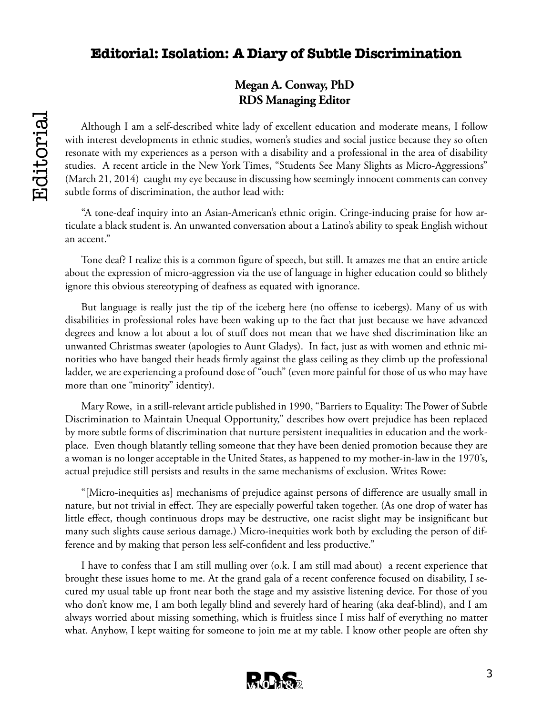## **Editorial: Isolation: A Diary of Subtle Discrimination**

## **Megan A. Conway, PhD RDS Managing Editor**

Although I am a self-described white lady of excellent education and moderate means, I follow with interest developments in ethnic studies, women's studies and social justice because they so often resonate with my experiences as a person with a disability and a professional in the area of disability studies. A recent article in the New York Times, "Students See Many Slights as Micro-Aggressions" (March 21, 2014) caught my eye because in discussing how seemingly innocent comments can convey subtle forms of discrimination, the author lead with:

"A tone-deaf inquiry into an Asian-American's ethnic origin. Cringe-inducing praise for how articulate a black student is. An unwanted conversation about a Latino's ability to speak English without an accent."

Tone deaf? I realize this is a common figure of speech, but still. It amazes me that an entire article about the expression of micro-aggression via the use of language in higher education could so blithely ignore this obvious stereotyping of deafness as equated with ignorance.

But language is really just the tip of the iceberg here (no offense to icebergs). Many of us with disabilities in professional roles have been waking up to the fact that just because we have advanced degrees and know a lot about a lot of stuff does not mean that we have shed discrimination like an unwanted Christmas sweater (apologies to Aunt Gladys). In fact, just as with women and ethnic minorities who have banged their heads firmly against the glass ceiling as they climb up the professional ladder, we are experiencing a profound dose of "ouch" (even more painful for those of us who may have more than one "minority" identity).

Mary Rowe, in a still-relevant article published in 1990, "Barriers to Equality: The Power of Subtle Discrimination to Maintain Unequal Opportunity," describes how overt prejudice has been replaced by more subtle forms of discrimination that nurture persistent inequalities in education and the workplace. Even though blatantly telling someone that they have been denied promotion because they are a woman is no longer acceptable in the United States, as happened to my mother-in-law in the 1970's, actual prejudice still persists and results in the same mechanisms of exclusion. Writes Rowe:

"[Micro-inequities as] mechanisms of prejudice against persons of difference are usually small in nature, but not trivial in effect. They are especially powerful taken together. (As one drop of water has little effect, though continuous drops may be destructive, one racist slight may be insignificant but many such slights cause serious damage.) Micro-inequities work both by excluding the person of difference and by making that person less self-confident and less productive."

I have to confess that I am still mulling over (o.k. I am still mad about) a recent experience that brought these issues home to me. At the grand gala of a recent conference focused on disability, I secured my usual table up front near both the stage and my assistive listening device. For those of you who don't know me, I am both legally blind and severely hard of hearing (aka deaf-blind), and I am always worried about missing something, which is fruitless since I miss half of everything no matter what. Anyhow, I kept waiting for someone to join me at my table. I know other people are often shy

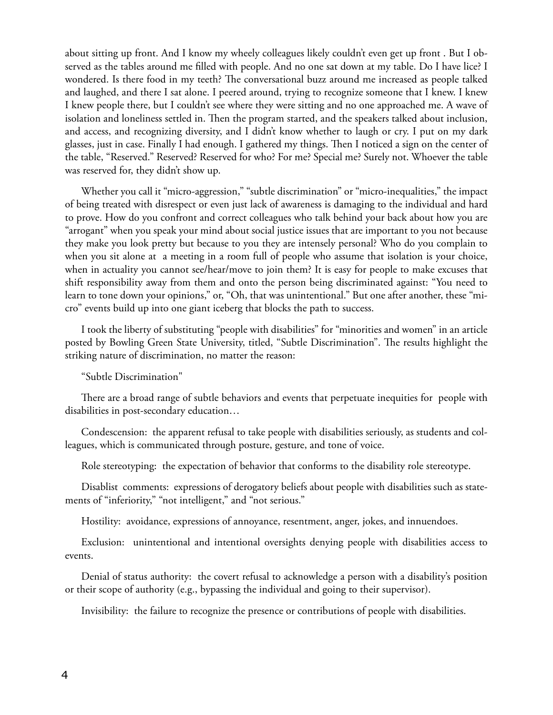about sitting up front. And I know my wheely colleagues likely couldn't even get up front . But I observed as the tables around me filled with people. And no one sat down at my table. Do I have lice? I wondered. Is there food in my teeth? The conversational buzz around me increased as people talked and laughed, and there I sat alone. I peered around, trying to recognize someone that I knew. I knew I knew people there, but I couldn't see where they were sitting and no one approached me. A wave of isolation and loneliness settled in. Then the program started, and the speakers talked about inclusion, and access, and recognizing diversity, and I didn't know whether to laugh or cry. I put on my dark glasses, just in case. Finally I had enough. I gathered my things. Then I noticed a sign on the center of the table, "Reserved." Reserved? Reserved for who? For me? Special me? Surely not. Whoever the table was reserved for, they didn't show up.

Whether you call it "micro-aggression," "subtle discrimination" or "micro-inequalities," the impact of being treated with disrespect or even just lack of awareness is damaging to the individual and hard to prove. How do you confront and correct colleagues who talk behind your back about how you are "arrogant" when you speak your mind about social justice issues that are important to you not because they make you look pretty but because to you they are intensely personal? Who do you complain to when you sit alone at a meeting in a room full of people who assume that isolation is your choice, when in actuality you cannot see/hear/move to join them? It is easy for people to make excuses that shift responsibility away from them and onto the person being discriminated against: "You need to learn to tone down your opinions," or, "Oh, that was unintentional." But one after another, these "micro" events build up into one giant iceberg that blocks the path to success.

I took the liberty of substituting "people with disabilities" for "minorities and women" in an article posted by Bowling Green State University, titled, "Subtle Discrimination". The results highlight the striking nature of discrimination, no matter the reason:

#### "Subtle Discrimination"

There are a broad range of subtle behaviors and events that perpetuate inequities for people with disabilities in post-secondary education…

Condescension: the apparent refusal to take people with disabilities seriously, as students and colleagues, which is communicated through posture, gesture, and tone of voice.

Role stereotyping: the expectation of behavior that conforms to the disability role stereotype.

Disablist comments: expressions of derogatory beliefs about people with disabilities such as statements of "inferiority," "not intelligent," and "not serious."

Hostility: avoidance, expressions of annoyance, resentment, anger, jokes, and innuendoes.

Exclusion: unintentional and intentional oversights denying people with disabilities access to events.

Denial of status authority: the covert refusal to acknowledge a person with a disability's position or their scope of authority (e.g., bypassing the individual and going to their supervisor).

Invisibility: the failure to recognize the presence or contributions of people with disabilities.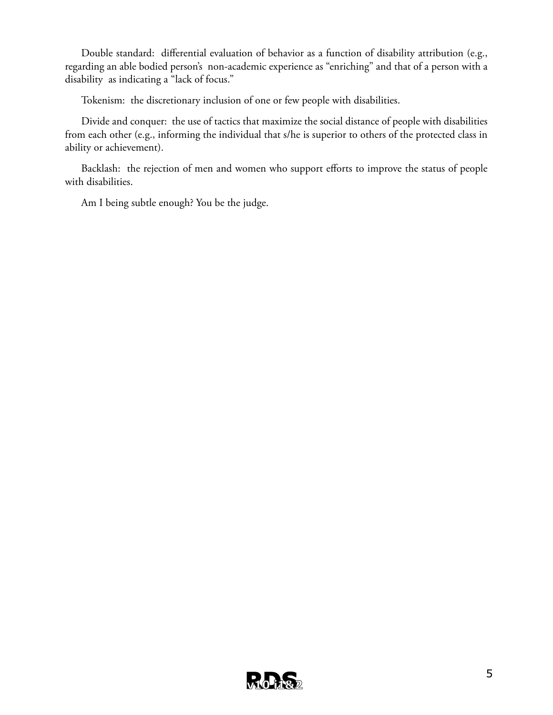Double standard: differential evaluation of behavior as a function of disability attribution (e.g., regarding an able bodied person's non-academic experience as "enriching" and that of a person with a disability as indicating a "lack of focus."

Tokenism: the discretionary inclusion of one or few people with disabilities.

Divide and conquer: the use of tactics that maximize the social distance of people with disabilities from each other (e.g., informing the individual that s/he is superior to others of the protected class in ability or achievement).

Backlash: the rejection of men and women who support efforts to improve the status of people with disabilities.

Am I being subtle enough? You be the judge.

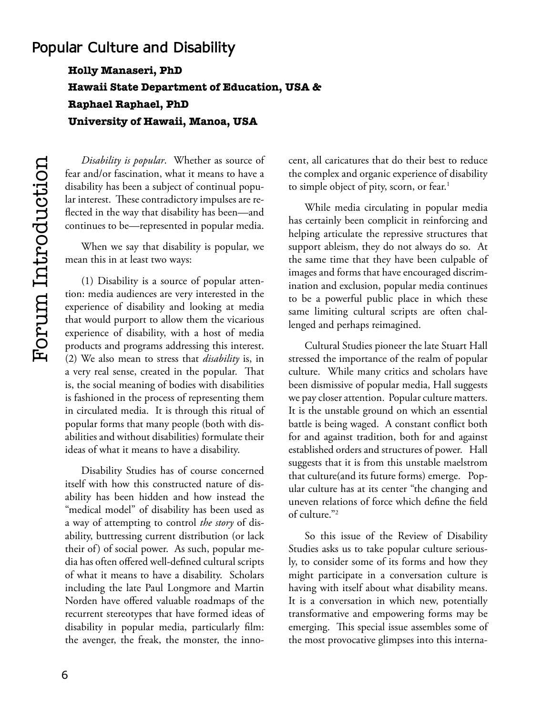## **Popular Culture and Disability**

**Holly Manaseri, PhD Hawaii State Department of Education, USA & Raphael Raphael, PhD University of Hawaii, Manoa, USA**

*Disability is popular*. Whether as source of fear and/or fascination, what it means to have a disability has been a subject of continual popular interest. These contradictory impulses are reflected in the way that disability has been—and continues to be—represented in popular media.

When we say that disability is popular, we mean this in at least two ways:

(1) Disability is a source of popular attention: media audiences are very interested in the experience of disability and looking at media that would purport to allow them the vicarious experience of disability, with a host of media products and programs addressing this interest. (2) We also mean to stress that *disability* is, in a very real sense, created in the popular. That is, the social meaning of bodies with disabilities is fashioned in the process of representing them in circulated media. It is through this ritual of popular forms that many people (both with disabilities and without disabilities) formulate their ideas of what it means to have a disability.

Disability Studies has of course concerned itself with how this constructed nature of disability has been hidden and how instead the "medical model" of disability has been used as a way of attempting to control *the story* of disability, buttressing current distribution (or lack their of) of social power. As such, popular media has often offered well-defined cultural scripts of what it means to have a disability. Scholars including the late Paul Longmore and Martin Norden have offered valuable roadmaps of the recurrent stereotypes that have formed ideas of disability in popular media, particularly film: the avenger, the freak, the monster, the innocent, all caricatures that do their best to reduce the complex and organic experience of disability to simple object of pity, scorn, or fear.<sup>1</sup>

While media circulating in popular media has certainly been complicit in reinforcing and helping articulate the repressive structures that support ableism, they do not always do so. At the same time that they have been culpable of images and forms that have encouraged discrimination and exclusion, popular media continues to be a powerful public place in which these same limiting cultural scripts are often challenged and perhaps reimagined.

Cultural Studies pioneer the late Stuart Hall stressed the importance of the realm of popular culture. While many critics and scholars have been dismissive of popular media, Hall suggests we pay closer attention. Popular culture matters. It is the unstable ground on which an essential battle is being waged. A constant conflict both for and against tradition, both for and against established orders and structures of power. Hall suggests that it is from this unstable maelstrom that culture(and its future forms) emerge. Popular culture has at its center "the changing and uneven relations of force which define the field of culture."2

So this issue of the Review of Disability Studies asks us to take popular culture seriously, to consider some of its forms and how they might participate in a conversation culture is having with itself about what disability means. It is a conversation in which new, potentially transformative and empowering forms may be emerging. This special issue assembles some of the most provocative glimpses into this interna-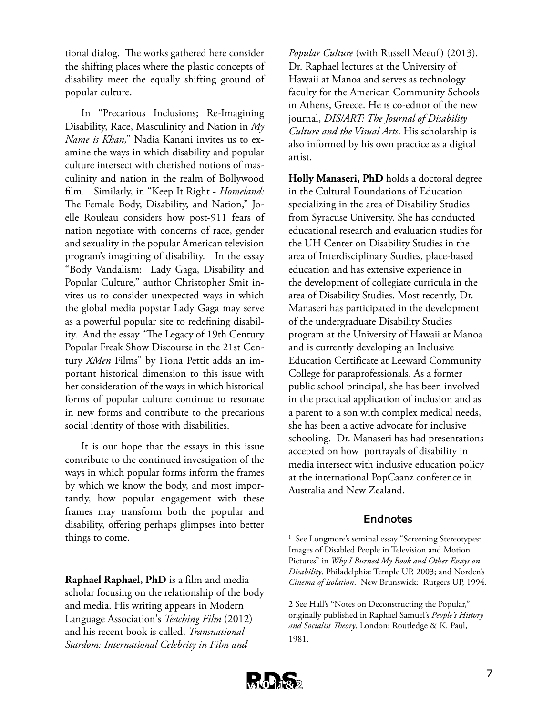tional dialog. The works gathered here consider the shifting places where the plastic concepts of disability meet the equally shifting ground of popular culture.

In "Precarious Inclusions; Re-Imagining Disability, Race, Masculinity and Nation in *My Name is Khan*," Nadia Kanani invites us to examine the ways in which disability and popular culture intersect with cherished notions of masculinity and nation in the realm of Bollywood film. Similarly, in "Keep It Right - *Homeland:*  The Female Body, Disability, and Nation," Joelle Rouleau considers how post-911 fears of nation negotiate with concerns of race, gender and sexuality in the popular American television program's imagining of disability. In the essay "Body Vandalism: Lady Gaga, Disability and Popular Culture," author Christopher Smit invites us to consider unexpected ways in which the global media popstar Lady Gaga may serve as a powerful popular site to redefining disability. And the essay "The Legacy of 19th Century Popular Freak Show Discourse in the 21st Century *XMen* Films" by Fiona Pettit adds an important historical dimension to this issue with her consideration of the ways in which historical forms of popular culture continue to resonate in new forms and contribute to the precarious social identity of those with disabilities.

It is our hope that the essays in this issue contribute to the continued investigation of the ways in which popular forms inform the frames by which we know the body, and most importantly, how popular engagement with these frames may transform both the popular and disability, offering perhaps glimpses into better things to come.

**Raphael Raphael, PhD** is a film and media scholar focusing on the relationship of the body and media. His writing appears in Modern Language Association's *Teaching Film* (2012) and his recent book is called, *Transnational Stardom: International Celebrity in Film and* 

*Popular Culture* (with Russell Meeuf) (2013). Dr. Raphael lectures at the University of Hawaii at Manoa and serves as technology faculty for the American Community Schools in Athens, Greece. He is co-editor of the new journal, *DIS/ART: The Journal of Disability Culture and the Visual Arts*. His scholarship is also informed by his own practice as a digital artist.

**Holly Manaseri, PhD** holds a doctoral degree in the Cultural Foundations of Education specializing in the area of Disability Studies from Syracuse University. She has conducted educational research and evaluation studies for the UH Center on Disability Studies in the area of Interdisciplinary Studies, place-based education and has extensive experience in the development of collegiate curricula in the area of Disability Studies. Most recently, Dr. Manaseri has participated in the development of the undergraduate Disability Studies program at the University of Hawaii at Manoa and is currently developing an Inclusive Education Certificate at Leeward Community College for paraprofessionals. As a former public school principal, she has been involved in the practical application of inclusion and as a parent to a son with complex medical needs, she has been a active advocate for inclusive schooling. Dr. Manaseri has had presentations accepted on how portrayals of disability in media intersect with inclusive education policy at the international PopCaanz conference in Australia and New Zealand.

## **Endnotes**

<sup>1</sup> See Longmore's seminal essay "Screening Stereotypes: Images of Disabled People in Television and Motion Pictures" in *Why I Burned My Book and Other Essays on Disability*. Philadelphia: Temple UP, 2003; and Norden's *Cinema of Isolation*. New Brunswick: Rutgers UP, 1994.

2 See Hall's "Notes on Deconstructing the Popular," originally published in Raphael Samuel's *People's History and Socialist Theory*. London: Routledge & K. Paul, 1981.

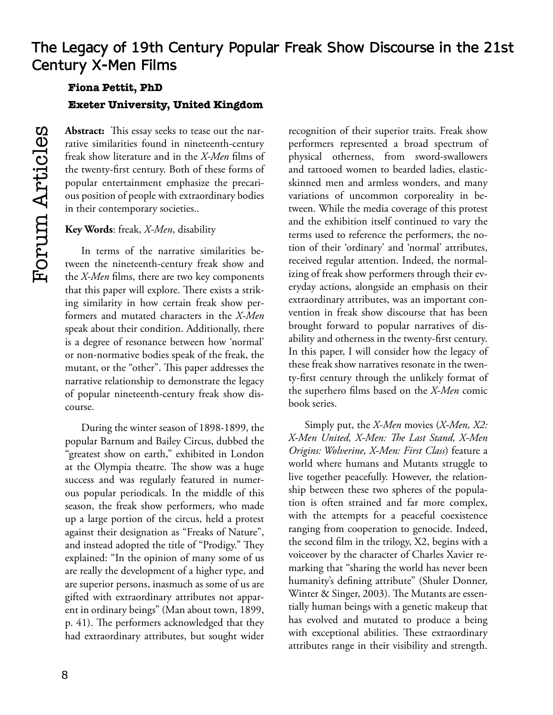## **Fiona Pettit, PhD Exeter University, United Kingdom**

**Abstract:** This essay seeks to tease out the narrative similarities found in nineteenth-century freak show literature and in the *X-Men* films of the twenty-first century. Both of these forms of popular entertainment emphasize the precarious position of people with extraordinary bodies in their contemporary societies..

## **Key Words**: freak, *X-Men*, disability

In terms of the narrative similarities between the nineteenth-century freak show and the *X-Men* films, there are two key components that this paper will explore. There exists a striking similarity in how certain freak show performers and mutated characters in the *X-Men*  speak about their condition. Additionally, there is a degree of resonance between how 'normal' or non-normative bodies speak of the freak, the mutant, or the "other". This paper addresses the narrative relationship to demonstrate the legacy of popular nineteenth-century freak show discourse.

During the winter season of 1898-1899, the popular Barnum and Bailey Circus, dubbed the "greatest show on earth," exhibited in London at the Olympia theatre. The show was a huge success and was regularly featured in numerous popular periodicals. In the middle of this season, the freak show performers, who made up a large portion of the circus, held a protest against their designation as "Freaks of Nature", and instead adopted the title of "Prodigy." They explained: "In the opinion of many some of us are really the development of a higher type, and are superior persons, inasmuch as some of us are gifted with extraordinary attributes not apparent in ordinary beings" (Man about town, 1899, p. 41). The performers acknowledged that they had extraordinary attributes, but sought wider

recognition of their superior traits. Freak show performers represented a broad spectrum of physical otherness, from sword-swallowers and tattooed women to bearded ladies, elasticskinned men and armless wonders, and many variations of uncommon corporeality in between. While the media coverage of this protest and the exhibition itself continued to vary the terms used to reference the performers, the notion of their 'ordinary' and 'normal' attributes, received regular attention. Indeed, the normalizing of freak show performers through their everyday actions, alongside an emphasis on their extraordinary attributes, was an important convention in freak show discourse that has been brought forward to popular narratives of disability and otherness in the twenty-first century. In this paper, I will consider how the legacy of these freak show narratives resonate in the twenty-first century through the unlikely format of the superhero films based on the *X-Men* comic book series.

Simply put, the *X-Men* movies (*X-Men, X2: X-Men United, X-Men: The Last Stand, X-Men Origins: Wolverine, X-Men: First Class*) feature a world where humans and Mutants struggle to live together peacefully. However, the relationship between these two spheres of the population is often strained and far more complex, with the attempts for a peaceful coexistence ranging from cooperation to genocide. Indeed, the second film in the trilogy, X2, begins with a voiceover by the character of Charles Xavier remarking that "sharing the world has never been humanity's defining attribute" (Shuler Donner, Winter & Singer, 2003). The Mutants are essentially human beings with a genetic makeup that has evolved and mutated to produce a being with exceptional abilities. These extraordinary attributes range in their visibility and strength.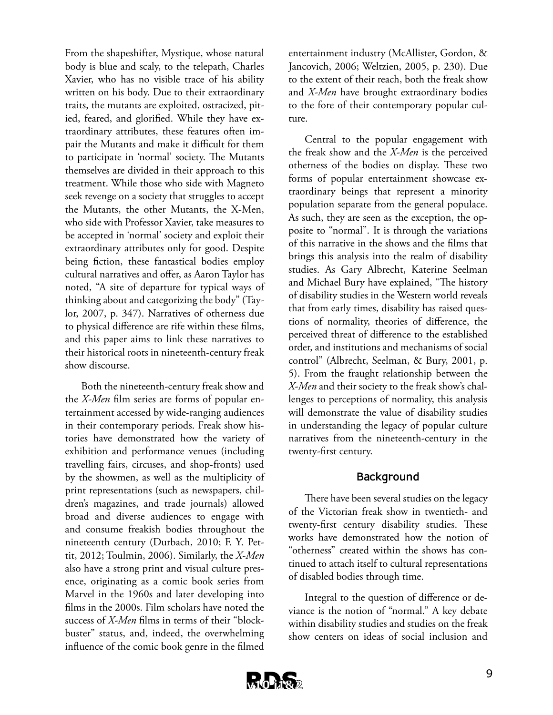From the shapeshifter, Mystique, whose natural body is blue and scaly, to the telepath, Charles Xavier, who has no visible trace of his ability written on his body. Due to their extraordinary traits, the mutants are exploited, ostracized, pitied, feared, and glorified. While they have extraordinary attributes, these features often impair the Mutants and make it difficult for them to participate in 'normal' society. The Mutants themselves are divided in their approach to this treatment. While those who side with Magneto seek revenge on a society that struggles to accept the Mutants, the other Mutants, the X-Men, who side with Professor Xavier, take measures to be accepted in 'normal' society and exploit their extraordinary attributes only for good. Despite being fiction, these fantastical bodies employ cultural narratives and offer, as Aaron Taylor has noted, "A site of departure for typical ways of thinking about and categorizing the body" (Taylor, 2007, p. 347). Narratives of otherness due to physical difference are rife within these films, and this paper aims to link these narratives to their historical roots in nineteenth-century freak show discourse.

Both the nineteenth-century freak show and the *X-Men* film series are forms of popular entertainment accessed by wide-ranging audiences in their contemporary periods. Freak show histories have demonstrated how the variety of exhibition and performance venues (including travelling fairs, circuses, and shop-fronts) used by the showmen, as well as the multiplicity of print representations (such as newspapers, children's magazines, and trade journals) allowed broad and diverse audiences to engage with and consume freakish bodies throughout the nineteenth century (Durbach, 2010; F. Y. Pettit, 2012; Toulmin, 2006). Similarly, the *X-Men*  also have a strong print and visual culture presence, originating as a comic book series from Marvel in the 1960s and later developing into films in the 2000s. Film scholars have noted the success of *X-Men* films in terms of their "blockbuster" status, and, indeed, the overwhelming influence of the comic book genre in the filmed

entertainment industry (McAllister, Gordon, & Jancovich, 2006; Weltzien, 2005, p. 230). Due to the extent of their reach, both the freak show and *X-Men* have brought extraordinary bodies to the fore of their contemporary popular culture.

Central to the popular engagement with the freak show and the *X-Men* is the perceived otherness of the bodies on display. These two forms of popular entertainment showcase extraordinary beings that represent a minority population separate from the general populace. As such, they are seen as the exception, the opposite to "normal". It is through the variations of this narrative in the shows and the films that brings this analysis into the realm of disability studies. As Gary Albrecht, Katerine Seelman and Michael Bury have explained, "The history of disability studies in the Western world reveals that from early times, disability has raised questions of normality, theories of difference, the perceived threat of difference to the established order, and institutions and mechanisms of social control" (Albrecht, Seelman, & Bury, 2001, p. 5). From the fraught relationship between the *X-Men* and their society to the freak show's challenges to perceptions of normality, this analysis will demonstrate the value of disability studies in understanding the legacy of popular culture narratives from the nineteenth-century in the twenty-first century.

## **Background**

There have been several studies on the legacy of the Victorian freak show in twentieth- and twenty-first century disability studies. These works have demonstrated how the notion of "otherness" created within the shows has continued to attach itself to cultural representations of disabled bodies through time.

Integral to the question of difference or deviance is the notion of "normal." A key debate within disability studies and studies on the freak show centers on ideas of social inclusion and

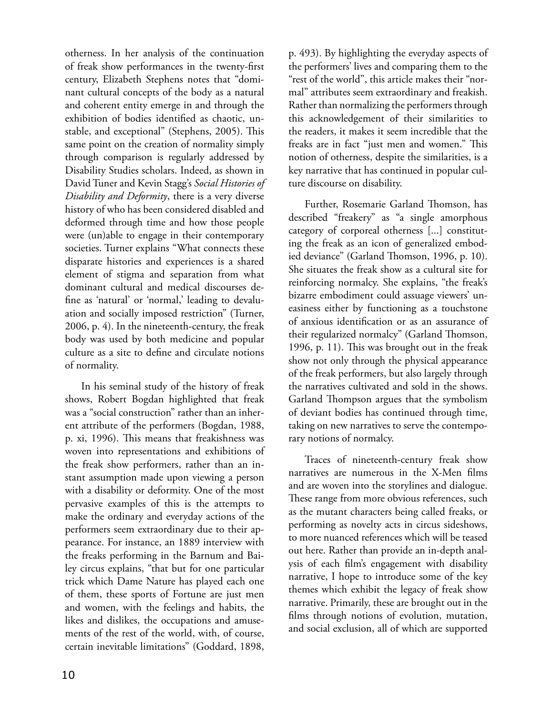otherness. In her analysis of the continuation of freak show performances in the twenty-first century, Elizabeth Stephens notes that "dominant cultural concepts of the body as a natural and coherent entity emerge in and through the exhibition of bodies identified as chaotic, unstable, and exceptional" (Stephens, 2005). This same point on the creation of normality simply through comparison is regularly addressed by Disability Studies scholars. Indeed, as shown in David Tuner and Kevin Stagg's *Social Histories of Disability and Deformity*, there is a very diverse history of who has been considered disabled and deformed through time and how those people were (un)able to engage in their contemporary societies. Turner explains "What connects these disparate histories and experiences is a shared element of stigma and separation from what dominant cultural and medical discourses define as 'natural' or 'normal,' leading to devaluation and socially imposed restriction" (Turner, 2006, p. 4). In the nineteenth-century, the freak body was used by both medicine and popular culture as a site to define and circulate notions of normality.

In his seminal study of the history of freak shows, Robert Bogdan highlighted that freak was a "social construction" rather than an inherent attribute of the performers (Bogdan, 1988, p. xi, 1996). This means that freakishness was woven into representations and exhibitions of the freak show performers, rather than an instant assumption made upon viewing a person with a disability or deformity. One of the most pervasive examples of this is the attempts to make the ordinary and everyday actions of the performers seem extraordinary due to their appearance. For instance, an 1889 interview with the freaks performing in the Barnum and Bailey circus explains, "that but for one particular trick which Dame Nature has played each one of them, these sports of Fortune are just men and women, with the feelings and habits, the likes and dislikes, the occupations and amusements of the rest of the world, with, of course, certain inevitable limitations" (Goddard, 1898,

p. 493). By highlighting the everyday aspects of the performers' lives and comparing them to the "rest of the world", this article makes their "normal" attributes seem extraordinary and freakish. Rather than normalizing the performers through this acknowledgement of their similarities to the readers, it makes it seem incredible that the freaks are in fact "just men and women." This notion of otherness, despite the similarities, is a key narrative that has continued in popular culture discourse on disability.

Further, Rosemarie Garland Thomson, has described "freakery" as "a single amorphous category of corporeal otherness [...] constituting the freak as an icon of generalized embodied deviance" (Garland Thomson, 1996, p. 10). She situates the freak show as a cultural site for reinforcing normalcy. She explains, "the freak's bizarre embodiment could assuage viewers' uneasiness either by functioning as a touchstone of anxious identification or as an assurance of their regularized normalcy" (Garland Thomson, 1996, p. 11). This was brought out in the freak show not only through the physical appearance of the freak performers, but also largely through the narratives cultivated and sold in the shows. Garland Thompson argues that the symbolism of deviant bodies has continued through time, taking on new narratives to serve the contemporary notions of normalcy.

Traces of nineteenth-century freak show narratives are numerous in the X-Men films and are woven into the storylines and dialogue. These range from more obvious references, such as the mutant characters being called freaks, or performing as novelty acts in circus sideshows, to more nuanced references which will be teased out here. Rather than provide an in-depth analysis of each film's engagement with disability narrative, I hope to introduce some of the key themes which exhibit the legacy of freak show narrative. Primarily, these are brought out in the films through notions of evolution, mutation, and social exclusion, all of which are supported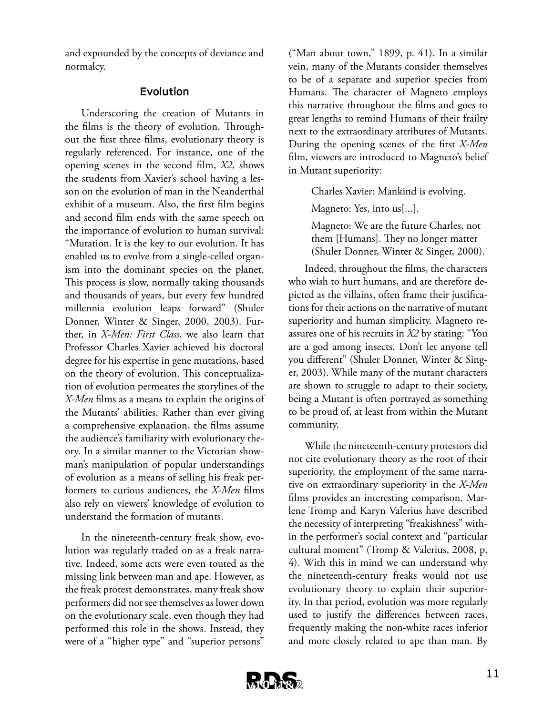and expounded by the concepts of deviance and normalcy.

#### **Evolution**

Underscoring the creation of Mutants in the films is the theory of evolution. Throughout the first three films, evolutionary theory is regularly referenced. For instance, one of the opening scenes in the second film, *X2*, shows the students from Xavier's school having a lesson on the evolution of man in the Neanderthal exhibit of a museum. Also, the first film begins and second film ends with the same speech on the importance of evolution to human survival: "Mutation. It is the key to our evolution. It has enabled us to evolve from a single-celled organism into the dominant species on the planet. This process is slow, normally taking thousands and thousands of years, but every few hundred millennia evolution leaps forward" (Shuler Donner, Winter & Singer, 2000, 2003). Further, in *X-Men: First Class*, we also learn that Professor Charles Xavier achieved his doctoral degree for his expertise in gene mutations, based on the theory of evolution. This conceptualization of evolution permeates the storylines of the *X-Men* films as a means to explain the origins of the Mutants' abilities. Rather than ever giving a comprehensive explanation, the films assume the audience's familiarity with evolutionary theory. In a similar manner to the Victorian showman's manipulation of popular understandings of evolution as a means of selling his freak performers to curious audiences, the *X-Men* films also rely on viewers' knowledge of evolution to understand the formation of mutants.

In the nineteenth-century freak show, evolution was regularly traded on as a freak narrative. Indeed, some acts were even touted as the missing link between man and ape. However, as the freak protest demonstrates, many freak show performers did not see themselves as lower down on the evolutionary scale, even though they had performed this role in the shows. Instead, they were of a "higher type" and "superior persons"

("Man about town," 1899, p. 41). In a similar vein, many of the Mutants consider themselves to be of a separate and superior species from Humans. The character of Magneto employs this narrative throughout the films and goes to great lengths to remind Humans of their frailty next to the extraordinary attributes of Mutants. During the opening scenes of the first *X-Men*  film, viewers are introduced to Magneto's belief in Mutant superiority:

Charles Xavier: Mankind is evolving.

Magneto: Yes, into us[...].

Magneto: We are the future Charles, not them [Humans]. They no longer matter (Shuler Donner, Winter & Singer, 2000).

Indeed, throughout the films, the characters who wish to hurt humans, and are therefore depicted as the villains, often frame their justifications for their actions on the narrative of mutant superiority and human simplicity. Magneto reassures one of his recruits in *X2* by stating: "You are a god among insects. Don't let anyone tell you different" (Shuler Donner, Winter & Singer, 2003). While many of the mutant characters are shown to struggle to adapt to their society, being a Mutant is often portrayed as something to be proud of, at least from within the Mutant community.

While the nineteenth-century protestors did not cite evolutionary theory as the root of their superiority, the employment of the same narrative on extraordinary superiority in the *X-Men*  films provides an interesting comparison. Marlene Tromp and Karyn Valerius have described the necessity of interpreting "freakishness" within the performer's social context and "particular cultural moment" (Tromp & Valerius, 2008, p. 4). With this in mind we can understand why the nineteenth-century freaks would not use evolutionary theory to explain their superiority. In that period, evolution was more regularly used to justify the differences between races, frequently making the non-white races inferior and more closely related to ape than man. By

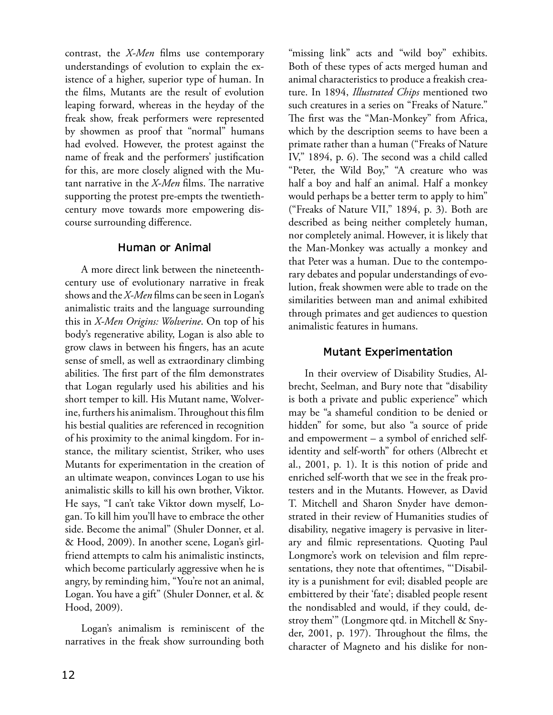contrast, the *X-Men* films use contemporary understandings of evolution to explain the existence of a higher, superior type of human. In the films, Mutants are the result of evolution leaping forward, whereas in the heyday of the freak show, freak performers were represented by showmen as proof that "normal" humans had evolved. However, the protest against the name of freak and the performers' justification for this, are more closely aligned with the Mutant narrative in the *X-Men* films. The narrative supporting the protest pre-empts the twentiethcentury move towards more empowering discourse surrounding difference.

#### **Human or Animal**

A more direct link between the nineteenthcentury use of evolutionary narrative in freak shows and the *X-Men* films can be seen in Logan's animalistic traits and the language surrounding this in *X-Men Origins: Wolverine*. On top of his body's regenerative ability, Logan is also able to grow claws in between his fingers, has an acute sense of smell, as well as extraordinary climbing abilities. The first part of the film demonstrates that Logan regularly used his abilities and his short temper to kill. His Mutant name, Wolverine, furthers his animalism. Throughout this film his bestial qualities are referenced in recognition of his proximity to the animal kingdom. For instance, the military scientist, Striker, who uses Mutants for experimentation in the creation of an ultimate weapon, convinces Logan to use his animalistic skills to kill his own brother, Viktor. He says, "I can't take Viktor down myself, Logan. To kill him you'll have to embrace the other side. Become the animal" (Shuler Donner, et al. & Hood, 2009). In another scene, Logan's girlfriend attempts to calm his animalistic instincts, which become particularly aggressive when he is angry, by reminding him, "You're not an animal, Logan. You have a gift" (Shuler Donner, et al. & Hood, 2009).

Logan's animalism is reminiscent of the narratives in the freak show surrounding both

"missing link" acts and "wild boy" exhibits. Both of these types of acts merged human and animal characteristics to produce a freakish creature. In 1894, *Illustrated Chips* mentioned two such creatures in a series on "Freaks of Nature." The first was the "Man-Monkey" from Africa, which by the description seems to have been a primate rather than a human ("Freaks of Nature IV," 1894, p. 6). The second was a child called "Peter, the Wild Boy," "A creature who was half a boy and half an animal. Half a monkey would perhaps be a better term to apply to him" ("Freaks of Nature VII," 1894, p. 3). Both are described as being neither completely human, nor completely animal. However, it is likely that the Man-Monkey was actually a monkey and that Peter was a human. Due to the contemporary debates and popular understandings of evolution, freak showmen were able to trade on the similarities between man and animal exhibited through primates and get audiences to question animalistic features in humans.

## **Mutant Experimentation**

In their overview of Disability Studies, Albrecht, Seelman, and Bury note that "disability is both a private and public experience" which may be "a shameful condition to be denied or hidden" for some, but also "a source of pride and empowerment – a symbol of enriched selfidentity and self-worth" for others (Albrecht et al., 2001, p. 1). It is this notion of pride and enriched self-worth that we see in the freak protesters and in the Mutants. However, as David T. Mitchell and Sharon Snyder have demonstrated in their review of Humanities studies of disability, negative imagery is pervasive in literary and filmic representations. Quoting Paul Longmore's work on television and film representations, they note that oftentimes, "'Disability is a punishment for evil; disabled people are embittered by their 'fate'; disabled people resent the nondisabled and would, if they could, destroy them'" (Longmore qtd. in Mitchell & Snyder, 2001, p. 197). Throughout the films, the character of Magneto and his dislike for non-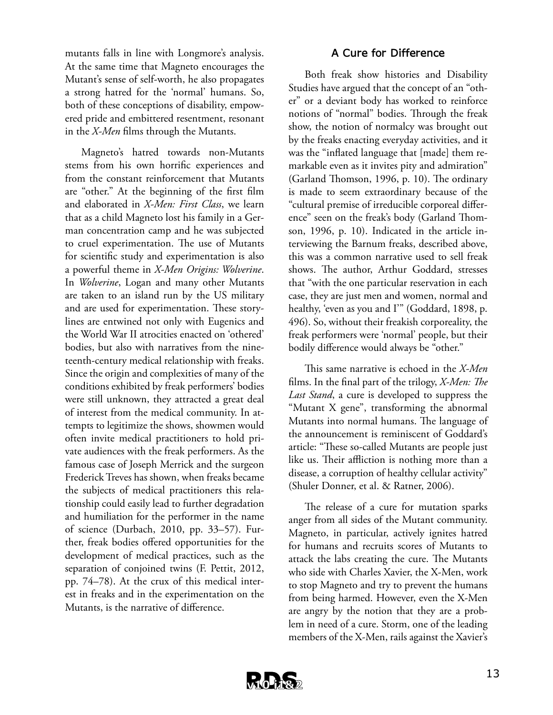mutants falls in line with Longmore's analysis. At the same time that Magneto encourages the Mutant's sense of self-worth, he also propagates a strong hatred for the 'normal' humans. So, both of these conceptions of disability, empowered pride and embittered resentment, resonant in the *X-Men* films through the Mutants.

Magneto's hatred towards non-Mutants stems from his own horrific experiences and from the constant reinforcement that Mutants are "other." At the beginning of the first film and elaborated in *X-Men: First Class*, we learn that as a child Magneto lost his family in a German concentration camp and he was subjected to cruel experimentation. The use of Mutants for scientific study and experimentation is also a powerful theme in *X-Men Origins: Wolverine*. In *Wolverine*, Logan and many other Mutants are taken to an island run by the US military and are used for experimentation. These storylines are entwined not only with Eugenics and the World War II atrocities enacted on 'othered' bodies, but also with narratives from the nineteenth-century medical relationship with freaks. Since the origin and complexities of many of the conditions exhibited by freak performers' bodies were still unknown, they attracted a great deal of interest from the medical community. In attempts to legitimize the shows, showmen would often invite medical practitioners to hold private audiences with the freak performers. As the famous case of Joseph Merrick and the surgeon Frederick Treves has shown, when freaks became the subjects of medical practitioners this relationship could easily lead to further degradation and humiliation for the performer in the name of science (Durbach, 2010, pp. 33–57). Further, freak bodies offered opportunities for the development of medical practices, such as the separation of conjoined twins (F. Pettit, 2012, pp. 74–78). At the crux of this medical interest in freaks and in the experimentation on the Mutants, is the narrative of difference.

#### **A Cure for Difference**

Both freak show histories and Disability Studies have argued that the concept of an "other" or a deviant body has worked to reinforce notions of "normal" bodies. Through the freak show, the notion of normalcy was brought out by the freaks enacting everyday activities, and it was the "inflated language that [made] them remarkable even as it invites pity and admiration" (Garland Thomson, 1996, p. 10). The ordinary is made to seem extraordinary because of the "cultural premise of irreducible corporeal difference" seen on the freak's body (Garland Thomson, 1996, p. 10). Indicated in the article interviewing the Barnum freaks, described above, this was a common narrative used to sell freak shows. The author, Arthur Goddard, stresses that "with the one particular reservation in each case, they are just men and women, normal and healthy, 'even as you and I'" (Goddard, 1898, p. 496). So, without their freakish corporeality, the freak performers were 'normal' people, but their bodily difference would always be "other."

This same narrative is echoed in the *X-Men*  films. In the final part of the trilogy, *X-Men: The Last Stand*, a cure is developed to suppress the "Mutant X gene", transforming the abnormal Mutants into normal humans. The language of the announcement is reminiscent of Goddard's article: "These so-called Mutants are people just like us. Their affliction is nothing more than a disease, a corruption of healthy cellular activity" (Shuler Donner, et al. & Ratner, 2006).

The release of a cure for mutation sparks anger from all sides of the Mutant community. Magneto, in particular, actively ignites hatred for humans and recruits scores of Mutants to attack the labs creating the cure. The Mutants who side with Charles Xavier, the X-Men, work to stop Magneto and try to prevent the humans from being harmed. However, even the X-Men are angry by the notion that they are a problem in need of a cure. Storm, one of the leading members of the X-Men, rails against the Xavier's

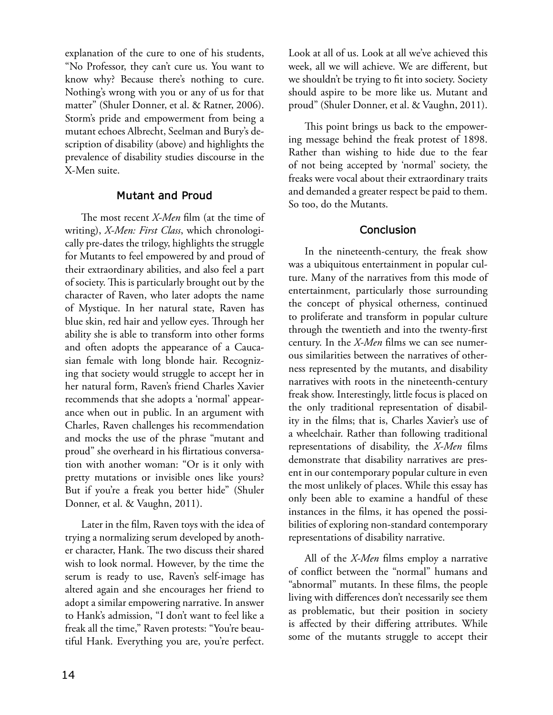explanation of the cure to one of his students, "No Professor, they can't cure us. You want to know why? Because there's nothing to cure. Nothing's wrong with you or any of us for that matter" (Shuler Donner, et al. & Ratner, 2006). Storm's pride and empowerment from being a mutant echoes Albrecht, Seelman and Bury's description of disability (above) and highlights the prevalence of disability studies discourse in the X-Men suite.

#### **Mutant and Proud**

The most recent *X-Men* film (at the time of writing), *X-Men: First Class*, which chronologically pre-dates the trilogy, highlights the struggle for Mutants to feel empowered by and proud of their extraordinary abilities, and also feel a part of society. This is particularly brought out by the character of Raven, who later adopts the name of Mystique. In her natural state, Raven has blue skin, red hair and yellow eyes. Through her ability she is able to transform into other forms and often adopts the appearance of a Caucasian female with long blonde hair. Recognizing that society would struggle to accept her in her natural form, Raven's friend Charles Xavier recommends that she adopts a 'normal' appearance when out in public. In an argument with Charles, Raven challenges his recommendation and mocks the use of the phrase "mutant and proud" she overheard in his flirtatious conversation with another woman: "Or is it only with pretty mutations or invisible ones like yours? But if you're a freak you better hide" (Shuler Donner, et al. & Vaughn, 2011).

Later in the film, Raven toys with the idea of trying a normalizing serum developed by another character, Hank. The two discuss their shared wish to look normal. However, by the time the serum is ready to use, Raven's self-image has altered again and she encourages her friend to adopt a similar empowering narrative. In answer to Hank's admission, "I don't want to feel like a freak all the time," Raven protests: "You're beautiful Hank. Everything you are, you're perfect.

Look at all of us. Look at all we've achieved this week, all we will achieve. We are different, but we shouldn't be trying to fit into society. Society should aspire to be more like us. Mutant and proud" (Shuler Donner, et al. & Vaughn, 2011).

This point brings us back to the empowering message behind the freak protest of 1898. Rather than wishing to hide due to the fear of not being accepted by 'normal' society, the freaks were vocal about their extraordinary traits and demanded a greater respect be paid to them. So too, do the Mutants.

## **Conclusion**

In the nineteenth-century, the freak show was a ubiquitous entertainment in popular culture. Many of the narratives from this mode of entertainment, particularly those surrounding the concept of physical otherness, continued to proliferate and transform in popular culture through the twentieth and into the twenty-first century. In the *X-Men* films we can see numerous similarities between the narratives of otherness represented by the mutants, and disability narratives with roots in the nineteenth-century freak show. Interestingly, little focus is placed on the only traditional representation of disability in the films; that is, Charles Xavier's use of a wheelchair. Rather than following traditional representations of disability, the *X-Men* films demonstrate that disability narratives are present in our contemporary popular culture in even the most unlikely of places. While this essay has only been able to examine a handful of these instances in the films, it has opened the possibilities of exploring non-standard contemporary representations of disability narrative.

All of the *X-Men* films employ a narrative of conflict between the "normal" humans and "abnormal" mutants. In these films, the people living with differences don't necessarily see them as problematic, but their position in society is affected by their differing attributes. While some of the mutants struggle to accept their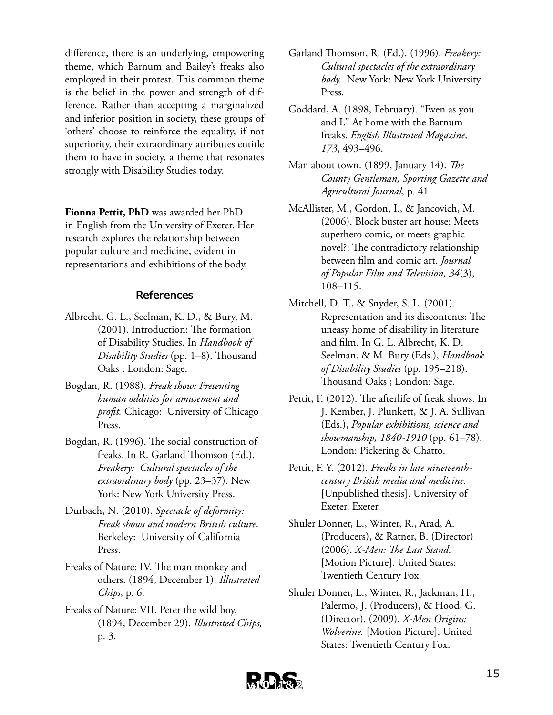difference, there is an underlying, empowering theme, which Barnum and Bailey's freaks also employed in their protest. This common theme is the belief in the power and strength of difference. Rather than accepting a marginalized and inferior position in society, these groups of 'others' choose to reinforce the equality, if not superiority, their extraordinary attributes entitle them to have in society, a theme that resonates strongly with Disability Studies today.

**Fionna Pettit, PhD** was awarded her PhD in English from the University of Exeter. Her research explores the relationship between popular culture and medicine, evident in representations and exhibitions of the body.

#### **References**

- Albrecht, G. L., Seelman, K. D., & Bury, M. (2001). Introduction: The formation of Disability Studies. In *Handbook of Disability Studies* (pp. 1–8). Thousand Oaks ; London: Sage.
- Bogdan, R. (1988). *Freak show: Presenting human oddities for amusement and profit.* Chicago: University of Chicago Press.
- Bogdan, R. (1996). The social construction of freaks. In R. Garland Thomson (Ed.), *Freakery: Cultural spectacles of the extraordinary body* (pp. 23–37). New York: New York University Press.
- Durbach, N. (2010). *Spectacle of deformity: Freak shows and modern British culture*. Berkeley: University of California Press.
- Freaks of Nature: IV. The man monkey and others. (1894, December 1). *Illustrated Chips*, p. 6.
- Freaks of Nature: VII. Peter the wild boy. (1894, December 29). *Illustrated Chips,* p. 3.
- Garland Thomson, R. (Ed.). (1996). *Freakery: Cultural spectacles of the extraordinary body.* New York: New York University Press.
- Goddard, A. (1898, February). "Even as you and I." At home with the Barnum freaks. *English Illustrated Magazine, 173*, 493–496.
- Man about town. (1899, January 14). *The County Gentleman, Sporting Gazette and Agricultural Journal*, p. 41.
- McAllister, M., Gordon, I., & Jancovich, M. (2006). Block buster art house: Meets superhero comic, or meets graphic novel?: The contradictory relationship between film and comic art. *Journal of Popular Film and Television, 34*(3), 108–115.
- Mitchell, D. T., & Snyder, S. L. (2001). Representation and its discontents: The uneasy home of disability in literature and film. In G. L. Albrecht, K. D. Seelman, & M. Bury (Eds.), *Handbook of Disability Studies* (pp. 195–218). Thousand Oaks ; London: Sage.
- Pettit, F. (2012). The afterlife of freak shows. In J. Kember, J. Plunkett, & J. A. Sullivan (Eds.), *Popular exhibitions, science and showmanship, 1840-1910* (pp. 61–78). London: Pickering & Chatto.
- Pettit, F. Y. (2012). *Freaks in late nineteenthcentury British media and medicine.* [Unpublished thesis]. University of Exeter, Exeter.
- Shuler Donner, L., Winter, R., Arad, A. (Producers), & Ratner, B. (Director) (2006). *X-Men: The Last Stand*. [Motion Picture]. United States: Twentieth Century Fox.
- Shuler Donner, L., Winter, R., Jackman, H., Palermo, J. (Producers), & Hood, G. (Director). (2009). *X-Men Origins: Wolverine.* [Motion Picture]. United States: Twentieth Century Fox.

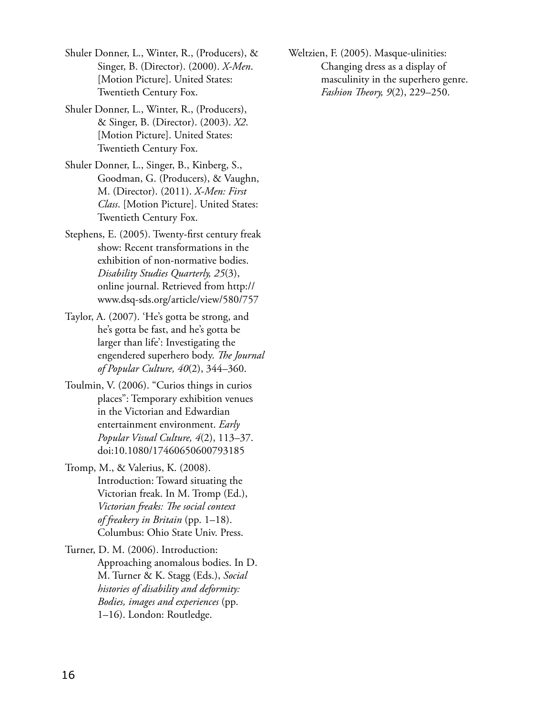Shuler Donner, L., Winter, R., (Producers), & Singer, B. (Director). (2000). *X-Men*. [Motion Picture]. United States: Twentieth Century Fox.

Shuler Donner, L., Winter, R., (Producers), & Singer, B. (Director). (2003). *X2*. [Motion Picture]. United States: Twentieth Century Fox.

Shuler Donner, L., Singer, B., Kinberg, S., Goodman, G. (Producers), & Vaughn, M. (Director). (2011). *X-Men: First Class*. [Motion Picture]. United States: Twentieth Century Fox.

Stephens, E. (2005). Twenty-first century freak show: Recent transformations in the exhibition of non-normative bodies. *Disability Studies Quarterly, 25*(3), online journal. Retrieved from http:// www.dsq-sds.org/article/view/580/757

Taylor, A. (2007). 'He's gotta be strong, and he's gotta be fast, and he's gotta be larger than life': Investigating the engendered superhero body. *The Journal of Popular Culture, 40*(2), 344–360.

Toulmin, V. (2006). "Curios things in curios places": Temporary exhibition venues in the Victorian and Edwardian entertainment environment. *Early Popular Visual Culture, 4*(2), 113–37. doi:10.1080/17460650600793185

Tromp, M., & Valerius, K. (2008). Introduction: Toward situating the Victorian freak. In M. Tromp (Ed.), *Victorian freaks: The social context of freakery in Britain* (pp. 1–18). Columbus: Ohio State Univ. Press.

Turner, D. M. (2006). Introduction: Approaching anomalous bodies. In D. M. Turner & K. Stagg (Eds.), *Social histories of disability and deformity: Bodies, images and experiences* (pp. 1–16). London: Routledge.

Weltzien, F. (2005). Masque-ulinities: Changing dress as a display of masculinity in the superhero genre. *Fashion Theory, 9*(2), 229–250.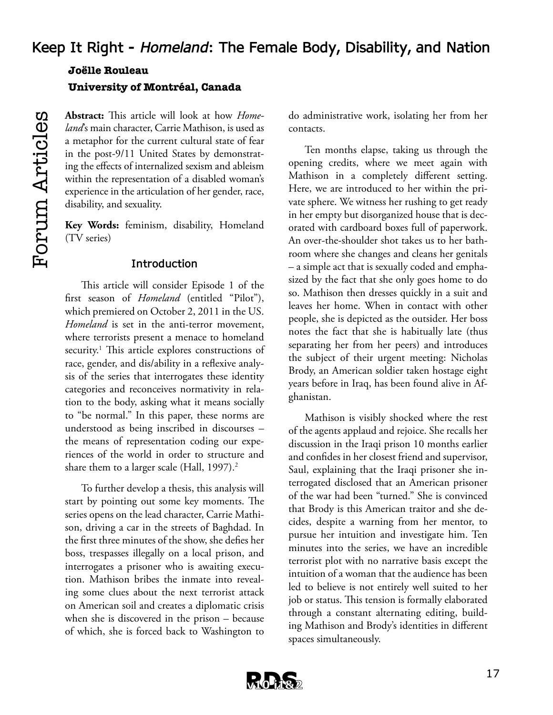# **Keep It Right -** *Homeland***: The Female Body, Disability, and Nation Joëlle Rouleau**

**University of Montréal, Canada**

**Abstract:** This article will look at how *Homeland*'s main character, Carrie Mathison, is used as a metaphor for the current cultural state of fear in the post-9/11 United States by demonstrating the effects of internalized sexism and ableism within the representation of a disabled woman's experience in the articulation of her gender, race, disability, and sexuality.

**Key Words:** feminism, disability, Homeland (TV series)

## **Introduction**

This article will consider Episode 1 of the first season of *Homeland* (entitled "Pilot"), which premiered on October 2, 2011 in the US. *Homeland* is set in the anti-terror movement, where terrorists present a menace to homeland security.<sup>1</sup> This article explores constructions of race, gender, and dis/ability in a reflexive analysis of the series that interrogates these identity categories and reconceives normativity in relation to the body, asking what it means socially to "be normal." In this paper, these norms are understood as being inscribed in discourses – the means of representation coding our experiences of the world in order to structure and share them to a larger scale (Hall, 1997).<sup>2</sup>

To further develop a thesis, this analysis will start by pointing out some key moments. The series opens on the lead character, Carrie Mathison, driving a car in the streets of Baghdad. In the first three minutes of the show, she defies her boss, trespasses illegally on a local prison, and interrogates a prisoner who is awaiting execution. Mathison bribes the inmate into revealing some clues about the next terrorist attack on American soil and creates a diplomatic crisis when she is discovered in the prison – because of which, she is forced back to Washington to

do administrative work, isolating her from her contacts.

Ten months elapse, taking us through the opening credits, where we meet again with Mathison in a completely different setting. Here, we are introduced to her within the private sphere. We witness her rushing to get ready in her empty but disorganized house that is decorated with cardboard boxes full of paperwork. An over-the-shoulder shot takes us to her bathroom where she changes and cleans her genitals – a simple act that is sexually coded and emphasized by the fact that she only goes home to do so. Mathison then dresses quickly in a suit and leaves her home. When in contact with other people, she is depicted as the outsider. Her boss notes the fact that she is habitually late (thus separating her from her peers) and introduces the subject of their urgent meeting: Nicholas Brody, an American soldier taken hostage eight years before in Iraq, has been found alive in Afghanistan.

Mathison is visibly shocked where the rest of the agents applaud and rejoice. She recalls her discussion in the Iraqi prison 10 months earlier and confides in her closest friend and supervisor, Saul, explaining that the Iraqi prisoner she interrogated disclosed that an American prisoner of the war had been "turned." She is convinced that Brody is this American traitor and she decides, despite a warning from her mentor, to pursue her intuition and investigate him. Ten minutes into the series, we have an incredible terrorist plot with no narrative basis except the intuition of a woman that the audience has been led to believe is not entirely well suited to her job or status. This tension is formally elaborated through a constant alternating editing, building Mathison and Brody's identities in different spaces simultaneously.

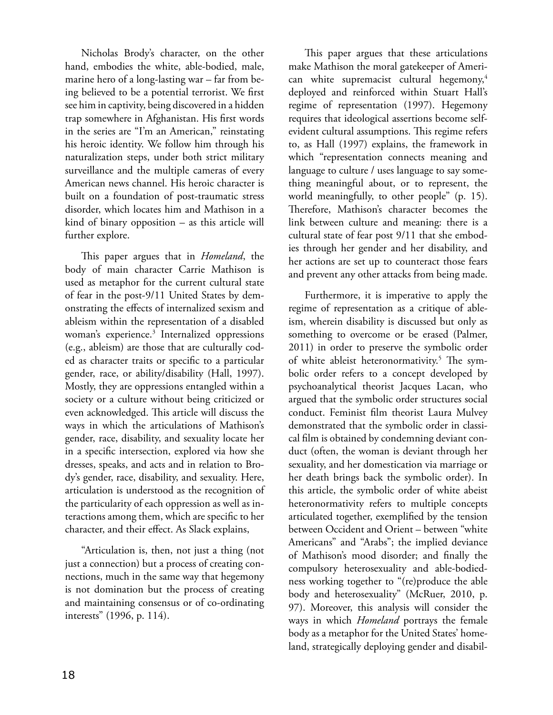Nicholas Brody's character, on the other hand, embodies the white, able-bodied, male, marine hero of a long-lasting war – far from being believed to be a potential terrorist. We first see him in captivity, being discovered in a hidden trap somewhere in Afghanistan. His first words in the series are "I'm an American," reinstating his heroic identity. We follow him through his naturalization steps, under both strict military surveillance and the multiple cameras of every American news channel. His heroic character is built on a foundation of post-traumatic stress disorder, which locates him and Mathison in a kind of binary opposition – as this article will further explore.

This paper argues that in *Homeland*, the body of main character Carrie Mathison is used as metaphor for the current cultural state of fear in the post-9/11 United States by demonstrating the effects of internalized sexism and ableism within the representation of a disabled woman's experience.3 Internalized oppressions (e.g., ableism) are those that are culturally coded as character traits or specific to a particular gender, race, or ability/disability (Hall, 1997). Mostly, they are oppressions entangled within a society or a culture without being criticized or even acknowledged. This article will discuss the ways in which the articulations of Mathison's gender, race, disability, and sexuality locate her in a specific intersection, explored via how she dresses, speaks, and acts and in relation to Brody's gender, race, disability, and sexuality. Here, articulation is understood as the recognition of the particularity of each oppression as well as interactions among them, which are specific to her character, and their effect. As Slack explains,

"Articulation is, then, not just a thing (not just a connection) but a process of creating connections, much in the same way that hegemony is not domination but the process of creating and maintaining consensus or of co-ordinating interests" (1996, p. 114).

This paper argues that these articulations make Mathison the moral gatekeeper of American white supremacist cultural hegemony,<sup>4</sup> deployed and reinforced within Stuart Hall's regime of representation (1997). Hegemony requires that ideological assertions become selfevident cultural assumptions. This regime refers to, as Hall (1997) explains, the framework in which "representation connects meaning and language to culture / uses language to say something meaningful about, or to represent, the world meaningfully, to other people" (p. 15). Therefore, Mathison's character becomes the link between culture and meaning: there is a cultural state of fear post 9/11 that she embodies through her gender and her disability, and her actions are set up to counteract those fears and prevent any other attacks from being made.

Furthermore, it is imperative to apply the regime of representation as a critique of ableism, wherein disability is discussed but only as something to overcome or be erased (Palmer, 2011) in order to preserve the symbolic order of white ableist heteronormativity.<sup>5</sup> The symbolic order refers to a concept developed by psychoanalytical theorist Jacques Lacan, who argued that the symbolic order structures social conduct. Feminist film theorist Laura Mulvey demonstrated that the symbolic order in classical film is obtained by condemning deviant conduct (often, the woman is deviant through her sexuality, and her domestication via marriage or her death brings back the symbolic order). In this article, the symbolic order of white abeist heteronormativity refers to multiple concepts articulated together, exemplified by the tension between Occident and Orient – between "white Americans" and "Arabs"; the implied deviance of Mathison's mood disorder; and finally the compulsory heterosexuality and able-bodiedness working together to "(re)produce the able body and heterosexuality" (McRuer, 2010, p. 97). Moreover, this analysis will consider the ways in which *Homeland* portrays the female body as a metaphor for the United States' homeland, strategically deploying gender and disabil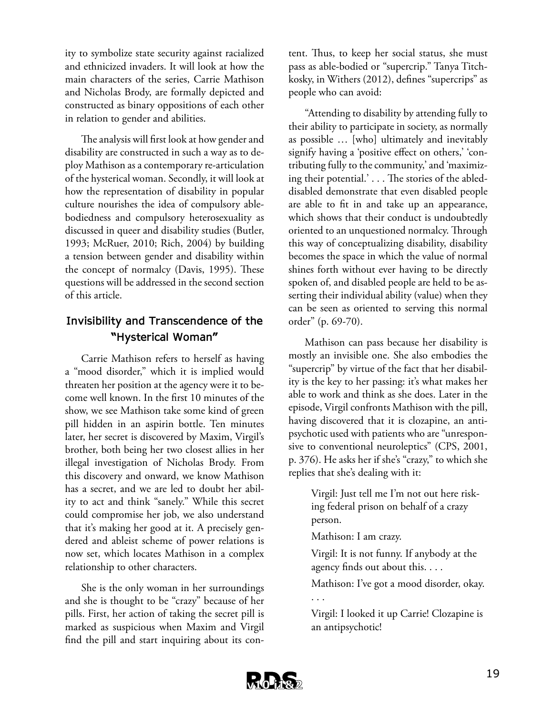ity to symbolize state security against racialized and ethnicized invaders. It will look at how the main characters of the series, Carrie Mathison and Nicholas Brody, are formally depicted and constructed as binary oppositions of each other in relation to gender and abilities.

The analysis will first look at how gender and disability are constructed in such a way as to deploy Mathison as a contemporary re-articulation of the hysterical woman. Secondly, it will look at how the representation of disability in popular culture nourishes the idea of compulsory ablebodiedness and compulsory heterosexuality as discussed in queer and disability studies (Butler, 1993; McRuer, 2010; Rich, 2004) by building a tension between gender and disability within the concept of normalcy (Davis, 1995). These questions will be addressed in the second section of this article.

## **Invisibility and Transcendence of the "Hysterical Woman"**

Carrie Mathison refers to herself as having a "mood disorder," which it is implied would threaten her position at the agency were it to become well known. In the first 10 minutes of the show, we see Mathison take some kind of green pill hidden in an aspirin bottle. Ten minutes later, her secret is discovered by Maxim, Virgil's brother, both being her two closest allies in her illegal investigation of Nicholas Brody. From this discovery and onward, we know Mathison has a secret, and we are led to doubt her ability to act and think "sanely." While this secret could compromise her job, we also understand that it's making her good at it. A precisely gendered and ableist scheme of power relations is now set, which locates Mathison in a complex relationship to other characters.

She is the only woman in her surroundings and she is thought to be "crazy" because of her pills. First, her action of taking the secret pill is marked as suspicious when Maxim and Virgil find the pill and start inquiring about its con-

tent. Thus, to keep her social status, she must pass as able-bodied or "supercrip." Tanya Titchkosky, in Withers (2012), defines "supercrips" as people who can avoid:

"Attending to disability by attending fully to their ability to participate in society, as normally as possible … [who] ultimately and inevitably signify having a 'positive effect on others,' 'contributing fully to the community,' and 'maximizing their potential.' . . . The stories of the ableddisabled demonstrate that even disabled people are able to fit in and take up an appearance, which shows that their conduct is undoubtedly oriented to an unquestioned normalcy. Through this way of conceptualizing disability, disability becomes the space in which the value of normal shines forth without ever having to be directly spoken of, and disabled people are held to be asserting their individual ability (value) when they can be seen as oriented to serving this normal order" (p. 69-70).

Mathison can pass because her disability is mostly an invisible one. She also embodies the "supercrip" by virtue of the fact that her disability is the key to her passing: it's what makes her able to work and think as she does. Later in the episode, Virgil confronts Mathison with the pill, having discovered that it is clozapine, an antipsychotic used with patients who are "unresponsive to conventional neuroleptics" (CPS, 2001, p. 376). He asks her if she's "crazy," to which she replies that she's dealing with it:

> Virgil: Just tell me I'm not out here risking federal prison on behalf of a crazy person.

Mathison: I am crazy.

Virgil: It is not funny. If anybody at the agency finds out about this. . . .

Mathison: I've got a mood disorder, okay. . . .

Virgil: I looked it up Carrie! Clozapine is an antipsychotic!

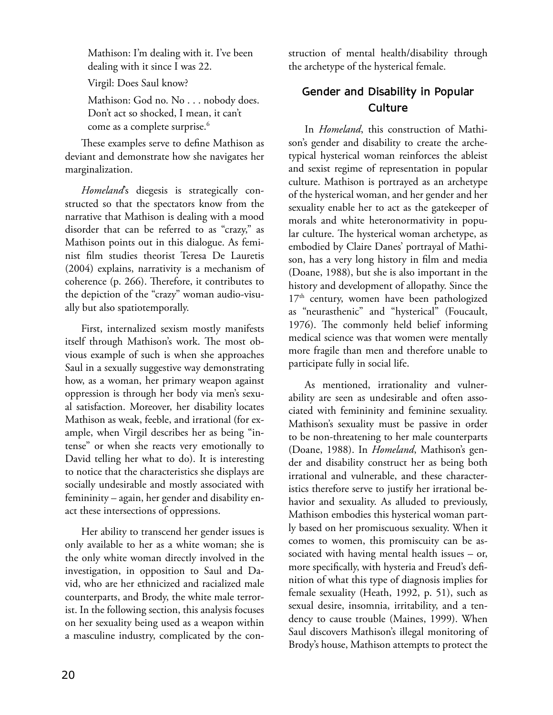Mathison: I'm dealing with it. I've been dealing with it since I was 22.

Virgil: Does Saul know?

Mathison: God no. No . . . nobody does. Don't act so shocked, I mean, it can't come as a complete surprise.<sup>6</sup>

These examples serve to define Mathison as deviant and demonstrate how she navigates her marginalization.

*Homeland*'s diegesis is strategically constructed so that the spectators know from the narrative that Mathison is dealing with a mood disorder that can be referred to as "crazy," as Mathison points out in this dialogue. As feminist film studies theorist Teresa De Lauretis (2004) explains, narrativity is a mechanism of coherence (p. 266). Therefore, it contributes to the depiction of the "crazy" woman audio-visually but also spatiotemporally.

First, internalized sexism mostly manifests itself through Mathison's work. The most obvious example of such is when she approaches Saul in a sexually suggestive way demonstrating how, as a woman, her primary weapon against oppression is through her body via men's sexual satisfaction. Moreover, her disability locates Mathison as weak, feeble, and irrational (for example, when Virgil describes her as being "intense" or when she reacts very emotionally to David telling her what to do). It is interesting to notice that the characteristics she displays are socially undesirable and mostly associated with femininity – again, her gender and disability enact these intersections of oppressions.

Her ability to transcend her gender issues is only available to her as a white woman; she is the only white woman directly involved in the investigation, in opposition to Saul and David, who are her ethnicized and racialized male counterparts, and Brody, the white male terrorist. In the following section, this analysis focuses on her sexuality being used as a weapon within a masculine industry, complicated by the construction of mental health/disability through the archetype of the hysterical female.

## **Gender and Disability in Popular Culture**

In *Homeland*, this construction of Mathison's gender and disability to create the archetypical hysterical woman reinforces the ableist and sexist regime of representation in popular culture. Mathison is portrayed as an archetype of the hysterical woman, and her gender and her sexuality enable her to act as the gatekeeper of morals and white heteronormativity in popular culture. The hysterical woman archetype, as embodied by Claire Danes' portrayal of Mathison, has a very long history in film and media (Doane, 1988), but she is also important in the history and development of allopathy. Since the 17<sup>th</sup> century, women have been pathologized as "neurasthenic" and "hysterical" (Foucault, 1976). The commonly held belief informing medical science was that women were mentally more fragile than men and therefore unable to participate fully in social life.

As mentioned, irrationality and vulnerability are seen as undesirable and often associated with femininity and feminine sexuality. Mathison's sexuality must be passive in order to be non-threatening to her male counterparts (Doane, 1988). In *Homeland*, Mathison's gender and disability construct her as being both irrational and vulnerable, and these characteristics therefore serve to justify her irrational behavior and sexuality. As alluded to previously, Mathison embodies this hysterical woman partly based on her promiscuous sexuality. When it comes to women, this promiscuity can be associated with having mental health issues – or, more specifically, with hysteria and Freud's definition of what this type of diagnosis implies for female sexuality (Heath, 1992, p. 51), such as sexual desire, insomnia, irritability, and a tendency to cause trouble (Maines, 1999). When Saul discovers Mathison's illegal monitoring of Brody's house, Mathison attempts to protect the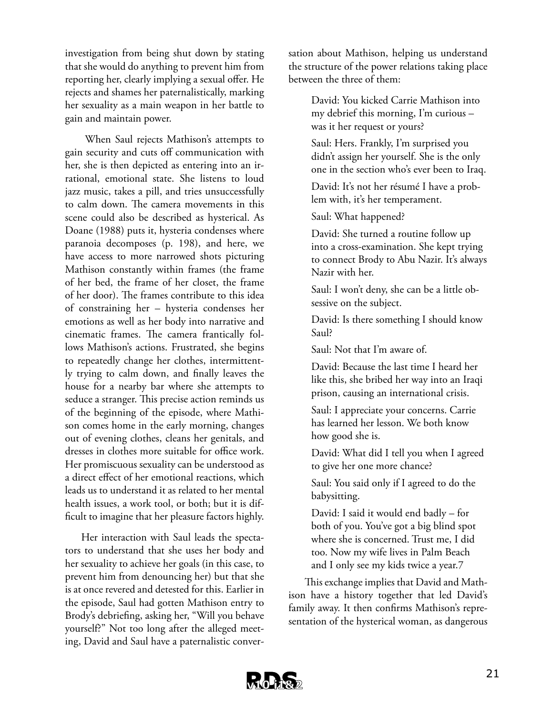investigation from being shut down by stating that she would do anything to prevent him from reporting her, clearly implying a sexual offer. He rejects and shames her paternalistically, marking her sexuality as a main weapon in her battle to gain and maintain power.

When Saul rejects Mathison's attempts to gain security and cuts off communication with her, she is then depicted as entering into an irrational, emotional state. She listens to loud jazz music, takes a pill, and tries unsuccessfully to calm down. The camera movements in this scene could also be described as hysterical. As Doane (1988) puts it, hysteria condenses where paranoia decomposes (p. 198), and here, we have access to more narrowed shots picturing Mathison constantly within frames (the frame of her bed, the frame of her closet, the frame of her door). The frames contribute to this idea of constraining her – hysteria condenses her emotions as well as her body into narrative and cinematic frames. The camera frantically follows Mathison's actions. Frustrated, she begins to repeatedly change her clothes, intermittently trying to calm down, and finally leaves the house for a nearby bar where she attempts to seduce a stranger. This precise action reminds us of the beginning of the episode, where Mathison comes home in the early morning, changes out of evening clothes, cleans her genitals, and dresses in clothes more suitable for office work. Her promiscuous sexuality can be understood as a direct effect of her emotional reactions, which leads us to understand it as related to her mental health issues, a work tool, or both; but it is difficult to imagine that her pleasure factors highly.

Her interaction with Saul leads the spectators to understand that she uses her body and her sexuality to achieve her goals (in this case, to prevent him from denouncing her) but that she is at once revered and detested for this. Earlier in the episode, Saul had gotten Mathison entry to Brody's debriefing, asking her, "Will you behave yourself?" Not too long after the alleged meeting, David and Saul have a paternalistic conver-

sation about Mathison, helping us understand the structure of the power relations taking place between the three of them:

> David: You kicked Carrie Mathison into my debrief this morning, I'm curious – was it her request or yours?

Saul: Hers. Frankly, I'm surprised you didn't assign her yourself. She is the only one in the section who's ever been to Iraq.

David: It's not her résumé I have a problem with, it's her temperament.

Saul: What happened?

David: She turned a routine follow up into a cross-examination. She kept trying to connect Brody to Abu Nazir. It's always Nazir with her.

Saul: I won't deny, she can be a little obsessive on the subject.

David: Is there something I should know Saul?

Saul: Not that I'm aware of.

David: Because the last time I heard her like this, she bribed her way into an Iraqi prison, causing an international crisis.

Saul: I appreciate your concerns. Carrie has learned her lesson. We both know how good she is.

David: What did I tell you when I agreed to give her one more chance?

Saul: You said only if I agreed to do the babysitting.

David: I said it would end badly – for both of you. You've got a big blind spot where she is concerned. Trust me, I did too. Now my wife lives in Palm Beach and I only see my kids twice a year.7

This exchange implies that David and Mathison have a history together that led David's family away. It then confirms Mathison's representation of the hysterical woman, as dangerous

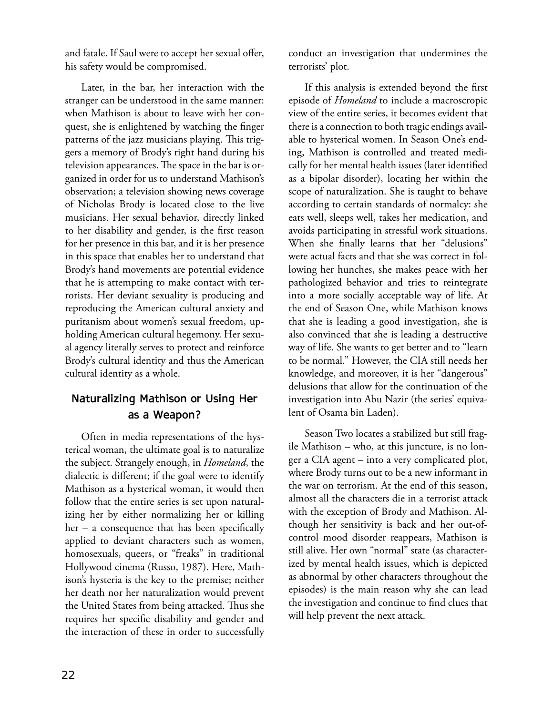and fatale. If Saul were to accept her sexual offer, his safety would be compromised.

Later, in the bar, her interaction with the stranger can be understood in the same manner: when Mathison is about to leave with her conquest, she is enlightened by watching the finger patterns of the jazz musicians playing. This triggers a memory of Brody's right hand during his television appearances. The space in the bar is organized in order for us to understand Mathison's observation; a television showing news coverage of Nicholas Brody is located close to the live musicians. Her sexual behavior, directly linked to her disability and gender, is the first reason for her presence in this bar, and it is her presence in this space that enables her to understand that Brody's hand movements are potential evidence that he is attempting to make contact with terrorists. Her deviant sexuality is producing and reproducing the American cultural anxiety and puritanism about women's sexual freedom, upholding American cultural hegemony. Her sexual agency literally serves to protect and reinforce Brody's cultural identity and thus the American cultural identity as a whole.

## **Naturalizing Mathison or Using Her as a Weapon?**

Often in media representations of the hysterical woman, the ultimate goal is to naturalize the subject. Strangely enough, in *Homeland*, the dialectic is different; if the goal were to identify Mathison as a hysterical woman, it would then follow that the entire series is set upon naturalizing her by either normalizing her or killing her – a consequence that has been specifically applied to deviant characters such as women, homosexuals, queers, or "freaks" in traditional Hollywood cinema (Russo, 1987). Here, Mathison's hysteria is the key to the premise; neither her death nor her naturalization would prevent the United States from being attacked. Thus she requires her specific disability and gender and the interaction of these in order to successfully

conduct an investigation that undermines the terrorists' plot.

If this analysis is extended beyond the first episode of *Homeland* to include a macroscropic view of the entire series, it becomes evident that there is a connection to both tragic endings available to hysterical women. In Season One's ending, Mathison is controlled and treated medically for her mental health issues (later identified as a bipolar disorder), locating her within the scope of naturalization. She is taught to behave according to certain standards of normalcy: she eats well, sleeps well, takes her medication, and avoids participating in stressful work situations. When she finally learns that her "delusions" were actual facts and that she was correct in following her hunches, she makes peace with her pathologized behavior and tries to reintegrate into a more socially acceptable way of life. At the end of Season One, while Mathison knows that she is leading a good investigation, she is also convinced that she is leading a destructive way of life. She wants to get better and to "learn to be normal." However, the CIA still needs her knowledge, and moreover, it is her "dangerous" delusions that allow for the continuation of the investigation into Abu Nazir (the series' equivalent of Osama bin Laden).

Season Two locates a stabilized but still fragile Mathison – who, at this juncture, is no longer a CIA agent – into a very complicated plot, where Brody turns out to be a new informant in the war on terrorism. At the end of this season, almost all the characters die in a terrorist attack with the exception of Brody and Mathison. Although her sensitivity is back and her out-ofcontrol mood disorder reappears, Mathison is still alive. Her own "normal" state (as characterized by mental health issues, which is depicted as abnormal by other characters throughout the episodes) is the main reason why she can lead the investigation and continue to find clues that will help prevent the next attack.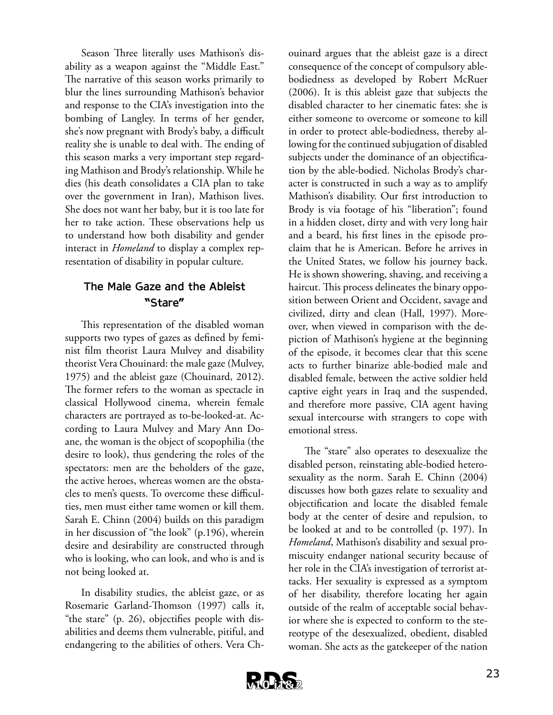Season Three literally uses Mathison's disability as a weapon against the "Middle East." The narrative of this season works primarily to blur the lines surrounding Mathison's behavior and response to the CIA's investigation into the bombing of Langley. In terms of her gender, she's now pregnant with Brody's baby, a difficult reality she is unable to deal with. The ending of this season marks a very important step regarding Mathison and Brody's relationship. While he dies (his death consolidates a CIA plan to take over the government in Iran), Mathison lives. She does not want her baby, but it is too late for her to take action. These observations help us to understand how both disability and gender interact in *Homeland* to display a complex representation of disability in popular culture.

## **The Male Gaze and the Ableist "Stare"**

This representation of the disabled woman supports two types of gazes as defined by feminist film theorist Laura Mulvey and disability theorist Vera Chouinard: the male gaze (Mulvey, 1975) and the ableist gaze (Chouinard, 2012). The former refers to the woman as spectacle in classical Hollywood cinema, wherein female characters are portrayed as to-be-looked-at. According to Laura Mulvey and Mary Ann Doane, the woman is the object of scopophilia (the desire to look), thus gendering the roles of the spectators: men are the beholders of the gaze, the active heroes, whereas women are the obstacles to men's quests. To overcome these difficulties, men must either tame women or kill them. Sarah E. Chinn (2004) builds on this paradigm in her discussion of "the look" (p.196), wherein desire and desirability are constructed through who is looking, who can look, and who is and is not being looked at.

In disability studies, the ableist gaze, or as Rosemarie Garland-Thomson (1997) calls it, "the stare" (p. 26), objectifies people with disabilities and deems them vulnerable, pitiful, and endangering to the abilities of others. Vera Ch-

ouinard argues that the ableist gaze is a direct consequence of the concept of compulsory ablebodiedness as developed by Robert McRuer (2006). It is this ableist gaze that subjects the disabled character to her cinematic fates: she is either someone to overcome or someone to kill in order to protect able-bodiedness, thereby allowing for the continued subjugation of disabled subjects under the dominance of an objectification by the able-bodied. Nicholas Brody's character is constructed in such a way as to amplify Mathison's disability. Our first introduction to Brody is via footage of his "liberation"; found in a hidden closet, dirty and with very long hair and a beard, his first lines in the episode proclaim that he is American. Before he arrives in the United States, we follow his journey back. He is shown showering, shaving, and receiving a haircut. This process delineates the binary opposition between Orient and Occident, savage and civilized, dirty and clean (Hall, 1997). Moreover, when viewed in comparison with the depiction of Mathison's hygiene at the beginning of the episode, it becomes clear that this scene acts to further binarize able-bodied male and disabled female, between the active soldier held captive eight years in Iraq and the suspended, and therefore more passive, CIA agent having sexual intercourse with strangers to cope with emotional stress.

The "stare" also operates to desexualize the disabled person, reinstating able-bodied heterosexuality as the norm. Sarah E. Chinn (2004) discusses how both gazes relate to sexuality and objectification and locate the disabled female body at the center of desire and repulsion, to be looked at and to be controlled (p. 197). In *Homeland*, Mathison's disability and sexual promiscuity endanger national security because of her role in the CIA's investigation of terrorist attacks. Her sexuality is expressed as a symptom of her disability, therefore locating her again outside of the realm of acceptable social behavior where she is expected to conform to the stereotype of the desexualized, obedient, disabled woman. She acts as the gatekeeper of the nation

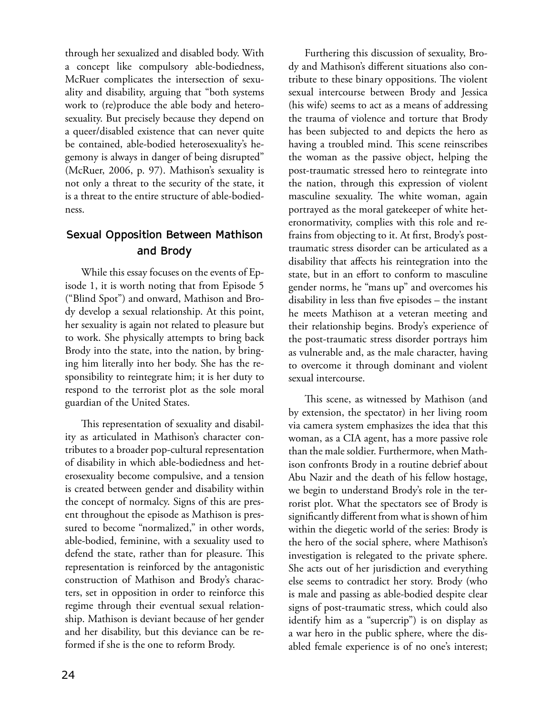through her sexualized and disabled body. With a concept like compulsory able-bodiedness, McRuer complicates the intersection of sexuality and disability, arguing that "both systems work to (re)produce the able body and heterosexuality. But precisely because they depend on a queer/disabled existence that can never quite be contained, able-bodied heterosexuality's hegemony is always in danger of being disrupted" (McRuer, 2006, p. 97). Mathison's sexuality is not only a threat to the security of the state, it is a threat to the entire structure of able-bodiedness.

## **Sexual Opposition Between Mathison and Brody**

While this essay focuses on the events of Episode 1, it is worth noting that from Episode 5 ("Blind Spot") and onward, Mathison and Brody develop a sexual relationship. At this point, her sexuality is again not related to pleasure but to work. She physically attempts to bring back Brody into the state, into the nation, by bringing him literally into her body. She has the responsibility to reintegrate him; it is her duty to respond to the terrorist plot as the sole moral guardian of the United States.

This representation of sexuality and disability as articulated in Mathison's character contributes to a broader pop-cultural representation of disability in which able-bodiedness and heterosexuality become compulsive, and a tension is created between gender and disability within the concept of normalcy. Signs of this are present throughout the episode as Mathison is pressured to become "normalized," in other words, able-bodied, feminine, with a sexuality used to defend the state, rather than for pleasure. This representation is reinforced by the antagonistic construction of Mathison and Brody's characters, set in opposition in order to reinforce this regime through their eventual sexual relationship. Mathison is deviant because of her gender and her disability, but this deviance can be reformed if she is the one to reform Brody.

Furthering this discussion of sexuality, Brody and Mathison's different situations also contribute to these binary oppositions. The violent sexual intercourse between Brody and Jessica (his wife) seems to act as a means of addressing the trauma of violence and torture that Brody has been subjected to and depicts the hero as having a troubled mind. This scene reinscribes the woman as the passive object, helping the post-traumatic stressed hero to reintegrate into the nation, through this expression of violent masculine sexuality. The white woman, again portrayed as the moral gatekeeper of white heteronormativity, complies with this role and refrains from objecting to it. At first, Brody's posttraumatic stress disorder can be articulated as a disability that affects his reintegration into the state, but in an effort to conform to masculine gender norms, he "mans up" and overcomes his disability in less than five episodes – the instant he meets Mathison at a veteran meeting and their relationship begins. Brody's experience of the post-traumatic stress disorder portrays him as vulnerable and, as the male character, having to overcome it through dominant and violent sexual intercourse.

This scene, as witnessed by Mathison (and by extension, the spectator) in her living room via camera system emphasizes the idea that this woman, as a CIA agent, has a more passive role than the male soldier. Furthermore, when Mathison confronts Brody in a routine debrief about Abu Nazir and the death of his fellow hostage, we begin to understand Brody's role in the terrorist plot. What the spectators see of Brody is significantly different from what is shown of him within the diegetic world of the series: Brody is the hero of the social sphere, where Mathison's investigation is relegated to the private sphere. She acts out of her jurisdiction and everything else seems to contradict her story. Brody (who is male and passing as able-bodied despite clear signs of post-traumatic stress, which could also identify him as a "supercrip") is on display as a war hero in the public sphere, where the disabled female experience is of no one's interest;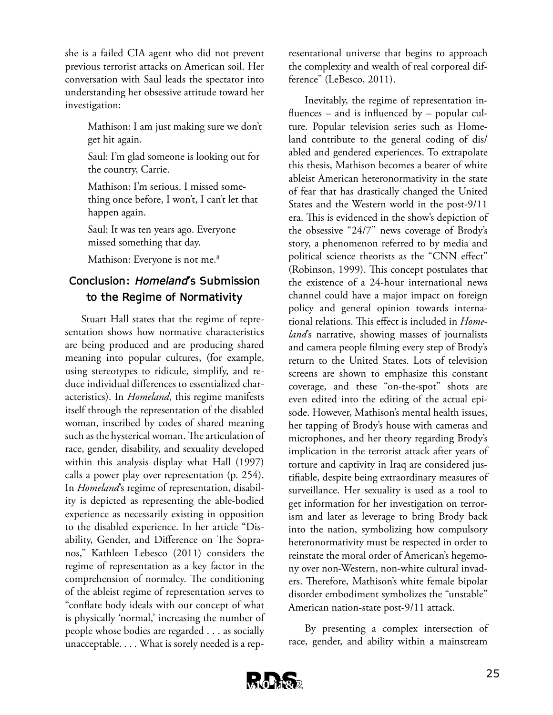she is a failed CIA agent who did not prevent previous terrorist attacks on American soil. Her conversation with Saul leads the spectator into understanding her obsessive attitude toward her investigation:

> Mathison: I am just making sure we don't get hit again.

Saul: I'm glad someone is looking out for the country, Carrie.

Mathison: I'm serious. I missed something once before, I won't, I can't let that happen again.

Saul: It was ten years ago. Everyone missed something that day.

Mathison: Everyone is not me.<sup>8</sup>

## **Conclusion:** *Homeland***'s Submission to the Regime of Normativity**

Stuart Hall states that the regime of representation shows how normative characteristics are being produced and are producing shared meaning into popular cultures, (for example, using stereotypes to ridicule, simplify, and reduce individual differences to essentialized characteristics). In *Homeland*, this regime manifests itself through the representation of the disabled woman, inscribed by codes of shared meaning such as the hysterical woman. The articulation of race, gender, disability, and sexuality developed within this analysis display what Hall (1997) calls a power play over representation (p. 254). In *Homeland*'s regime of representation, disability is depicted as representing the able-bodied experience as necessarily existing in opposition to the disabled experience. In her article "Disability, Gender, and Difference on The Sopranos," Kathleen Lebesco (2011) considers the regime of representation as a key factor in the comprehension of normalcy. The conditioning of the ableist regime of representation serves to "conflate body ideals with our concept of what is physically 'normal,' increasing the number of people whose bodies are regarded . . . as socially unacceptable. . . . What is sorely needed is a representational universe that begins to approach the complexity and wealth of real corporeal difference" (LeBesco, 2011).

Inevitably, the regime of representation influences – and is influenced by – popular culture. Popular television series such as Homeland contribute to the general coding of dis/ abled and gendered experiences. To extrapolate this thesis, Mathison becomes a bearer of white ableist American heteronormativity in the state of fear that has drastically changed the United States and the Western world in the post-9/11 era. This is evidenced in the show's depiction of the obsessive "24/7" news coverage of Brody's story, a phenomenon referred to by media and political science theorists as the "CNN effect" (Robinson, 1999). This concept postulates that the existence of a 24-hour international news channel could have a major impact on foreign policy and general opinion towards international relations. This effect is included in *Homeland*'s narrative, showing masses of journalists and camera people filming every step of Brody's return to the United States. Lots of television screens are shown to emphasize this constant coverage, and these "on-the-spot" shots are even edited into the editing of the actual episode. However, Mathison's mental health issues, her tapping of Brody's house with cameras and microphones, and her theory regarding Brody's implication in the terrorist attack after years of torture and captivity in Iraq are considered justifiable, despite being extraordinary measures of surveillance. Her sexuality is used as a tool to get information for her investigation on terrorism and later as leverage to bring Brody back into the nation, symbolizing how compulsory heteronormativity must be respected in order to reinstate the moral order of American's hegemony over non-Western, non-white cultural invaders. Therefore, Mathison's white female bipolar disorder embodiment symbolizes the "unstable" American nation-state post-9/11 attack.

By presenting a complex intersection of race, gender, and ability within a mainstream

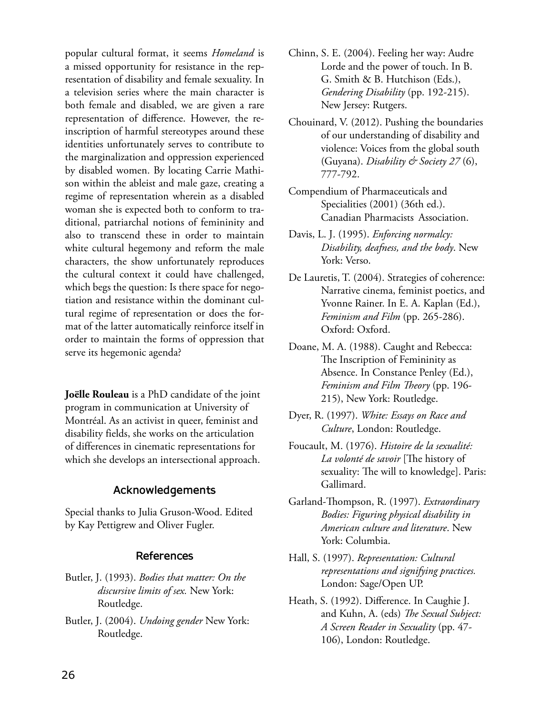popular cultural format, it seems *Homeland* is a missed opportunity for resistance in the representation of disability and female sexuality. In a television series where the main character is both female and disabled, we are given a rare representation of difference. However, the reinscription of harmful stereotypes around these identities unfortunately serves to contribute to the marginalization and oppression experienced by disabled women. By locating Carrie Mathison within the ableist and male gaze, creating a regime of representation wherein as a disabled woman she is expected both to conform to traditional, patriarchal notions of femininity and also to transcend these in order to maintain white cultural hegemony and reform the male characters, the show unfortunately reproduces the cultural context it could have challenged, which begs the question: Is there space for negotiation and resistance within the dominant cultural regime of representation or does the format of the latter automatically reinforce itself in order to maintain the forms of oppression that serve its hegemonic agenda?

**Joëlle Rouleau** is a PhD candidate of the joint program in communication at University of Montréal. As an activist in queer, feminist and disability fields, she works on the articulation of differences in cinematic representations for which she develops an intersectional approach.

## **Acknowledgements**

Special thanks to Julia Gruson-Wood. Edited by Kay Pettigrew and Oliver Fugler.

## **References**

- Butler, J. (1993). *Bodies that matter: On the discursive limits of sex.* New York: Routledge.
- Butler, J. (2004). *Undoing gender* New York: Routledge.
- Chinn, S. E. (2004). Feeling her way: Audre Lorde and the power of touch. In B. G. Smith & B. Hutchison (Eds.), *Gendering Disability* (pp. 192-215). New Jersey: Rutgers.
- Chouinard, V. (2012). Pushing the boundaries of our understanding of disability and violence: Voices from the global south (Guyana). *Disability & Society 27* (6), 777-792.
- Compendium of Pharmaceuticals and Specialities (2001) (36th ed.). Canadian Pharmacists Association.
- Davis, L. J. (1995). *Enforcing normalcy: Disability, deafness, and the body*. New York: Verso.
- De Lauretis, T. (2004). Strategies of coherence: Narrative cinema, feminist poetics, and Yvonne Rainer. In E. A. Kaplan (Ed.), *Feminism and Film* (pp. 265-286). Oxford: Oxford.
- Doane, M. A. (1988). Caught and Rebecca: The Inscription of Femininity as Absence. In Constance Penley (Ed.), *Feminism and Film Theory* (pp. 196- 215), New York: Routledge.
- Dyer, R. (1997). *White: Essays on Race and Culture*, London: Routledge.
- Foucault, M. (1976). *Histoire de la sexualité: La volonté de savoir* [The history of sexuality: The will to knowledge]. Paris: Gallimard.
- Garland-Thompson, R. (1997). *Extraordinary Bodies: Figuring physical disability in American culture and literature*. New York: Columbia.
- Hall, S. (1997). *Representation: Cultural representations and signifying practices.*  London: Sage/Open UP.
- Heath, S. (1992). Difference. In Caughie J. and Kuhn, A. (eds) *The Sexual Subject: A Screen Reader in Sexuality* (pp. 47- 106), London: Routledge.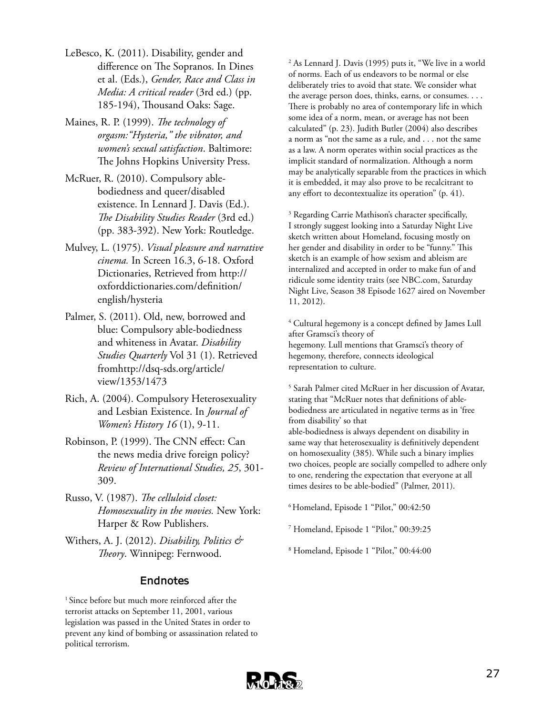- LeBesco, K. (2011). Disability, gender and difference on The Sopranos. In Dines et al. (Eds.), *Gender, Race and Class in Media: A critical reader* (3rd ed.) (pp. 185-194), Thousand Oaks: Sage.
- Maines, R. P. (1999). *The technology of orgasm:"Hysteria," the vibrator, and women's sexual satisfaction*. Baltimore: The Johns Hopkins University Press.
- McRuer, R. (2010). Compulsory ablebodiedness and queer/disabled existence. In Lennard J. Davis (Ed.). *The Disability Studies Reader* (3rd ed.) (pp. 383-392). New York: Routledge.
- Mulvey, L. (1975). *Visual pleasure and narrative cinema.* In Screen 16.3, 6-18. Oxford Dictionaries, Retrieved from http:// oxforddictionaries.com/definition/ english/hysteria
- Palmer, S. (2011). Old, new, borrowed and blue: Compulsory able-bodiedness and whiteness in Avatar. *Disability Studies Quarterly* Vol 31 (1). Retrieved fromhttp://dsq-sds.org/article/ view/1353/1473
- Rich, A. (2004). Compulsory Heterosexuality and Lesbian Existence. In *Journal of Women's History 16* (1), 9-11.
- Robinson, P. (1999). The CNN effect: Can the news media drive foreign policy? *Review of International Studies, 25*, 301- 309.
- Russo, V. (1987). *The celluloid closet: Homosexuality in the movies.* New York: Harper & Row Publishers.
- Withers, A. J. (2012). *Disability, Politics & Theory*. Winnipeg: Fernwood.

## **Endnotes**

<sup>1</sup> Since before but much more reinforced after the terrorist attacks on September 11, 2001, various legislation was passed in the United States in order to prevent any kind of bombing or assassination related to political terrorism.

2 As Lennard J. Davis (1995) puts it, "We live in a world of norms. Each of us endeavors to be normal or else deliberately tries to avoid that state. We consider what the average person does, thinks, earns, or consumes. . . . There is probably no area of contemporary life in which some idea of a norm, mean, or average has not been calculated" (p. 23). Judith Butler (2004) also describes a norm as "not the same as a rule, and . . . not the same as a law. A norm operates within social practices as the implicit standard of normalization. Although a norm may be analytically separable from the practices in which it is embedded, it may also prove to be recalcitrant to any effort to decontextualize its operation" (p. 41).

<sup>3</sup> Regarding Carrie Mathison's character specifically, I strongly suggest looking into a Saturday Night Live sketch written about Homeland, focusing mostly on her gender and disability in order to be "funny." This sketch is an example of how sexism and ableism are internalized and accepted in order to make fun of and ridicule some identity traits (see NBC.com, Saturday Night Live, Season 38 Episode 1627 aired on November 11, 2012).

4 Cultural hegemony is a concept defined by James Lull after Gramsci's theory of hegemony. Lull mentions that Gramsci's theory of hegemony, therefore, connects ideological representation to culture.

5 Sarah Palmer cited McRuer in her discussion of Avatar, stating that "McRuer notes that definitions of ablebodiedness are articulated in negative terms as in 'free from disability' so that

able-bodiedness is always dependent on disability in same way that heterosexuality is definitively dependent on homosexuality (385). While such a binary implies two choices, people are socially compelled to adhere only to one, rendering the expectation that everyone at all times desires to be able-bodied" (Palmer, 2011).

6 Homeland, Episode 1 "Pilot," 00:42:50

7 Homeland, Episode 1 "Pilot," 00:39:25

8 Homeland, Episode 1 "Pilot," 00:44:00

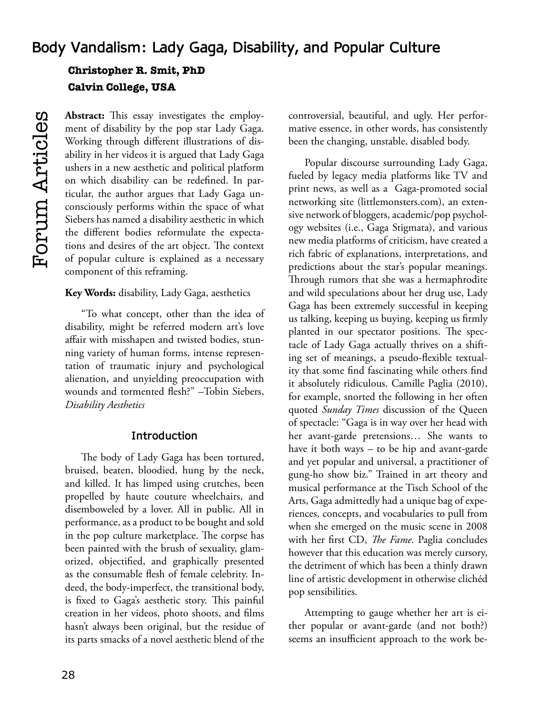# **Body Vandalism: Lady Gaga, Disability, and Popular Culture Christopher R. Smit, PhD Calvin College, USA**

**Abstract:** This essay investigates the employment of disability by the pop star Lady Gaga. Working through different illustrations of disability in her videos it is argued that Lady Gaga ushers in a new aesthetic and political platform on which disability can be redefined. In particular, the author argues that Lady Gaga unconsciously performs within the space of what Siebers has named a disability aesthetic in which the different bodies reformulate the expectations and desires of the art object. The context of popular culture is explained as a necessary component of this reframing.

#### **Key Words:** disability, Lady Gaga, aesthetics

"To what concept, other than the idea of disability, might be referred modern art's love affair with misshapen and twisted bodies, stunning variety of human forms, intense representation of traumatic injury and psychological alienation, and unyielding preoccupation with wounds and tormented flesh?" –Tobin Siebers, *Disability Aesthetics*

## **Introduction**

The body of Lady Gaga has been tortured, bruised, beaten, bloodied, hung by the neck, and killed. It has limped using crutches, been propelled by haute couture wheelchairs, and disemboweled by a lover. All in public. All in performance, as a product to be bought and sold in the pop culture marketplace. The corpse has been painted with the brush of sexuality, glamorized, objectified, and graphically presented as the consumable flesh of female celebrity. Indeed, the body-imperfect, the transitional body, is fixed to Gaga's aesthetic story. This painful creation in her videos, photo shoots, and films hasn't always been original, but the residue of its parts smacks of a novel aesthetic blend of the controversial, beautiful, and ugly. Her performative essence, in other words, has consistently been the changing, unstable, disabled body.

Popular discourse surrounding Lady Gaga, fueled by legacy media platforms like TV and print news, as well as a Gaga-promoted social networking site (littlemonsters.com), an extensive network of bloggers, academic/pop psychology websites (i.e., Gaga Stigmata), and various new media platforms of criticism, have created a rich fabric of explanations, interpretations, and predictions about the star's popular meanings. Through rumors that she was a hermaphrodite and wild speculations about her drug use, Lady Gaga has been extremely successful in keeping us talking, keeping us buying, keeping us firmly planted in our spectator positions. The spectacle of Lady Gaga actually thrives on a shifting set of meanings, a pseudo-flexible textuality that some find fascinating while others find it absolutely ridiculous. Camille Paglia (2010), for example, snorted the following in her often quoted *Sunday Times* discussion of the Queen of spectacle: "Gaga is in way over her head with her avant-garde pretensions… She wants to have it both ways – to be hip and avant-garde and yet popular and universal, a practitioner of gung-ho show biz." Trained in art theory and musical performance at the Tisch School of the Arts, Gaga admittedly had a unique bag of experiences, concepts, and vocabularies to pull from when she emerged on the music scene in 2008 with her first CD, *The Fame*. Paglia concludes however that this education was merely cursory, the detriment of which has been a thinly drawn line of artistic development in otherwise clichéd pop sensibilities.

Attempting to gauge whether her art is either popular or avant-garde (and not both?) seems an insufficient approach to the work be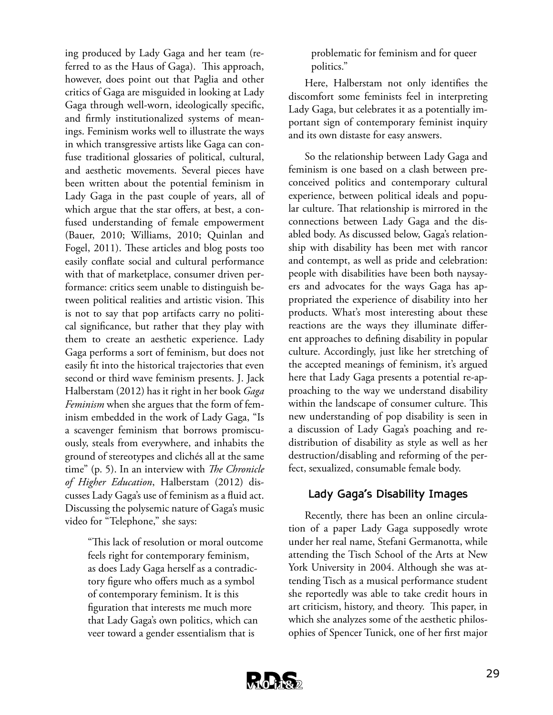ing produced by Lady Gaga and her team (referred to as the Haus of Gaga). This approach, however, does point out that Paglia and other critics of Gaga are misguided in looking at Lady Gaga through well-worn, ideologically specific, and firmly institutionalized systems of meanings. Feminism works well to illustrate the ways in which transgressive artists like Gaga can confuse traditional glossaries of political, cultural, and aesthetic movements. Several pieces have been written about the potential feminism in Lady Gaga in the past couple of years, all of which argue that the star offers, at best, a confused understanding of female empowerment (Bauer, 2010; Williams, 2010; Quinlan and Fogel, 2011). These articles and blog posts too easily conflate social and cultural performance with that of marketplace, consumer driven performance: critics seem unable to distinguish between political realities and artistic vision. This is not to say that pop artifacts carry no political significance, but rather that they play with them to create an aesthetic experience. Lady Gaga performs a sort of feminism, but does not easily fit into the historical trajectories that even second or third wave feminism presents. J. Jack Halberstam (2012) has it right in her book *Gaga Feminism* when she argues that the form of feminism embedded in the work of Lady Gaga, "Is a scavenger feminism that borrows promiscuously, steals from everywhere, and inhabits the ground of stereotypes and clichés all at the same time" (p. 5). In an interview with *The Chronicle of Higher Education*, Halberstam (2012) discusses Lady Gaga's use of feminism as a fluid act. Discussing the polysemic nature of Gaga's music video for "Telephone," she says:

> "This lack of resolution or moral outcome feels right for contemporary feminism, as does Lady Gaga herself as a contradictory figure who offers much as a symbol of contemporary feminism. It is this figuration that interests me much more that Lady Gaga's own politics, which can veer toward a gender essentialism that is

problematic for feminism and for queer politics."

Here, Halberstam not only identifies the discomfort some feminists feel in interpreting Lady Gaga, but celebrates it as a potentially important sign of contemporary feminist inquiry and its own distaste for easy answers.

So the relationship between Lady Gaga and feminism is one based on a clash between preconceived politics and contemporary cultural experience, between political ideals and popular culture. That relationship is mirrored in the connections between Lady Gaga and the disabled body. As discussed below, Gaga's relationship with disability has been met with rancor and contempt, as well as pride and celebration: people with disabilities have been both naysayers and advocates for the ways Gaga has appropriated the experience of disability into her products. What's most interesting about these reactions are the ways they illuminate different approaches to defining disability in popular culture. Accordingly, just like her stretching of the accepted meanings of feminism, it's argued here that Lady Gaga presents a potential re-approaching to the way we understand disability within the landscape of consumer culture. This new understanding of pop disability is seen in a discussion of Lady Gaga's poaching and redistribution of disability as style as well as her destruction/disabling and reforming of the perfect, sexualized, consumable female body.

## **Lady Gaga's Disability Images**

Recently, there has been an online circulation of a paper Lady Gaga supposedly wrote under her real name, Stefani Germanotta, while attending the Tisch School of the Arts at New York University in 2004. Although she was attending Tisch as a musical performance student she reportedly was able to take credit hours in art criticism, history, and theory. This paper, in which she analyzes some of the aesthetic philosophies of Spencer Tunick, one of her first major

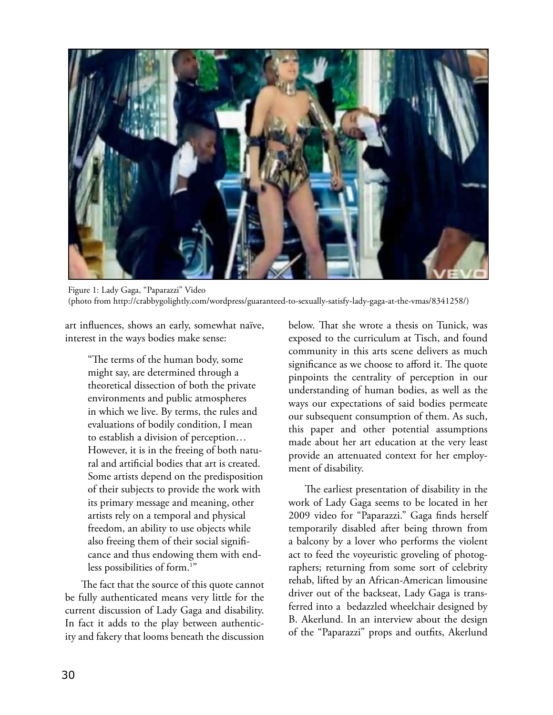

Figure 1: Lady Gaga, "Paparazzi" Video (photo from http://crabbygolightly.com/wordpress/guaranteed-to-sexually-satisfy-lady-gaga-at-the-vmas/8341258/)

art influences, shows an early, somewhat naïve, interest in the ways bodies make sense:

> "The terms of the human body, some might say, are determined through a theoretical dissection of both the private environments and public atmospheres in which we live. By terms, the rules and evaluations of bodily condition, I mean to establish a division of perception… However, it is in the freeing of both natural and artificial bodies that art is created. Some artists depend on the predisposition of their subjects to provide the work with its primary message and meaning, other artists rely on a temporal and physical freedom, an ability to use objects while also freeing them of their social significance and thus endowing them with endless possibilities of form.<sup>1"</sup>

The fact that the source of this quote cannot be fully authenticated means very little for the current discussion of Lady Gaga and disability. In fact it adds to the play between authenticity and fakery that looms beneath the discussion below. That she wrote a thesis on Tunick, was exposed to the curriculum at Tisch, and found community in this arts scene delivers as much significance as we choose to afford it. The quote pinpoints the centrality of perception in our understanding of human bodies, as well as the ways our expectations of said bodies permeate our subsequent consumption of them. As such, this paper and other potential assumptions made about her art education at the very least provide an attenuated context for her employment of disability.

The earliest presentation of disability in the work of Lady Gaga seems to be located in her 2009 video for "Paparazzi." Gaga finds herself temporarily disabled after being thrown from a balcony by a lover who performs the violent act to feed the voyeuristic groveling of photographers; returning from some sort of celebrity rehab, lifted by an African-American limousine driver out of the backseat, Lady Gaga is transferred into a bedazzled wheelchair designed by B. Akerlund. In an interview about the design of the "Paparazzi" props and outfits, Akerlund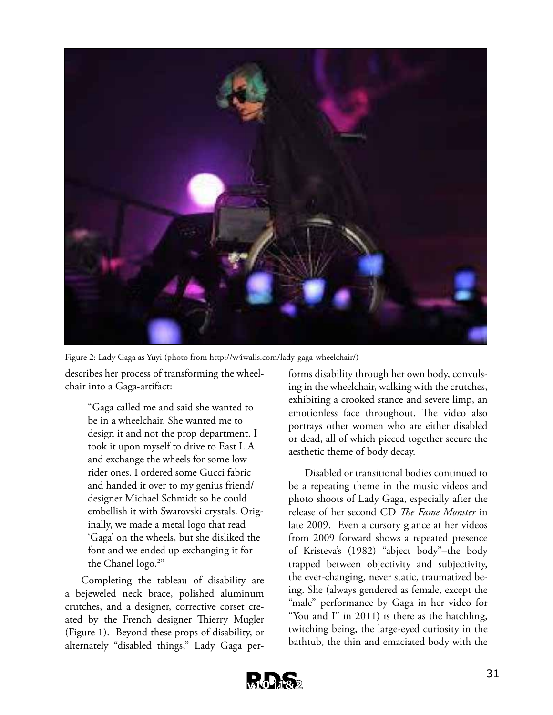

describes her process of transforming the wheel-Figure 2: Lady Gaga as Yuyi (photo from http://w4walls.com/lady-gaga-wheelchair/)

chair into a Gaga-artifact:

"Gaga called me and said she wanted to be in a wheelchair. She wanted me to design it and not the prop department. I took it upon myself to drive to East L.A. and exchange the wheels for some low rider ones. I ordered some Gucci fabric and handed it over to my genius friend/ designer Michael Schmidt so he could embellish it with Swarovski crystals. Originally, we made a metal logo that read 'Gaga' on the wheels, but she disliked the font and we ended up exchanging it for the Chanel logo.<sup>2"</sup>

Completing the tableau of disability are a bejeweled neck brace, polished aluminum crutches, and a designer, corrective corset created by the French designer Thierry Mugler (Figure 1). Beyond these props of disability, or alternately "disabled things," Lady Gaga performs disability through her own body, convulsing in the wheelchair, walking with the crutches, exhibiting a crooked stance and severe limp, an emotionless face throughout. The video also portrays other women who are either disabled or dead, all of which pieced together secure the aesthetic theme of body decay.

Disabled or transitional bodies continued to be a repeating theme in the music videos and photo shoots of Lady Gaga, especially after the release of her second CD *The Fame Monster* in late 2009. Even a cursory glance at her videos from 2009 forward shows a repeated presence of Kristeva's (1982) "abject body"–the body trapped between objectivity and subjectivity, the ever-changing, never static, traumatized being. She (always gendered as female, except the "male" performance by Gaga in her video for "You and I" in 2011) is there as the hatchling, twitching being, the large-eyed curiosity in the bathtub, the thin and emaciated body with the

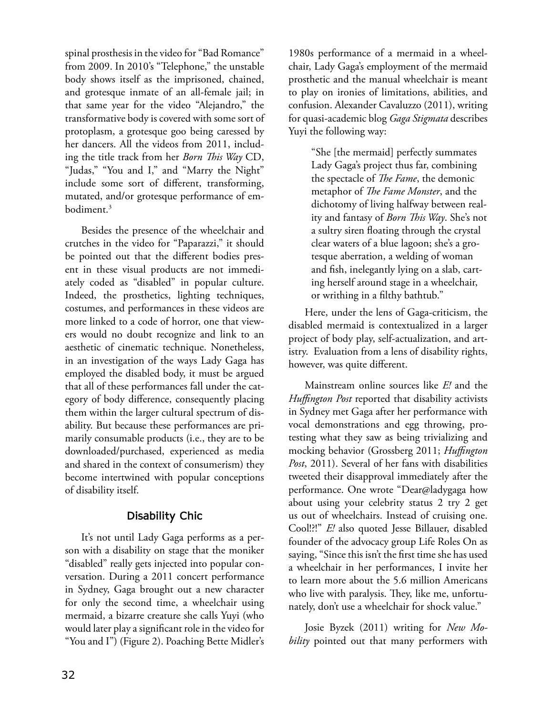spinal prosthesis in the video for "Bad Romance" from 2009. In 2010's "Telephone," the unstable body shows itself as the imprisoned, chained, and grotesque inmate of an all-female jail; in that same year for the video "Alejandro," the transformative body is covered with some sort of protoplasm, a grotesque goo being caressed by her dancers. All the videos from 2011, including the title track from her *Born This Way* CD, "Judas," "You and I," and "Marry the Night" include some sort of different, transforming, mutated, and/or grotesque performance of embodiment.3

Besides the presence of the wheelchair and crutches in the video for "Paparazzi," it should be pointed out that the different bodies present in these visual products are not immediately coded as "disabled" in popular culture. Indeed, the prosthetics, lighting techniques, costumes, and performances in these videos are more linked to a code of horror, one that viewers would no doubt recognize and link to an aesthetic of cinematic technique. Nonetheless, in an investigation of the ways Lady Gaga has employed the disabled body, it must be argued that all of these performances fall under the category of body difference, consequently placing them within the larger cultural spectrum of disability. But because these performances are primarily consumable products (i.e., they are to be downloaded/purchased, experienced as media and shared in the context of consumerism) they become intertwined with popular conceptions of disability itself.

## **Disability Chic**

It's not until Lady Gaga performs as a person with a disability on stage that the moniker "disabled" really gets injected into popular conversation. During a 2011 concert performance in Sydney, Gaga brought out a new character for only the second time, a wheelchair using mermaid, a bizarre creature she calls Yuyi (who would later play a significant role in the video for "You and I") (Figure 2). Poaching Bette Midler's

1980s performance of a mermaid in a wheelchair, Lady Gaga's employment of the mermaid prosthetic and the manual wheelchair is meant to play on ironies of limitations, abilities, and confusion. Alexander Cavaluzzo (2011), writing for quasi-academic blog *Gaga Stigmata* describes Yuyi the following way:

> "She [the mermaid] perfectly summates Lady Gaga's project thus far, combining the spectacle of *The Fame*, the demonic metaphor of *The Fame Monster*, and the dichotomy of living halfway between reality and fantasy of *Born This Way*. She's not a sultry siren floating through the crystal clear waters of a blue lagoon; she's a grotesque aberration, a welding of woman and fish, inelegantly lying on a slab, carting herself around stage in a wheelchair, or writhing in a filthy bathtub."

Here, under the lens of Gaga-criticism, the disabled mermaid is contextualized in a larger project of body play, self-actualization, and artistry. Evaluation from a lens of disability rights, however, was quite different.

Mainstream online sources like *E!* and the *Huffington Post* reported that disability activists in Sydney met Gaga after her performance with vocal demonstrations and egg throwing, protesting what they saw as being trivializing and mocking behavior (Grossberg 2011; *Huffington Post*, 2011). Several of her fans with disabilities tweeted their disapproval immediately after the performance. One wrote "Dear@ladygaga how about using your celebrity status 2 try 2 get us out of wheelchairs. Instead of cruising one. Cool!?!" *E!* also quoted Jesse Billauer, disabled founder of the advocacy group Life Roles On as saying, "Since this isn't the first time she has used a wheelchair in her performances, I invite her to learn more about the 5.6 million Americans who live with paralysis. They, like me, unfortunately, don't use a wheelchair for shock value."

Josie Byzek (2011) writing for *New Mobility* pointed out that many performers with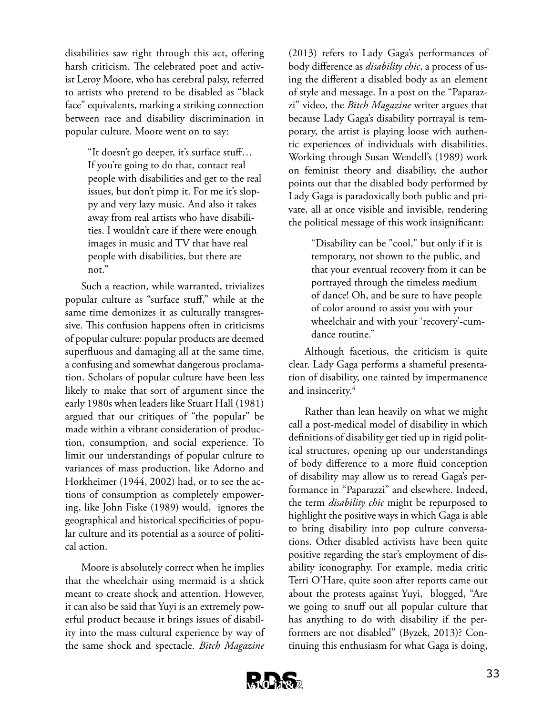disabilities saw right through this act, offering harsh criticism. The celebrated poet and activist Leroy Moore, who has cerebral palsy, referred to artists who pretend to be disabled as "black face" equivalents, marking a striking connection between race and disability discrimination in popular culture. Moore went on to say:

> "It doesn't go deeper, it's surface stuff… If you're going to do that, contact real people with disabilities and get to the real issues, but don't pimp it. For me it's sloppy and very lazy music. And also it takes away from real artists who have disabilities. I wouldn't care if there were enough images in music and TV that have real people with disabilities, but there are not."

Such a reaction, while warranted, trivializes popular culture as "surface stuff," while at the same time demonizes it as culturally transgressive. This confusion happens often in criticisms of popular culture: popular products are deemed superfluous and damaging all at the same time, a confusing and somewhat dangerous proclamation. Scholars of popular culture have been less likely to make that sort of argument since the early 1980s when leaders like Stuart Hall (1981) argued that our critiques of "the popular" be made within a vibrant consideration of production, consumption, and social experience. To limit our understandings of popular culture to variances of mass production, like Adorno and Horkheimer (1944, 2002) had, or to see the actions of consumption as completely empowering, like John Fiske (1989) would, ignores the geographical and historical specificities of popular culture and its potential as a source of political action.

Moore is absolutely correct when he implies that the wheelchair using mermaid is a shtick meant to create shock and attention. However, it can also be said that Yuyi is an extremely powerful product because it brings issues of disability into the mass cultural experience by way of the same shock and spectacle. *Bitch Magazine* 

(2013) refers to Lady Gaga's performances of body difference as *disability chic*, a process of using the different a disabled body as an element of style and message. In a post on the "Paparazzi" video, the *Bitch Magazine* writer argues that because Lady Gaga's disability portrayal is temporary, the artist is playing loose with authentic experiences of individuals with disabilities. Working through Susan Wendell's (1989) work on feminist theory and disability, the author points out that the disabled body performed by Lady Gaga is paradoxically both public and private, all at once visible and invisible, rendering the political message of this work insignificant:

> "Disability can be "cool," but only if it is temporary, not shown to the public, and that your eventual recovery from it can be portrayed through the timeless medium of dance! Oh, and be sure to have people of color around to assist you with your wheelchair and with your 'recovery'-cumdance routine."

Although facetious, the criticism is quite clear. Lady Gaga performs a shameful presentation of disability, one tainted by impermanence and insincerity.<sup>4</sup>

Rather than lean heavily on what we might call a post-medical model of disability in which definitions of disability get tied up in rigid political structures, opening up our understandings of body difference to a more fluid conception of disability may allow us to reread Gaga's performance in "Paparazzi" and elsewhere. Indeed, the term *disability chic* might be repurposed to highlight the positive ways in which Gaga is able to bring disability into pop culture conversations. Other disabled activists have been quite positive regarding the star's employment of disability iconography. For example, media critic Terri O'Hare, quite soon after reports came out about the protests against Yuyi, blogged, "Are we going to snuff out all popular culture that has anything to do with disability if the performers are not disabled" (Byzek, 2013)? Continuing this enthusiasm for what Gaga is doing,

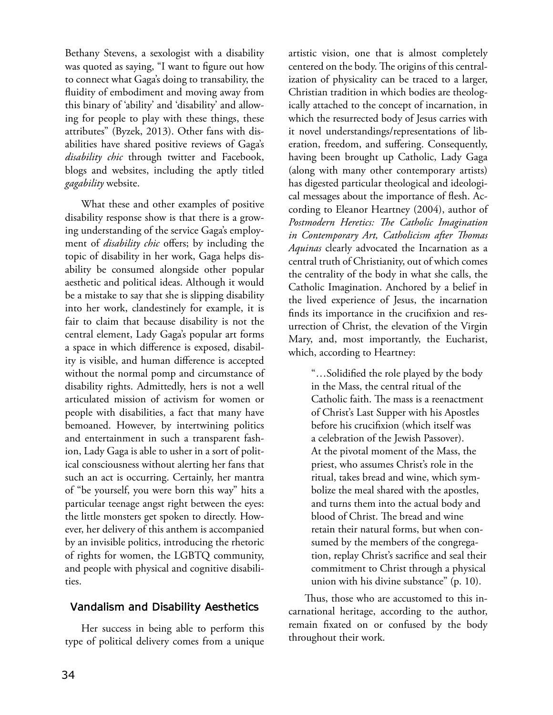Bethany Stevens, a sexologist with a disability was quoted as saying, "I want to figure out how to connect what Gaga's doing to transability, the fluidity of embodiment and moving away from this binary of 'ability' and 'disability' and allowing for people to play with these things, these attributes" (Byzek, 2013). Other fans with disabilities have shared positive reviews of Gaga's *disability chic* through twitter and Facebook, blogs and websites, including the aptly titled *gagability* website.

What these and other examples of positive disability response show is that there is a growing understanding of the service Gaga's employment of *disability chic* offers; by including the topic of disability in her work, Gaga helps disability be consumed alongside other popular aesthetic and political ideas. Although it would be a mistake to say that she is slipping disability into her work, clandestinely for example, it is fair to claim that because disability is not the central element, Lady Gaga's popular art forms a space in which difference is exposed, disability is visible, and human difference is accepted without the normal pomp and circumstance of disability rights. Admittedly, hers is not a well articulated mission of activism for women or people with disabilities, a fact that many have bemoaned. However, by intertwining politics and entertainment in such a transparent fashion, Lady Gaga is able to usher in a sort of political consciousness without alerting her fans that such an act is occurring. Certainly, her mantra of "be yourself, you were born this way" hits a particular teenage angst right between the eyes: the little monsters get spoken to directly. However, her delivery of this anthem is accompanied by an invisible politics, introducing the rhetoric of rights for women, the LGBTQ community, and people with physical and cognitive disabilities.

## **Vandalism and Disability Aesthetics**

Her success in being able to perform this type of political delivery comes from a unique

artistic vision, one that is almost completely centered on the body. The origins of this centralization of physicality can be traced to a larger, Christian tradition in which bodies are theologically attached to the concept of incarnation, in which the resurrected body of Jesus carries with it novel understandings/representations of liberation, freedom, and suffering. Consequently, having been brought up Catholic, Lady Gaga (along with many other contemporary artists) has digested particular theological and ideological messages about the importance of flesh. According to Eleanor Heartney (2004), author of *Postmodern Heretics: The Catholic Imagination in Contemporary Art, Catholicism after Thomas Aquinas* clearly advocated the Incarnation as a central truth of Christianity, out of which comes the centrality of the body in what she calls, the Catholic Imagination. Anchored by a belief in the lived experience of Jesus, the incarnation finds its importance in the crucifixion and resurrection of Christ, the elevation of the Virgin Mary, and, most importantly, the Eucharist, which, according to Heartney:

> "…Solidified the role played by the body in the Mass, the central ritual of the Catholic faith. The mass is a reenactment of Christ's Last Supper with his Apostles before his crucifixion (which itself was a celebration of the Jewish Passover). At the pivotal moment of the Mass, the priest, who assumes Christ's role in the ritual, takes bread and wine, which symbolize the meal shared with the apostles, and turns them into the actual body and blood of Christ. The bread and wine retain their natural forms, but when consumed by the members of the congregation, replay Christ's sacrifice and seal their commitment to Christ through a physical union with his divine substance" (p. 10).

Thus, those who are accustomed to this incarnational heritage, according to the author, remain fixated on or confused by the body throughout their work.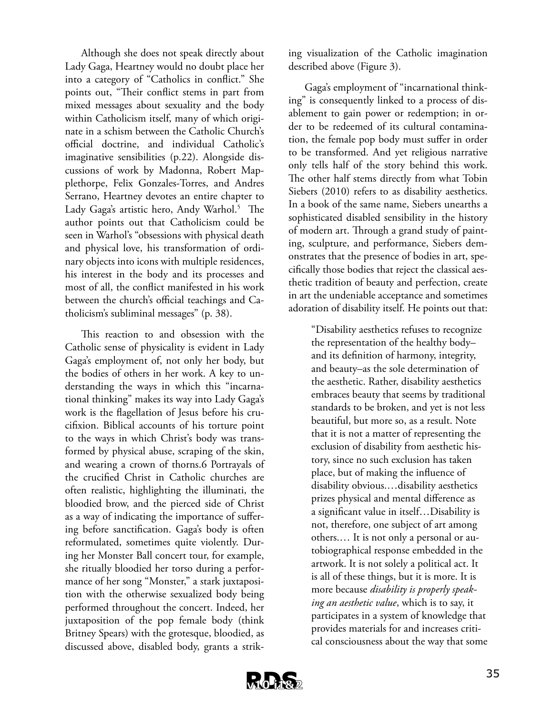Although she does not speak directly about Lady Gaga, Heartney would no doubt place her into a category of "Catholics in conflict." She points out, "Their conflict stems in part from mixed messages about sexuality and the body within Catholicism itself, many of which originate in a schism between the Catholic Church's official doctrine, and individual Catholic's imaginative sensibilities (p.22). Alongside discussions of work by Madonna, Robert Mapplethorpe, Felix Gonzales-Torres, and Andres Serrano, Heartney devotes an entire chapter to Lady Gaga's artistic hero, Andy Warhol.<sup>5</sup> The author points out that Catholicism could be seen in Warhol's "obsessions with physical death and physical love, his transformation of ordinary objects into icons with multiple residences, his interest in the body and its processes and most of all, the conflict manifested in his work between the church's official teachings and Catholicism's subliminal messages" (p. 38).

This reaction to and obsession with the Catholic sense of physicality is evident in Lady Gaga's employment of, not only her body, but the bodies of others in her work. A key to understanding the ways in which this "incarnational thinking" makes its way into Lady Gaga's work is the flagellation of Jesus before his crucifixion. Biblical accounts of his torture point to the ways in which Christ's body was transformed by physical abuse, scraping of the skin, and wearing a crown of thorns.6 Portrayals of the crucified Christ in Catholic churches are often realistic, highlighting the illuminati, the bloodied brow, and the pierced side of Christ as a way of indicating the importance of suffering before sanctification. Gaga's body is often reformulated, sometimes quite violently. During her Monster Ball concert tour, for example, she ritually bloodied her torso during a performance of her song "Monster," a stark juxtaposition with the otherwise sexualized body being performed throughout the concert. Indeed, her juxtaposition of the pop female body (think Britney Spears) with the grotesque, bloodied, as discussed above, disabled body, grants a striking visualization of the Catholic imagination described above (Figure 3).

Gaga's employment of "incarnational thinking" is consequently linked to a process of disablement to gain power or redemption; in order to be redeemed of its cultural contamination, the female pop body must suffer in order to be transformed. And yet religious narrative only tells half of the story behind this work. The other half stems directly from what Tobin Siebers (2010) refers to as disability aesthetics. In a book of the same name, Siebers unearths a sophisticated disabled sensibility in the history of modern art. Through a grand study of painting, sculpture, and performance, Siebers demonstrates that the presence of bodies in art, specifically those bodies that reject the classical aesthetic tradition of beauty and perfection, create in art the undeniable acceptance and sometimes adoration of disability itself. He points out that:

> "Disability aesthetics refuses to recognize the representation of the healthy body– and its definition of harmony, integrity, and beauty–as the sole determination of the aesthetic. Rather, disability aesthetics embraces beauty that seems by traditional standards to be broken, and yet is not less beautiful, but more so, as a result. Note that it is not a matter of representing the exclusion of disability from aesthetic history, since no such exclusion has taken place, but of making the influence of disability obvious.…disability aesthetics prizes physical and mental difference as a significant value in itself…Disability is not, therefore, one subject of art among others.… It is not only a personal or autobiographical response embedded in the artwork. It is not solely a political act. It is all of these things, but it is more. It is more because *disability is properly speaking an aesthetic value*, which is to say, it participates in a system of knowledge that provides materials for and increases critical consciousness about the way that some

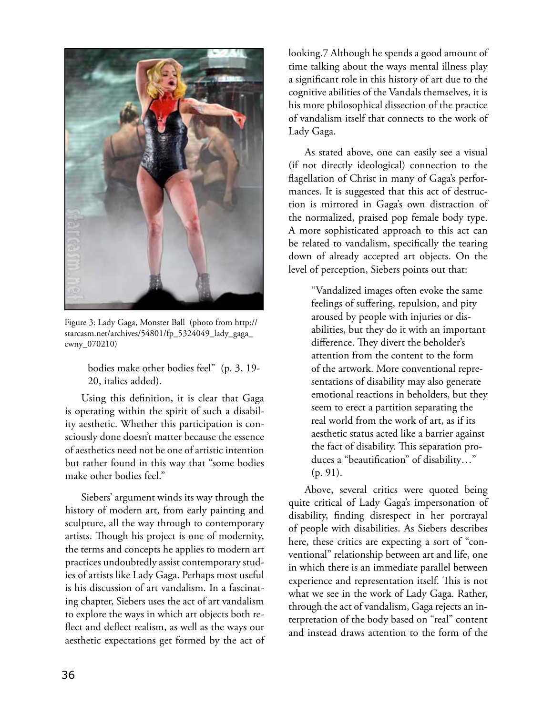

Figure 3: Lady Gaga, Monster Ball (photo from http:// starcasm.net/archives/54801/fp\_5324049\_lady\_gaga\_ cwny\_070210)

bodies make other bodies feel" (p. 3, 19- 20, italics added).

Using this definition, it is clear that Gaga is operating within the spirit of such a disability aesthetic. Whether this participation is consciously done doesn't matter because the essence of aesthetics need not be one of artistic intention but rather found in this way that "some bodies make other bodies feel."

Siebers' argument winds its way through the history of modern art, from early painting and sculpture, all the way through to contemporary artists. Though his project is one of modernity, the terms and concepts he applies to modern art practices undoubtedly assist contemporary studies of artists like Lady Gaga. Perhaps most useful is his discussion of art vandalism. In a fascinating chapter, Siebers uses the act of art vandalism to explore the ways in which art objects both reflect and deflect realism, as well as the ways our aesthetic expectations get formed by the act of

looking.7 Although he spends a good amount of time talking about the ways mental illness play a significant role in this history of art due to the cognitive abilities of the Vandals themselves, it is his more philosophical dissection of the practice of vandalism itself that connects to the work of Lady Gaga.

As stated above, one can easily see a visual (if not directly ideological) connection to the flagellation of Christ in many of Gaga's performances. It is suggested that this act of destruction is mirrored in Gaga's own distraction of the normalized, praised pop female body type. A more sophisticated approach to this act can be related to vandalism, specifically the tearing down of already accepted art objects. On the level of perception, Siebers points out that:

> "Vandalized images often evoke the same feelings of suffering, repulsion, and pity aroused by people with injuries or disabilities, but they do it with an important difference. They divert the beholder's attention from the content to the form of the artwork. More conventional representations of disability may also generate emotional reactions in beholders, but they seem to erect a partition separating the real world from the work of art, as if its aesthetic status acted like a barrier against the fact of disability. This separation produces a "beautification" of disability…" (p. 91).

Above, several critics were quoted being quite critical of Lady Gaga's impersonation of disability, finding disrespect in her portrayal of people with disabilities. As Siebers describes here, these critics are expecting a sort of "conventional" relationship between art and life, one in which there is an immediate parallel between experience and representation itself. This is not what we see in the work of Lady Gaga. Rather, through the act of vandalism, Gaga rejects an interpretation of the body based on "real" content and instead draws attention to the form of the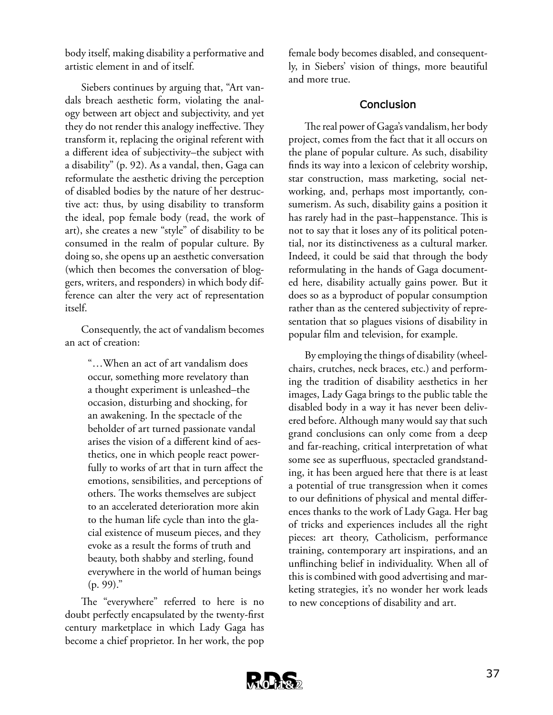body itself, making disability a performative and artistic element in and of itself.

Siebers continues by arguing that, "Art vandals breach aesthetic form, violating the analogy between art object and subjectivity, and yet they do not render this analogy ineffective. They transform it, replacing the original referent with a different idea of subjectivity–the subject with a disability" (p. 92). As a vandal, then, Gaga can reformulate the aesthetic driving the perception of disabled bodies by the nature of her destructive act: thus, by using disability to transform the ideal, pop female body (read, the work of art), she creates a new "style" of disability to be consumed in the realm of popular culture. By doing so, she opens up an aesthetic conversation (which then becomes the conversation of bloggers, writers, and responders) in which body difference can alter the very act of representation itself.

Consequently, the act of vandalism becomes an act of creation:

> "…When an act of art vandalism does occur, something more revelatory than a thought experiment is unleashed–the occasion, disturbing and shocking, for an awakening. In the spectacle of the beholder of art turned passionate vandal arises the vision of a different kind of aesthetics, one in which people react powerfully to works of art that in turn affect the emotions, sensibilities, and perceptions of others. The works themselves are subject to an accelerated deterioration more akin to the human life cycle than into the glacial existence of museum pieces, and they evoke as a result the forms of truth and beauty, both shabby and sterling, found everywhere in the world of human beings  $(p. 99)$ ."

The "everywhere" referred to here is no doubt perfectly encapsulated by the twenty-first century marketplace in which Lady Gaga has become a chief proprietor. In her work, the pop

female body becomes disabled, and consequently, in Siebers' vision of things, more beautiful and more true.

### **Conclusion**

The real power of Gaga's vandalism, her body project, comes from the fact that it all occurs on the plane of popular culture. As such, disability finds its way into a lexicon of celebrity worship, star construction, mass marketing, social networking, and, perhaps most importantly, consumerism. As such, disability gains a position it has rarely had in the past–happenstance. This is not to say that it loses any of its political potential, nor its distinctiveness as a cultural marker. Indeed, it could be said that through the body reformulating in the hands of Gaga documented here, disability actually gains power. But it does so as a byproduct of popular consumption rather than as the centered subjectivity of representation that so plagues visions of disability in popular film and television, for example.

By employing the things of disability (wheelchairs, crutches, neck braces, etc.) and performing the tradition of disability aesthetics in her images, Lady Gaga brings to the public table the disabled body in a way it has never been delivered before. Although many would say that such grand conclusions can only come from a deep and far-reaching, critical interpretation of what some see as superfluous, spectacled grandstanding, it has been argued here that there is at least a potential of true transgression when it comes to our definitions of physical and mental differences thanks to the work of Lady Gaga. Her bag of tricks and experiences includes all the right pieces: art theory, Catholicism, performance training, contemporary art inspirations, and an unflinching belief in individuality. When all of this is combined with good advertising and marketing strategies, it's no wonder her work leads to new conceptions of disability and art.

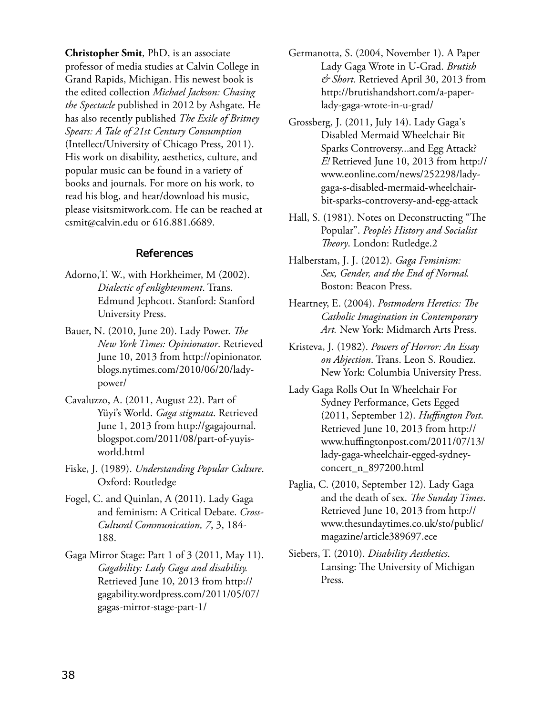**Christopher Smit**, PhD, is an associate professor of media studies at Calvin College in Grand Rapids, Michigan. His newest book is the edited collection *Michael Jackson: Chasing the Spectacle* published in 2012 by Ashgate. He has also recently published *The Exile of Britney Spears: A Tale of 21st Century Consumption* (Intellect/University of Chicago Press, 2011). His work on disability, aesthetics, culture, and popular music can be found in a variety of books and journals. For more on his work, to read his blog, and hear/download his music, please visitsmitwork.com. He can be reached at csmit@calvin.edu or 616.881.6689.

### **References**

- Adorno,T. W., with Horkheimer, M (2002). *Dialectic of enlightenment*. Trans. Edmund Jephcott. Stanford: Stanford University Press.
- Bauer, N. (2010, June 20). Lady Power. *The New York Times: Opinionator*. Retrieved June 10, 2013 from http://opinionator. blogs.nytimes.com/2010/06/20/ladypower/
- Cavaluzzo, A. (2011, August 22). Part of Yüyi's World. *Gaga stigmata*. Retrieved June 1, 2013 from http://gagajournal. blogspot.com/2011/08/part-of-yuyisworld.html
- Fiske, J. (1989). *Understanding Popular Culture*. Oxford: Routledge
- Fogel, C. and Quinlan, A (2011). Lady Gaga and feminism: A Critical Debate. *Cross-Cultural Communication, 7*, 3, 184- 188.
- Gaga Mirror Stage: Part 1 of 3 (2011, May 11). *Gagability: Lady Gaga and disability.* Retrieved June 10, 2013 from http:// gagability.wordpress.com/2011/05/07/ gagas-mirror-stage-part-1/
- Germanotta, S. (2004, November 1). A Paper Lady Gaga Wrote in U-Grad. *Brutish & Short.* Retrieved April 30, 2013 from http://brutishandshort.com/a-paperlady-gaga-wrote-in-u-grad/
- Grossberg, J. (2011, July 14). Lady Gaga's Disabled Mermaid Wheelchair Bit Sparks Controversy...and Egg Attack? *E!* Retrieved June 10, 2013 from http:// www.eonline.com/news/252298/ladygaga-s-disabled-mermaid-wheelchairbit-sparks-controversy-and-egg-attack
- Hall, S. (1981). Notes on Deconstructing "The Popular". *People's History and Socialist Theory*. London: Rutledge.2
- Halberstam, J. J. (2012). *Gaga Feminism: Sex, Gender, and the End of Normal.* Boston: Beacon Press.
- Heartney, E. (2004). *Postmodern Heretics: The Catholic Imagination in Contemporary Art.* New York: Midmarch Arts Press.
- Kristeva, J. (1982). *Powers of Horror: An Essay on Abjection*. Trans. Leon S. Roudiez. New York: Columbia University Press.
- Lady Gaga Rolls Out In Wheelchair For Sydney Performance, Gets Egged (2011, September 12). *Huffington Post*. Retrieved June 10, 2013 from http:// www.huffingtonpost.com/2011/07/13/ lady-gaga-wheelchair-egged-sydneyconcert\_n\_897200.html
- Paglia, C. (2010, September 12). Lady Gaga and the death of sex. *The Sunday Times*. Retrieved June 10, 2013 from http:// www.thesundaytimes.co.uk/sto/public/ magazine/article389697.ece
- Siebers, T. (2010). *Disability Aesthetics*. Lansing: The University of Michigan Press.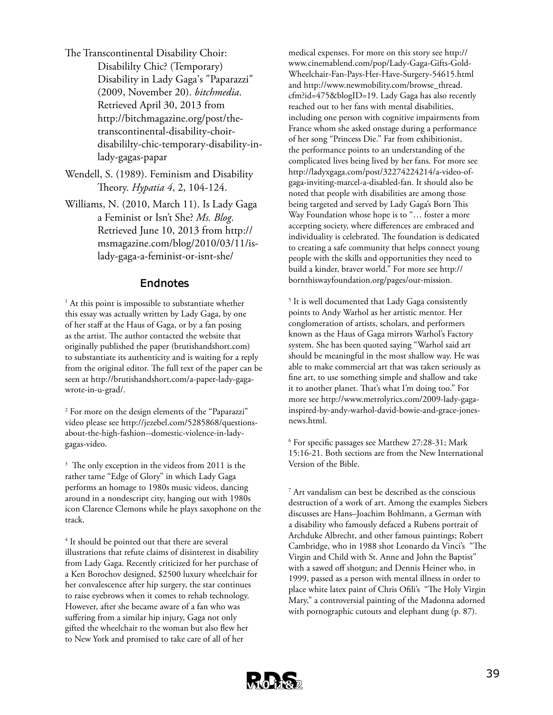- The Transcontinental Disability Choir: Disabililty Chic? (Temporary) Disability in Lady Gaga's "Paparazzi" (2009, November 20). *bitchmedia*. Retrieved April 30, 2013 from http://bitchmagazine.org/post/thetranscontinental-disability-choirdisabililty-chic-temporary-disability-inlady-gagas-papar
- Wendell, S. (1989). Feminism and Disability Theory. *Hypatia 4*, 2, 104-124.
- Williams, N. (2010, March 11). Is Lady Gaga a Feminist or Isn't She? *Ms. Blog*. Retrieved June 10, 2013 from http:// msmagazine.com/blog/2010/03/11/islady-gaga-a-feminist-or-isnt-she/

### **Endnotes**

<sup>1</sup> At this point is impossible to substantiate whether this essay was actually written by Lady Gaga, by one of her staff at the Haus of Gaga, or by a fan posing as the artist. The author contacted the website that originally published the paper (brutishandshort.com) to substantiate its authenticity and is waiting for a reply from the original editor. The full text of the paper can be seen at http://brutishandshort.com/a-paper-lady-gagawrote-in-u-grad/.

2 For more on the design elements of the "Paparazzi" video please see http://jezebel.com/5285868/questionsabout-the-high-fashion--domestic-violence-in-ladygagas-video.

<sup>3</sup> The only exception in the videos from 2011 is the rather tame "Edge of Glory" in which Lady Gaga performs an homage to 1980s music videos, dancing around in a nondescript city, hanging out with 1980s icon Clarence Clemons while he plays saxophone on the track.

<sup>4</sup> It should be pointed out that there are several illustrations that refute claims of disinterest in disability from Lady Gaga. Recently criticized for her purchase of a Ken Borochov designed, \$2500 luxury wheelchair for her convalescence after hip surgery, the star continues to raise eyebrows when it comes to rehab technology. However, after she became aware of a fan who was suffering from a similar hip injury, Gaga not only gifted the wheelchair to the woman but also flew her to New York and promised to take care of all of her

medical expenses. For more on this story see http:// www.cinemablend.com/pop/Lady-Gaga-Gifts-Gold-Wheelchair-Fan-Pays-Her-Have-Surgery-54615.html and http://www.newmobility.com/browse\_thread. cfm?id=475&blogID=19. Lady Gaga has also recently reached out to her fans with mental disabilities, including one person with cognitive impairments from France whom she asked onstage during a performance of her song "Princess Die." Far from exhibitionist, the performance points to an understanding of the complicated lives being lived by her fans. For more see http://ladyxgaga.com/post/32274224214/a-video-ofgaga-inviting-marcel-a-disabled-fan. It should also be noted that people with disabilities are among those being targeted and served by Lady Gaga's Born This Way Foundation whose hope is to "... foster a more accepting society, where differences are embraced and individuality is celebrated. The foundation is dedicated to creating a safe community that helps connect young people with the skills and opportunities they need to build a kinder, braver world." For more see http:// bornthiswayfoundation.org/pages/our-mission.

<sup>5</sup> It is well documented that Lady Gaga consistently points to Andy Warhol as her artistic mentor. Her conglomeration of artists, scholars, and performers known as the Haus of Gaga mirrors Warhol's Factory system. She has been quoted saying "Warhol said art should be meaningful in the most shallow way. He was able to make commercial art that was taken seriously as fine art, to use something simple and shallow and take it to another planet. That's what I'm doing too." For more see http://www.metrolyrics.com/2009-lady-gagainspired-by-andy-warhol-david-bowie-and-grace-jonesnews.html.

6 For specific passages see Matthew 27:28-31; Mark 15:16-21. Both sections are from the New International Version of the Bible.

7 Art vandalism can best be described as the conscious destruction of a work of art. Among the examples Siebers discusses are Hans–Joachim Bohlmann, a German with a disability who famously defaced a Rubens portrait of Archduke Albrecht, and other famous paintings; Robert Cambridge, who in 1988 shot Leonardo da Vinci's "The Virgin and Child with St. Anne and John the Baptist" with a sawed off shotgun; and Dennis Heiner who, in 1999, passed as a person with mental illness in order to place white latex paint of Chris Ofili's "The Holy Virgin Mary," a controversial painting of the Madonna adorned with pornographic cutouts and elephant dung (p. 87).

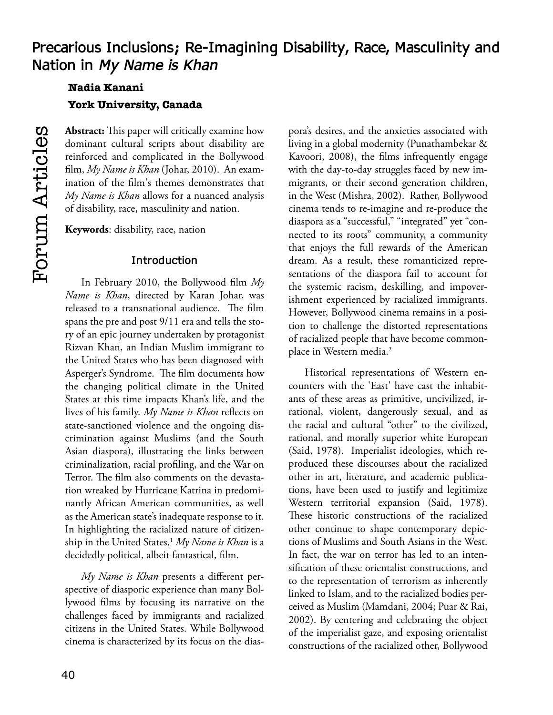# **Nadia Kanani York University, Canada**

**Abstract:** This paper will critically examine how dominant cultural scripts about disability are reinforced and complicated in the Bollywood film, *My Name is Khan* (Johar, 2010). An examination of the film's themes demonstrates that *My Name is Khan* allows for a nuanced analysis of disability, race, masculinity and nation.

**Keywords**: disability, race, nation

### **Introduction**

In February 2010, the Bollywood film *My Name is Khan*, directed by Karan Johar, was released to a transnational audience. The film spans the pre and post 9/11 era and tells the story of an epic journey undertaken by protagonist Rizvan Khan, an Indian Muslim immigrant to the United States who has been diagnosed with Asperger's Syndrome. The film documents how the changing political climate in the United States at this time impacts Khan's life, and the lives of his family. *My Name is Khan* reflects on state-sanctioned violence and the ongoing discrimination against Muslims (and the South Asian diaspora), illustrating the links between criminalization, racial profiling, and the War on Terror. The film also comments on the devastation wreaked by Hurricane Katrina in predominantly African American communities, as well as the American state's inadequate response to it. In highlighting the racialized nature of citizenship in the United States,<sup>1</sup> My Name is Khan is a decidedly political, albeit fantastical, film.

*My Name is Khan* presents a different perspective of diasporic experience than many Bollywood films by focusing its narrative on the challenges faced by immigrants and racialized citizens in the United States. While Bollywood cinema is characterized by its focus on the dias-

pora's desires, and the anxieties associated with living in a global modernity (Punathambekar & Kavoori, 2008), the films infrequently engage with the day-to-day struggles faced by new immigrants, or their second generation children, in the West (Mishra, 2002). Rather, Bollywood cinema tends to re-imagine and re-produce the diaspora as a "successful," "integrated" yet "connected to its roots" community, a community that enjoys the full rewards of the American dream. As a result, these romanticized representations of the diaspora fail to account for the systemic racism, deskilling, and impoverishment experienced by racialized immigrants. However, Bollywood cinema remains in a position to challenge the distorted representations of racialized people that have become commonplace in Western media.<sup>2</sup>

Historical representations of Western encounters with the 'East' have cast the inhabitants of these areas as primitive, uncivilized, irrational, violent, dangerously sexual, and as the racial and cultural "other" to the civilized, rational, and morally superior white European (Said, 1978). Imperialist ideologies, which reproduced these discourses about the racialized other in art, literature, and academic publications, have been used to justify and legitimize Western territorial expansion (Said, 1978). These historic constructions of the racialized other continue to shape contemporary depictions of Muslims and South Asians in the West. In fact, the war on terror has led to an intensification of these orientalist constructions, and to the representation of terrorism as inherently linked to Islam, and to the racialized bodies perceived as Muslim (Mamdani, 2004; Puar & Rai, 2002). By centering and celebrating the object of the imperialist gaze, and exposing orientalist constructions of the racialized other, Bollywood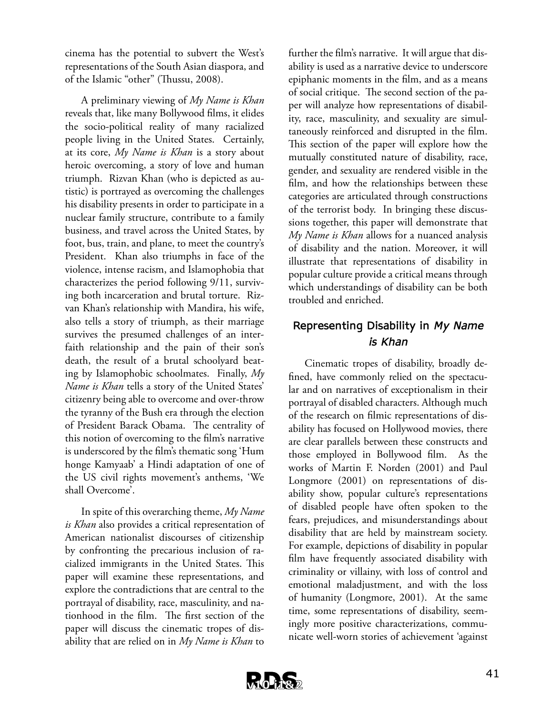cinema has the potential to subvert the West's representations of the South Asian diaspora, and of the Islamic "other" (Thussu, 2008).

A preliminary viewing of *My Name is Khan* reveals that, like many Bollywood films, it elides the socio-political reality of many racialized people living in the United States. Certainly, at its core, *My Name is Khan* is a story about heroic overcoming, a story of love and human triumph. Rizvan Khan (who is depicted as autistic) is portrayed as overcoming the challenges his disability presents in order to participate in a nuclear family structure, contribute to a family business, and travel across the United States, by foot, bus, train, and plane, to meet the country's President. Khan also triumphs in face of the violence, intense racism, and Islamophobia that characterizes the period following 9/11, surviving both incarceration and brutal torture. Rizvan Khan's relationship with Mandira, his wife, also tells a story of triumph, as their marriage survives the presumed challenges of an interfaith relationship and the pain of their son's death, the result of a brutal schoolyard beating by Islamophobic schoolmates. Finally, *My Name is Khan* tells a story of the United States' citizenry being able to overcome and over-throw the tyranny of the Bush era through the election of President Barack Obama. The centrality of this notion of overcoming to the film's narrative is underscored by the film's thematic song 'Hum honge Kamyaab' a Hindi adaptation of one of the US civil rights movement's anthems, 'We shall Overcome'.

In spite of this overarching theme, *My Name is Khan* also provides a critical representation of American nationalist discourses of citizenship by confronting the precarious inclusion of racialized immigrants in the United States. This paper will examine these representations, and explore the contradictions that are central to the portrayal of disability, race, masculinity, and nationhood in the film. The first section of the paper will discuss the cinematic tropes of disability that are relied on in *My Name is Khan* to

further the film's narrative. It will argue that disability is used as a narrative device to underscore epiphanic moments in the film, and as a means of social critique. The second section of the paper will analyze how representations of disability, race, masculinity, and sexuality are simultaneously reinforced and disrupted in the film. This section of the paper will explore how the mutually constituted nature of disability, race, gender, and sexuality are rendered visible in the film, and how the relationships between these categories are articulated through constructions of the terrorist body. In bringing these discussions together, this paper will demonstrate that *My Name is Khan* allows for a nuanced analysis of disability and the nation. Moreover, it will illustrate that representations of disability in popular culture provide a critical means through which understandings of disability can be both troubled and enriched.

## **Representing Disability in** *My Name is Khan*

Cinematic tropes of disability, broadly defined, have commonly relied on the spectacular and on narratives of exceptionalism in their portrayal of disabled characters. Although much of the research on filmic representations of disability has focused on Hollywood movies, there are clear parallels between these constructs and those employed in Bollywood film. As the works of Martin F. Norden (2001) and Paul Longmore (2001) on representations of disability show, popular culture's representations of disabled people have often spoken to the fears, prejudices, and misunderstandings about disability that are held by mainstream society. For example, depictions of disability in popular film have frequently associated disability with criminality or villainy, with loss of control and emotional maladjustment, and with the loss of humanity (Longmore, 2001). At the same time, some representations of disability, seemingly more positive characterizations, communicate well-worn stories of achievement 'against

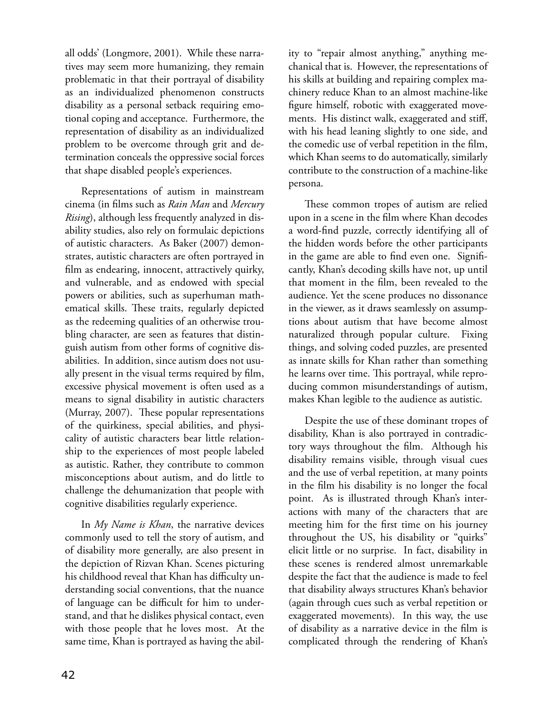all odds' (Longmore, 2001). While these narratives may seem more humanizing, they remain problematic in that their portrayal of disability as an individualized phenomenon constructs disability as a personal setback requiring emotional coping and acceptance. Furthermore, the representation of disability as an individualized problem to be overcome through grit and determination conceals the oppressive social forces that shape disabled people's experiences.

Representations of autism in mainstream cinema (in films such as *Rain Man* and *Mercury Rising*), although less frequently analyzed in disability studies, also rely on formulaic depictions of autistic characters. As Baker (2007) demonstrates, autistic characters are often portrayed in film as endearing, innocent, attractively quirky, and vulnerable, and as endowed with special powers or abilities, such as superhuman mathematical skills. These traits, regularly depicted as the redeeming qualities of an otherwise troubling character, are seen as features that distinguish autism from other forms of cognitive disabilities. In addition, since autism does not usually present in the visual terms required by film, excessive physical movement is often used as a means to signal disability in autistic characters (Murray, 2007). These popular representations of the quirkiness, special abilities, and physicality of autistic characters bear little relationship to the experiences of most people labeled as autistic. Rather, they contribute to common misconceptions about autism, and do little to challenge the dehumanization that people with cognitive disabilities regularly experience.

In *My Name is Khan*, the narrative devices commonly used to tell the story of autism, and of disability more generally, are also present in the depiction of Rizvan Khan. Scenes picturing his childhood reveal that Khan has difficulty understanding social conventions, that the nuance of language can be difficult for him to understand, and that he dislikes physical contact, even with those people that he loves most. At the same time, Khan is portrayed as having the abil-

ity to "repair almost anything," anything mechanical that is. However, the representations of his skills at building and repairing complex machinery reduce Khan to an almost machine-like figure himself, robotic with exaggerated movements. His distinct walk, exaggerated and stiff, with his head leaning slightly to one side, and the comedic use of verbal repetition in the film, which Khan seems to do automatically, similarly contribute to the construction of a machine-like persona.

These common tropes of autism are relied upon in a scene in the film where Khan decodes a word-find puzzle, correctly identifying all of the hidden words before the other participants in the game are able to find even one. Significantly, Khan's decoding skills have not, up until that moment in the film, been revealed to the audience. Yet the scene produces no dissonance in the viewer, as it draws seamlessly on assumptions about autism that have become almost naturalized through popular culture. Fixing things, and solving coded puzzles, are presented as innate skills for Khan rather than something he learns over time. This portrayal, while reproducing common misunderstandings of autism, makes Khan legible to the audience as autistic.

Despite the use of these dominant tropes of disability, Khan is also portrayed in contradictory ways throughout the film. Although his disability remains visible, through visual cues and the use of verbal repetition, at many points in the film his disability is no longer the focal point. As is illustrated through Khan's interactions with many of the characters that are meeting him for the first time on his journey throughout the US, his disability or "quirks" elicit little or no surprise. In fact, disability in these scenes is rendered almost unremarkable despite the fact that the audience is made to feel that disability always structures Khan's behavior (again through cues such as verbal repetition or exaggerated movements). In this way, the use of disability as a narrative device in the film is complicated through the rendering of Khan's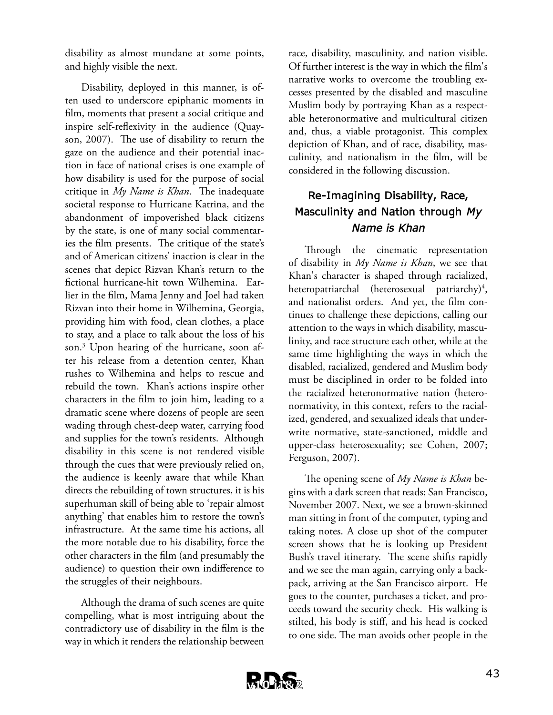disability as almost mundane at some points, and highly visible the next.

Disability, deployed in this manner, is often used to underscore epiphanic moments in film, moments that present a social critique and inspire self-reflexivity in the audience (Quayson, 2007). The use of disability to return the gaze on the audience and their potential inaction in face of national crises is one example of how disability is used for the purpose of social critique in *My Name is Khan*. The inadequate societal response to Hurricane Katrina, and the abandonment of impoverished black citizens by the state, is one of many social commentaries the film presents. The critique of the state's and of American citizens' inaction is clear in the scenes that depict Rizvan Khan's return to the fictional hurricane-hit town Wilhemina. Earlier in the film, Mama Jenny and Joel had taken Rizvan into their home in Wilhemina, Georgia, providing him with food, clean clothes, a place to stay, and a place to talk about the loss of his son.3 Upon hearing of the hurricane, soon after his release from a detention center, Khan rushes to Wilhemina and helps to rescue and rebuild the town. Khan's actions inspire other characters in the film to join him, leading to a dramatic scene where dozens of people are seen wading through chest-deep water, carrying food and supplies for the town's residents. Although disability in this scene is not rendered visible through the cues that were previously relied on, the audience is keenly aware that while Khan directs the rebuilding of town structures, it is his superhuman skill of being able to 'repair almost anything' that enables him to restore the town's infrastructure. At the same time his actions, all the more notable due to his disability, force the other characters in the film (and presumably the audience) to question their own indifference to the struggles of their neighbours.

Although the drama of such scenes are quite compelling, what is most intriguing about the contradictory use of disability in the film is the way in which it renders the relationship between

race, disability, masculinity, and nation visible. Of further interest is the way in which the film's narrative works to overcome the troubling excesses presented by the disabled and masculine Muslim body by portraying Khan as a respectable heteronormative and multicultural citizen and, thus, a viable protagonist. This complex depiction of Khan, and of race, disability, masculinity, and nationalism in the film, will be considered in the following discussion.

## **Re-Imagining Disability, Race, Masculinity and Nation through** *My Name is Khan*

Through the cinematic representation of disability in *My Name is Khan*, we see that Khan's character is shaped through racialized, heteropatriarchal (heterosexual patriarchy)<sup>4</sup>, and nationalist orders. And yet, the film continues to challenge these depictions, calling our attention to the ways in which disability, masculinity, and race structure each other, while at the same time highlighting the ways in which the disabled, racialized, gendered and Muslim body must be disciplined in order to be folded into the racialized heteronormative nation (heteronormativity, in this context, refers to the racialized, gendered, and sexualized ideals that underwrite normative, state-sanctioned, middle and upper-class heterosexuality; see Cohen, 2007; Ferguson, 2007).

The opening scene of *My Name is Khan* begins with a dark screen that reads; San Francisco, November 2007. Next, we see a brown-skinned man sitting in front of the computer, typing and taking notes. A close up shot of the computer screen shows that he is looking up President Bush's travel itinerary. The scene shifts rapidly and we see the man again, carrying only a backpack, arriving at the San Francisco airport. He goes to the counter, purchases a ticket, and proceeds toward the security check. His walking is stilted, his body is stiff, and his head is cocked to one side. The man avoids other people in the

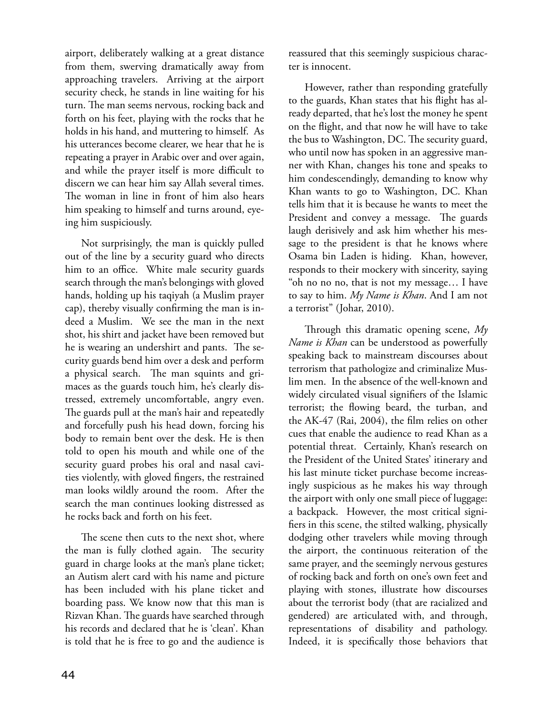airport, deliberately walking at a great distance from them, swerving dramatically away from approaching travelers. Arriving at the airport security check, he stands in line waiting for his turn. The man seems nervous, rocking back and forth on his feet, playing with the rocks that he holds in his hand, and muttering to himself. As his utterances become clearer, we hear that he is repeating a prayer in Arabic over and over again, and while the prayer itself is more difficult to discern we can hear him say Allah several times. The woman in line in front of him also hears him speaking to himself and turns around, eyeing him suspiciously.

Not surprisingly, the man is quickly pulled out of the line by a security guard who directs him to an office. White male security guards search through the man's belongings with gloved hands, holding up his taqiyah (a Muslim prayer cap), thereby visually confirming the man is indeed a Muslim. We see the man in the next shot, his shirt and jacket have been removed but he is wearing an undershirt and pants. The security guards bend him over a desk and perform a physical search. The man squints and grimaces as the guards touch him, he's clearly distressed, extremely uncomfortable, angry even. The guards pull at the man's hair and repeatedly and forcefully push his head down, forcing his body to remain bent over the desk. He is then told to open his mouth and while one of the security guard probes his oral and nasal cavities violently, with gloved fingers, the restrained man looks wildly around the room. After the search the man continues looking distressed as he rocks back and forth on his feet.

The scene then cuts to the next shot, where the man is fully clothed again. The security guard in charge looks at the man's plane ticket; an Autism alert card with his name and picture has been included with his plane ticket and boarding pass. We know now that this man is Rizvan Khan. The guards have searched through his records and declared that he is 'clean'. Khan is told that he is free to go and the audience is reassured that this seemingly suspicious character is innocent.

However, rather than responding gratefully to the guards, Khan states that his flight has already departed, that he's lost the money he spent on the flight, and that now he will have to take the bus to Washington, DC. The security guard, who until now has spoken in an aggressive manner with Khan, changes his tone and speaks to him condescendingly, demanding to know why Khan wants to go to Washington, DC. Khan tells him that it is because he wants to meet the President and convey a message. The guards laugh derisively and ask him whether his message to the president is that he knows where Osama bin Laden is hiding. Khan, however, responds to their mockery with sincerity, saying "oh no no no, that is not my message… I have to say to him. *My Name is Khan*. And I am not a terrorist" (Johar, 2010).

Through this dramatic opening scene, *My Name is Khan* can be understood as powerfully speaking back to mainstream discourses about terrorism that pathologize and criminalize Muslim men. In the absence of the well-known and widely circulated visual signifiers of the Islamic terrorist; the flowing beard, the turban, and the AK-47 (Rai, 2004), the film relies on other cues that enable the audience to read Khan as a potential threat. Certainly, Khan's research on the President of the United States' itinerary and his last minute ticket purchase become increasingly suspicious as he makes his way through the airport with only one small piece of luggage: a backpack. However, the most critical signifiers in this scene, the stilted walking, physically dodging other travelers while moving through the airport, the continuous reiteration of the same prayer, and the seemingly nervous gestures of rocking back and forth on one's own feet and playing with stones, illustrate how discourses about the terrorist body (that are racialized and gendered) are articulated with, and through, representations of disability and pathology. Indeed, it is specifically those behaviors that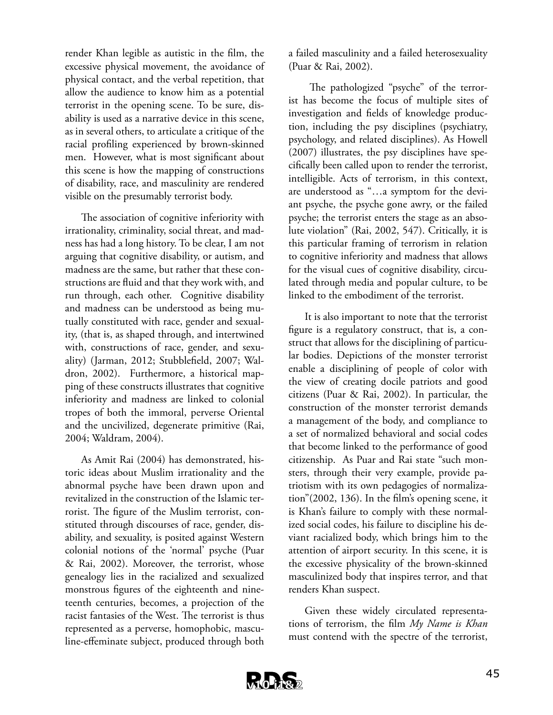render Khan legible as autistic in the film, the excessive physical movement, the avoidance of physical contact, and the verbal repetition, that allow the audience to know him as a potential terrorist in the opening scene. To be sure, disability is used as a narrative device in this scene, as in several others, to articulate a critique of the racial profiling experienced by brown-skinned men. However, what is most significant about this scene is how the mapping of constructions of disability, race, and masculinity are rendered visible on the presumably terrorist body.

The association of cognitive inferiority with irrationality, criminality, social threat, and madness has had a long history. To be clear, I am not arguing that cognitive disability, or autism, and madness are the same, but rather that these constructions are fluid and that they work with, and run through, each other. Cognitive disability and madness can be understood as being mutually constituted with race, gender and sexuality, (that is, as shaped through, and intertwined with, constructions of race, gender, and sexuality) (Jarman, 2012; Stubblefield, 2007; Waldron, 2002). Furthermore, a historical mapping of these constructs illustrates that cognitive inferiority and madness are linked to colonial tropes of both the immoral, perverse Oriental and the uncivilized, degenerate primitive (Rai, 2004; Waldram, 2004).

As Amit Rai (2004) has demonstrated, historic ideas about Muslim irrationality and the abnormal psyche have been drawn upon and revitalized in the construction of the Islamic terrorist. The figure of the Muslim terrorist, constituted through discourses of race, gender, disability, and sexuality, is posited against Western colonial notions of the 'normal' psyche (Puar & Rai, 2002). Moreover, the terrorist, whose genealogy lies in the racialized and sexualized monstrous figures of the eighteenth and nineteenth centuries, becomes, a projection of the racist fantasies of the West. The terrorist is thus represented as a perverse, homophobic, masculine-effeminate subject, produced through both a failed masculinity and a failed heterosexuality (Puar & Rai, 2002).

 The pathologized "psyche" of the terrorist has become the focus of multiple sites of investigation and fields of knowledge production, including the psy disciplines (psychiatry, psychology, and related disciplines). As Howell (2007) illustrates, the psy disciplines have specifically been called upon to render the terrorist, intelligible. Acts of terrorism, in this context, are understood as "…a symptom for the deviant psyche, the psyche gone awry, or the failed psyche; the terrorist enters the stage as an absolute violation" (Rai, 2002, 547). Critically, it is this particular framing of terrorism in relation to cognitive inferiority and madness that allows for the visual cues of cognitive disability, circulated through media and popular culture, to be linked to the embodiment of the terrorist.

It is also important to note that the terrorist figure is a regulatory construct, that is, a construct that allows for the disciplining of particular bodies. Depictions of the monster terrorist enable a disciplining of people of color with the view of creating docile patriots and good citizens (Puar & Rai, 2002). In particular, the construction of the monster terrorist demands a management of the body, and compliance to a set of normalized behavioral and social codes that become linked to the performance of good citizenship. As Puar and Rai state "such monsters, through their very example, provide patriotism with its own pedagogies of normalization"(2002, 136). In the film's opening scene, it is Khan's failure to comply with these normalized social codes, his failure to discipline his deviant racialized body, which brings him to the attention of airport security. In this scene, it is the excessive physicality of the brown-skinned masculinized body that inspires terror, and that renders Khan suspect.

Given these widely circulated representations of terrorism, the film *My Name is Khan* must contend with the spectre of the terrorist,

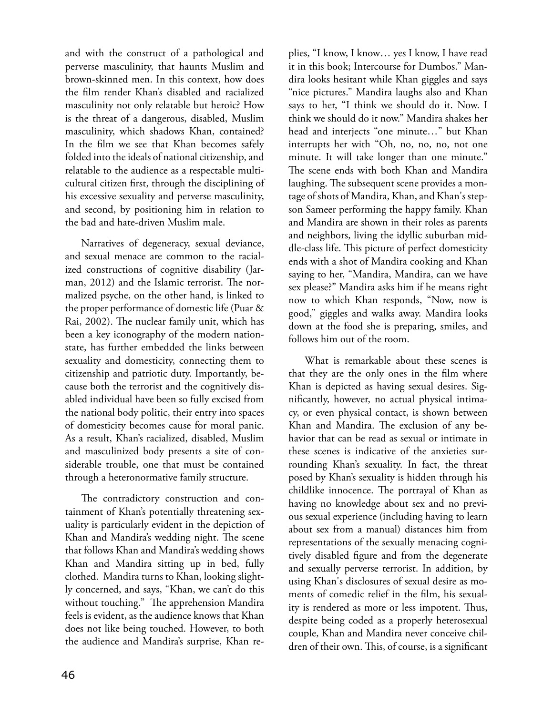and with the construct of a pathological and perverse masculinity, that haunts Muslim and brown-skinned men. In this context, how does the film render Khan's disabled and racialized masculinity not only relatable but heroic? How is the threat of a dangerous, disabled, Muslim masculinity, which shadows Khan, contained? In the film we see that Khan becomes safely folded into the ideals of national citizenship, and relatable to the audience as a respectable multicultural citizen first, through the disciplining of his excessive sexuality and perverse masculinity, and second, by positioning him in relation to the bad and hate-driven Muslim male.

Narratives of degeneracy, sexual deviance, and sexual menace are common to the racialized constructions of cognitive disability (Jarman, 2012) and the Islamic terrorist. The normalized psyche, on the other hand, is linked to the proper performance of domestic life (Puar & Rai, 2002). The nuclear family unit, which has been a key iconography of the modern nationstate, has further embedded the links between sexuality and domesticity, connecting them to citizenship and patriotic duty. Importantly, because both the terrorist and the cognitively disabled individual have been so fully excised from the national body politic, their entry into spaces of domesticity becomes cause for moral panic. As a result, Khan's racialized, disabled, Muslim and masculinized body presents a site of considerable trouble, one that must be contained through a heteronormative family structure.

The contradictory construction and containment of Khan's potentially threatening sexuality is particularly evident in the depiction of Khan and Mandira's wedding night. The scene that follows Khan and Mandira's wedding shows Khan and Mandira sitting up in bed, fully clothed. Mandira turns to Khan, looking slightly concerned, and says, "Khan, we can't do this without touching." The apprehension Mandira feels is evident, as the audience knows that Khan does not like being touched. However, to both the audience and Mandira's surprise, Khan re-

plies, "I know, I know… yes I know, I have read it in this book; Intercourse for Dumbos." Mandira looks hesitant while Khan giggles and says "nice pictures." Mandira laughs also and Khan says to her, "I think we should do it. Now. I think we should do it now." Mandira shakes her head and interjects "one minute…" but Khan interrupts her with "Oh, no, no, no, not one minute. It will take longer than one minute." The scene ends with both Khan and Mandira laughing. The subsequent scene provides a montage of shots of Mandira, Khan, and Khan's stepson Sameer performing the happy family. Khan and Mandira are shown in their roles as parents and neighbors, living the idyllic suburban middle-class life. This picture of perfect domesticity ends with a shot of Mandira cooking and Khan saying to her, "Mandira, Mandira, can we have sex please?" Mandira asks him if he means right now to which Khan responds, "Now, now is good," giggles and walks away. Mandira looks down at the food she is preparing, smiles, and follows him out of the room.

What is remarkable about these scenes is that they are the only ones in the film where Khan is depicted as having sexual desires. Significantly, however, no actual physical intimacy, or even physical contact, is shown between Khan and Mandira. The exclusion of any behavior that can be read as sexual or intimate in these scenes is indicative of the anxieties surrounding Khan's sexuality. In fact, the threat posed by Khan's sexuality is hidden through his childlike innocence. The portrayal of Khan as having no knowledge about sex and no previous sexual experience (including having to learn about sex from a manual) distances him from representations of the sexually menacing cognitively disabled figure and from the degenerate and sexually perverse terrorist. In addition, by using Khan's disclosures of sexual desire as moments of comedic relief in the film, his sexuality is rendered as more or less impotent. Thus, despite being coded as a properly heterosexual couple, Khan and Mandira never conceive children of their own. This, of course, is a significant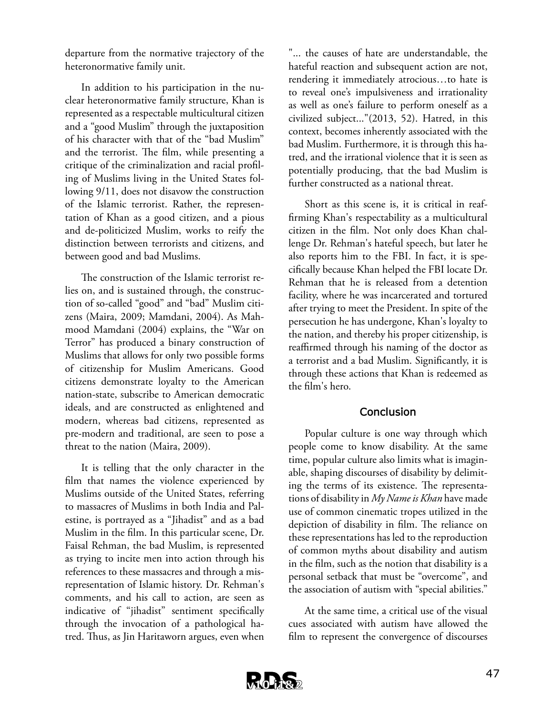departure from the normative trajectory of the heteronormative family unit.

In addition to his participation in the nuclear heteronormative family structure, Khan is represented as a respectable multicultural citizen and a "good Muslim" through the juxtaposition of his character with that of the "bad Muslim" and the terrorist. The film, while presenting a critique of the criminalization and racial profiling of Muslims living in the United States following 9/11, does not disavow the construction of the Islamic terrorist. Rather, the representation of Khan as a good citizen, and a pious and de-politicized Muslim, works to reify the distinction between terrorists and citizens, and between good and bad Muslims.

The construction of the Islamic terrorist relies on, and is sustained through, the construction of so-called "good" and "bad" Muslim citizens (Maira, 2009; Mamdani, 2004). As Mahmood Mamdani (2004) explains, the "War on Terror" has produced a binary construction of Muslims that allows for only two possible forms of citizenship for Muslim Americans. Good citizens demonstrate loyalty to the American nation-state, subscribe to American democratic ideals, and are constructed as enlightened and modern, whereas bad citizens, represented as pre-modern and traditional, are seen to pose a threat to the nation (Maira, 2009).

It is telling that the only character in the film that names the violence experienced by Muslims outside of the United States, referring to massacres of Muslims in both India and Palestine, is portrayed as a "Jihadist" and as a bad Muslim in the film. In this particular scene, Dr. Faisal Rehman, the bad Muslim, is represented as trying to incite men into action through his references to these massacres and through a misrepresentation of Islamic history. Dr. Rehman's comments, and his call to action, are seen as indicative of "jihadist" sentiment specifically through the invocation of a pathological hatred. Thus, as Jin Haritaworn argues, even when

"... the causes of hate are understandable, the hateful reaction and subsequent action are not, rendering it immediately atrocious…to hate is to reveal one's impulsiveness and irrationality as well as one's failure to perform oneself as a civilized subject..."(2013, 52). Hatred, in this context, becomes inherently associated with the bad Muslim. Furthermore, it is through this hatred, and the irrational violence that it is seen as potentially producing, that the bad Muslim is further constructed as a national threat.

Short as this scene is, it is critical in reaffirming Khan's respectability as a multicultural citizen in the film. Not only does Khan challenge Dr. Rehman's hateful speech, but later he also reports him to the FBI. In fact, it is specifically because Khan helped the FBI locate Dr. Rehman that he is released from a detention facility, where he was incarcerated and tortured after trying to meet the President. In spite of the persecution he has undergone, Khan's loyalty to the nation, and thereby his proper citizenship, is reaffirmed through his naming of the doctor as a terrorist and a bad Muslim. Significantly, it is through these actions that Khan is redeemed as the film's hero.

### **Conclusion**

Popular culture is one way through which people come to know disability. At the same time, popular culture also limits what is imaginable, shaping discourses of disability by delimiting the terms of its existence. The representations of disability in *My Name is Khan* have made use of common cinematic tropes utilized in the depiction of disability in film. The reliance on these representations has led to the reproduction of common myths about disability and autism in the film, such as the notion that disability is a personal setback that must be "overcome", and the association of autism with "special abilities."

At the same time, a critical use of the visual cues associated with autism have allowed the film to represent the convergence of discourses

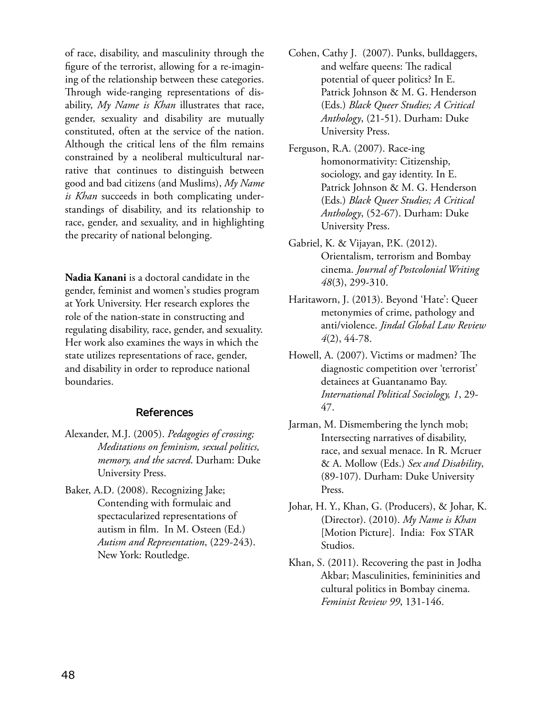of race, disability, and masculinity through the figure of the terrorist, allowing for a re-imagining of the relationship between these categories. Through wide-ranging representations of disability, *My Name is Khan* illustrates that race, gender, sexuality and disability are mutually constituted, often at the service of the nation. Although the critical lens of the film remains constrained by a neoliberal multicultural narrative that continues to distinguish between good and bad citizens (and Muslims), *My Name is Khan* succeeds in both complicating understandings of disability, and its relationship to race, gender, and sexuality, and in highlighting the precarity of national belonging.

**Nadia Kanani** is a doctoral candidate in the gender, feminist and women's studies program at York University. Her research explores the role of the nation-state in constructing and regulating disability, race, gender, and sexuality. Her work also examines the ways in which the state utilizes representations of race, gender, and disability in order to reproduce national boundaries.

#### **References**

- Alexander, M.J. (2005). *Pedagogies of crossing; Meditations on feminism, sexual politics, memory, and the sacred*. Durham: Duke University Press.
- Baker, A.D. (2008). Recognizing Jake; Contending with formulaic and spectacularized representations of autism in film. In M. Osteen (Ed.) *Autism and Representation*, (229-243). New York: Routledge.
- Cohen, Cathy J. (2007). Punks, bulldaggers, and welfare queens: The radical potential of queer politics? In E. Patrick Johnson & M. G. Henderson (Eds.) *Black Queer Studies; A Critical Anthology*, (21-51). Durham: Duke University Press.
- Ferguson, R.A. (2007). Race-ing homonormativity: Citizenship, sociology, and gay identity. In E. Patrick Johnson & M. G. Henderson (Eds.) *Black Queer Studies; A Critical Anthology*, (52-67). Durham: Duke University Press.
- Gabriel, K. & Vijayan, P.K. (2012). Orientalism, terrorism and Bombay cinema. *Journal of Postcolonial Writing 48*(3), 299-310.
- Haritaworn, J. (2013). Beyond 'Hate': Queer metonymies of crime, pathology and anti/violence. *Jindal Global Law Review 4*(2), 44-78.
- Howell, A. (2007). Victims or madmen? The diagnostic competition over 'terrorist' detainees at Guantanamo Bay. *International Political Sociology, 1*, 29- 47.
- Jarman, M. Dismembering the lynch mob; Intersecting narratives of disability, race, and sexual menace. In R. Mcruer & A. Mollow (Eds.) *Sex and Disability*, (89-107). Durham: Duke University Press.
- Johar, H. Y., Khan, G. (Producers), & Johar, K. (Director). (2010). *My Name is Khan* [Motion Picture]. India: Fox STAR Studios.
- Khan, S. (2011). Recovering the past in Jodha Akbar; Masculinities, femininities and cultural politics in Bombay cinema. *Feminist Review 99*, 131-146.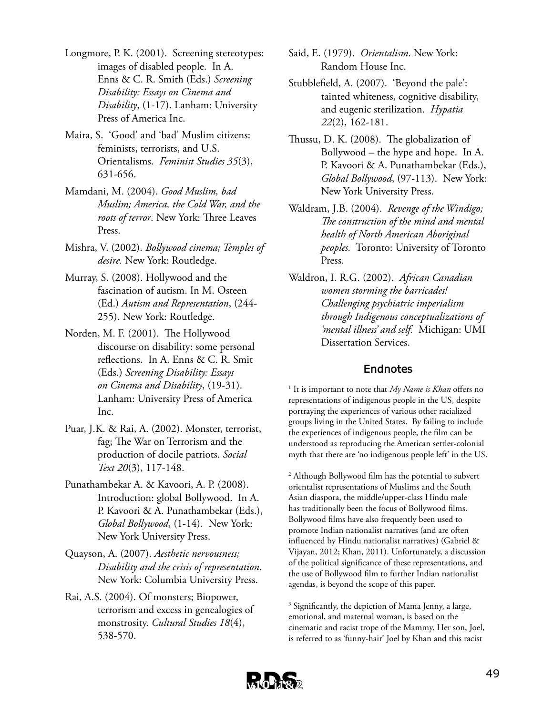- Longmore, P. K. (2001). Screening stereotypes: images of disabled people. In A. Enns & C. R. Smith (Eds.) *Screening Disability: Essays on Cinema and Disability*, (1-17). Lanham: University Press of America Inc.
- Maira, S. 'Good' and 'bad' Muslim citizens: feminists, terrorists, and U.S. Orientalisms. *Feminist Studies 35*(3), 631-656.
- Mamdani, M. (2004). *Good Muslim, bad Muslim; America, the Cold War, and the roots of terror*. New York: Three Leaves Press.
- Mishra, V. (2002). *Bollywood cinema; Temples of desire.* New York: Routledge.
- Murray, S. (2008). Hollywood and the fascination of autism. In M. Osteen (Ed.) *Autism and Representation*, (244- 255). New York: Routledge.
- Norden, M. F. (2001). The Hollywood discourse on disability: some personal reflections. In A. Enns & C. R. Smit (Eds.) *Screening Disability: Essays on Cinema and Disability*, (19-31). Lanham: University Press of America Inc.
- Puar, J.K. & Rai, A. (2002). Monster, terrorist, fag; The War on Terrorism and the production of docile patriots. *Social Text 20*(3), 117-148.
- Punathambekar A. & Kavoori, A. P. (2008). Introduction: global Bollywood. In A. P. Kavoori & A. Punathambekar (Eds.), *Global Bollywood*, (1-14). New York: New York University Press.
- Quayson, A. (2007). *Aesthetic nervousness; Disability and the crisis of representation*. New York: Columbia University Press.
- Rai, A.S. (2004). Of monsters; Biopower, terrorism and excess in genealogies of monstrosity. *Cultural Studies 18*(4), 538-570.
- Said, E. (1979). *Orientalism*. New York: Random House Inc.
- Stubblefield, A. (2007). 'Beyond the pale': tainted whiteness, cognitive disability, and eugenic sterilization. *Hypatia 22*(2), 162-181.
- Thussu, D. K. (2008). The globalization of Bollywood – the hype and hope. In A. P. Kavoori & A. Punathambekar (Eds.), *Global Bollywood*, (97-113). New York: New York University Press.
- Waldram, J.B. (2004). *Revenge of the Windigo; The construction of the mind and mental health of North American Aboriginal peoples.* Toronto: University of Toronto Press.
- Waldron, I. R.G. (2002). *African Canadian women storming the barricades! Challenging psychiatric imperialism through Indigenous conceptualizations of 'mental illness' and self.* Michigan: UMI Dissertation Services.

### **Endnotes**

1 It is important to note that *My Name is Khan* offers no representations of indigenous people in the US, despite portraying the experiences of various other racialized groups living in the United States. By failing to include the experiences of indigenous people, the film can be understood as reproducing the American settler-colonial myth that there are 'no indigenous people left' in the US.

2 Although Bollywood film has the potential to subvert orientalist representations of Muslims and the South Asian diaspora, the middle/upper-class Hindu male has traditionally been the focus of Bollywood films. Bollywood films have also frequently been used to promote Indian nationalist narratives (and are often influenced by Hindu nationalist narratives) (Gabriel & Vijayan, 2012; Khan, 2011). Unfortunately, a discussion of the political significance of these representations, and the use of Bollywood film to further Indian nationalist agendas, is beyond the scope of this paper.

3 Significantly, the depiction of Mama Jenny, a large, emotional, and maternal woman, is based on the cinematic and racist trope of the Mammy. Her son, Joel, is referred to as 'funny-hair' Joel by Khan and this racist

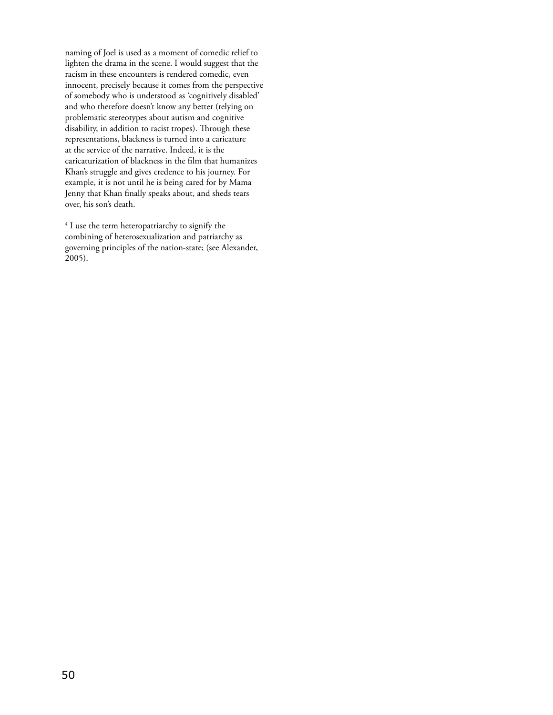naming of Joel is used as a moment of comedic relief to lighten the drama in the scene. I would suggest that the racism in these encounters is rendered comedic, even innocent, precisely because it comes from the perspective of somebody who is understood as 'cognitively disabled' and who therefore doesn't know any better (relying on problematic stereotypes about autism and cognitive disability, in addition to racist tropes). Through these representations, blackness is turned into a caricature at the service of the narrative. Indeed, it is the caricaturization of blackness in the film that humanizes Khan's struggle and gives credence to his journey. For example, it is not until he is being cared for by Mama Jenny that Khan finally speaks about, and sheds tears over, his son's death.

4 I use the term heteropatriarchy to signify the combining of heterosexualization and patriarchy as governing principles of the nation-state; (see Alexander, 2005).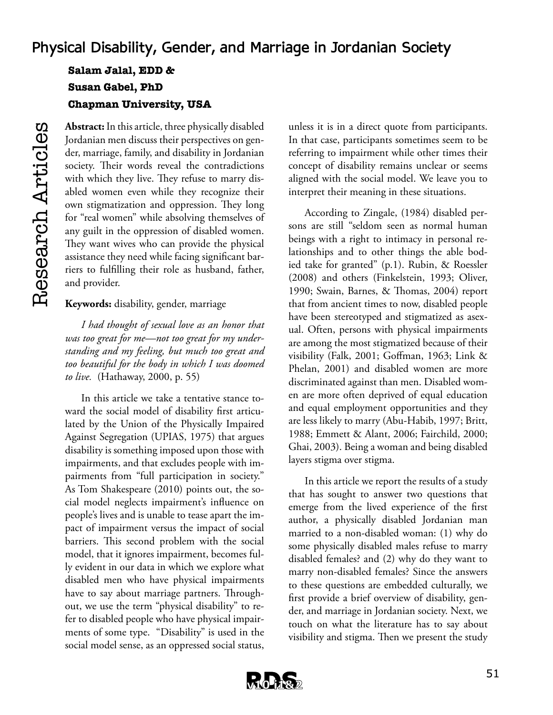# **Physical Disability, Gender, and Marriage in Jordanian Society**

**Salam Jalal, EDD & Susan Gabel, PhD Chapman University, USA**

Research Articles Research Articles

**Abstract:** In this article, three physically disabled Jordanian men discuss their perspectives on gender, marriage, family, and disability in Jordanian society. Their words reveal the contradictions with which they live. They refuse to marry disabled women even while they recognize their own stigmatization and oppression. They long for "real women" while absolving themselves of any guilt in the oppression of disabled women. They want wives who can provide the physical assistance they need while facing significant barriers to fulfilling their role as husband, father, and provider.

**Keywords:** disability, gender, marriage

*I had thought of sexual love as an honor that was too great for me—not too great for my understanding and my feeling, but much too great and too beautiful for the body in which I was doomed to live.* (Hathaway, 2000, p. 55)

In this article we take a tentative stance toward the social model of disability first articulated by the Union of the Physically Impaired Against Segregation (UPIAS, 1975) that argues disability is something imposed upon those with impairments, and that excludes people with impairments from "full participation in society." As Tom Shakespeare (2010) points out, the social model neglects impairment's influence on people's lives and is unable to tease apart the impact of impairment versus the impact of social barriers. This second problem with the social model, that it ignores impairment, becomes fully evident in our data in which we explore what disabled men who have physical impairments have to say about marriage partners. Throughout, we use the term "physical disability" to refer to disabled people who have physical impairments of some type. "Disability" is used in the social model sense, as an oppressed social status,

unless it is in a direct quote from participants. In that case, participants sometimes seem to be referring to impairment while other times their concept of disability remains unclear or seems aligned with the social model. We leave you to interpret their meaning in these situations.

According to Zingale, (1984) disabled persons are still "seldom seen as normal human beings with a right to intimacy in personal relationships and to other things the able bodied take for granted" (p.1). Rubin, & Roessler (2008) and others (Finkelstein, 1993; Oliver, 1990; Swain, Barnes, & Thomas, 2004) report that from ancient times to now, disabled people have been stereotyped and stigmatized as asexual. Often, persons with physical impairments are among the most stigmatized because of their visibility (Falk, 2001; Goffman, 1963; Link & Phelan, 2001) and disabled women are more discriminated against than men. Disabled women are more often deprived of equal education and equal employment opportunities and they are less likely to marry (Abu-Habib, 1997; Britt, 1988; Emmett & Alant, 2006; Fairchild, 2000; Ghai, 2003). Being a woman and being disabled layers stigma over stigma.

In this article we report the results of a study that has sought to answer two questions that emerge from the lived experience of the first author, a physically disabled Jordanian man married to a non-disabled woman: (1) why do some physically disabled males refuse to marry disabled females? and (2) why do they want to marry non-disabled females? Since the answers to these questions are embedded culturally, we first provide a brief overview of disability, gender, and marriage in Jordanian society. Next, we touch on what the literature has to say about visibility and stigma. Then we present the study

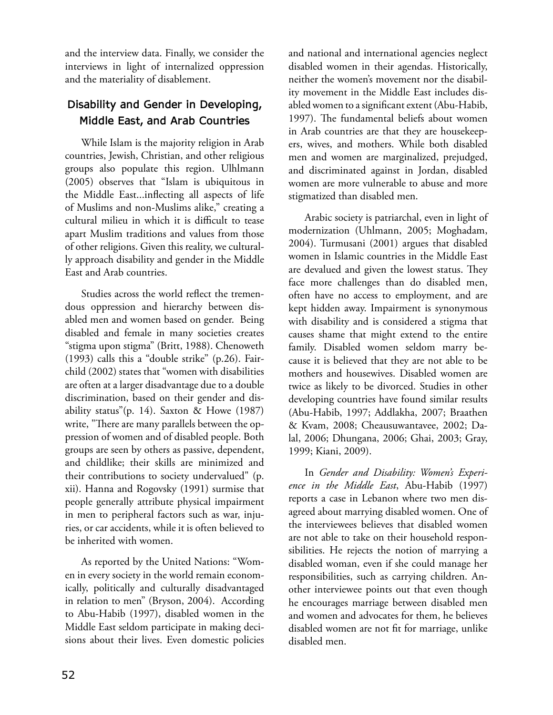and the interview data. Finally, we consider the interviews in light of internalized oppression and the materiality of disablement.

## **Disability and Gender in Developing, Middle East, and Arab Countries**

While Islam is the majority religion in Arab countries, Jewish, Christian, and other religious groups also populate this region. Ulhlmann (2005) observes that "Islam is ubiquitous in the Middle East...inflecting all aspects of life of Muslims and non-Muslims alike," creating a cultural milieu in which it is difficult to tease apart Muslim traditions and values from those of other religions. Given this reality, we culturally approach disability and gender in the Middle East and Arab countries.

Studies across the world reflect the tremendous oppression and hierarchy between disabled men and women based on gender. Being disabled and female in many societies creates "stigma upon stigma" (Britt, 1988). Chenoweth (1993) calls this a "double strike" (p.26). Fairchild (2002) states that "women with disabilities are often at a larger disadvantage due to a double discrimination, based on their gender and disability status"(p. 14). Saxton & Howe (1987) write, "There are many parallels between the oppression of women and of disabled people. Both groups are seen by others as passive, dependent, and childlike; their skills are minimized and their contributions to society undervalued" (p. xii). Hanna and Rogovsky (1991) surmise that people generally attribute physical impairment in men to peripheral factors such as war, injuries, or car accidents, while it is often believed to be inherited with women.

As reported by the United Nations: "Women in every society in the world remain economically, politically and culturally disadvantaged in relation to men" (Bryson, 2004). According to Abu-Habib (1997), disabled women in the Middle East seldom participate in making decisions about their lives. Even domestic policies

and national and international agencies neglect disabled women in their agendas. Historically, neither the women's movement nor the disability movement in the Middle East includes disabled women to a significant extent (Abu-Habib, 1997). The fundamental beliefs about women in Arab countries are that they are housekeepers, wives, and mothers. While both disabled men and women are marginalized, prejudged, and discriminated against in Jordan, disabled women are more vulnerable to abuse and more stigmatized than disabled men.

Arabic society is patriarchal, even in light of modernization (Uhlmann, 2005; Moghadam, 2004). Turmusani (2001) argues that disabled women in Islamic countries in the Middle East are devalued and given the lowest status. They face more challenges than do disabled men, often have no access to employment, and are kept hidden away. Impairment is synonymous with disability and is considered a stigma that causes shame that might extend to the entire family. Disabled women seldom marry because it is believed that they are not able to be mothers and housewives. Disabled women are twice as likely to be divorced. Studies in other developing countries have found similar results (Abu-Habib, 1997; Addlakha, 2007; Braathen & Kvam, 2008; Cheausuwantavee, 2002; Dalal, 2006; Dhungana, 2006; Ghai, 2003; Gray, 1999; Kiani, 2009).

In *Gender and Disability: Women's Experience in the Middle East*, Abu-Habib (1997) reports a case in Lebanon where two men disagreed about marrying disabled women. One of the interviewees believes that disabled women are not able to take on their household responsibilities. He rejects the notion of marrying a disabled woman, even if she could manage her responsibilities, such as carrying children. Another interviewee points out that even though he encourages marriage between disabled men and women and advocates for them, he believes disabled women are not fit for marriage, unlike disabled men.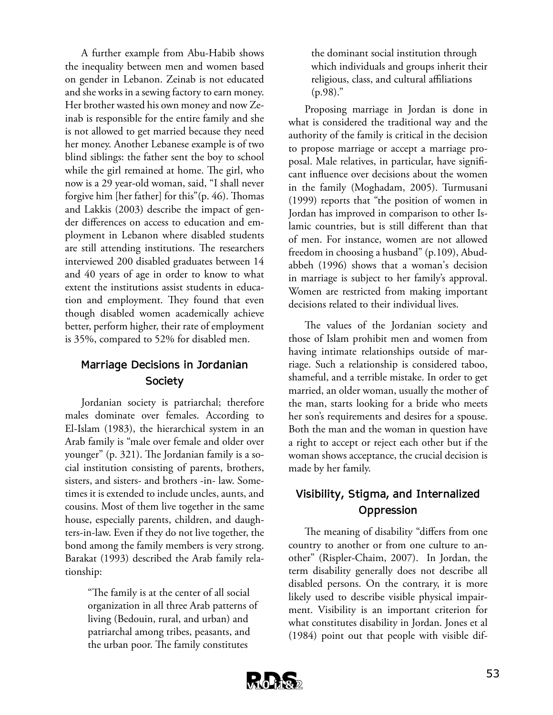A further example from Abu-Habib shows the inequality between men and women based on gender in Lebanon. Zeinab is not educated and she works in a sewing factory to earn money. Her brother wasted his own money and now Zeinab is responsible for the entire family and she is not allowed to get married because they need her money. Another Lebanese example is of two blind siblings: the father sent the boy to school while the girl remained at home. The girl, who now is a 29 year-old woman, said, "I shall never forgive him [her father] for this"(p. 46). Thomas and Lakkis (2003) describe the impact of gender differences on access to education and employment in Lebanon where disabled students are still attending institutions. The researchers interviewed 200 disabled graduates between 14 and 40 years of age in order to know to what extent the institutions assist students in education and employment. They found that even though disabled women academically achieve better, perform higher, their rate of employment is 35%, compared to 52% for disabled men.

## **Marriage Decisions in Jordanian Society**

Jordanian society is patriarchal; therefore males dominate over females. According to El-Islam (1983), the hierarchical system in an Arab family is "male over female and older over younger" (p. 321). The Jordanian family is a social institution consisting of parents, brothers, sisters, and sisters- and brothers -in- law. Sometimes it is extended to include uncles, aunts, and cousins. Most of them live together in the same house, especially parents, children, and daughters-in-law. Even if they do not live together, the bond among the family members is very strong. Barakat (1993) described the Arab family relationship:

> "The family is at the center of all social organization in all three Arab patterns of living (Bedouin, rural, and urban) and patriarchal among tribes, peasants, and the urban poor. The family constitutes

the dominant social institution through which individuals and groups inherit their religious, class, and cultural affiliations  $(p.98)$ ."

Proposing marriage in Jordan is done in what is considered the traditional way and the authority of the family is critical in the decision to propose marriage or accept a marriage proposal. Male relatives, in particular, have significant influence over decisions about the women in the family (Moghadam, 2005). Turmusani (1999) reports that "the position of women in Jordan has improved in comparison to other Islamic countries, but is still different than that of men. For instance, women are not allowed freedom in choosing a husband" (p.109), Abudabbeh (1996) shows that a woman's decision in marriage is subject to her family's approval. Women are restricted from making important decisions related to their individual lives.

The values of the Jordanian society and those of Islam prohibit men and women from having intimate relationships outside of marriage. Such a relationship is considered taboo, shameful, and a terrible mistake. In order to get married, an older woman, usually the mother of the man, starts looking for a bride who meets her son's requirements and desires for a spouse. Both the man and the woman in question have a right to accept or reject each other but if the woman shows acceptance, the crucial decision is made by her family.

## **Visibility, Stigma, and Internalized Oppression**

The meaning of disability "differs from one country to another or from one culture to another" (Rispler-Chaim, 2007). In Jordan, the term disability generally does not describe all disabled persons. On the contrary, it is more likely used to describe visible physical impairment. Visibility is an important criterion for what constitutes disability in Jordan. Jones et al (1984) point out that people with visible dif-

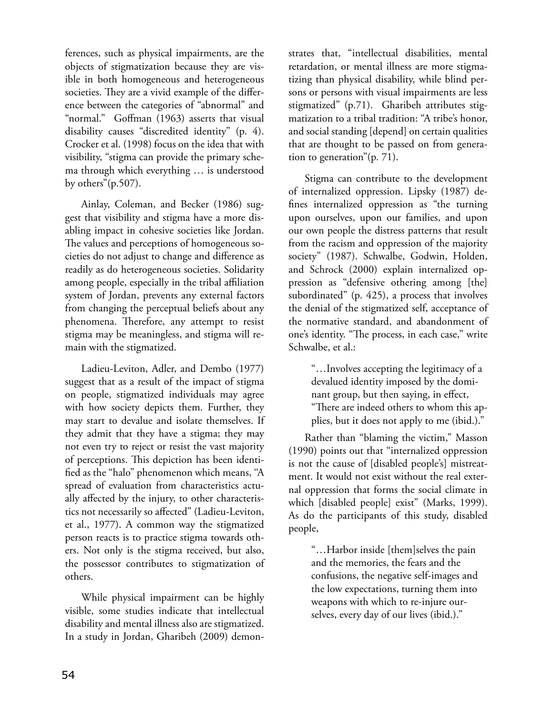ferences, such as physical impairments, are the objects of stigmatization because they are visible in both homogeneous and heterogeneous societies. They are a vivid example of the difference between the categories of "abnormal" and "normal." Goffman (1963) asserts that visual disability causes "discredited identity" (p. 4). Crocker et al. (1998) focus on the idea that with visibility, "stigma can provide the primary schema through which everything … is understood by others"(p.507).

Ainlay, Coleman, and Becker (1986) suggest that visibility and stigma have a more disabling impact in cohesive societies like Jordan. The values and perceptions of homogeneous societies do not adjust to change and difference as readily as do heterogeneous societies. Solidarity among people, especially in the tribal affiliation system of Jordan, prevents any external factors from changing the perceptual beliefs about any phenomena. Therefore, any attempt to resist stigma may be meaningless, and stigma will remain with the stigmatized.

Ladieu-Leviton, Adler, and Dembo (1977) suggest that as a result of the impact of stigma on people, stigmatized individuals may agree with how society depicts them. Further, they may start to devalue and isolate themselves. If they admit that they have a stigma; they may not even try to reject or resist the vast majority of perceptions. This depiction has been identified as the "halo" phenomenon which means, ''A spread of evaluation from characteristics actually affected by the injury, to other characteristics not necessarily so affected" (Ladieu-Leviton, et al., 1977). A common way the stigmatized person reacts is to practice stigma towards others. Not only is the stigma received, but also, the possessor contributes to stigmatization of others.

While physical impairment can be highly visible, some studies indicate that intellectual disability and mental illness also are stigmatized. In a study in Jordan, Gharibeh (2009) demonstrates that, "intellectual disabilities, mental retardation, or mental illness are more stigmatizing than physical disability, while blind persons or persons with visual impairments are less stigmatized" (p.71). Gharibeh attributes stigmatization to a tribal tradition: "A tribe's honor, and social standing [depend] on certain qualities that are thought to be passed on from generation to generation"(p. 71).

Stigma can contribute to the development of internalized oppression. Lipsky (1987) defines internalized oppression as "the turning upon ourselves, upon our families, and upon our own people the distress patterns that result from the racism and oppression of the majority society" (1987). Schwalbe, Godwin, Holden, and Schrock (2000) explain internalized oppression as "defensive othering among [the] subordinated" (p. 425), a process that involves the denial of the stigmatized self, acceptance of the normative standard, and abandonment of one's identity. "The process, in each case," write Schwalbe, et al.:

> "…Involves accepting the legitimacy of a devalued identity imposed by the dominant group, but then saying, in effect, "There are indeed others to whom this applies, but it does not apply to me (ibid.)."

Rather than "blaming the victim," Masson (1990) points out that "internalized oppression is not the cause of [disabled people's] mistreatment. It would not exist without the real external oppression that forms the social climate in which [disabled people] exist" (Marks, 1999). As do the participants of this study, disabled people,

> "…Harbor inside [them]selves the pain and the memories, the fears and the confusions, the negative self-images and the low expectations, turning them into weapons with which to re-injure ourselves, every day of our lives (ibid.)."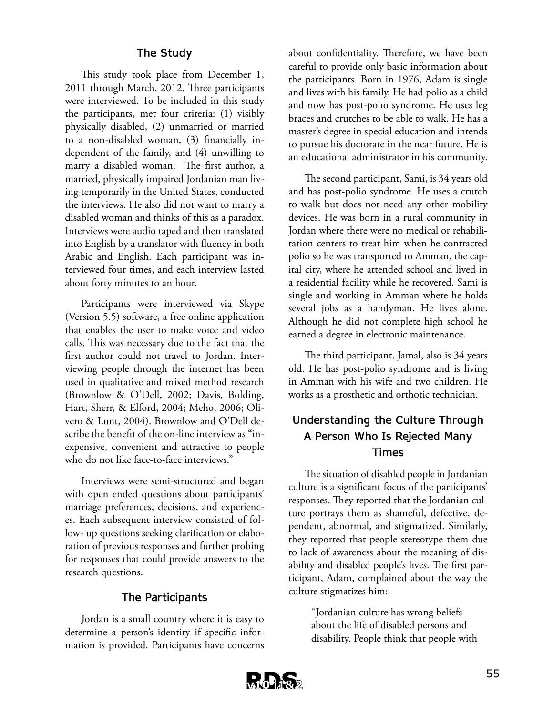### **The Study**

This study took place from December 1, 2011 through March, 2012. Three participants were interviewed. To be included in this study the participants, met four criteria: (1) visibly physically disabled, (2) unmarried or married to a non-disabled woman, (3) financially independent of the family, and (4) unwilling to marry a disabled woman. The first author, a married, physically impaired Jordanian man living temporarily in the United States, conducted the interviews. He also did not want to marry a disabled woman and thinks of this as a paradox. Interviews were audio taped and then translated into English by a translator with fluency in both Arabic and English. Each participant was interviewed four times, and each interview lasted about forty minutes to an hour.

Participants were interviewed via Skype (Version 5.5) software, a free online application that enables the user to make voice and video calls. This was necessary due to the fact that the first author could not travel to Jordan. Interviewing people through the internet has been used in qualitative and mixed method research (Brownlow & O'Dell, 2002; Davis, Bolding, Hart, Sherr, & Elford, 2004; Meho, 2006; Olivero & Lunt, 2004). Brownlow and O'Dell describe the benefit of the on-line interview as "inexpensive, convenient and attractive to people who do not like face-to-face interviews."

Interviews were semi-structured and began with open ended questions about participants' marriage preferences, decisions, and experiences. Each subsequent interview consisted of follow- up questions seeking clarification or elaboration of previous responses and further probing for responses that could provide answers to the research questions.

### **The Participants**

Jordan is a small country where it is easy to determine a person's identity if specific information is provided. Participants have concerns about confidentiality. Therefore, we have been careful to provide only basic information about the participants. Born in 1976, Adam is single and lives with his family. He had polio as a child and now has post-polio syndrome. He uses leg braces and crutches to be able to walk. He has a master's degree in special education and intends to pursue his doctorate in the near future. He is an educational administrator in his community.

The second participant, Sami, is 34 years old and has post-polio syndrome. He uses a crutch to walk but does not need any other mobility devices. He was born in a rural community in Jordan where there were no medical or rehabilitation centers to treat him when he contracted polio so he was transported to Amman, the capital city, where he attended school and lived in a residential facility while he recovered. Sami is single and working in Amman where he holds several jobs as a handyman. He lives alone. Although he did not complete high school he earned a degree in electronic maintenance.

The third participant, Jamal, also is 34 years old. He has post-polio syndrome and is living in Amman with his wife and two children. He works as a prosthetic and orthotic technician.

## **Understanding the Culture Through A Person Who Is Rejected Many Times**

The situation of disabled people in Jordanian culture is a significant focus of the participants' responses. They reported that the Jordanian culture portrays them as shameful, defective, dependent, abnormal, and stigmatized. Similarly, they reported that people stereotype them due to lack of awareness about the meaning of disability and disabled people's lives. The first participant, Adam, complained about the way the culture stigmatizes him:

> "Jordanian culture has wrong beliefs about the life of disabled persons and disability. People think that people with

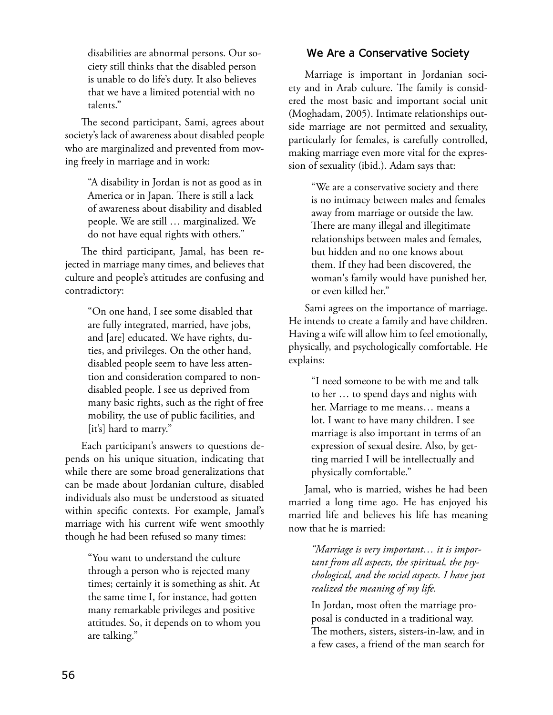disabilities are abnormal persons. Our society still thinks that the disabled person is unable to do life's duty. It also believes that we have a limited potential with no talents."

The second participant, Sami, agrees about society's lack of awareness about disabled people who are marginalized and prevented from moving freely in marriage and in work:

> "A disability in Jordan is not as good as in America or in Japan. There is still a lack of awareness about disability and disabled people. We are still … marginalized. We do not have equal rights with others."

The third participant, Jamal, has been rejected in marriage many times, and believes that culture and people's attitudes are confusing and contradictory:

> "On one hand, I see some disabled that are fully integrated, married, have jobs, and [are] educated. We have rights, duties, and privileges. On the other hand, disabled people seem to have less attention and consideration compared to nondisabled people. I see us deprived from many basic rights, such as the right of free mobility, the use of public facilities, and [it's] hard to marry."

Each participant's answers to questions depends on his unique situation, indicating that while there are some broad generalizations that can be made about Jordanian culture, disabled individuals also must be understood as situated within specific contexts. For example, Jamal's marriage with his current wife went smoothly though he had been refused so many times:

> "You want to understand the culture through a person who is rejected many times; certainly it is something as shit. At the same time I, for instance, had gotten many remarkable privileges and positive attitudes. So, it depends on to whom you are talking."

### **We Are a Conservative Society**

Marriage is important in Jordanian society and in Arab culture. The family is considered the most basic and important social unit (Moghadam, 2005). Intimate relationships outside marriage are not permitted and sexuality, particularly for females, is carefully controlled, making marriage even more vital for the expression of sexuality (ibid.). Adam says that:

> "We are a conservative society and there is no intimacy between males and females away from marriage or outside the law. There are many illegal and illegitimate relationships between males and females, but hidden and no one knows about them. If they had been discovered, the woman's family would have punished her, or even killed her."

Sami agrees on the importance of marriage. He intends to create a family and have children. Having a wife will allow him to feel emotionally, physically, and psychologically comfortable. He explains:

> "I need someone to be with me and talk to her … to spend days and nights with her. Marriage to me means… means a lot. I want to have many children. I see marriage is also important in terms of an expression of sexual desire. Also, by getting married I will be intellectually and physically comfortable."

Jamal, who is married, wishes he had been married a long time ago. He has enjoyed his married life and believes his life has meaning now that he is married:

> *"Marriage is very important… it is important from all aspects, the spiritual, the psychological, and the social aspects. I have just realized the meaning of my life.*

> In Jordan, most often the marriage proposal is conducted in a traditional way. The mothers, sisters, sisters-in-law, and in a few cases, a friend of the man search for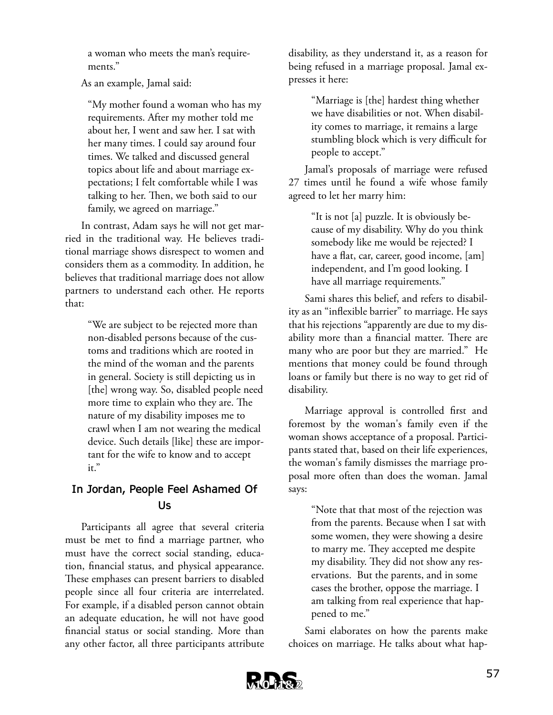a woman who meets the man's requirements."

As an example, Jamal said:

"My mother found a woman who has my requirements. After my mother told me about her, I went and saw her. I sat with her many times. I could say around four times. We talked and discussed general topics about life and about marriage expectations; I felt comfortable while I was talking to her. Then, we both said to our family, we agreed on marriage."

In contrast, Adam says he will not get married in the traditional way. He believes traditional marriage shows disrespect to women and considers them as a commodity. In addition, he believes that traditional marriage does not allow partners to understand each other. He reports that:

> "We are subject to be rejected more than non-disabled persons because of the customs and traditions which are rooted in the mind of the woman and the parents in general. Society is still depicting us in [the] wrong way. So, disabled people need more time to explain who they are. The nature of my disability imposes me to crawl when I am not wearing the medical device. Such details [like] these are important for the wife to know and to accept it."

### **In Jordan, People Feel Ashamed Of Us**

Participants all agree that several criteria must be met to find a marriage partner, who must have the correct social standing, education, financial status, and physical appearance. These emphases can present barriers to disabled people since all four criteria are interrelated. For example, if a disabled person cannot obtain an adequate education, he will not have good financial status or social standing. More than any other factor, all three participants attribute disability, as they understand it, as a reason for being refused in a marriage proposal. Jamal expresses it here:

> "Marriage is [the] hardest thing whether we have disabilities or not. When disability comes to marriage, it remains a large stumbling block which is very difficult for people to accept."

Jamal's proposals of marriage were refused 27 times until he found a wife whose family agreed to let her marry him:

> "It is not [a] puzzle. It is obviously because of my disability. Why do you think somebody like me would be rejected? I have a flat, car, career, good income, [am] independent, and I'm good looking. I have all marriage requirements."

Sami shares this belief, and refers to disability as an "inflexible barrier" to marriage. He says that his rejections "apparently are due to my disability more than a financial matter. There are many who are poor but they are married." He mentions that money could be found through loans or family but there is no way to get rid of disability.

Marriage approval is controlled first and foremost by the woman's family even if the woman shows acceptance of a proposal. Participants stated that, based on their life experiences, the woman's family dismisses the marriage proposal more often than does the woman. Jamal says:

> "Note that that most of the rejection was from the parents. Because when I sat with some women, they were showing a desire to marry me. They accepted me despite my disability. They did not show any reservations. But the parents, and in some cases the brother, oppose the marriage. I am talking from real experience that happened to me."

Sami elaborates on how the parents make choices on marriage. He talks about what hap-

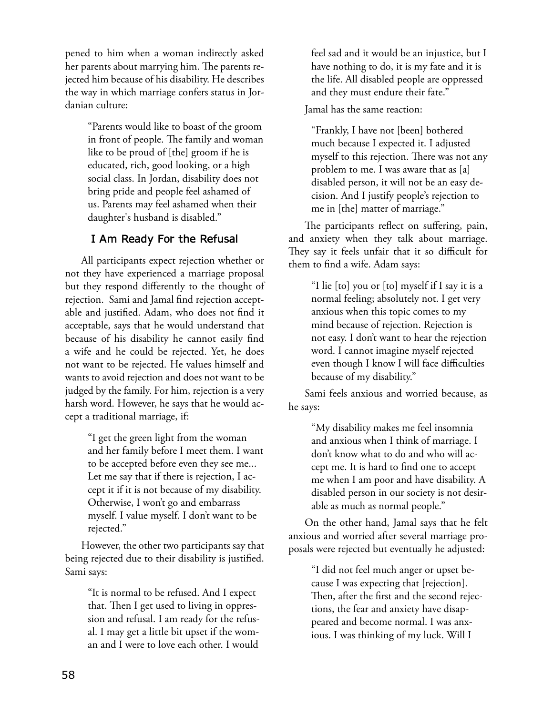pened to him when a woman indirectly asked her parents about marrying him. The parents rejected him because of his disability. He describes the way in which marriage confers status in Jordanian culture:

> "Parents would like to boast of the groom in front of people. The family and woman like to be proud of [the] groom if he is educated, rich, good looking, or a high social class. In Jordan, disability does not bring pride and people feel ashamed of us. Parents may feel ashamed when their daughter's husband is disabled."

### **I Am Ready For the Refusal**

All participants expect rejection whether or not they have experienced a marriage proposal but they respond differently to the thought of rejection. Sami and Jamal find rejection acceptable and justified. Adam, who does not find it acceptable, says that he would understand that because of his disability he cannot easily find a wife and he could be rejected. Yet, he does not want to be rejected. He values himself and wants to avoid rejection and does not want to be judged by the family. For him, rejection is a very harsh word. However, he says that he would accept a traditional marriage, if:

> "I get the green light from the woman and her family before I meet them. I want to be accepted before even they see me... Let me say that if there is rejection, I accept it if it is not because of my disability. Otherwise, I won't go and embarrass myself. I value myself. I don't want to be rejected."

However, the other two participants say that being rejected due to their disability is justified. Sami says:

> "It is normal to be refused. And I expect that. Then I get used to living in oppression and refusal. I am ready for the refusal. I may get a little bit upset if the woman and I were to love each other. I would

feel sad and it would be an injustice, but I have nothing to do, it is my fate and it is the life. All disabled people are oppressed and they must endure their fate."

Jamal has the same reaction:

"Frankly, I have not [been] bothered much because I expected it. I adjusted myself to this rejection. There was not any problem to me. I was aware that as [a] disabled person, it will not be an easy decision. And I justify people's rejection to me in [the] matter of marriage."

The participants reflect on suffering, pain, and anxiety when they talk about marriage. They say it feels unfair that it so difficult for them to find a wife. Adam says:

> "I lie [to] you or [to] myself if I say it is a normal feeling; absolutely not. I get very anxious when this topic comes to my mind because of rejection. Rejection is not easy. I don't want to hear the rejection word. I cannot imagine myself rejected even though I know I will face difficulties because of my disability."

Sami feels anxious and worried because, as he says:

> "My disability makes me feel insomnia and anxious when I think of marriage. I don't know what to do and who will accept me. It is hard to find one to accept me when I am poor and have disability. A disabled person in our society is not desirable as much as normal people."

On the other hand, Jamal says that he felt anxious and worried after several marriage proposals were rejected but eventually he adjusted:

> "I did not feel much anger or upset because I was expecting that [rejection]. Then, after the first and the second rejections, the fear and anxiety have disappeared and become normal. I was anxious. I was thinking of my luck. Will I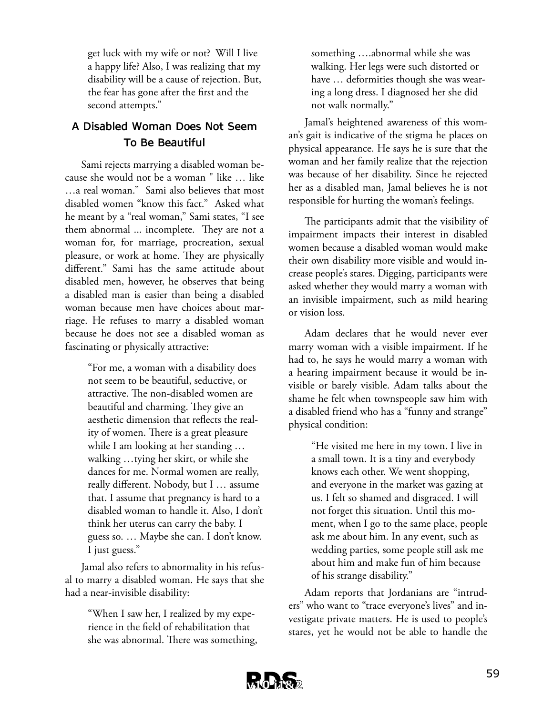get luck with my wife or not? Will I live a happy life? Also, I was realizing that my disability will be a cause of rejection. But, the fear has gone after the first and the second attempts."

## **A Disabled Woman Does Not Seem To Be Beautiful**

Sami rejects marrying a disabled woman because she would not be a woman " like … like …a real woman." Sami also believes that most disabled women "know this fact." Asked what he meant by a "real woman," Sami states, "I see them abnormal ... incomplete. They are not a woman for, for marriage, procreation, sexual pleasure, or work at home. They are physically different." Sami has the same attitude about disabled men, however, he observes that being a disabled man is easier than being a disabled woman because men have choices about marriage. He refuses to marry a disabled woman because he does not see a disabled woman as fascinating or physically attractive:

> "For me, a woman with a disability does not seem to be beautiful, seductive, or attractive. The non-disabled women are beautiful and charming. They give an aesthetic dimension that reflects the reality of women. There is a great pleasure while I am looking at her standing … walking …tying her skirt, or while she dances for me. Normal women are really, really different. Nobody, but I … assume that. I assume that pregnancy is hard to a disabled woman to handle it. Also, I don't think her uterus can carry the baby. I guess so. … Maybe she can. I don't know. I just guess."

Jamal also refers to abnormality in his refusal to marry a disabled woman. He says that she had a near-invisible disability:

> "When I saw her, I realized by my experience in the field of rehabilitation that she was abnormal. There was something,

something ….abnormal while she was walking. Her legs were such distorted or have … deformities though she was wearing a long dress. I diagnosed her she did not walk normally."

Jamal's heightened awareness of this woman's gait is indicative of the stigma he places on physical appearance. He says he is sure that the woman and her family realize that the rejection was because of her disability. Since he rejected her as a disabled man, Jamal believes he is not responsible for hurting the woman's feelings.

The participants admit that the visibility of impairment impacts their interest in disabled women because a disabled woman would make their own disability more visible and would increase people's stares. Digging, participants were asked whether they would marry a woman with an invisible impairment, such as mild hearing or vision loss.

Adam declares that he would never ever marry woman with a visible impairment. If he had to, he says he would marry a woman with a hearing impairment because it would be invisible or barely visible. Adam talks about the shame he felt when townspeople saw him with a disabled friend who has a "funny and strange" physical condition:

> "He visited me here in my town. I live in a small town. It is a tiny and everybody knows each other. We went shopping, and everyone in the market was gazing at us. I felt so shamed and disgraced. I will not forget this situation. Until this moment, when I go to the same place, people ask me about him. In any event, such as wedding parties, some people still ask me about him and make fun of him because of his strange disability."

Adam reports that Jordanians are "intruders" who want to "trace everyone's lives" and investigate private matters. He is used to people's stares, yet he would not be able to handle the

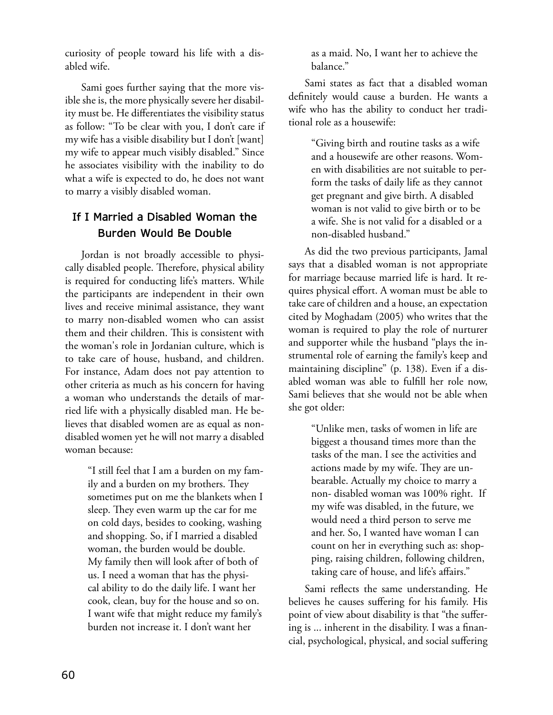curiosity of people toward his life with a disabled wife.

Sami goes further saying that the more visible she is, the more physically severe her disability must be. He differentiates the visibility status as follow: "To be clear with you, I don't care if my wife has a visible disability but I don't [want] my wife to appear much visibly disabled." Since he associates visibility with the inability to do what a wife is expected to do, he does not want to marry a visibly disabled woman.

## **If I Married a Disabled Woman the Burden Would Be Double**

Jordan is not broadly accessible to physically disabled people. Therefore, physical ability is required for conducting life's matters. While the participants are independent in their own lives and receive minimal assistance, they want to marry non-disabled women who can assist them and their children. This is consistent with the woman's role in Jordanian culture, which is to take care of house, husband, and children. For instance, Adam does not pay attention to other criteria as much as his concern for having a woman who understands the details of married life with a physically disabled man. He believes that disabled women are as equal as nondisabled women yet he will not marry a disabled woman because:

> "I still feel that I am a burden on my family and a burden on my brothers. They sometimes put on me the blankets when I sleep. They even warm up the car for me on cold days, besides to cooking, washing and shopping. So, if I married a disabled woman, the burden would be double. My family then will look after of both of us. I need a woman that has the physical ability to do the daily life. I want her cook, clean, buy for the house and so on. I want wife that might reduce my family's burden not increase it. I don't want her

as a maid. No, I want her to achieve the balance."

Sami states as fact that a disabled woman definitely would cause a burden. He wants a wife who has the ability to conduct her traditional role as a housewife:

> "Giving birth and routine tasks as a wife and a housewife are other reasons. Women with disabilities are not suitable to perform the tasks of daily life as they cannot get pregnant and give birth. A disabled woman is not valid to give birth or to be a wife. She is not valid for a disabled or a non-disabled husband."

As did the two previous participants, Jamal says that a disabled woman is not appropriate for marriage because married life is hard. It requires physical effort. A woman must be able to take care of children and a house, an expectation cited by Moghadam (2005) who writes that the woman is required to play the role of nurturer and supporter while the husband "plays the instrumental role of earning the family's keep and maintaining discipline" (p. 138). Even if a disabled woman was able to fulfill her role now, Sami believes that she would not be able when she got older:

> "Unlike men, tasks of women in life are biggest a thousand times more than the tasks of the man. I see the activities and actions made by my wife. They are unbearable. Actually my choice to marry a non- disabled woman was 100% right. If my wife was disabled, in the future, we would need a third person to serve me and her. So, I wanted have woman I can count on her in everything such as: shopping, raising children, following children, taking care of house, and life's affairs."

Sami reflects the same understanding. He believes he causes suffering for his family. His point of view about disability is that "the suffering is ... inherent in the disability. I was a financial, psychological, physical, and social suffering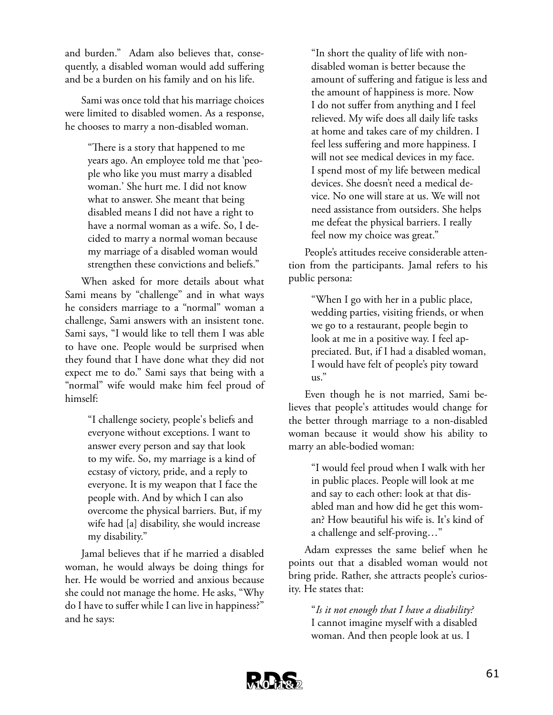and burden." Adam also believes that, consequently, a disabled woman would add suffering and be a burden on his family and on his life.

Sami was once told that his marriage choices were limited to disabled women. As a response, he chooses to marry a non-disabled woman.

> "There is a story that happened to me years ago. An employee told me that 'people who like you must marry a disabled woman.' She hurt me. I did not know what to answer. She meant that being disabled means I did not have a right to have a normal woman as a wife. So, I decided to marry a normal woman because my marriage of a disabled woman would strengthen these convictions and beliefs."

When asked for more details about what Sami means by "challenge" and in what ways he considers marriage to a "normal" woman a challenge, Sami answers with an insistent tone. Sami says, "I would like to tell them I was able to have one. People would be surprised when they found that I have done what they did not expect me to do." Sami says that being with a "normal" wife would make him feel proud of himself:

> "I challenge society, people's beliefs and everyone without exceptions. I want to answer every person and say that look to my wife. So, my marriage is a kind of ecstasy of victory, pride, and a reply to everyone. It is my weapon that I face the people with. And by which I can also overcome the physical barriers. But, if my wife had [a] disability, she would increase my disability."

Jamal believes that if he married a disabled woman, he would always be doing things for her. He would be worried and anxious because she could not manage the home. He asks, "Why do I have to suffer while I can live in happiness?" and he says:

"In short the quality of life with nondisabled woman is better because the amount of suffering and fatigue is less and the amount of happiness is more. Now I do not suffer from anything and I feel relieved. My wife does all daily life tasks at home and takes care of my children. I feel less suffering and more happiness. I will not see medical devices in my face. I spend most of my life between medical devices. She doesn't need a medical device. No one will stare at us. We will not need assistance from outsiders. She helps me defeat the physical barriers. I really feel now my choice was great."

People's attitudes receive considerable attention from the participants. Jamal refers to his public persona:

> "When I go with her in a public place, wedding parties, visiting friends, or when we go to a restaurant, people begin to look at me in a positive way. I feel appreciated. But, if I had a disabled woman, I would have felt of people's pity toward us."

Even though he is not married, Sami believes that people's attitudes would change for the better through marriage to a non-disabled woman because it would show his ability to marry an able-bodied woman:

> "I would feel proud when I walk with her in public places. People will look at me and say to each other: look at that disabled man and how did he get this woman? How beautiful his wife is. It's kind of a challenge and self-proving…"

Adam expresses the same belief when he points out that a disabled woman would not bring pride. Rather, she attracts people's curiosity. He states that:

> "*Is it not enough that I have a disability?* I cannot imagine myself with a disabled woman. And then people look at us. I

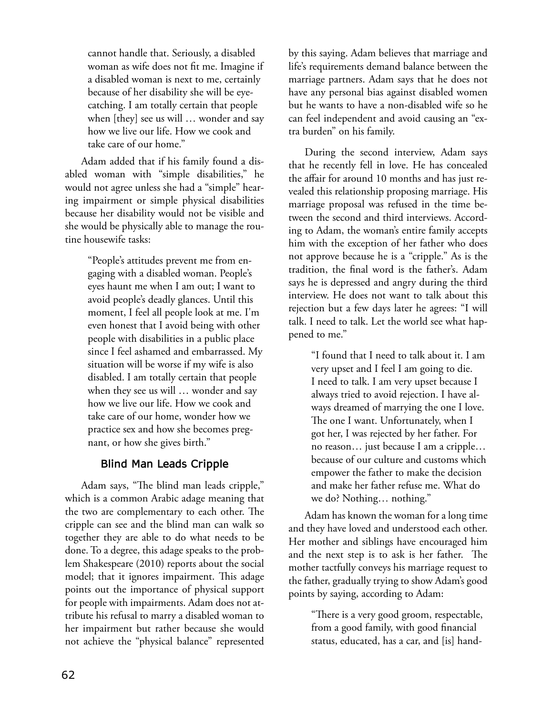cannot handle that. Seriously, a disabled woman as wife does not fit me. Imagine if a disabled woman is next to me, certainly because of her disability she will be eyecatching. I am totally certain that people when [they] see us will … wonder and say how we live our life. How we cook and take care of our home."

Adam added that if his family found a disabled woman with "simple disabilities," he would not agree unless she had a "simple" hearing impairment or simple physical disabilities because her disability would not be visible and she would be physically able to manage the routine housewife tasks:

> "People's attitudes prevent me from engaging with a disabled woman. People's eyes haunt me when I am out; I want to avoid people's deadly glances. Until this moment, I feel all people look at me. I'm even honest that I avoid being with other people with disabilities in a public place since I feel ashamed and embarrassed. My situation will be worse if my wife is also disabled. I am totally certain that people when they see us will … wonder and say how we live our life. How we cook and take care of our home, wonder how we practice sex and how she becomes pregnant, or how she gives birth."

### **Blind Man Leads Cripple**

Adam says, "The blind man leads cripple," which is a common Arabic adage meaning that the two are complementary to each other. The cripple can see and the blind man can walk so together they are able to do what needs to be done. To a degree, this adage speaks to the problem Shakespeare (2010) reports about the social model; that it ignores impairment. This adage points out the importance of physical support for people with impairments. Adam does not attribute his refusal to marry a disabled woman to her impairment but rather because she would not achieve the "physical balance" represented

by this saying. Adam believes that marriage and life's requirements demand balance between the marriage partners. Adam says that he does not have any personal bias against disabled women but he wants to have a non-disabled wife so he can feel independent and avoid causing an "extra burden" on his family.

During the second interview, Adam says that he recently fell in love. He has concealed the affair for around 10 months and has just revealed this relationship proposing marriage. His marriage proposal was refused in the time between the second and third interviews. According to Adam, the woman's entire family accepts him with the exception of her father who does not approve because he is a "cripple." As is the tradition, the final word is the father's. Adam says he is depressed and angry during the third interview. He does not want to talk about this rejection but a few days later he agrees: "I will talk. I need to talk. Let the world see what happened to me."

> "I found that I need to talk about it. I am very upset and I feel I am going to die. I need to talk. I am very upset because I always tried to avoid rejection. I have always dreamed of marrying the one I love. The one I want. Unfortunately, when I got her, I was rejected by her father. For no reason… just because I am a cripple… because of our culture and customs which empower the father to make the decision and make her father refuse me. What do we do? Nothing… nothing."

Adam has known the woman for a long time and they have loved and understood each other. Her mother and siblings have encouraged him and the next step is to ask is her father. The mother tactfully conveys his marriage request to the father, gradually trying to show Adam's good points by saying, according to Adam:

> "There is a very good groom, respectable, from a good family, with good financial status, educated, has a car, and [is] hand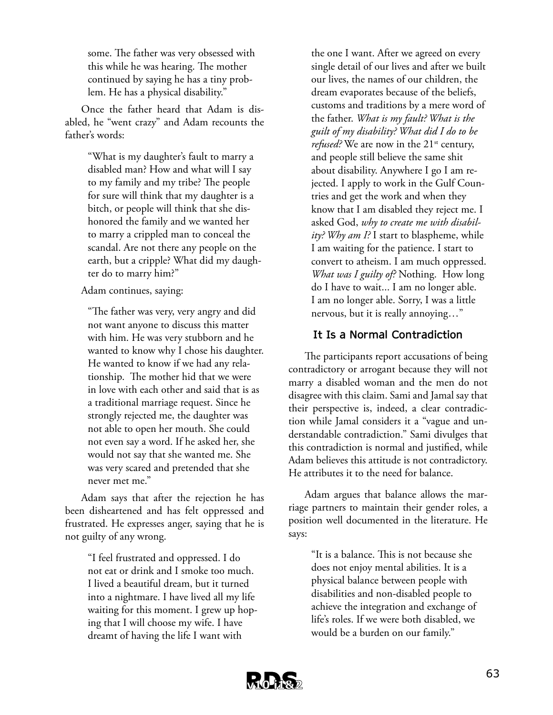some. The father was very obsessed with this while he was hearing. The mother continued by saying he has a tiny problem. He has a physical disability."

Once the father heard that Adam is disabled, he "went crazy" and Adam recounts the father's words:

> "What is my daughter's fault to marry a disabled man? How and what will I say to my family and my tribe? The people for sure will think that my daughter is a bitch, or people will think that she dishonored the family and we wanted her to marry a crippled man to conceal the scandal. Are not there any people on the earth, but a cripple? What did my daughter do to marry him?"

Adam continues, saying:

"The father was very, very angry and did not want anyone to discuss this matter with him. He was very stubborn and he wanted to know why I chose his daughter. He wanted to know if we had any relationship. The mother hid that we were in love with each other and said that is as a traditional marriage request. Since he strongly rejected me, the daughter was not able to open her mouth. She could not even say a word. If he asked her, she would not say that she wanted me. She was very scared and pretended that she never met me."

Adam says that after the rejection he has been disheartened and has felt oppressed and frustrated. He expresses anger, saying that he is not guilty of any wrong.

> "I feel frustrated and oppressed. I do not eat or drink and I smoke too much. I lived a beautiful dream, but it turned into a nightmare. I have lived all my life waiting for this moment. I grew up hoping that I will choose my wife. I have dreamt of having the life I want with

the one I want. After we agreed on every single detail of our lives and after we built our lives, the names of our children, the dream evaporates because of the beliefs, customs and traditions by a mere word of the father. *What is my fault? What is the guilt of my disability? What did I do to be refused?* We are now in the 21<sup>st</sup> century, and people still believe the same shit about disability. Anywhere I go I am rejected. I apply to work in the Gulf Countries and get the work and when they know that I am disabled they reject me. I asked God, *why to create me with disability? Why am I?* I start to blaspheme, while I am waiting for the patience. I start to convert to atheism. I am much oppressed. *What was I guilty of?* Nothing. How long do I have to wait... I am no longer able. I am no longer able. Sorry, I was a little nervous, but it is really annoying…"

### **It Is a Normal Contradiction**

The participants report accusations of being contradictory or arrogant because they will not marry a disabled woman and the men do not disagree with this claim. Sami and Jamal say that their perspective is, indeed, a clear contradiction while Jamal considers it a "vague and understandable contradiction." Sami divulges that this contradiction is normal and justified, while Adam believes this attitude is not contradictory. He attributes it to the need for balance.

Adam argues that balance allows the marriage partners to maintain their gender roles, a position well documented in the literature. He says:

> "It is a balance. This is not because she does not enjoy mental abilities. It is a physical balance between people with disabilities and non-disabled people to achieve the integration and exchange of life's roles. If we were both disabled, we would be a burden on our family."

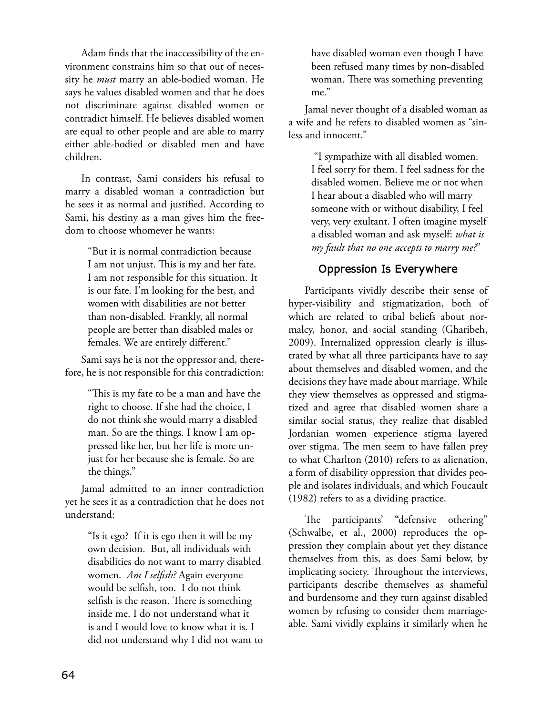Adam finds that the inaccessibility of the environment constrains him so that out of necessity he *must* marry an able-bodied woman. He says he values disabled women and that he does not discriminate against disabled women or contradict himself. He believes disabled women are equal to other people and are able to marry either able-bodied or disabled men and have children.

In contrast, Sami considers his refusal to marry a disabled woman a contradiction but he sees it as normal and justified. According to Sami, his destiny as a man gives him the freedom to choose whomever he wants:

> "But it is normal contradiction because I am not unjust. This is my and her fate. I am not responsible for this situation. It is our fate. I'm looking for the best, and women with disabilities are not better than non-disabled. Frankly, all normal people are better than disabled males or females. We are entirely different."

Sami says he is not the oppressor and, therefore, he is not responsible for this contradiction:

> "This is my fate to be a man and have the right to choose. If she had the choice, I do not think she would marry a disabled man. So are the things. I know I am oppressed like her, but her life is more unjust for her because she is female. So are the things."

Jamal admitted to an inner contradiction yet he sees it as a contradiction that he does not understand:

> "Is it ego? If it is ego then it will be my own decision. But, all individuals with disabilities do not want to marry disabled women. *Am I selfish?* Again everyone would be selfish, too. I do not think selfish is the reason. There is something inside me. I do not understand what it is and I would love to know what it is. I did not understand why I did not want to

have disabled woman even though I have been refused many times by non-disabled woman. There was something preventing me."

Jamal never thought of a disabled woman as a wife and he refers to disabled women as "sinless and innocent."

> "I sympathize with all disabled women. I feel sorry for them. I feel sadness for the disabled women. Believe me or not when I hear about a disabled who will marry someone with or without disability, I feel very, very exultant. I often imagine myself a disabled woman and ask myself: *what is my fault that no one accepts to marry me?*"

### **Oppression Is Everywhere**

Participants vividly describe their sense of hyper-visibility and stigmatization, both of which are related to tribal beliefs about normalcy, honor, and social standing (Gharibeh, 2009). Internalized oppression clearly is illustrated by what all three participants have to say about themselves and disabled women, and the decisions they have made about marriage. While they view themselves as oppressed and stigmatized and agree that disabled women share a similar social status, they realize that disabled Jordanian women experience stigma layered over stigma. The men seem to have fallen prey to what Charlton (2010) refers to as alienation, a form of disability oppression that divides people and isolates individuals, and which Foucault (1982) refers to as a dividing practice.

The participants' "defensive othering" (Schwalbe, et al., 2000) reproduces the oppression they complain about yet they distance themselves from this, as does Sami below, by implicating society. Throughout the interviews, participants describe themselves as shameful and burdensome and they turn against disabled women by refusing to consider them marriageable. Sami vividly explains it similarly when he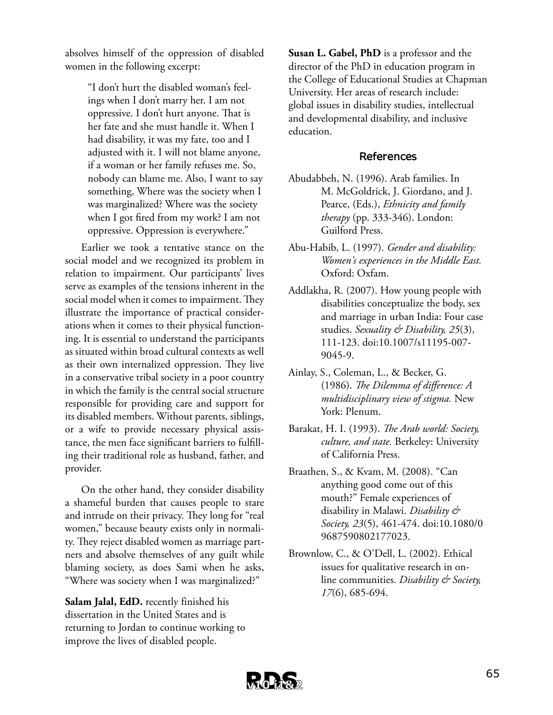absolves himself of the oppression of disabled women in the following excerpt:

> "I don't hurt the disabled woman's feelings when I don't marry her. I am not oppressive. I don't hurt anyone. That is her fate and she must handle it. When I had disability, it was my fate, too and I adjusted with it. I will not blame anyone, if a woman or her family refuses me. So, nobody can blame me. Also, I want to say something, Where was the society when I was marginalized? Where was the society when I got fired from my work? I am not oppressive. Oppression is everywhere."

Earlier we took a tentative stance on the social model and we recognized its problem in relation to impairment. Our participants' lives serve as examples of the tensions inherent in the social model when it comes to impairment. They illustrate the importance of practical considerations when it comes to their physical functioning. It is essential to understand the participants as situated within broad cultural contexts as well as their own internalized oppression. They live in a conservative tribal society in a poor country in which the family is the central social structure responsible for providing care and support for its disabled members. Without parents, siblings, or a wife to provide necessary physical assistance, the men face significant barriers to fulfilling their traditional role as husband, father, and provider.

On the other hand, they consider disability a shameful burden that causes people to stare and intrude on their privacy. They long for "real women," because beauty exists only in normality. They reject disabled women as marriage partners and absolve themselves of any guilt while blaming society, as does Sami when he asks, "Where was society when I was marginalized?"

**Salam Jalal, EdD.** recently finished his dissertation in the United States and is returning to Jordan to continue working to improve the lives of disabled people.

**Susan L. Gabel, PhD** is a professor and the director of the PhD in education program in the College of Educational Studies at Chapman University. Her areas of research include: global issues in disability studies, intellectual and developmental disability, and inclusive education.

#### **References**

- Abudabbeh, N. (1996). Arab families. In M. McGoldrick, J. Giordano, and J. Pearce, (Eds.), *Ethnicity and family therapy* (pp. 333-346). London: Guilford Press.
- Abu-Habib, L. (1997). *Gender and disability: Women's experiences in the Middle East.* Oxford: Oxfam.
- Addlakha, R. (2007). How young people with disabilities conceptualize the body, sex and marriage in urban India: Four case studies. *Sexuality & Disability, 25*(3), 111-123. doi:10.1007/s11195-007- 9045-9.
- Ainlay, S., Coleman, L., & Becker, G. (1986). *The Dilemma of difference: A multidisciplinary view of stigma.* New York: Plenum.
- Barakat, H. I. (1993). *The Arab world: Society, culture, and state.* Berkeley: University of California Press.
- Braathen, S., & Kvam, M. (2008). "Can anything good come out of this mouth?" Female experiences of disability in Malawi. *Disability & Society, 23*(5), 461-474. doi:10.1080/0 9687590802177023.
- Brownlow, C., & O'Dell, L. (2002). Ethical issues for qualitative research in online communities. *Disability & Society, 17*(6), 685-694.

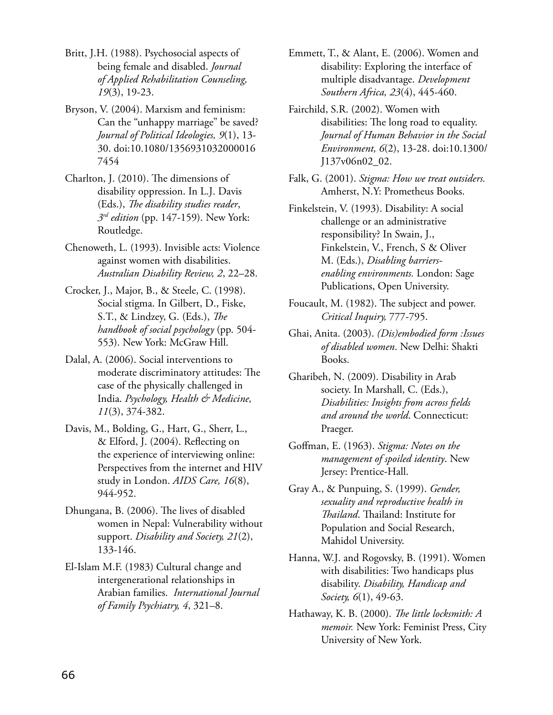Britt, J.H. (1988). Psychosocial aspects of being female and disabled. *Journal of Applied Rehabilitation Counseling, 19*(3), 19-23.

Bryson, V. (2004). Marxism and feminism: Can the "unhappy marriage" be saved? *Journal of Political Ideologies, 9*(1), 13- 30. doi:10.1080/1356931032000016 7454

Charlton, J. (2010). The dimensions of disability oppression. In L.J. Davis (Eds.), *The disability studies reader*, *3rd edition* (pp. 147-159). New York: Routledge.

Chenoweth, L. (1993). Invisible acts: Violence against women with disabilities. *Australian Disability Review, 2*, 22–28.

Crocker, J., Major, B., & Steele, C. (1998). Social stigma. In Gilbert, D., Fiske, S.T., & Lindzey, G. (Eds.), *The handbook of social psychology* (pp. 504- 553). New York: McGraw Hill.

Dalal, A. (2006). Social interventions to moderate discriminatory attitudes: The case of the physically challenged in India. *Psychology, Health & Medicine, 11*(3), 374-382.

Davis, M., Bolding, G., Hart, G., Sherr, L., & Elford, J. (2004). Reflecting on the experience of interviewing online: Perspectives from the internet and HIV study in London. *AIDS Care, 16*(8), 944-952.

Dhungana, B. (2006). The lives of disabled women in Nepal: Vulnerability without support. *Disability and Society, 21*(2), 133-146.

El-Islam M.F. (1983) Cultural change and intergenerational relationships in Arabian families. *International Journal of Family Psychiatry, 4*, 321–8.

Emmett, T., & Alant, E. (2006). Women and disability: Exploring the interface of multiple disadvantage. *Development Southern Africa, 23*(4), 445-460.

Fairchild, S.R. (2002). Women with disabilities: The long road to equality. *Journal of Human Behavior in the Social Environment, 6*(2), 13-28. doi:10.1300/ J137v06n02\_02.

Falk, G. (2001). *Stigma: How we treat outsiders.* Amherst, N.Y: Prometheus Books.

Finkelstein, V. (1993). Disability: A social challenge or an administrative responsibility? In Swain, J., Finkelstein, V., French, S & Oliver M. (Eds.), *Disabling barriersenabling environments.* London: Sage Publications, Open University.

Foucault, M. (1982). The subject and power. *Critical Inquiry,* 777-795.

Ghai, Anita. (2003). *(Dis)embodied form :Issues of disabled women*. New Delhi: Shakti Books.

Gharibeh, N. (2009). Disability in Arab society. In Marshall, C. (Eds.), *Disabilities: Insights from across fields and around the world*. Connecticut: Praeger.

Goffman, E. (1963). *Stigma: Notes on the management of spoiled identity*. New Jersey: Prentice-Hall.

Gray A., & Punpuing, S. (1999). *Gender, sexuality and reproductive health in Thailand*. Thailand: Institute for Population and Social Research, Mahidol University.

Hanna, W.J. and Rogovsky, B. (1991). Women with disabilities: Two handicaps plus disability. *Disability, Handicap and Society, 6*(1), 49-63.

Hathaway, K. B. (2000). *The little locksmith: A memoir.* New York: Feminist Press, City University of New York.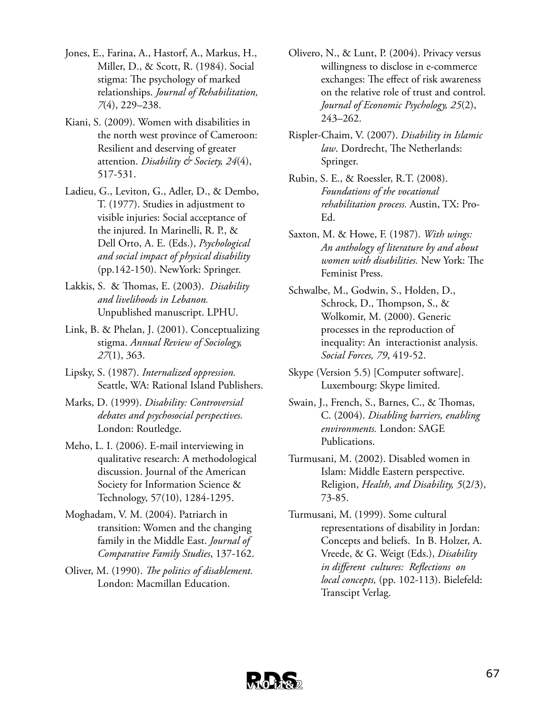- Jones, E., Farina, A., Hastorf, A., Markus, H., Miller, D., & Scott, R. (1984). Social stigma: The psychology of marked relationships. *Journal of Rehabilitation, 7*(4), 229–238.
- Kiani, S. (2009). Women with disabilities in the north west province of Cameroon: Resilient and deserving of greater attention. *Disability & Society, 24*(4), 517-531.
- Ladieu, G., Leviton, G., Adler, D., & Dembo, T. (1977). Studies in adjustment to visible injuries: Social acceptance of the injured. In Marinelli, R. P., & Dell Orto, A. E. (Eds.), *Psychological and social impact of physical disability* (pp.142-150). NewYork: Springer.
- Lakkis, S. & Thomas, E. (2003). *Disability and livelihoods in Lebanon.* Unpublished manuscript. LPHU.
- Link, B. & Phelan, J. (2001). Conceptualizing stigma. *Annual Review of Sociology, 27*(1), 363.
- Lipsky, S. (1987). *Internalized oppression.* Seattle, WA: Rational Island Publishers.
- Marks, D. (1999). *Disability: Controversial debates and psychosocial perspectives.* London: Routledge.
- Meho, L. I. (2006). E-mail interviewing in qualitative research: A methodological discussion. Journal of the American Society for Information Science & Technology, 57(10), 1284-1295.
- Moghadam, V. M. (2004). Patriarch in transition: Women and the changing family in the Middle East. *Journal of Comparative Family Studies*, 137-162.
- Oliver, M. (1990). *The politics of disablement.* London: Macmillan Education.
- Olivero, N., & Lunt, P. (2004). Privacy versus willingness to disclose in e-commerce exchanges: The effect of risk awareness on the relative role of trust and control. *Journal of Economic Psychology, 25*(2), 243–262.
- Rispler-Chaim, V. (2007). *Disability in Islamic law*. Dordrecht, The Netherlands: Springer.
- Rubin, S. E., & Roessler, R.T. (2008). *Foundations of the vocational rehabilitation process.* Austin, TX: Pro-Ed.
- Saxton, M. & Howe, F. (1987). *With wings: An anthology of literature by and about women with disabilities.* New York: The Feminist Press.
- Schwalbe, M., Godwin, S., Holden, D., Schrock, D., Thompson, S., & Wolkomir, M. (2000). Generic processes in the reproduction of inequality: An interactionist analysis. *Social Forces, 79*, 419-52.
- Skype (Version 5.5) [Computer software]. Luxembourg: Skype limited.
- Swain, J., French, S., Barnes, C., & Thomas, C. (2004). *Disabling barriers, enabling environments.* London: SAGE Publications.
- Turmusani, M. (2002). Disabled women in Islam: Middle Eastern perspective. Religion, *Health, and Disability, 5*(2/3), 73-85.
- Turmusani, M. (1999). Some cultural representations of disability in Jordan: Concepts and beliefs. In B. Holzer, A. Vreede, & G. Weigt (Eds.), *Disability in different cultures: Reflections on local concepts,* (pp. 102-113). Bielefeld: Transcipt Verlag.

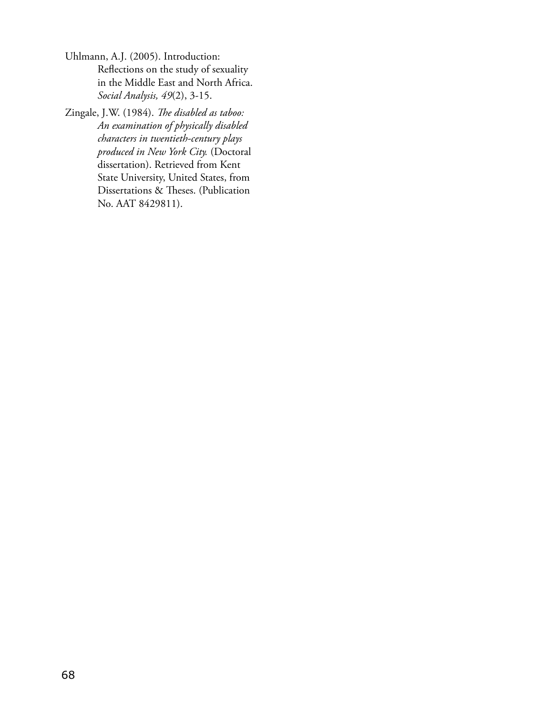- Uhlmann, A.J. (2005). Introduction: Reflections on the study of sexuality in the Middle East and North Africa. *Social Analysis, 49*(2), 3-15.
- Zingale, J.W. (1984). *The disabled as taboo: An examination of physically disabled characters in twentieth-century plays produced in New York City.* (Doctoral dissertation). Retrieved from Kent State University, United States, from Dissertations & Theses. (Publication No. AAT 8429811).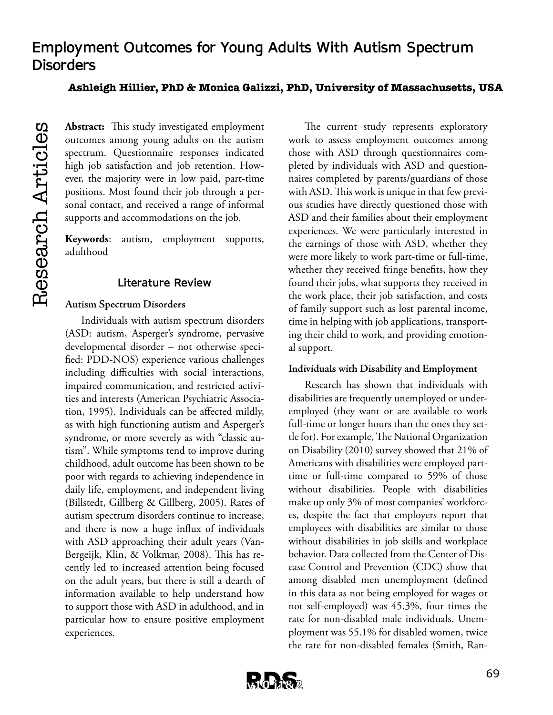# **Employment Outcomes for Young Adults With Autism Spectrum Disorders**

### **Ashleigh Hillier, PhD & Monica Galizzi, PhD, University of Massachusetts, USA**

**Abstract:** This study investigated employment outcomes among young adults on the autism spectrum. Questionnaire responses indicated high job satisfaction and job retention. However, the majority were in low paid, part-time positions. Most found their job through a personal contact, and received a range of informal supports and accommodations on the job.

**Keywords**: autism, employment supports, adulthood

### **Literature Review**

#### **Autism Spectrum Disorders**

Individuals with autism spectrum disorders (ASD: autism, Asperger's syndrome, pervasive developmental disorder – not otherwise specified: PDD-NOS) experience various challenges including difficulties with social interactions, impaired communication, and restricted activities and interests (American Psychiatric Association, 1995). Individuals can be affected mildly, as with high functioning autism and Asperger's syndrome, or more severely as with "classic autism". While symptoms tend to improve during childhood, adult outcome has been shown to be poor with regards to achieving independence in daily life, employment, and independent living (Billstedt, Gillberg & Gillberg, 2005). Rates of autism spectrum disorders continue to increase, and there is now a huge influx of individuals with ASD approaching their adult years (Van-Bergeijk, Klin, & Volkmar, 2008). This has recently led to increased attention being focused on the adult years, but there is still a dearth of information available to help understand how to support those with ASD in adulthood, and in particular how to ensure positive employment experiences.

The current study represents exploratory work to assess employment outcomes among those with ASD through questionnaires completed by individuals with ASD and questionnaires completed by parents/guardians of those with ASD. This work is unique in that few previous studies have directly questioned those with ASD and their families about their employment experiences. We were particularly interested in the earnings of those with ASD, whether they were more likely to work part-time or full-time, whether they received fringe benefits, how they found their jobs, what supports they received in the work place, their job satisfaction, and costs of family support such as lost parental income, time in helping with job applications, transporting their child to work, and providing emotional support.

#### **Individuals with Disability and Employment**

Research has shown that individuals with disabilities are frequently unemployed or underemployed (they want or are available to work full-time or longer hours than the ones they settle for). For example, The National Organization on Disability (2010) survey showed that 21% of Americans with disabilities were employed parttime or full-time compared to 59% of those without disabilities. People with disabilities make up only 3% of most companies' workforces, despite the fact that employers report that employees with disabilities are similar to those without disabilities in job skills and workplace behavior. Data collected from the Center of Disease Control and Prevention (CDC) show that among disabled men unemployment (defined in this data as not being employed for wages or not self-employed) was 45.3%, four times the rate for non-disabled male individuals. Unemployment was 55.1% for disabled women, twice the rate for non-disabled females (Smith, Ran-

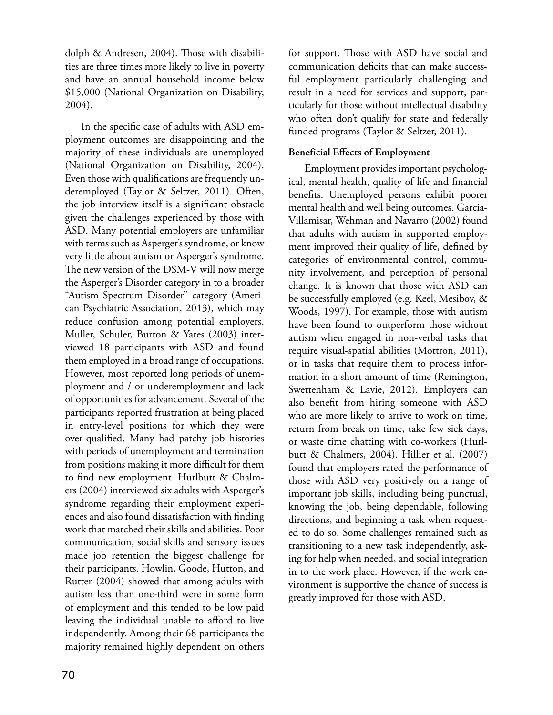dolph & Andresen, 2004). Those with disabilities are three times more likely to live in poverty and have an annual household income below \$15,000 (National Organization on Disability, 2004).

In the specific case of adults with ASD employment outcomes are disappointing and the majority of these individuals are unemployed (National Organization on Disability, 2004). Even those with qualifications are frequently underemployed (Taylor & Seltzer, 2011). Often, the job interview itself is a significant obstacle given the challenges experienced by those with ASD. Many potential employers are unfamiliar with terms such as Asperger's syndrome, or know very little about autism or Asperger's syndrome. The new version of the DSM-V will now merge the Asperger's Disorder category in to a broader "Autism Spectrum Disorder" category (American Psychiatric Association, 2013), which may reduce confusion among potential employers. Muller, Schuler, Burton & Yates (2003) interviewed 18 participants with ASD and found them employed in a broad range of occupations. However, most reported long periods of unemployment and / or underemployment and lack of opportunities for advancement. Several of the participants reported frustration at being placed in entry-level positions for which they were over-qualified. Many had patchy job histories with periods of unemployment and termination from positions making it more difficult for them to find new employment. Hurlbutt & Chalmers (2004) interviewed six adults with Asperger's syndrome regarding their employment experiences and also found dissatisfaction with finding work that matched their skills and abilities. Poor communication, social skills and sensory issues made job retention the biggest challenge for their participants. Howlin, Goode, Hutton, and Rutter (2004) showed that among adults with autism less than one-third were in some form of employment and this tended to be low paid leaving the individual unable to afford to live independently. Among their 68 participants the majority remained highly dependent on others

for support. Those with ASD have social and communication deficits that can make successful employment particularly challenging and result in a need for services and support, particularly for those without intellectual disability who often don't qualify for state and federally funded programs (Taylor & Seltzer, 2011).

### **Beneficial Effects of Employment**

Employment provides important psychological, mental health, quality of life and financial benefits. Unemployed persons exhibit poorer mental health and well being outcomes. Garcia-Villamisar, Wehman and Navarro (2002) found that adults with autism in supported employment improved their quality of life, defined by categories of environmental control, community involvement, and perception of personal change. It is known that those with ASD can be successfully employed (e.g. Keel, Mesibov, & Woods, 1997). For example, those with autism have been found to outperform those without autism when engaged in non-verbal tasks that require visual-spatial abilities (Mottron, 2011), or in tasks that require them to process information in a short amount of time (Remington, Swettenham & Lavie, 2012). Employers can also benefit from hiring someone with ASD who are more likely to arrive to work on time, return from break on time, take few sick days, or waste time chatting with co-workers (Hurlbutt & Chalmers, 2004). Hillier et al. (2007) found that employers rated the performance of those with ASD very positively on a range of important job skills, including being punctual, knowing the job, being dependable, following directions, and beginning a task when requested to do so. Some challenges remained such as transitioning to a new task independently, asking for help when needed, and social integration in to the work place. However, if the work environment is supportive the chance of success is greatly improved for those with ASD.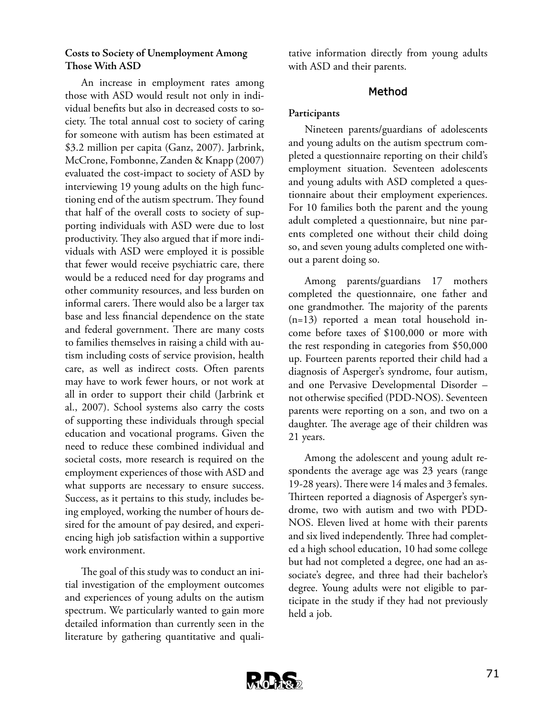#### **Costs to Society of Unemployment Among Those With ASD**

An increase in employment rates among those with ASD would result not only in individual benefits but also in decreased costs to society. The total annual cost to society of caring for someone with autism has been estimated at \$3.2 million per capita (Ganz, 2007). Jarbrink, McCrone, Fombonne, Zanden & Knapp (2007) evaluated the cost-impact to society of ASD by interviewing 19 young adults on the high functioning end of the autism spectrum. They found that half of the overall costs to society of supporting individuals with ASD were due to lost productivity. They also argued that if more individuals with ASD were employed it is possible that fewer would receive psychiatric care, there would be a reduced need for day programs and other community resources, and less burden on informal carers. There would also be a larger tax base and less financial dependence on the state and federal government. There are many costs to families themselves in raising a child with autism including costs of service provision, health care, as well as indirect costs. Often parents may have to work fewer hours, or not work at all in order to support their child (Jarbrink et al., 2007). School systems also carry the costs of supporting these individuals through special education and vocational programs. Given the need to reduce these combined individual and societal costs, more research is required on the employment experiences of those with ASD and what supports are necessary to ensure success. Success, as it pertains to this study, includes being employed, working the number of hours desired for the amount of pay desired, and experiencing high job satisfaction within a supportive work environment.

The goal of this study was to conduct an initial investigation of the employment outcomes and experiences of young adults on the autism spectrum. We particularly wanted to gain more detailed information than currently seen in the literature by gathering quantitative and quali-

tative information directly from young adults with ASD and their parents.

#### **Method**

#### **Participants**

Nineteen parents/guardians of adolescents and young adults on the autism spectrum completed a questionnaire reporting on their child's employment situation. Seventeen adolescents and young adults with ASD completed a questionnaire about their employment experiences. For 10 families both the parent and the young adult completed a questionnaire, but nine parents completed one without their child doing so, and seven young adults completed one without a parent doing so.

Among parents/guardians 17 mothers completed the questionnaire, one father and one grandmother. The majority of the parents (n=13) reported a mean total household income before taxes of \$100,000 or more with the rest responding in categories from \$50,000 up. Fourteen parents reported their child had a diagnosis of Asperger's syndrome, four autism, and one Pervasive Developmental Disorder – not otherwise specified (PDD-NOS). Seventeen parents were reporting on a son, and two on a daughter. The average age of their children was 21 years.

Among the adolescent and young adult respondents the average age was 23 years (range 19-28 years). There were 14 males and 3 females. Thirteen reported a diagnosis of Asperger's syndrome, two with autism and two with PDD-NOS. Eleven lived at home with their parents and six lived independently. Three had completed a high school education, 10 had some college but had not completed a degree, one had an associate's degree, and three had their bachelor's degree. Young adults were not eligible to participate in the study if they had not previously held a job.

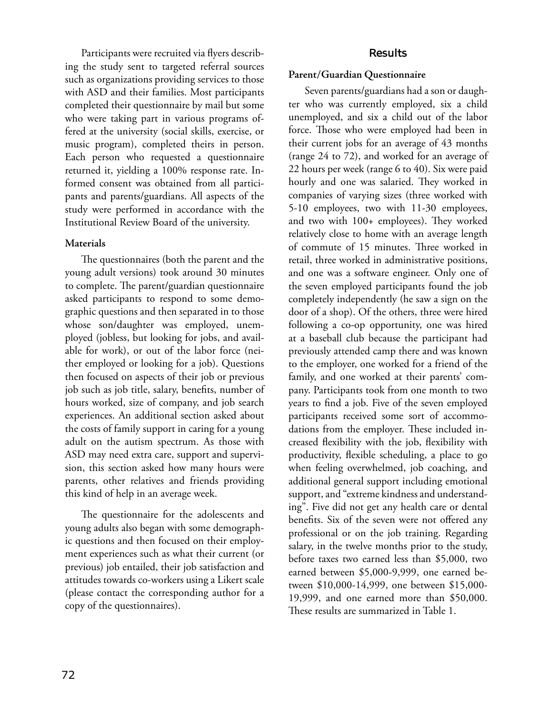Participants were recruited via flyers describing the study sent to targeted referral sources such as organizations providing services to those with ASD and their families. Most participants completed their questionnaire by mail but some who were taking part in various programs offered at the university (social skills, exercise, or music program), completed theirs in person. Each person who requested a questionnaire returned it, yielding a 100% response rate. Informed consent was obtained from all participants and parents/guardians. All aspects of the study were performed in accordance with the Institutional Review Board of the university.

### **Materials**

The questionnaires (both the parent and the young adult versions) took around 30 minutes to complete. The parent/guardian questionnaire asked participants to respond to some demographic questions and then separated in to those whose son/daughter was employed, unemployed (jobless, but looking for jobs, and available for work), or out of the labor force (neither employed or looking for a job). Questions then focused on aspects of their job or previous job such as job title, salary, benefits, number of hours worked, size of company, and job search experiences. An additional section asked about the costs of family support in caring for a young adult on the autism spectrum. As those with ASD may need extra care, support and supervision, this section asked how many hours were parents, other relatives and friends providing this kind of help in an average week.

The questionnaire for the adolescents and young adults also began with some demographic questions and then focused on their employment experiences such as what their current (or previous) job entailed, their job satisfaction and attitudes towards co-workers using a Likert scale (please contact the corresponding author for a copy of the questionnaires).

### **Results**

### **Parent/Guardian Questionnaire**

Seven parents/guardians had a son or daughter who was currently employed, six a child unemployed, and six a child out of the labor force. Those who were employed had been in their current jobs for an average of 43 months (range 24 to 72), and worked for an average of 22 hours per week (range 6 to 40). Six were paid hourly and one was salaried. They worked in companies of varying sizes (three worked with 5-10 employees, two with 11-30 employees, and two with 100+ employees). They worked relatively close to home with an average length of commute of 15 minutes. Three worked in retail, three worked in administrative positions, and one was a software engineer. Only one of the seven employed participants found the job completely independently (he saw a sign on the door of a shop). Of the others, three were hired following a co-op opportunity, one was hired at a baseball club because the participant had previously attended camp there and was known to the employer, one worked for a friend of the family, and one worked at their parents' company. Participants took from one month to two years to find a job. Five of the seven employed participants received some sort of accommodations from the employer. These included increased flexibility with the job, flexibility with productivity, flexible scheduling, a place to go when feeling overwhelmed, job coaching, and additional general support including emotional support, and "extreme kindness and understanding". Five did not get any health care or dental benefits. Six of the seven were not offered any professional or on the job training. Regarding salary, in the twelve months prior to the study, before taxes two earned less than \$5,000, two earned between \$5,000-9,999, one earned between \$10,000-14,999, one between \$15,000- 19,999, and one earned more than \$50,000. These results are summarized in Table 1.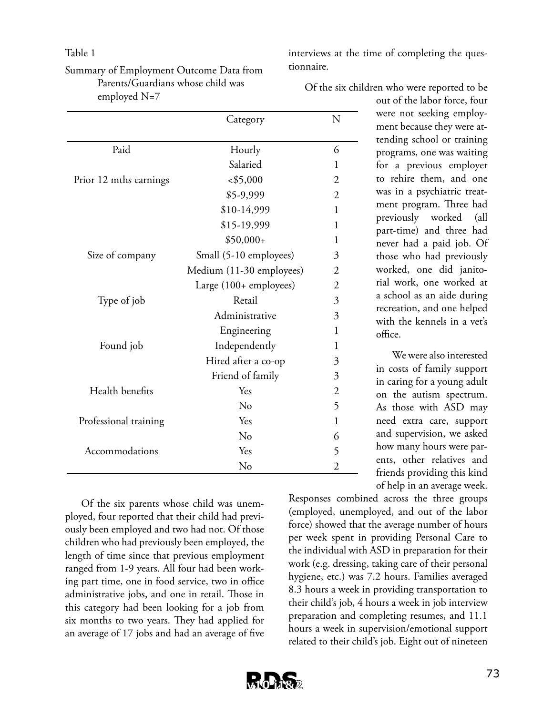#### Table 1

| Summary of Employment Outcome Data from |
|-----------------------------------------|
| Parents/Guardians whose child was       |
| employed $N=7$                          |

|                        | Category                 | N              |
|------------------------|--------------------------|----------------|
|                        |                          |                |
| Paid                   | Hourly                   | 6              |
|                        | Salaried                 | 1              |
| Prior 12 mths earnings | < \$5,000                | $\overline{2}$ |
|                        | \$5-9,999                | $\overline{2}$ |
|                        | \$10-14,999              | 1              |
|                        | \$15-19,999              | 1              |
|                        | $$50,000+$               | 1              |
| Size of company        | Small (5-10 employees)   | $\overline{3}$ |
|                        | Medium (11-30 employees) | $\overline{2}$ |
|                        | Large (100+ employees)   | $\overline{2}$ |
| Type of job            | Retail                   | 3              |
|                        | Administrative           | $\overline{3}$ |
|                        | Engineering              | 1              |
| Found job              | Independently            | 1              |
|                        | Hired after a co-op      | 3              |
|                        | Friend of family         | 3              |
| Health benefits        | Yes                      | $\overline{2}$ |
|                        | No                       | 5              |
| Professional training  | Yes                      | $\mathbf{1}$   |
|                        | No                       | 6              |
| Accommodations         | Yes                      | 5              |
|                        | No                       | $\overline{2}$ |

Of the six parents whose child was unemployed, four reported that their child had previously been employed and two had not. Of those children who had previously been employed, the length of time since that previous employment ranged from 1-9 years. All four had been working part time, one in food service, two in office administrative jobs, and one in retail. Those in this category had been looking for a job from six months to two years. They had applied for an average of 17 jobs and had an average of five

interviews at the time of completing the questionnaire.

Of the six children who were reported to be

out of the labor force, four were not seeking employment because they were attending school or training programs, one was waiting for a previous employer to rehire them, and one was in a psychiatric treatment program. Three had previously worked (all part-time) and three had never had a paid job. Of those who had previously worked, one did janitorial work, one worked at a school as an aide during recreation, and one helped with the kennels in a vet's office.

We were also interested in costs of family support in caring for a young adult on the autism spectrum. As those with ASD may need extra care, support and supervision, we asked how many hours were parents, other relatives and friends providing this kind of help in an average week.

Responses combined across the three groups (employed, unemployed, and out of the labor force) showed that the average number of hours per week spent in providing Personal Care to the individual with ASD in preparation for their work (e.g. dressing, taking care of their personal hygiene, etc.) was 7.2 hours. Families averaged 8.3 hours a week in providing transportation to their child's job, 4 hours a week in job interview preparation and completing resumes, and 11.1 hours a week in supervision/emotional support related to their child's job. Eight out of nineteen

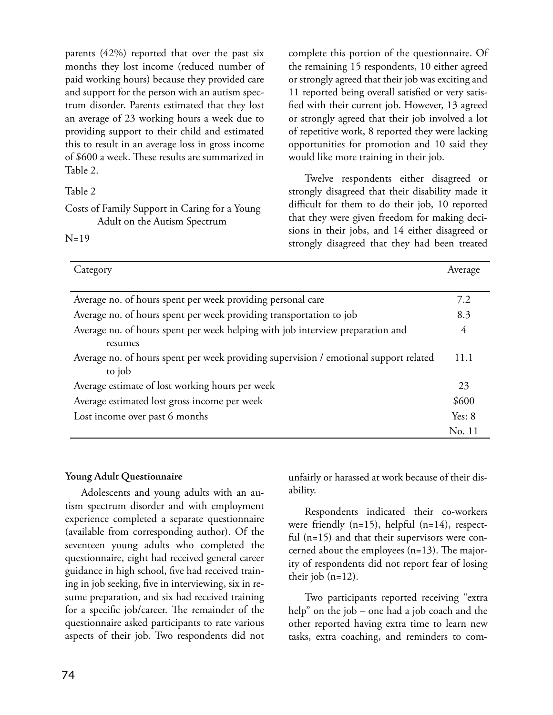parents (42%) reported that over the past six months they lost income (reduced number of paid working hours) because they provided care and support for the person with an autism spectrum disorder. Parents estimated that they lost an average of 23 working hours a week due to providing support to their child and estimated this to result in an average loss in gross income of \$600 a week. These results are summarized in Table 2.

Table 2

Costs of Family Support in Caring for a Young Adult on the Autism Spectrum

 $N=19$ 

complete this portion of the questionnaire. Of the remaining 15 respondents, 10 either agreed or strongly agreed that their job was exciting and 11 reported being overall satisfied or very satisfied with their current job. However, 13 agreed or strongly agreed that their job involved a lot of repetitive work, 8 reported they were lacking opportunities for promotion and 10 said they would like more training in their job.

Twelve respondents either disagreed or strongly disagreed that their disability made it difficult for them to do their job, 10 reported that they were given freedom for making decisions in their jobs, and 14 either disagreed or strongly disagreed that they had been treated

| Category                                                                              | Average  |
|---------------------------------------------------------------------------------------|----------|
|                                                                                       |          |
| Average no. of hours spent per week providing personal care                           | 7.2      |
| Average no. of hours spent per week providing transportation to job                   | 8.3      |
| Average no. of hours spent per week helping with job interview preparation and        |          |
| resumes                                                                               |          |
| Average no. of hours spent per week providing supervision / emotional support related |          |
| to job                                                                                |          |
| Average estimate of lost working hours per week                                       | 23       |
| Average estimated lost gross income per week                                          | \$600    |
| Lost income over past 6 months                                                        | Yes: $8$ |
|                                                                                       | No. 11   |

#### **Young Adult Questionnaire**

Adolescents and young adults with an autism spectrum disorder and with employment experience completed a separate questionnaire (available from corresponding author). Of the seventeen young adults who completed the questionnaire, eight had received general career guidance in high school, five had received training in job seeking, five in interviewing, six in resume preparation, and six had received training for a specific job/career. The remainder of the questionnaire asked participants to rate various aspects of their job. Two respondents did not unfairly or harassed at work because of their disability.

Respondents indicated their co-workers were friendly (n=15), helpful (n=14), respectful (n=15) and that their supervisors were concerned about the employees (n=13). The majority of respondents did not report fear of losing their job (n=12).

Two participants reported receiving "extra help" on the job – one had a job coach and the other reported having extra time to learn new tasks, extra coaching, and reminders to com-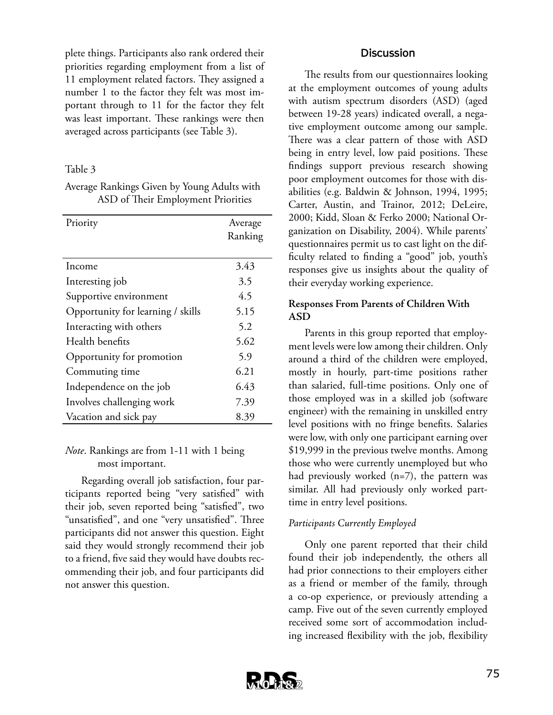plete things. Participants also rank ordered their priorities regarding employment from a list of 11 employment related factors. They assigned a number 1 to the factor they felt was most important through to 11 for the factor they felt was least important. These rankings were then averaged across participants (see Table 3).

#### Table 3

Average Rankings Given by Young Adults with ASD of Their Employment Priorities

| Priority                          | Average |
|-----------------------------------|---------|
|                                   | Ranking |
|                                   |         |
| Income                            | 3.43    |
| Interesting job                   | 3.5     |
| Supportive environment            | 4.5     |
| Opportunity for learning / skills | 5.15    |
| Interacting with others           | 5.2     |
| Health benefits                   | 5.62    |
| Opportunity for promotion         | 5.9     |
| Commuting time                    | 6.21    |
| Independence on the job           | 6.43    |
| Involves challenging work         | 7.39    |
| Vacation and sick pay             | 8.39    |

#### *Note*. Rankings are from 1-11 with 1 being most important.

Regarding overall job satisfaction, four participants reported being "very satisfied" with their job, seven reported being "satisfied", two "unsatisfied", and one "very unsatisfied". Three participants did not answer this question. Eight said they would strongly recommend their job to a friend, five said they would have doubts recommending their job, and four participants did not answer this question.

#### **Discussion**

The results from our questionnaires looking at the employment outcomes of young adults with autism spectrum disorders (ASD) (aged between 19-28 years) indicated overall, a negative employment outcome among our sample. There was a clear pattern of those with ASD being in entry level, low paid positions. These findings support previous research showing poor employment outcomes for those with disabilities (e.g. Baldwin & Johnson, 1994, 1995; Carter, Austin, and Trainor, 2012; DeLeire, 2000; Kidd, Sloan & Ferko 2000; National Organization on Disability, 2004). While parents' questionnaires permit us to cast light on the difficulty related to finding a "good" job, youth's responses give us insights about the quality of their everyday working experience.

#### **Responses From Parents of Children With ASD**

Parents in this group reported that employment levels were low among their children. Only around a third of the children were employed, mostly in hourly, part-time positions rather than salaried, full-time positions. Only one of those employed was in a skilled job (software engineer) with the remaining in unskilled entry level positions with no fringe benefits. Salaries were low, with only one participant earning over \$19,999 in the previous twelve months. Among those who were currently unemployed but who had previously worked (n=7), the pattern was similar. All had previously only worked parttime in entry level positions.

#### *Participants Currently Employed*

Only one parent reported that their child found their job independently, the others all had prior connections to their employers either as a friend or member of the family, through a co-op experience, or previously attending a camp. Five out of the seven currently employed received some sort of accommodation including increased flexibility with the job, flexibility

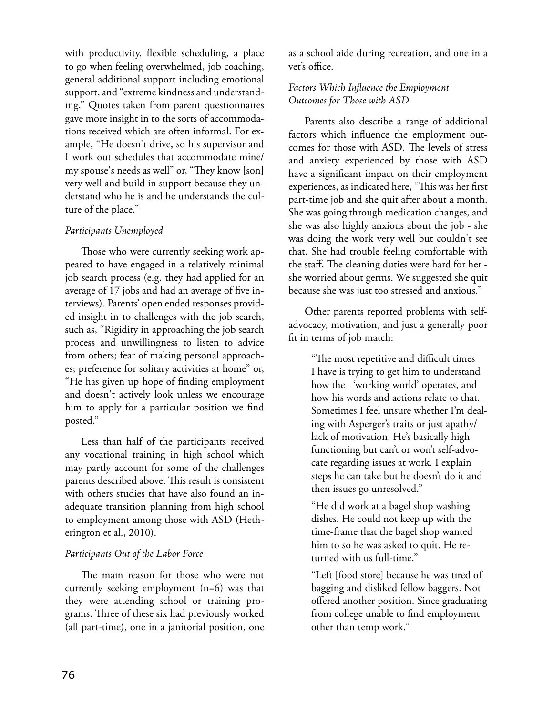with productivity, flexible scheduling, a place to go when feeling overwhelmed, job coaching, general additional support including emotional support, and "extreme kindness and understanding." Quotes taken from parent questionnaires gave more insight in to the sorts of accommodations received which are often informal. For example, "He doesn't drive, so his supervisor and I work out schedules that accommodate mine/ my spouse's needs as well" or, "They know [son] very well and build in support because they understand who he is and he understands the culture of the place."

#### *Participants Unemployed*

Those who were currently seeking work appeared to have engaged in a relatively minimal job search process (e.g. they had applied for an average of 17 jobs and had an average of five interviews). Parents' open ended responses provided insight in to challenges with the job search, such as, "Rigidity in approaching the job search process and unwillingness to listen to advice from others; fear of making personal approaches; preference for solitary activities at home" or, "He has given up hope of finding employment and doesn't actively look unless we encourage him to apply for a particular position we find posted."

Less than half of the participants received any vocational training in high school which may partly account for some of the challenges parents described above. This result is consistent with others studies that have also found an inadequate transition planning from high school to employment among those with ASD (Hetherington et al., 2010).

#### *Participants Out of the Labor Force*

The main reason for those who were not currently seeking employment (n=6) was that they were attending school or training programs. Three of these six had previously worked (all part-time), one in a janitorial position, one as a school aide during recreation, and one in a vet's office.

#### *Factors Which Influence the Employment Outcomes for Those with ASD*

Parents also describe a range of additional factors which influence the employment outcomes for those with ASD. The levels of stress and anxiety experienced by those with ASD have a significant impact on their employment experiences, as indicated here, "This was her first part-time job and she quit after about a month. She was going through medication changes, and she was also highly anxious about the job - she was doing the work very well but couldn't see that. She had trouble feeling comfortable with the staff. The cleaning duties were hard for her she worried about germs. We suggested she quit because she was just too stressed and anxious."

Other parents reported problems with selfadvocacy, motivation, and just a generally poor fit in terms of job match:

> "The most repetitive and difficult times I have is trying to get him to understand how the 'working world' operates, and how his words and actions relate to that. Sometimes I feel unsure whether I'm dealing with Asperger's traits or just apathy/ lack of motivation. He's basically high functioning but can't or won't self-advocate regarding issues at work. I explain steps he can take but he doesn't do it and then issues go unresolved."

"He did work at a bagel shop washing dishes. He could not keep up with the time-frame that the bagel shop wanted him to so he was asked to quit. He returned with us full-time."

"Left [food store] because he was tired of bagging and disliked fellow baggers. Not offered another position. Since graduating from college unable to find employment other than temp work."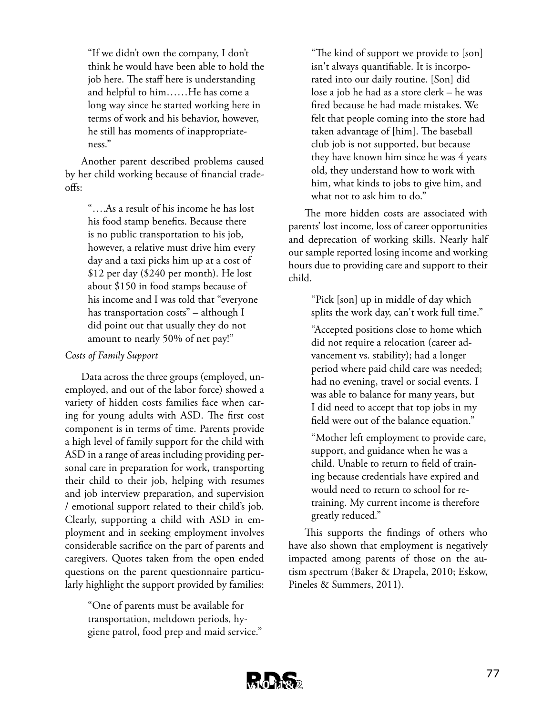"If we didn't own the company, I don't think he would have been able to hold the job here. The staff here is understanding and helpful to him……He has come a long way since he started working here in terms of work and his behavior, however, he still has moments of inappropriateness."

Another parent described problems caused by her child working because of financial tradeoffs:

> "….As a result of his income he has lost his food stamp benefits. Because there is no public transportation to his job, however, a relative must drive him every day and a taxi picks him up at a cost of \$12 per day (\$240 per month). He lost about \$150 in food stamps because of his income and I was told that "everyone has transportation costs" – although I did point out that usually they do not amount to nearly 50% of net pay!"

#### *Costs of Family Support*

Data across the three groups (employed, unemployed, and out of the labor force) showed a variety of hidden costs families face when caring for young adults with ASD. The first cost component is in terms of time. Parents provide a high level of family support for the child with ASD in a range of areas including providing personal care in preparation for work, transporting their child to their job, helping with resumes and job interview preparation, and supervision / emotional support related to their child's job. Clearly, supporting a child with ASD in employment and in seeking employment involves considerable sacrifice on the part of parents and caregivers. Quotes taken from the open ended questions on the parent questionnaire particularly highlight the support provided by families:

> "One of parents must be available for transportation, meltdown periods, hygiene patrol, food prep and maid service."

"The kind of support we provide to [son] isn't always quantifiable. It is incorporated into our daily routine. [Son] did lose a job he had as a store clerk – he was fired because he had made mistakes. We felt that people coming into the store had taken advantage of [him]. The baseball club job is not supported, but because they have known him since he was 4 years old, they understand how to work with him, what kinds to jobs to give him, and what not to ask him to do."

The more hidden costs are associated with parents' lost income, loss of career opportunities and deprecation of working skills. Nearly half our sample reported losing income and working hours due to providing care and support to their child.

> "Pick [son] up in middle of day which splits the work day, can't work full time."

> "Accepted positions close to home which did not require a relocation (career advancement vs. stability); had a longer period where paid child care was needed; had no evening, travel or social events. I was able to balance for many years, but I did need to accept that top jobs in my field were out of the balance equation."

"Mother left employment to provide care, support, and guidance when he was a child. Unable to return to field of training because credentials have expired and would need to return to school for retraining. My current income is therefore greatly reduced."

This supports the findings of others who have also shown that employment is negatively impacted among parents of those on the autism spectrum (Baker & Drapela, 2010; Eskow, Pineles & Summers, 2011).

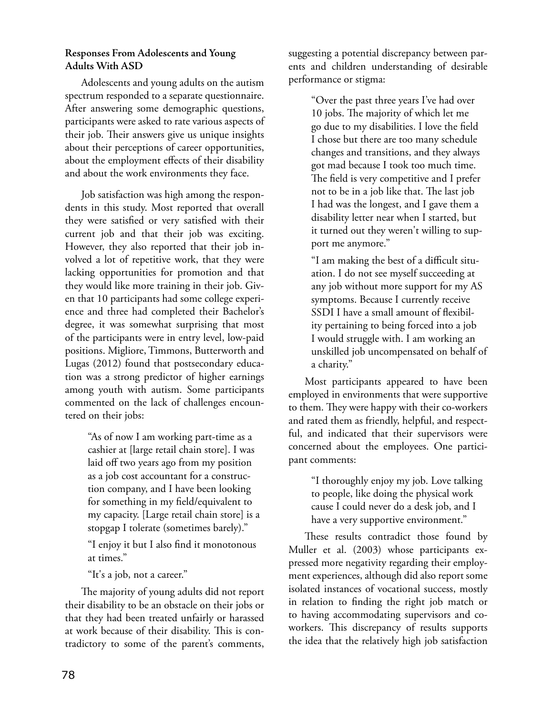#### **Responses From Adolescents and Young Adults With ASD**

Adolescents and young adults on the autism spectrum responded to a separate questionnaire. After answering some demographic questions, participants were asked to rate various aspects of their job. Their answers give us unique insights about their perceptions of career opportunities, about the employment effects of their disability and about the work environments they face.

Job satisfaction was high among the respondents in this study. Most reported that overall they were satisfied or very satisfied with their current job and that their job was exciting. However, they also reported that their job involved a lot of repetitive work, that they were lacking opportunities for promotion and that they would like more training in their job. Given that 10 participants had some college experience and three had completed their Bachelor's degree, it was somewhat surprising that most of the participants were in entry level, low-paid positions. Migliore, Timmons, Butterworth and Lugas (2012) found that postsecondary education was a strong predictor of higher earnings among youth with autism. Some participants commented on the lack of challenges encountered on their jobs:

> "As of now I am working part-time as a cashier at [large retail chain store]. I was laid off two years ago from my position as a job cost accountant for a construction company, and I have been looking for something in my field/equivalent to my capacity. [Large retail chain store] is a stopgap I tolerate (sometimes barely)."

"I enjoy it but I also find it monotonous at times."

"It's a job, not a career."

The majority of young adults did not report their disability to be an obstacle on their jobs or that they had been treated unfairly or harassed at work because of their disability. This is contradictory to some of the parent's comments,

suggesting a potential discrepancy between parents and children understanding of desirable performance or stigma:

> "Over the past three years I've had over 10 jobs. The majority of which let me go due to my disabilities. I love the field I chose but there are too many schedule changes and transitions, and they always got mad because I took too much time. The field is very competitive and I prefer not to be in a job like that. The last job I had was the longest, and I gave them a disability letter near when I started, but it turned out they weren't willing to support me anymore."

"I am making the best of a difficult situation. I do not see myself succeeding at any job without more support for my AS symptoms. Because I currently receive SSDI I have a small amount of flexibility pertaining to being forced into a job I would struggle with. I am working an unskilled job uncompensated on behalf of a charity."

Most participants appeared to have been employed in environments that were supportive to them. They were happy with their co-workers and rated them as friendly, helpful, and respectful, and indicated that their supervisors were concerned about the employees. One participant comments:

> "I thoroughly enjoy my job. Love talking to people, like doing the physical work cause I could never do a desk job, and I have a very supportive environment."

These results contradict those found by Muller et al. (2003) whose participants expressed more negativity regarding their employment experiences, although did also report some isolated instances of vocational success, mostly in relation to finding the right job match or to having accommodating supervisors and coworkers. This discrepancy of results supports the idea that the relatively high job satisfaction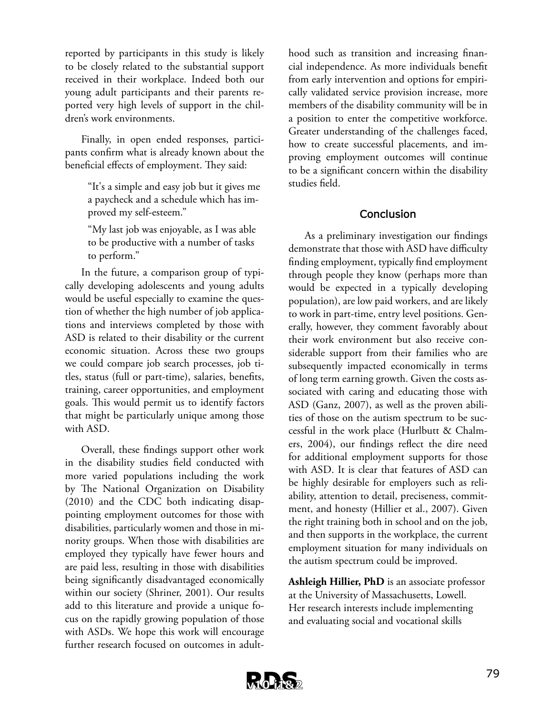reported by participants in this study is likely to be closely related to the substantial support received in their workplace. Indeed both our young adult participants and their parents reported very high levels of support in the children's work environments.

Finally, in open ended responses, participants confirm what is already known about the beneficial effects of employment. They said:

> "It's a simple and easy job but it gives me a paycheck and a schedule which has improved my self-esteem."

"My last job was enjoyable, as I was able to be productive with a number of tasks to perform."

In the future, a comparison group of typically developing adolescents and young adults would be useful especially to examine the question of whether the high number of job applications and interviews completed by those with ASD is related to their disability or the current economic situation. Across these two groups we could compare job search processes, job titles, status (full or part-time), salaries, benefits, training, career opportunities, and employment goals. This would permit us to identify factors that might be particularly unique among those with ASD.

Overall, these findings support other work in the disability studies field conducted with more varied populations including the work by The National Organization on Disability (2010) and the CDC both indicating disappointing employment outcomes for those with disabilities, particularly women and those in minority groups. When those with disabilities are employed they typically have fewer hours and are paid less, resulting in those with disabilities being significantly disadvantaged economically within our society (Shriner, 2001). Our results add to this literature and provide a unique focus on the rapidly growing population of those with ASDs. We hope this work will encourage further research focused on outcomes in adult-

hood such as transition and increasing financial independence. As more individuals benefit from early intervention and options for empirically validated service provision increase, more members of the disability community will be in a position to enter the competitive workforce. Greater understanding of the challenges faced, how to create successful placements, and improving employment outcomes will continue to be a significant concern within the disability studies field.

#### **Conclusion**

As a preliminary investigation our findings demonstrate that those with ASD have difficulty finding employment, typically find employment through people they know (perhaps more than would be expected in a typically developing population), are low paid workers, and are likely to work in part-time, entry level positions. Generally, however, they comment favorably about their work environment but also receive considerable support from their families who are subsequently impacted economically in terms of long term earning growth. Given the costs associated with caring and educating those with ASD (Ganz, 2007), as well as the proven abilities of those on the autism spectrum to be successful in the work place (Hurlbutt & Chalmers, 2004), our findings reflect the dire need for additional employment supports for those with ASD. It is clear that features of ASD can be highly desirable for employers such as reliability, attention to detail, preciseness, commitment, and honesty (Hillier et al., 2007). Given the right training both in school and on the job, and then supports in the workplace, the current employment situation for many individuals on the autism spectrum could be improved.

**Ashleigh Hillier, PhD** is an associate professor at the University of Massachusetts, Lowell. Her research interests include implementing and evaluating social and vocational skills

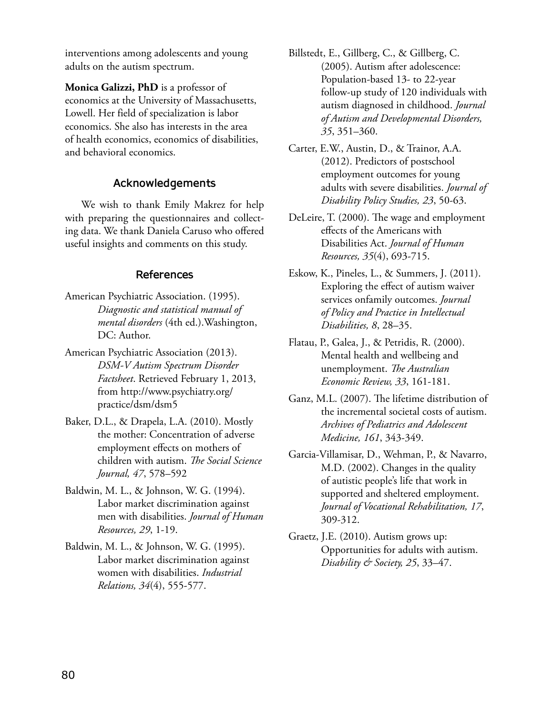interventions among adolescents and young adults on the autism spectrum.

**Monica Galizzi, PhD** is a professor of economics at the University of Massachusetts, Lowell. Her field of specialization is labor economics. She also has interests in the area of health economics, economics of disabilities, and behavioral economics.

#### **Acknowledgements**

We wish to thank Emily Makrez for help with preparing the questionnaires and collecting data. We thank Daniela Caruso who offered useful insights and comments on this study.

#### **References**

- American Psychiatric Association. (1995). *Diagnostic and statistical manual of mental disorders* (4th ed.).Washington, DC: Author.
- American Psychiatric Association (2013). *DSM-V Autism Spectrum Disorder Factsheet*. Retrieved February 1, 2013, from http://www.psychiatry.org/ practice/dsm/dsm5
- Baker, D.L., & Drapela, L.A. (2010). Mostly the mother: Concentration of adverse employment effects on mothers of children with autism. *The Social Science Journal, 47*, 578–592
- Baldwin, M. L., & Johnson, W. G. (1994). Labor market discrimination against men with disabilities. *Journal of Human Resources, 29*, 1-19.
- Baldwin, M. L., & Johnson, W. G. (1995). Labor market discrimination against women with disabilities. *Industrial Relations, 34*(4), 555-577.
- Billstedt, E., Gillberg, C., & Gillberg, C. (2005). Autism after adolescence: Population-based 13- to 22-year follow-up study of 120 individuals with autism diagnosed in childhood. *Journal of Autism and Developmental Disorders, 35*, 351–360.
- Carter, E.W., Austin, D., & Trainor, A.A. (2012). Predictors of postschool employment outcomes for young adults with severe disabilities. *Journal of Disability Policy Studies, 23*, 50-63.
- DeLeire, T. (2000). The wage and employment effects of the Americans with Disabilities Act. *Journal of Human Resources, 35*(4), 693-715.
- Eskow, K., Pineles, L., & Summers, J. (2011). Exploring the effect of autism waiver services onfamily outcomes. *Journal of Policy and Practice in Intellectual Disabilities, 8*, 28–35.
- Flatau, P., Galea, J., & Petridis, R. (2000). Mental health and wellbeing and unemployment. *The Australian Economic Review, 33*, 161-181.
- Ganz, M.L. (2007). The lifetime distribution of the incremental societal costs of autism. *Archives of Pediatrics and Adolescent Medicine, 161*, 343-349.
- Garcia-Villamisar, D., Wehman, P., & Navarro, M.D. (2002). Changes in the quality of autistic people's life that work in supported and sheltered employment. *Journal of Vocational Rehabilitation, 17*, 309-312.
- Graetz, J.E. (2010). Autism grows up: Opportunities for adults with autism. *Disability & Society, 25*, 33–47.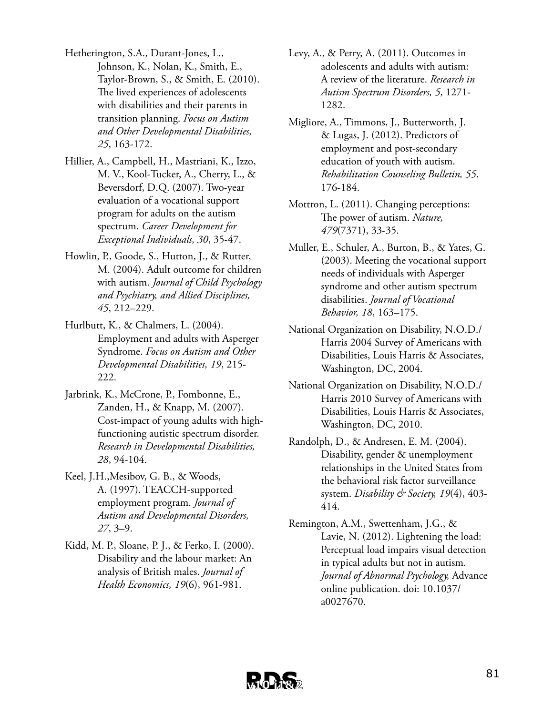- Hetherington, S.A., Durant-Jones, L., Johnson, K., Nolan, K., Smith, E., Taylor-Brown, S., & Smith, E. (2010). The lived experiences of adolescents with disabilities and their parents in transition planning. *Focus on Autism and Other Developmental Disabilities, 25*, 163-172.
- Hillier, A., Campbell, H., Mastriani, K., Izzo, M. V., Kool-Tucker, A., Cherry, L., & Beversdorf, D.Q. (2007). Two-year evaluation of a vocational support program for adults on the autism spectrum. *Career Development for Exceptional Individuals, 30*, 35-47.
- Howlin, P., Goode, S., Hutton, J., & Rutter, M. (2004). Adult outcome for children with autism. *Journal of Child Psychology and Psychiatry, and Allied Disciplines, 45*, 212–229.
- Hurlbutt, K., & Chalmers, L. (2004). Employment and adults with Asperger Syndrome. *Focus on Autism and Other Developmental Disabilities, 19*, 215- 222.
- Jarbrink, K., McCrone, P., Fombonne, E., Zanden, H., & Knapp, M. (2007). Cost-impact of young adults with highfunctioning autistic spectrum disorder. *Research in Developmental Disabilities, 28*, 94-104.
- Keel, J.H.,Mesibov, G. B., & Woods, A. (1997). TEACCH-supported employment program. *Journal of Autism and Developmental Disorders, 27*, 3–9.
- Kidd, M. P., Sloane, P. J., & Ferko, I. (2000). Disability and the labour market: An analysis of British males. *Journal of Health Economics, 19*(6), 961-981.
- Levy, A., & Perry, A. (2011). Outcomes in adolescents and adults with autism: A review of the literature. *Research in Autism Spectrum Disorders, 5*, 1271- 1282.
- Migliore, A., Timmons, J., Butterworth, J. & Lugas, J. (2012). Predictors of employment and post-secondary education of youth with autism. *Rehabilitation Counseling Bulletin, 55*, 176-184.
- Mottron, L. (2011). Changing perceptions: The power of autism. *Nature, 479*(7371), 33-35.
- Muller, E., Schuler, A., Burton, B., & Yates, G. (2003). Meeting the vocational support needs of individuals with Asperger syndrome and other autism spectrum disabilities. *Journal of Vocational Behavior, 18*, 163–175.
- National Organization on Disability, N.O.D./ Harris 2004 Survey of Americans with Disabilities, Louis Harris & Associates, Washington, DC, 2004.
- National Organization on Disability, N.O.D./ Harris 2010 Survey of Americans with Disabilities, Louis Harris & Associates, Washington, DC, 2010.
- Randolph, D., & Andresen, E. M. (2004). Disability, gender & unemployment relationships in the United States from the behavioral risk factor surveillance system. *Disability & Society, 19*(4), 403- 414.
- Remington, A.M., Swettenham, J.G., & Lavie, N. (2012). Lightening the load: Perceptual load impairs visual detection in typical adults but not in autism. *Journal of Abnormal Psychology,* Advance online publication. doi: 10.1037/ a0027670.

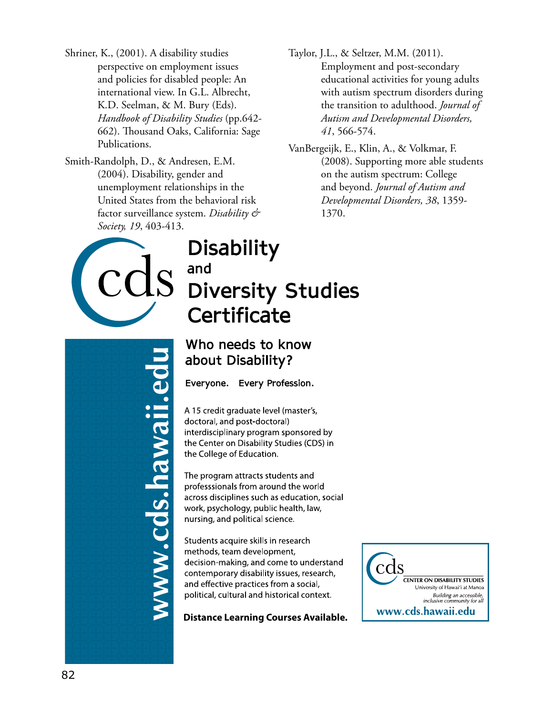- Shriner, K., (2001). A disability studies perspective on employment issues and policies for disabled people: An international view. In G.L. Albrecht, K.D. Seelman, & M. Bury (Eds). *Handbook of Disability Studies* (pp.642- 662). Thousand Oaks, California: Sage Publications.
- Smith-Randolph, D., & Andresen, E.M. (2004). Disability, gender and unemployment relationships in the United States from the behavioral risk factor surveillance system. *Disability & Society, 19*, 403-413.
- Taylor, J.L., & Seltzer, M.M. (2011). Employment and post-secondary educational activities for young adults with autism spectrum disorders during the transition to adulthood. *Journal of Autism and Developmental Disorders, 41*, 566-574.
- VanBergeijk, E., Klin, A., & Volkmar, F. (2008). Supporting more able students on the autism spectrum: College and beyond. *Journal of Autism and Developmental Disorders, 38*, 1359- 1370.



# **Disability** and **Diversity Studies** Certificate

Who needs to know about Disability?

Everyone. Every Profession.

A 15 credit graduate level (master's, doctoral, and post-doctoral) interdisciplinary program sponsored by the Center on Disability Studies (CDS) in the College of Education.

The program attracts students and professsionals from around the world across disciplines such as education, social work, psychology, public health, law, nursing, and political science.

Students acquire skills in research methods, team development, decision-making, and come to understand contemporary disability issues, research, and effective practices from a social, political, cultural and historical context.

**Distance Learning Courses Available.**



.cds.hawaii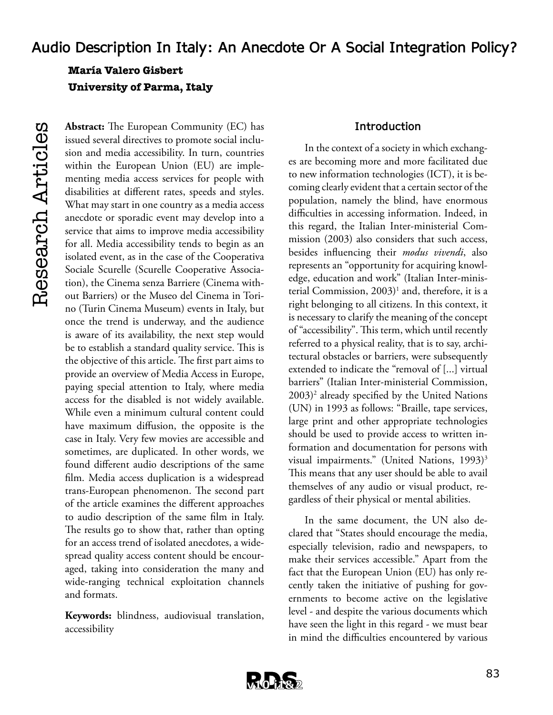**María Valero Gisbert University of Parma, Italy**

**Abstract:** The European Community (EC) has issued several directives to promote social inclusion and media accessibility. In turn, countries within the European Union (EU) are implementing media access services for people with disabilities at different rates, speeds and styles. What may start in one country as a media access anecdote or sporadic event may develop into a service that aims to improve media accessibility for all. Media accessibility tends to begin as an isolated event, as in the case of the Cooperativa Sociale Scurelle (Scurelle Cooperative Association), the Cinema senza Barriere (Cinema without Barriers) or the Museo del Cinema in Torino (Turin Cinema Museum) events in Italy, but once the trend is underway, and the audience is aware of its availability, the next step would be to establish a standard quality service. This is the objective of this article. The first part aims to provide an overview of Media Access in Europe, paying special attention to Italy, where media access for the disabled is not widely available. While even a minimum cultural content could have maximum diffusion, the opposite is the case in Italy. Very few movies are accessible and sometimes, are duplicated. In other words, we found different audio descriptions of the same film. Media access duplication is a widespread trans-European phenomenon. The second part of the article examines the different approaches to audio description of the same film in Italy. The results go to show that, rather than opting for an access trend of isolated anecdotes, a widespread quality access content should be encouraged, taking into consideration the many and wide-ranging technical exploitation channels and formats.

**Keywords:** blindness, audiovisual translation, accessibility

#### **Introduction**

In the context of a society in which exchanges are becoming more and more facilitated due to new information technologies (ICT), it is becoming clearly evident that a certain sector of the population, namely the blind, have enormous difficulties in accessing information. Indeed, in this regard, the Italian Inter-ministerial Commission (2003) also considers that such access, besides influencing their *modus vivendi*, also represents an "opportunity for acquiring knowledge, education and work" (Italian Inter-ministerial Commission, 2003)<sup>1</sup> and, therefore, it is a right belonging to all citizens. In this context, it is necessary to clarify the meaning of the concept of "accessibility". This term, which until recently referred to a physical reality, that is to say, architectural obstacles or barriers, were subsequently extended to indicate the "removal of [...] virtual barriers" (Italian Inter-ministerial Commission, 2003)2 already specified by the United Nations (UN) in 1993 as follows: "Braille, tape services, large print and other appropriate technologies should be used to provide access to written information and documentation for persons with visual impairments." (United Nations, 1993)<sup>3</sup> This means that any user should be able to avail themselves of any audio or visual product, regardless of their physical or mental abilities.

In the same document, the UN also declared that "States should encourage the media, especially television, radio and newspapers, to make their services accessible." Apart from the fact that the European Union (EU) has only recently taken the initiative of pushing for governments to become active on the legislative level - and despite the various documents which have seen the light in this regard - we must bear in mind the difficulties encountered by various

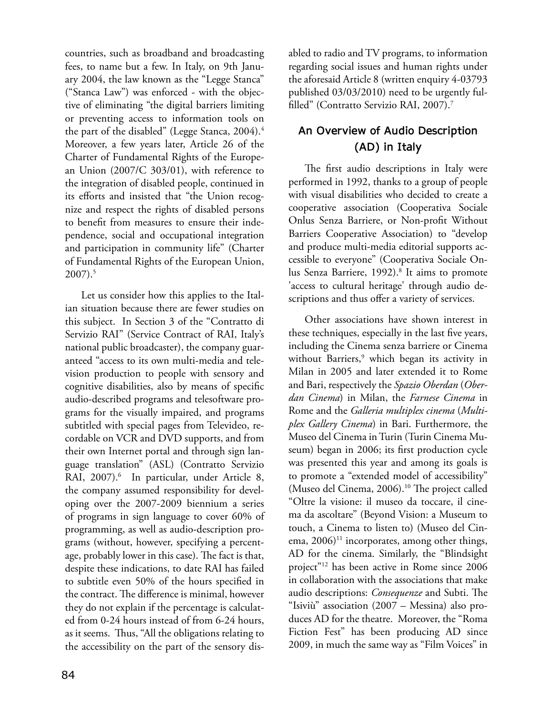countries, such as broadband and broadcasting fees, to name but a few. In Italy, on 9th January 2004, the law known as the "Legge Stanca" ("Stanca Law") was enforced - with the objective of eliminating "the digital barriers limiting or preventing access to information tools on the part of the disabled" (Legge Stanca, 2004).<sup>4</sup> Moreover, a few years later, Article 26 of the Charter of Fundamental Rights of the European Union (2007/C 303/01), with reference to the integration of disabled people, continued in its efforts and insisted that "the Union recognize and respect the rights of disabled persons to benefit from measures to ensure their independence, social and occupational integration and participation in community life" (Charter of Fundamental Rights of the European Union, 2007).5

Let us consider how this applies to the Italian situation because there are fewer studies on this subject. In Section 3 of the "Contratto di Servizio RAI" (Service Contract of RAI, Italy's national public broadcaster), the company guaranteed "access to its own multi-media and television production to people with sensory and cognitive disabilities, also by means of specific audio-described programs and telesoftware programs for the visually impaired, and programs subtitled with special pages from Televideo, recordable on VCR and DVD supports, and from their own Internet portal and through sign language translation" (ASL) (Contratto Servizio RAI, 2007).<sup>6</sup> In particular, under Article 8, the company assumed responsibility for developing over the 2007-2009 biennium a series of programs in sign language to cover 60% of programming, as well as audio-description programs (without, however, specifying a percentage, probably lower in this case). The fact is that, despite these indications, to date RAI has failed to subtitle even 50% of the hours specified in the contract. The difference is minimal, however they do not explain if the percentage is calculated from 0-24 hours instead of from 6-24 hours, as it seems. Thus, "All the obligations relating to the accessibility on the part of the sensory disabled to radio and TV programs, to information regarding social issues and human rights under the aforesaid Article 8 (written enquiry 4-03793 published 03/03/2010) need to be urgently fulfilled" (Contratto Servizio RAI, 2007).7

# **An Overview of Audio Description (AD) in Italy**

The first audio descriptions in Italy were performed in 1992, thanks to a group of people with visual disabilities who decided to create a cooperative association (Cooperativa Sociale Onlus Senza Barriere, or Non-profit Without Barriers Cooperative Association) to "develop and produce multi-media editorial supports accessible to everyone" (Cooperativa Sociale Onlus Senza Barriere, 1992).<sup>8</sup> It aims to promote 'access to cultural heritage' through audio descriptions and thus offer a variety of services.

Other associations have shown interest in these techniques, especially in the last five years, including the Cinema senza barriere or Cinema without Barriers,<sup>9</sup> which began its activity in Milan in 2005 and later extended it to Rome and Bari, respectively the *Spazio Oberdan* (*Oberdan Cinema*) in Milan, the *Farnese Cinema* in Rome and the *Galleria multiplex cinema* (*Multiplex Gallery Cinema*) in Bari. Furthermore, the Museo del Cinema in Turin (Turin Cinema Museum) began in 2006; its first production cycle was presented this year and among its goals is to promote a "extended model of accessibility" (Museo del Cinema, 2006).10 The project called "Oltre la visione: il museo da toccare, il cinema da ascoltare" (Beyond Vision: a Museum to touch, a Cinema to listen to) (Museo del Cinema,  $2006$ <sup>11</sup> incorporates, among other things, AD for the cinema. Similarly, the "Blindsight project"12 has been active in Rome since 2006 in collaboration with the associations that make audio descriptions: *Consequenze* and Subti. The "Isiviù" association (2007 – Messina) also produces AD for the theatre. Moreover, the "Roma Fiction Fest" has been producing AD since 2009, in much the same way as "Film Voices" in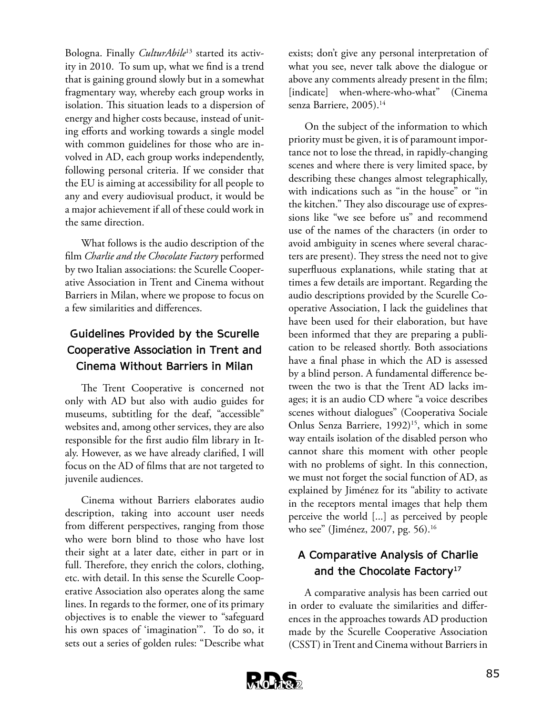Bologna. Finally *CulturAbile*13 started its activity in 2010. To sum up, what we find is a trend that is gaining ground slowly but in a somewhat fragmentary way, whereby each group works in isolation. This situation leads to a dispersion of energy and higher costs because, instead of uniting efforts and working towards a single model with common guidelines for those who are involved in AD, each group works independently, following personal criteria. If we consider that the EU is aiming at accessibility for all people to any and every audiovisual product, it would be a major achievement if all of these could work in the same direction.

What follows is the audio description of the film *Charlie and the Chocolate Factory* performed by two Italian associations: the Scurelle Cooperative Association in Trent and Cinema without Barriers in Milan, where we propose to focus on a few similarities and differences.

# **Guidelines Provided by the Scurelle Cooperative Association in Trent and Cinema Without Barriers in Milan**

The Trent Cooperative is concerned not only with AD but also with audio guides for museums, subtitling for the deaf, "accessible" websites and, among other services, they are also responsible for the first audio film library in Italy. However, as we have already clarified, I will focus on the AD of films that are not targeted to juvenile audiences.

Cinema without Barriers elaborates audio description, taking into account user needs from different perspectives, ranging from those who were born blind to those who have lost their sight at a later date, either in part or in full. Therefore, they enrich the colors, clothing, etc. with detail. In this sense the Scurelle Cooperative Association also operates along the same lines. In regards to the former, one of its primary objectives is to enable the viewer to "safeguard his own spaces of 'imagination'". To do so, it sets out a series of golden rules: "Describe what

exists; don't give any personal interpretation of what you see, never talk above the dialogue or above any comments already present in the film; [indicate] when-where-who-what" (Cinema senza Barriere, 2005).<sup>14</sup>

On the subject of the information to which priority must be given, it is of paramount importance not to lose the thread, in rapidly-changing scenes and where there is very limited space, by describing these changes almost telegraphically, with indications such as "in the house" or "in the kitchen." They also discourage use of expressions like "we see before us" and recommend use of the names of the characters (in order to avoid ambiguity in scenes where several characters are present). They stress the need not to give superfluous explanations, while stating that at times a few details are important. Regarding the audio descriptions provided by the Scurelle Cooperative Association, I lack the guidelines that have been used for their elaboration, but have been informed that they are preparing a publication to be released shortly. Both associations have a final phase in which the AD is assessed by a blind person. A fundamental difference between the two is that the Trent AD lacks images; it is an audio CD where "a voice describes scenes without dialogues" (Cooperativa Sociale Onlus Senza Barriere, 1992)<sup>15</sup>, which in some way entails isolation of the disabled person who cannot share this moment with other people with no problems of sight. In this connection, we must not forget the social function of AD, as explained by Jiménez for its "ability to activate in the receptors mental images that help them perceive the world [...] as perceived by people who see" (Jiménez, 2007, pg. 56).<sup>16</sup>

# **A Comparative Analysis of Charlie and the Chocolate Factory17**

A comparative analysis has been carried out in order to evaluate the similarities and differences in the approaches towards AD production made by the Scurelle Cooperative Association (CSST) in Trent and Cinema without Barriers in

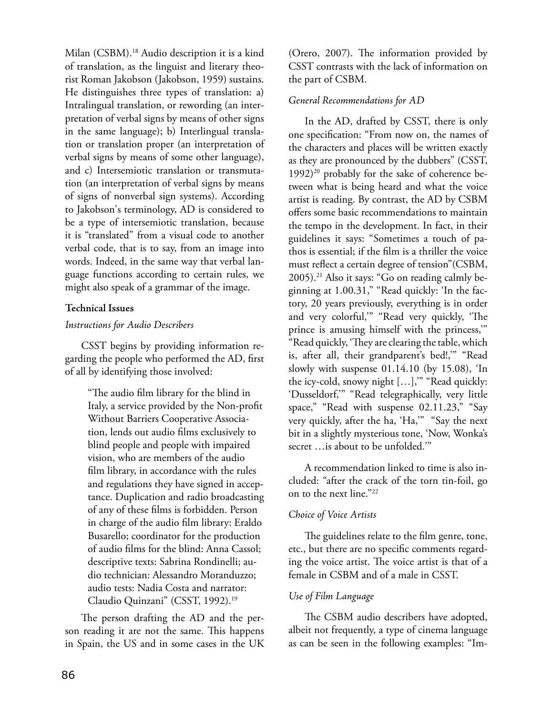Milan (CSBM).18 Audio description it is a kind of translation, as the linguist and literary theorist Roman Jakobson (Jakobson, 1959) sustains. He distinguishes three types of translation: a) Intralingual translation, or rewording (an interpretation of verbal signs by means of other signs in the same language); b) Interlingual translation or translation proper (an interpretation of verbal signs by means of some other language), and c) Intersemiotic translation or transmutation (an interpretation of verbal signs by means of signs of nonverbal sign systems). According to Jakobson's terminology, AD is considered to be a type of intersemiotic translation, because it is "translated" from a visual code to another verbal code, that is to say, from an image into words. Indeed, in the same way that verbal language functions according to certain rules, we might also speak of a grammar of the image.

#### **Technical Issues**

#### *Instructions for Audio Describers*

CSST begins by providing information regarding the people who performed the AD, first of all by identifying those involved:

> "The audio film library for the blind in Italy, a service provided by the Non-profit Without Barriers Cooperative Association, lends out audio films exclusively to blind people and people with impaired vision, who are members of the audio film library, in accordance with the rules and regulations they have signed in acceptance. Duplication and radio broadcasting of any of these films is forbidden. Person in charge of the audio film library: Eraldo Busarello; coordinator for the production of audio films for the blind: Anna Cassol; descriptive texts: Sabrina Rondinelli; audio technician: Alessandro Moranduzzo; audio tests: Nadia Costa and narrator: Claudio Quinzani" (CSST, 1992).<sup>19</sup>

The person drafting the AD and the person reading it are not the same. This happens in Spain, the US and in some cases in the UK

(Orero, 2007). The information provided by CSST contrasts with the lack of information on the part of CSBM.

#### *General Recommendations for AD*

In the AD, drafted by CSST, there is only one specification: "From now on, the names of the characters and places will be written exactly as they are pronounced by the dubbers" (CSST,  $1992)$ <sup>20</sup> probably for the sake of coherence between what is being heard and what the voice artist is reading. By contrast, the AD by CSBM offers some basic recommendations to maintain the tempo in the development. In fact, in their guidelines it says: "Sometimes a touch of pathos is essential; if the film is a thriller the voice must reflect a certain degree of tension"(CSBM, 2005).21 Also it says: "Go on reading calmly beginning at 1.00.31," "Read quickly: 'In the factory, 20 years previously, everything is in order and very colorful,'" "Read very quickly, 'The prince is amusing himself with the princess,'" "Read quickly, 'They are clearing the table, which is, after all, their grandparent's bed!,'" "Read slowly with suspense 01.14.10 (by 15.08), 'In the icy-cold, snowy night […],'" "Read quickly: 'Dusseldorf,'" "Read telegraphically, very little space," "Read with suspense 02.11.23," "Say very quickly, after the ha, 'Ha,'" "Say the next bit in a slightly mysterious tone, 'Now, Wonka's secret …is about to be unfolded.'"

A recommendation linked to time is also included: "after the crack of the torn tin-foil, go on to the next line."22

#### *Choice of Voice Artists*

The guidelines relate to the film genre, tone, etc., but there are no specific comments regarding the voice artist. The voice artist is that of a female in CSBM and of a male in CSST.

#### *Use of Film Language*

The CSBM audio describers have adopted, albeit not frequently, a type of cinema language as can be seen in the following examples: "Im-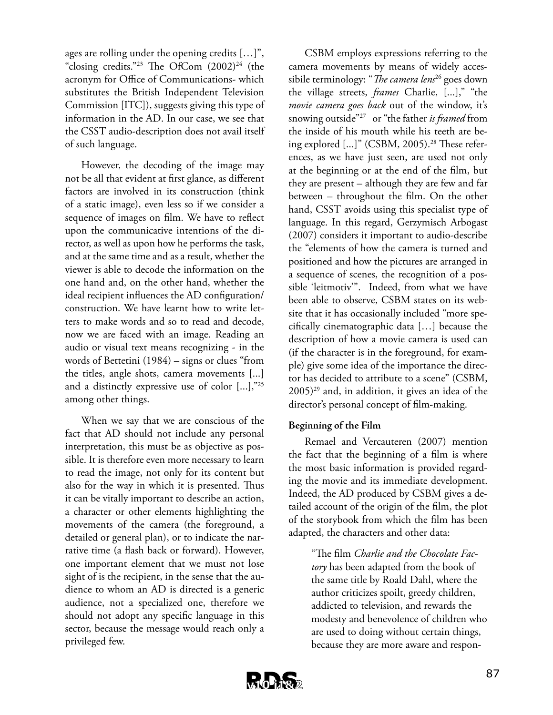ages are rolling under the opening credits […]", "closing credits."<sup>23</sup> The OfCom  $(2002)^{24}$  (the acronym for Office of Communications- which substitutes the British Independent Television Commission [ITC]), suggests giving this type of information in the AD. In our case, we see that the CSST audio-description does not avail itself of such language.

However, the decoding of the image may not be all that evident at first glance, as different factors are involved in its construction (think of a static image), even less so if we consider a sequence of images on film. We have to reflect upon the communicative intentions of the director, as well as upon how he performs the task, and at the same time and as a result, whether the viewer is able to decode the information on the one hand and, on the other hand, whether the ideal recipient influences the AD configuration/ construction. We have learnt how to write letters to make words and so to read and decode, now we are faced with an image. Reading an audio or visual text means recognizing - in the words of Bettetini (1984) – signs or clues "from the titles, angle shots, camera movements [...] and a distinctly expressive use of color [...],"25 among other things.

When we say that we are conscious of the fact that AD should not include any personal interpretation, this must be as objective as possible. It is therefore even more necessary to learn to read the image, not only for its content but also for the way in which it is presented. Thus it can be vitally important to describe an action, a character or other elements highlighting the movements of the camera (the foreground, a detailed or general plan), or to indicate the narrative time (a flash back or forward). However, one important element that we must not lose sight of is the recipient, in the sense that the audience to whom an AD is directed is a generic audience, not a specialized one, therefore we should not adopt any specific language in this sector, because the message would reach only a privileged few.

CSBM employs expressions referring to the camera movements by means of widely accessibile terminology: "*The camera lens*26 goes down the village streets, *frames* Charlie, [...]," "the *movie camera goes back* out of the window, it's snowing outside"27 or "the father *is framed* from the inside of his mouth while his teeth are being explored [...]" (CSBM, 2005).<sup>28</sup> These references, as we have just seen, are used not only at the beginning or at the end of the film, but they are present – although they are few and far between – throughout the film. On the other hand, CSST avoids using this specialist type of language. In this regard, Gerzymisch Arbogast (2007) considers it important to audio-describe the "elements of how the camera is turned and positioned and how the pictures are arranged in a sequence of scenes, the recognition of a possible 'leitmotiv'". Indeed, from what we have been able to observe, CSBM states on its website that it has occasionally included "more specifically cinematographic data […] because the description of how a movie camera is used can (if the character is in the foreground, for example) give some idea of the importance the director has decided to attribute to a scene" (CSBM,  $(2005)^{29}$  and, in addition, it gives an idea of the director's personal concept of film-making.

#### **Beginning of the Film**

Remael and Vercauteren (2007) mention the fact that the beginning of a film is where the most basic information is provided regarding the movie and its immediate development. Indeed, the AD produced by CSBM gives a detailed account of the origin of the film, the plot of the storybook from which the film has been adapted, the characters and other data:

> "The film *Charlie and the Chocolate Factory* has been adapted from the book of the same title by Roald Dahl, where the author criticizes spoilt, greedy children, addicted to television, and rewards the modesty and benevolence of children who are used to doing without certain things, because they are more aware and respon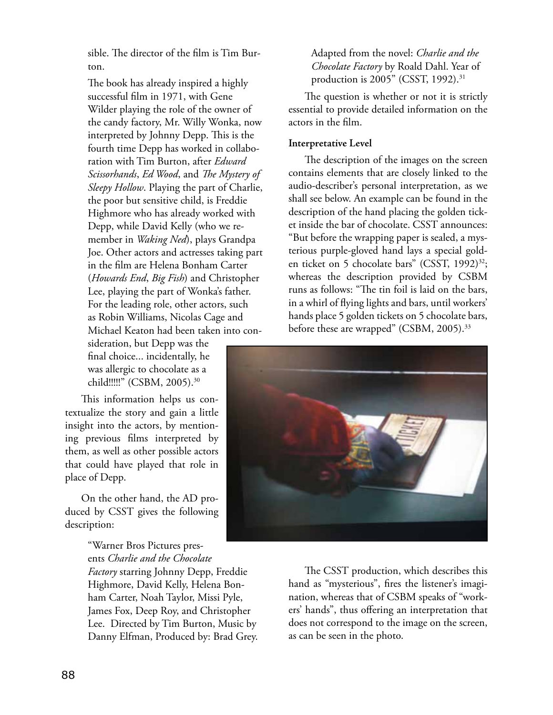sible. The director of the film is Tim Burton.

The book has already inspired a highly successful film in 1971, with Gene Wilder playing the role of the owner of the candy factory, Mr. Willy Wonka, now interpreted by Johnny Depp. This is the fourth time Depp has worked in collaboration with Tim Burton, after *Edward Scissorhands*, *Ed Wood*, and *The Mystery of Sleepy Hollow*. Playing the part of Charlie, the poor but sensitive child, is Freddie Highmore who has already worked with Depp, while David Kelly (who we remember in *Waking Ned*), plays Grandpa Joe. Other actors and actresses taking part in the film are Helena Bonham Carter (*Howards End*, *Big Fish*) and Christopher Lee, playing the part of Wonka's father. For the leading role, other actors, such as Robin Williams, Nicolas Cage and Michael Keaton had been taken into con-

sideration, but Depp was the final choice... incidentally, he was allergic to chocolate as a child!!!!!" (CSBM, 2005).30

This information helps us contextualize the story and gain a little insight into the actors, by mentioning previous films interpreted by them, as well as other possible actors that could have played that role in place of Depp.

On the other hand, the AD produced by CSST gives the following description:

> "Warner Bros Pictures presents *Charlie and the Chocolate Factory* starring Johnny Depp, Freddie Highmore, David Kelly, Helena Bonham Carter, Noah Taylor, Missi Pyle, James Fox, Deep Roy, and Christopher Lee. Directed by Tim Burton, Music by Danny Elfman, Produced by: Brad Grey.

Adapted from the novel: *Charlie and the Chocolate Factory* by Roald Dahl. Year of production is 2005" (CSST, 1992).<sup>31</sup>

The question is whether or not it is strictly essential to provide detailed information on the actors in the film.

#### **Interpretative Level**

The description of the images on the screen contains elements that are closely linked to the audio-describer's personal interpretation, as we shall see below. An example can be found in the description of the hand placing the golden ticket inside the bar of chocolate. CSST announces: "But before the wrapping paper is sealed, a mysterious purple-gloved hand lays a special golden ticket on 5 chocolate bars" (CSST, 1992)<sup>32</sup>; whereas the description provided by CSBM runs as follows: "The tin foil is laid on the bars, in a whirl of flying lights and bars, until workers' hands place 5 golden tickets on 5 chocolate bars, before these are wrapped" (CSBM, 2005).<sup>33</sup>



The CSST production, which describes this hand as "mysterious", fires the listener's imagination, whereas that of CSBM speaks of "workers' hands", thus offering an interpretation that does not correspond to the image on the screen, as can be seen in the photo.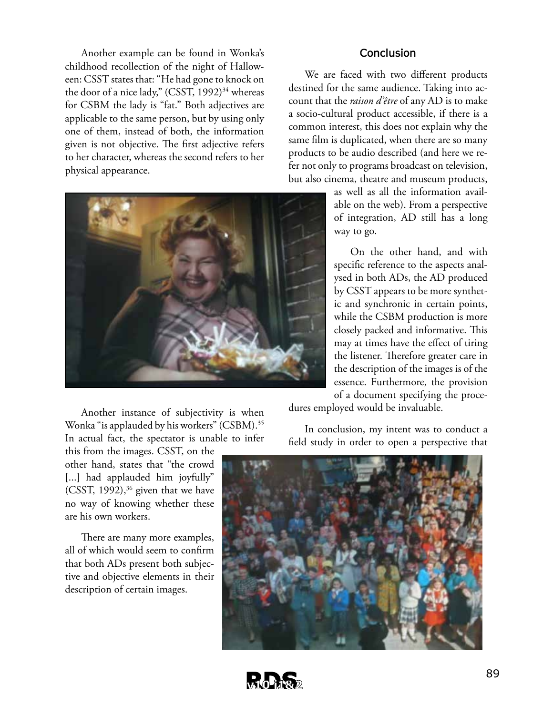Another example can be found in Wonka's childhood recollection of the night of Halloween: CSST states that: "He had gone to knock on the door of a nice lady," (CSST, 1992)<sup>34</sup> whereas for CSBM the lady is "fat." Both adjectives are applicable to the same person, but by using only one of them, instead of both, the information given is not objective. The first adjective refers to her character, whereas the second refers to her physical appearance.



#### **Conclusion**

We are faced with two different products destined for the same audience. Taking into account that the *raison d'être* of any AD is to make a socio-cultural product accessible, if there is a common interest, this does not explain why the same film is duplicated, when there are so many products to be audio described (and here we refer not only to programs broadcast on television, but also cinema, theatre and museum products,

> as well as all the information available on the web). From a perspective of integration, AD still has a long way to go.

> On the other hand, and with specific reference to the aspects analysed in both ADs, the AD produced by CSST appears to be more synthetic and synchronic in certain points, while the CSBM production is more closely packed and informative. This may at times have the effect of tiring the listener. Therefore greater care in the description of the images is of the essence. Furthermore, the provision of a document specifying the proce-

Another instance of subjectivity is when Wonka "is applauded by his workers" (CSBM).35 In actual fact, the spectator is unable to infer

this from the images. CSST, on the other hand, states that "the crowd [...] had applauded him joyfully" (CSST,  $1992$ ),<sup>36</sup> given that we have no way of knowing whether these are his own workers.

There are many more examples, all of which would seem to confirm that both ADs present both subjective and objective elements in their description of certain images.

dures employed would be invaluable.

In conclusion, my intent was to conduct a field study in order to open a perspective that



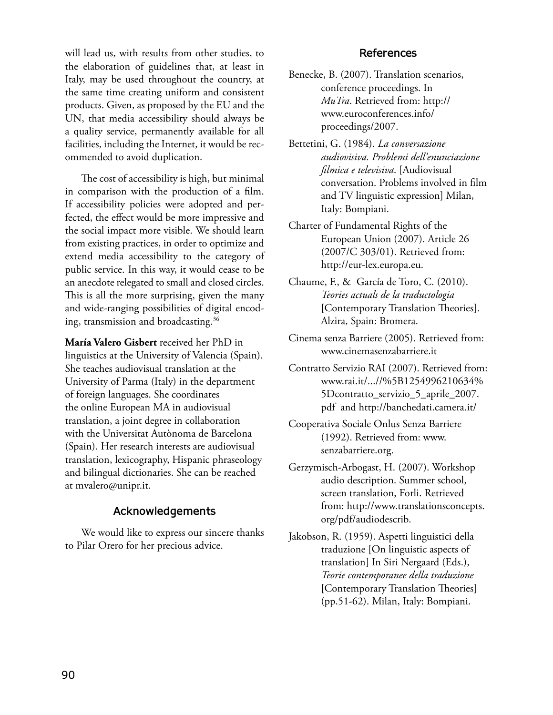will lead us, with results from other studies, to the elaboration of guidelines that, at least in Italy, may be used throughout the country, at the same time creating uniform and consistent products. Given, as proposed by the EU and the UN, that media accessibility should always be a quality service, permanently available for all facilities, including the Internet, it would be recommended to avoid duplication.

The cost of accessibility is high, but minimal in comparison with the production of a film. If accessibility policies were adopted and perfected, the effect would be more impressive and the social impact more visible. We should learn from existing practices, in order to optimize and extend media accessibility to the category of public service. In this way, it would cease to be an anecdote relegated to small and closed circles. This is all the more surprising, given the many and wide-ranging possibilities of digital encoding, transmission and broadcasting.36

**María Valero Gisbert** received her PhD in linguistics at the University of Valencia (Spain). She teaches audiovisual translation at the University of Parma (Italy) in the department of foreign languages. She coordinates the online European MA in audiovisual translation, a joint degree in collaboration with the Universitat Autònoma de Barcelona (Spain). Her research interests are audiovisual translation, lexicography, Hispanic phraseology and bilingual dictionaries. She can be reached at mvalero@unipr.it.

#### **Acknowledgements**

We would like to express our sincere thanks to Pilar Orero for her precious advice.

#### **References**

- Benecke, B. (2007). Translation scenarios, conference proceedings. In *MuTra*. Retrieved from: http:// www.euroconferences.info/ proceedings/2007.
- Bettetini, G. (1984). *La conversazione audiovisiva. Problemi dell'enunciazione filmica e televisiva*. [Audiovisual conversation. Problems involved in film and TV linguistic expression] Milan, Italy: Bompiani.
- Charter of Fundamental Rights of the European Union (2007). Article 26 (2007/C 303/01). Retrieved from: http://eur-lex.europa.eu.
- Chaume, F., & García de Toro, C. (2010). *Teories actuals de la traductologia* [Contemporary Translation Theories]. Alzira, Spain: Bromera.
- Cinema senza Barriere (2005). Retrieved from: www.cinemasenzabarriere.it
- Contratto Servizio RAI (2007). Retrieved from: www.rai.it/...//%5B1254996210634% 5Dcontratto\_servizio\_5\_aprile\_2007. pdf and http://banchedati.camera.it/
- Cooperativa Sociale Onlus Senza Barriere (1992). Retrieved from: www. senzabarriere.org.
- Gerzymisch-Arbogast, H. (2007). Workshop audio description. Summer school, screen translation, Forli. Retrieved from: http://www.translationsconcepts. org/pdf/audiodescrib.
- Jakobson, R. (1959). Aspetti linguistici della traduzione [On linguistic aspects of translation] In Siri Nergaard (Eds.), *Teorie contemporanee della traduzione* [Contemporary Translation Theories] (pp.51-62). Milan, Italy: Bompiani.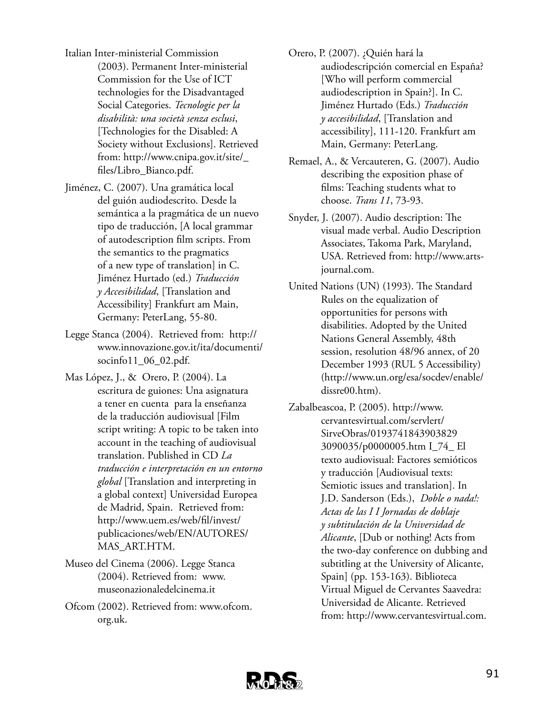- Italian Inter-ministerial Commission (2003). Permanent Inter-ministerial Commission for the Use of ICT technologies for the Disadvantaged Social Categories. *Tecnologie per la disabilità: una società senza esclusi*, [Technologies for the Disabled: A Society without Exclusions]. Retrieved from: http://www.cnipa.gov.it/site/\_ files/Libro\_Bianco.pdf.
- Jiménez, C. (2007). Una gramática local del guión audiodescrito. Desde la semántica a la pragmática de un nuevo tipo de traducción, [A local grammar of autodescription film scripts. From the semantics to the pragmatics of a new type of translation] in C. Jiménez Hurtado (ed.) *Traducción y Accesibilidad*, [Translation and Accessibility] Frankfurt am Main, Germany: PeterLang, 55-80.
- Legge Stanca (2004). Retrieved from: http:// www.innovazione.gov.it/ita/documenti/ socinfo11\_06\_02.pdf.
- Mas López, J., & Orero, P. (2004). La escritura de guiones: Una asignatura a tener en cuenta para la enseñanza de la traducción audiovisual [Film script writing: A topic to be taken into account in the teaching of audiovisual translation. Published in CD *La traducción e interpretación en un entorno global* [Translation and interpreting in a global context] Universidad Europea de Madrid, Spain. Retrieved from: http://www.uem.es/web/fil/invest/ publicaciones/web/EN/AUTORES/ MAS\_ART.HTM.
- Museo del Cinema (2006). Legge Stanca (2004). Retrieved from: www. museonazionaledelcinema.it
- Ofcom (2002). Retrieved from: www.ofcom. org.uk.
- Orero, P. (2007). ¿Quién hará la audiodescripción comercial en España? [Who will perform commercial audiodescription in Spain?]. In C. Jiménez Hurtado (Eds.) *Traducción y accesibilidad*, [Translation and accessibility], 111-120. Frankfurt am Main, Germany: PeterLang.
- Remael, A., & Vercauteren, G. (2007). Audio describing the exposition phase of films: Teaching students what to choose. *Trans 11*, 73-93.
- Snyder, J. (2007). Audio description: The visual made verbal. Audio Description Associates, Takoma Park, Maryland, USA. Retrieved from: http://www.artsjournal.com.
- United Nations (UN) (1993). The Standard Rules on the equalization of opportunities for persons with disabilities. Adopted by the United Nations General Assembly, 48th session, resolution 48/96 annex, of 20 December 1993 (RUL 5 Accessibility) (http://www.un.org/esa/socdev/enable/ dissre00.htm).
- Zabalbeascoa, P. (2005). http://www. cervantesvirtual.com/servlert/ SirveObras/0193741843903829 3090035/p0000005.htm I\_74\_ El texto audiovisual: Factores semióticos y traducción [Audiovisual texts: Semiotic issues and translation]. In J.D. Sanderson (Eds.), *Doble o nada!: Actas de las I I Jornadas de doblaje y subtitulación de la Universidad de Alicante*, [Dub or nothing! Acts from the two-day conference on dubbing and subtitling at the University of Alicante, Spain] (pp. 153-163). Biblioteca Virtual Miguel de Cervantes Saavedra: Universidad de Alicante. Retrieved from: http://www.cervantesvirtual.com.

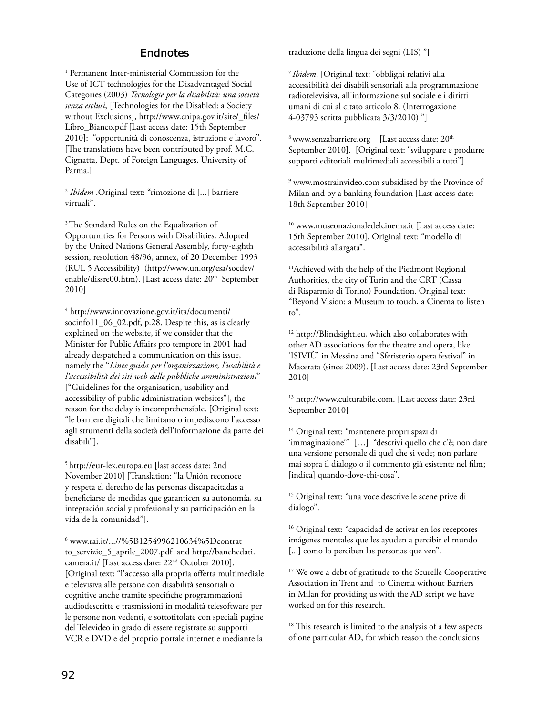#### **Endnotes**

1 Permanent Inter-ministerial Commission for the Use of ICT technologies for the Disadvantaged Social Categories (2003) *Tecnologie per la disabilità: una società senza esclusi*, [Technologies for the Disabled: a Society without Exclusions], http://www.cnipa.gov.it/site/\_files/ Libro\_Bianco.pdf [Last access date: 15th September 2010]: "opportunità di conoscenza, istruzione e lavoro". [The translations have been contributed by prof. M.C. Cignatta, Dept. of Foreign Languages, University of Parma.]

<sup>2</sup> *Ibidem* .Original text: "rimozione di [...] barriere virtuali".

<sup>3</sup> The Standard Rules on the Equalization of Opportunities for Persons with Disabilities. Adopted by the United Nations General Assembly, forty-eighth session, resolution 48/96, annex, of 20 December 1993 (RUL 5 Accessibility) (http://www.un.org/esa/socdev/ enable/dissre00.htm). [Last access date: 20<sup>th</sup> September 2010]

4 http://www.innovazione.gov.it/ita/documenti/ socinfo11\_06\_02.pdf, p.28. Despite this, as is clearly explained on the website, if we consider that the Minister for Public Affairs pro tempore in 2001 had already despatched a communication on this issue, namely the "*Linee guida per l'organizzazione, l'usabilità e l'accessibilità dei siti web delle pubbliche amministrazioni*" ["Guidelines for the organisation, usability and accessibility of public administration websites"], the reason for the delay is incomprehensible. [Original text: "le barriere digitali che limitano o impediscono l'accesso agli strumenti della società dell'informazione da parte dei disabili"].

5 http://eur-lex.europa.eu [last access date: 2nd November 2010] [Translation: "la Unión reconoce y respeta el derecho de las personas discapacitadas a beneficiarse de medidas que garanticen su autonomía, su integración social y profesional y su participación en la vida de la comunidad"].

6 www.rai.it/...//%5B1254996210634%5Dcontrat to\_servizio\_5\_aprile\_2007.pdf and http://banchedati. camera.it/ [Last access date: 22nd October 2010]. [Original text: "l'accesso alla propria offerta multimediale e televisiva alle persone con disabilità sensoriali o cognitive anche tramite specifiche programmazioni audiodescritte e trasmissioni in modalità telesoftware per le persone non vedenti, e sottotitolate con speciali pagine del Televideo in grado di essere registrate su supporti VCR e DVD e del proprio portale internet e mediante la

traduzione della lingua dei segni (LIS) "]

<sup>7</sup>*Ibidem*. [Original text: "obblighi relativi alla accessibilità dei disabili sensoriali alla programmazione radiotelevisiva, all'informazione sul sociale e i diritti umani di cui al citato articolo 8. (Interrogazione 4-03793 scritta pubblicata 3/3/2010) "]

 $8$  www.senzabarriere.org [Last access date:  $20<sup>th</sup>$ September 2010]. [Original text: "sviluppare e produrre supporti editoriali multimediali accessibili a tutti"]

9 www.mostrainvideo.com subsidised by the Province of Milan and by a banking foundation [Last access date: 18th September 2010]

<sup>10</sup> www.museonazionaledelcinema.it [Last access date: 15th September 2010]. Original text: "modello di accessibilità allargata".

<sup>11</sup>Achieved with the help of the Piedmont Regional Authorities, the city of Turin and the CRT (Cassa di Risparmio di Torino) Foundation. Original text: "Beyond Vision: a Museum to touch, a Cinema to listen to".

<sup>12</sup> http://Blindsight.eu, which also collaborates with other AD associations for the theatre and opera, like 'ISIVIÙ' in Messina and "Sferisterio opera festival" in Macerata (since 2009). [Last access date: 23rd September 2010]

13 http://www.culturabile.com. [Last access date: 23rd September 2010]

<sup>14</sup> Original text: "mantenere propri spazi di 'immaginazione'" […] "descrivi quello che c'è; non dare una versione personale di quel che si vede; non parlare mai sopra il dialogo o il commento già esistente nel film; [indica] quando-dove-chi-cosa".

15 Original text: "una voce descrive le scene prive di dialogo".

16 Original text: "capacidad de activar en los receptores imágenes mentales que les ayuden a percibir el mundo [...] como lo perciben las personas que ven".

<sup>17</sup> We owe a debt of gratitude to the Scurelle Cooperative Association in Trent and to Cinema without Barriers in Milan for providing us with the AD script we have worked on for this research.

 $^{\rm 18}$  This research is limited to the analysis of a few aspects of one particular AD, for which reason the conclusions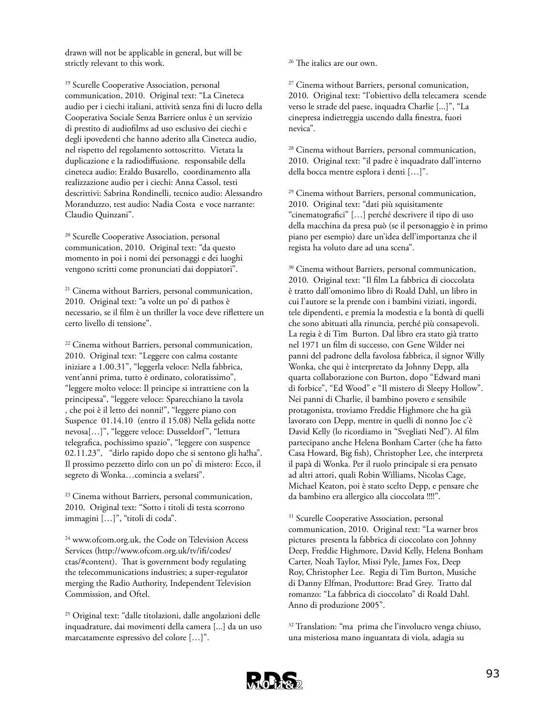drawn will not be applicable in general, but will be strictly relevant to this work.

<sup>19</sup> Scurelle Cooperative Association, personal communication, 2010. Original text: "La Cineteca audio per i ciechi italiani, attività senza fini di lucro della Cooperativa Sociale Senza Barriere onlus è un servizio di prestito di audiofilms ad uso esclusivo dei ciechi e degli ipovedenti che hanno aderito alla Cineteca audio, nel rispetto del regolamento sottoscritto. Vietata la duplicazione e la radiodiffusione. responsabile della cineteca audio: Eraldo Busarello, coordinamento alla realizzazione audio per i ciechi: Anna Cassol, testi descrittivi: Sabrina Rondinelli, tecnico audio: Alessandro Moranduzzo, test audio: Nadia Costa e voce narrante: Claudio Quinzani".

<sup>20</sup> Scurelle Cooperative Association, personal communication, 2010. Original text: "da questo momento in poi i nomi dei personaggi e dei luoghi vengono scritti come pronunciati dai doppiatori".

<sup>21</sup> Cinema without Barriers, personal communication, 2010. Original text: "a volte un po' di pathos è necessario, se il film è un thriller la voce deve riflettere un certo livello di tensione".

<sup>22</sup> Cinema without Barriers, personal communication, 2010. Original text: "Leggere con calma costante iniziare a 1.00.31", "leggerla veloce: Nella fabbrica, vent'anni prima, tutto è ordinato, coloratissimo", "leggere molto veloce: Il principe si intrattiene con la principessa", "leggere veloce: Sparecchiano la tavola , che poi è il letto dei nonni!", "leggere piano con Suspence 01.14.10 (entro il 15.08) Nella gelida notte nevosa[…]", "leggere veloce: Dusseldorf", "lettura telegrafica, pochissimo spazio", "leggere con suspence 02.11.23", "dirlo rapido dopo che si sentono gli ha!ha". Il prossimo pezzetto dirlo con un po' di mistero: Ecco, il segreto di Wonka…comincia a svelarsi".

<sup>23</sup> Cinema without Barriers, personal communication, 2010. Original text: "Sotto i titoli di testa scorrono immagini […]", "titoli di coda".

<sup>24</sup> www.ofcom.org.uk, the Code on Television Access Services (http://www.ofcom.org.uk/tv/ifi/codes/ ctas/#content). That is government body regulating the telecommunications industries; a super-regulator merging the Radio Authority, Independent Television Commission, and Oftel.

25 Original text: "dalle titolazioni, dalle angolazioni delle inquadrature, dai movimenti della camera [...] da un uso marcatamente espressivo del colore […]".

<sup>26</sup> The italics are our own.

<sup>27</sup> Cinema without Barriers, personal comunication, 2010. Original text: "l'obiettivo della telecamera scende verso le strade del paese, inquadra Charlie [...]", "La cinepresa indietreggia uscendo dalla finestra, fuori nevica".

<sup>28</sup> Cinema without Barriers, personal communication, 2010. Original text: "il padre è inquadrato dall'interno della bocca mentre esplora i denti […]".

<sup>29</sup> Cinema without Barriers, personal communication, 2010. Original text: "dati più squisitamente "cinematografici" […] perché descrivere il tipo di uso della macchina da presa può (se il personaggio è in primo piano per esempio) dare un'idea dell'importanza che il regista ha voluto dare ad una scena".

<sup>30</sup> Cinema without Barriers, personal communication, 2010. Original text: "Il film La fabbrica di cioccolata è tratto dall'omonimo libro di Roald Dahl, un libro in cui l'autore se la prende con i bambini viziati, ingordi, tele dipendenti, e premia la modestia e la bontà di quelli che sono abituati alla rinuncia, perché più consapevoli. La regia è di Tim Burton. Dal libro era stato già tratto nel 1971 un film di successo, con Gene Wilder nei panni del padrone della favolosa fabbrica, il signor Willy Wonka, che qui è interpretato da Johnny Depp, alla quarta collaborazione con Burton, dopo "Edward mani di forbice", "Ed Wood" e "Il mistero di Sleepy Hollow". Nei panni di Charlie, il bambino povero e sensibile protagonista, troviamo Freddie Highmore che ha già lavorato con Depp, mentre in quelli di nonno Joe c'è David Kelly (lo ricordiamo in "Svegliati Ned"). Al film partecipano anche Helena Bonham Carter (che ha fatto Casa Howard, Big fish), Christopher Lee, che interpreta il papà di Wonka. Per il ruolo principale si era pensato ad altri attori, quali Robin Williams, Nicolas Cage, Michael Keaton, poi è stato scelto Depp, e pensare che da bambino era allergico alla cioccolata !!!!".

<sup>31</sup> Scurelle Cooperative Association, personal communication, 2010. Original text: "La warner bros pictures presenta la fabbrica di cioccolato con Johnny Deep, Freddie Highmore, David Kelly, Helena Bonham Carter, Noah Taylor, Missi Pyle, James Fox, Deep Roy, Christopher Lee. Regia di Tim Burton, Musiche di Danny Elfman, Produttore: Brad Grey. Tratto dal romanzo: "La fabbrica di cioccolato" di Roald Dahl. Anno di produzione 2005".

<sup>32</sup> Translation: "ma prima che l'involucro venga chiuso, una misteriosa mano inguantata di viola, adagia su

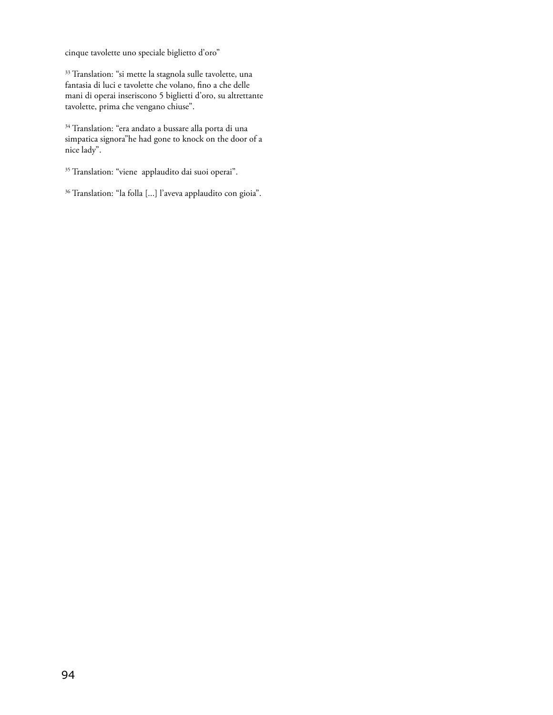cinque tavolette uno speciale biglietto d'oro"

<sup>33</sup> Translation: "si mette la stagnola sulle tavolette, una fantasia di luci e tavolette che volano, fino a che delle mani di operai inseriscono 5 biglietti d'oro, su altrettante tavolette, prima che vengano chiuse".

 $\rm{^{34}}$  Translation: "era andato a bussare alla porta di una simpatica signora"he had gone to knock on the door of a nice lady".

<sup>35</sup> Translation: "viene applaudito dai suoi operai".

36 Translation: "la folla [...] l'aveva applaudito con gioia".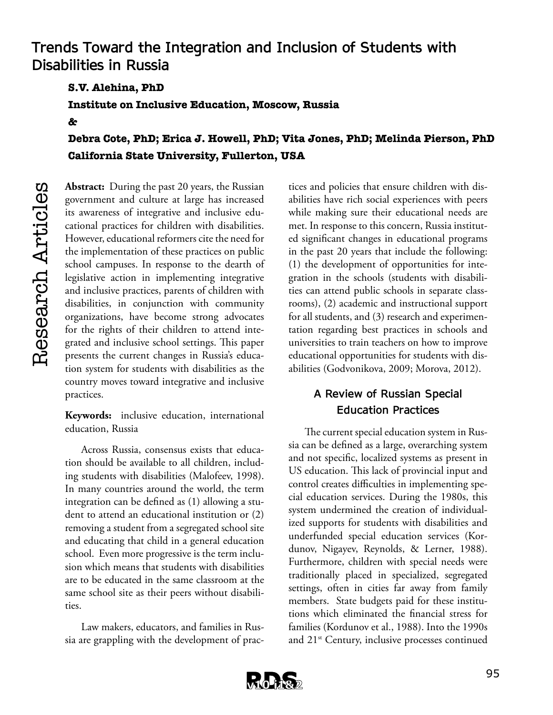# **Trends Toward the Integration and Inclusion of Students with Disabilities in Russia**

**S.V. Alehina, PhD**

**Institute on Inclusive Education, Moscow, Russia** 

**&**

**Debra Cote, PhD; Erica J. Howell, PhD; Vita Jones, PhD; Melinda Pierson, PhD California State University, Fullerton, USA**

Research Articles Research Articles

**Abstract:** During the past 20 years, the Russian government and culture at large has increased its awareness of integrative and inclusive educational practices for children with disabilities. However, educational reformers cite the need for the implementation of these practices on public school campuses. In response to the dearth of legislative action in implementing integrative and inclusive practices, parents of children with disabilities, in conjunction with community organizations, have become strong advocates for the rights of their children to attend integrated and inclusive school settings. This paper presents the current changes in Russia's education system for students with disabilities as the country moves toward integrative and inclusive practices.

**Keywords:** inclusive education, international education, Russia

Across Russia, consensus exists that education should be available to all children, including students with disabilities (Malofeev, 1998). In many countries around the world, the term integration can be defined as (1) allowing a student to attend an educational institution or (2) removing a student from a segregated school site and educating that child in a general education school. Even more progressive is the term inclusion which means that students with disabilities are to be educated in the same classroom at the same school site as their peers without disabilities.

Law makers, educators, and families in Russia are grappling with the development of prac-

tices and policies that ensure children with disabilities have rich social experiences with peers while making sure their educational needs are met. In response to this concern, Russia instituted significant changes in educational programs in the past 20 years that include the following: (1) the development of opportunities for integration in the schools (students with disabilities can attend public schools in separate classrooms), (2) academic and instructional support for all students, and (3) research and experimentation regarding best practices in schools and universities to train teachers on how to improve educational opportunities for students with disabilities (Godvonikova, 2009; Morova, 2012).

## **A Review of Russian Special Education Practices**

The current special education system in Russia can be defined as a large, overarching system and not specific, localized systems as present in US education. This lack of provincial input and control creates difficulties in implementing special education services. During the 1980s, this system undermined the creation of individualized supports for students with disabilities and underfunded special education services (Kordunov, Nigayev, Reynolds, & Lerner, 1988). Furthermore, children with special needs were traditionally placed in specialized, segregated settings, often in cities far away from family members. State budgets paid for these institutions which eliminated the financial stress for families (Kordunov et al., 1988). Into the 1990s and 21<sup>st</sup> Century, inclusive processes continued

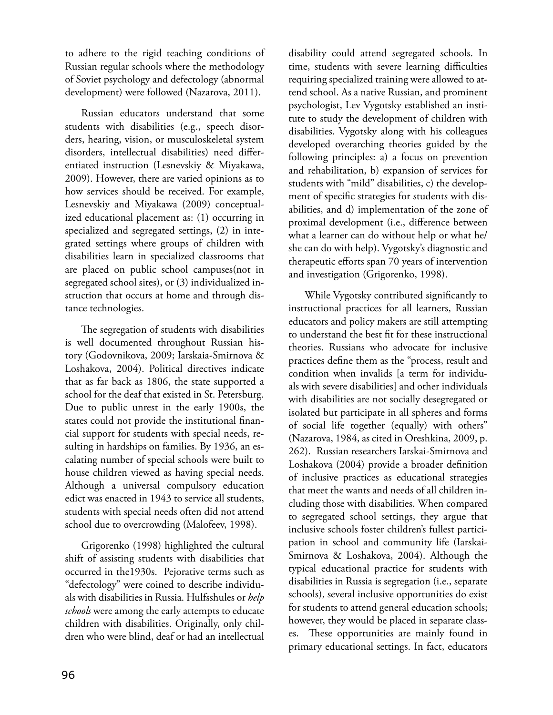to adhere to the rigid teaching conditions of Russian regular schools where the methodology of Soviet psychology and defectology (abnormal development) were followed (Nazarova, 2011).

Russian educators understand that some students with disabilities (e.g., speech disorders, hearing, vision, or musculoskeletal system disorders, intellectual disabilities) need differentiated instruction (Lesnevskiy & Miyakawa, 2009). However, there are varied opinions as to how services should be received. For example, Lesnevskiy and Miyakawa (2009) conceptualized educational placement as: (1) occurring in specialized and segregated settings, (2) in integrated settings where groups of children with disabilities learn in specialized classrooms that are placed on public school campuses(not in segregated school sites), or (3) individualized instruction that occurs at home and through distance technologies.

The segregation of students with disabilities is well documented throughout Russian history (Godovnikova, 2009; Iarskaia-Smirnova & Loshakova, 2004). Political directives indicate that as far back as 1806, the state supported a school for the deaf that existed in St. Petersburg. Due to public unrest in the early 1900s, the states could not provide the institutional financial support for students with special needs, resulting in hardships on families. By 1936, an escalating number of special schools were built to house children viewed as having special needs. Although a universal compulsory education edict was enacted in 1943 to service all students, students with special needs often did not attend school due to overcrowding (Malofeev, 1998).

Grigorenko (1998) highlighted the cultural shift of assisting students with disabilities that occurred in the1930s. Pejorative terms such as "defectology" were coined to describe individuals with disabilities in Russia. Hulfsshules or *help schools* were among the early attempts to educate children with disabilities. Originally, only children who were blind, deaf or had an intellectual

disability could attend segregated schools. In time, students with severe learning difficulties requiring specialized training were allowed to attend school. As a native Russian, and prominent psychologist, Lev Vygotsky established an institute to study the development of children with disabilities. Vygotsky along with his colleagues developed overarching theories guided by the following principles: a) a focus on prevention and rehabilitation, b) expansion of services for students with "mild" disabilities, c) the development of specific strategies for students with disabilities, and d) implementation of the zone of proximal development (i.e., difference between what a learner can do without help or what he/ she can do with help). Vygotsky's diagnostic and therapeutic efforts span 70 years of intervention and investigation (Grigorenko, 1998).

While Vygotsky contributed significantly to instructional practices for all learners, Russian educators and policy makers are still attempting to understand the best fit for these instructional theories. Russians who advocate for inclusive practices define them as the "process, result and condition when invalids [a term for individuals with severe disabilities] and other individuals with disabilities are not socially desegregated or isolated but participate in all spheres and forms of social life together (equally) with others" (Nazarova, 1984, as cited in Oreshkina, 2009, p. 262). Russian researchers Iarskai-Smirnova and Loshakova (2004) provide a broader definition of inclusive practices as educational strategies that meet the wants and needs of all children including those with disabilities. When compared to segregated school settings, they argue that inclusive schools foster children's fullest participation in school and community life (Iarskai-Smirnova & Loshakova, 2004). Although the typical educational practice for students with disabilities in Russia is segregation (i.e., separate schools), several inclusive opportunities do exist for students to attend general education schools; however, they would be placed in separate classes. These opportunities are mainly found in primary educational settings. In fact, educators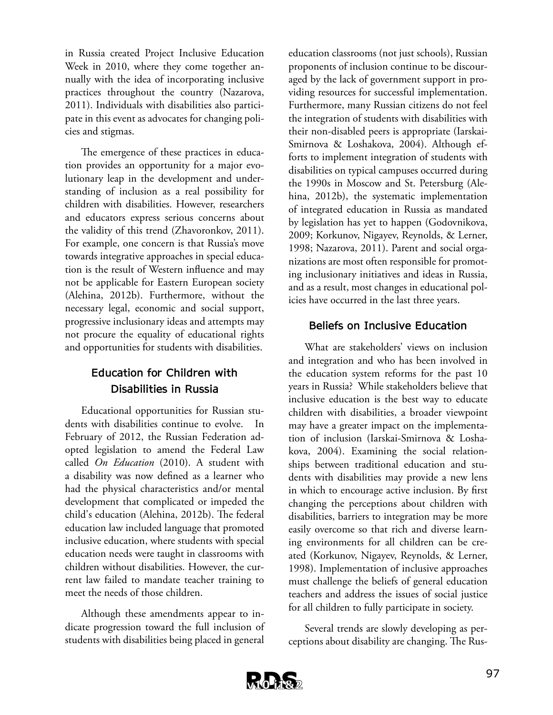in Russia created Project Inclusive Education Week in 2010, where they come together annually with the idea of incorporating inclusive practices throughout the country (Nazarova, 2011). Individuals with disabilities also participate in this event as advocates for changing policies and stigmas.

The emergence of these practices in education provides an opportunity for a major evolutionary leap in the development and understanding of inclusion as a real possibility for children with disabilities. However, researchers and educators express serious concerns about the validity of this trend (Zhavoronkov, 2011). For example, one concern is that Russia's move towards integrative approaches in special education is the result of Western influence and may not be applicable for Eastern European society (Alehina, 2012b). Furthermore, without the necessary legal, economic and social support, progressive inclusionary ideas and attempts may not procure the equality of educational rights and opportunities for students with disabilities.

## **Education for Children with Disabilities in Russia**

Educational opportunities for Russian students with disabilities continue to evolve. In February of 2012, the Russian Federation adopted legislation to amend the Federal Law called *On Education* (2010). A student with a disability was now defined as a learner who had the physical characteristics and/or mental development that complicated or impeded the child's education (Alehina, 2012b). The federal education law included language that promoted inclusive education, where students with special education needs were taught in classrooms with children without disabilities. However, the current law failed to mandate teacher training to meet the needs of those children.

Although these amendments appear to indicate progression toward the full inclusion of students with disabilities being placed in general

education classrooms (not just schools), Russian proponents of inclusion continue to be discouraged by the lack of government support in providing resources for successful implementation. Furthermore, many Russian citizens do not feel the integration of students with disabilities with their non-disabled peers is appropriate (Iarskai-Smirnova & Loshakova, 2004). Although efforts to implement integration of students with disabilities on typical campuses occurred during the 1990s in Moscow and St. Petersburg (Alehina, 2012b), the systematic implementation of integrated education in Russia as mandated by legislation has yet to happen (Godovnikova, 2009; Korkunov, Nigayev, Reynolds, & Lerner, 1998; Nazarova, 2011). Parent and social organizations are most often responsible for promoting inclusionary initiatives and ideas in Russia, and as a result, most changes in educational policies have occurred in the last three years.

#### **Beliefs on Inclusive Education**

What are stakeholders' views on inclusion and integration and who has been involved in the education system reforms for the past 10 years in Russia? While stakeholders believe that inclusive education is the best way to educate children with disabilities, a broader viewpoint may have a greater impact on the implementation of inclusion (Iarskai-Smirnova & Loshakova, 2004). Examining the social relationships between traditional education and students with disabilities may provide a new lens in which to encourage active inclusion. By first changing the perceptions about children with disabilities, barriers to integration may be more easily overcome so that rich and diverse learning environments for all children can be created (Korkunov, Nigayev, Reynolds, & Lerner, 1998). Implementation of inclusive approaches must challenge the beliefs of general education teachers and address the issues of social justice for all children to fully participate in society.

Several trends are slowly developing as perceptions about disability are changing. The Rus-

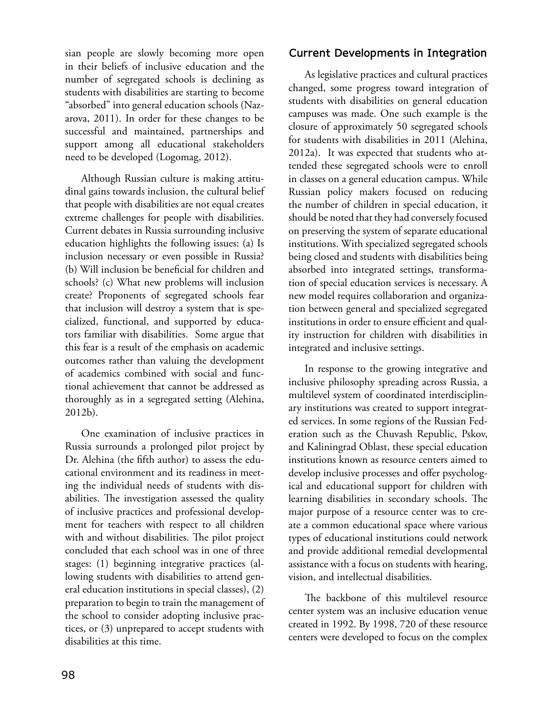sian people are slowly becoming more open in their beliefs of inclusive education and the number of segregated schools is declining as students with disabilities are starting to become "absorbed" into general education schools (Nazarova, 2011). In order for these changes to be successful and maintained, partnerships and support among all educational stakeholders need to be developed (Logomag, 2012).

Although Russian culture is making attitudinal gains towards inclusion, the cultural belief that people with disabilities are not equal creates extreme challenges for people with disabilities. Current debates in Russia surrounding inclusive education highlights the following issues: (a) Is inclusion necessary or even possible in Russia? (b) Will inclusion be beneficial for children and schools? (c) What new problems will inclusion create? Proponents of segregated schools fear that inclusion will destroy a system that is specialized, functional, and supported by educators familiar with disabilities. Some argue that this fear is a result of the emphasis on academic outcomes rather than valuing the development of academics combined with social and functional achievement that cannot be addressed as thoroughly as in a segregated setting (Alehina, 2012b).

One examination of inclusive practices in Russia surrounds a prolonged pilot project by Dr. Alehina (the fifth author) to assess the educational environment and its readiness in meeting the individual needs of students with disabilities. The investigation assessed the quality of inclusive practices and professional development for teachers with respect to all children with and without disabilities. The pilot project concluded that each school was in one of three stages: (1) beginning integrative practices (allowing students with disabilities to attend general education institutions in special classes), (2) preparation to begin to train the management of the school to consider adopting inclusive practices, or (3) unprepared to accept students with disabilities at this time.

#### **Current Developments in Integration**

As legislative practices and cultural practices changed, some progress toward integration of students with disabilities on general education campuses was made. One such example is the closure of approximately 50 segregated schools for students with disabilities in 2011 (Alehina, 2012a). It was expected that students who attended these segregated schools were to enroll in classes on a general education campus. While Russian policy makers focused on reducing the number of children in special education, it should be noted that they had conversely focused on preserving the system of separate educational institutions. With specialized segregated schools being closed and students with disabilities being absorbed into integrated settings, transformation of special education services is necessary. A new model requires collaboration and organization between general and specialized segregated institutions in order to ensure efficient and quality instruction for children with disabilities in integrated and inclusive settings.

In response to the growing integrative and inclusive philosophy spreading across Russia, a multilevel system of coordinated interdisciplinary institutions was created to support integrated services. In some regions of the Russian Federation such as the Chuvash Republic, Pskov, and Kaliningrad Oblast, these special education institutions known as resource centers aimed to develop inclusive processes and offer psychological and educational support for children with learning disabilities in secondary schools. The major purpose of a resource center was to create a common educational space where various types of educational institutions could network and provide additional remedial developmental assistance with a focus on students with hearing, vision, and intellectual disabilities.

The backbone of this multilevel resource center system was an inclusive education venue created in 1992. By 1998, 720 of these resource centers were developed to focus on the complex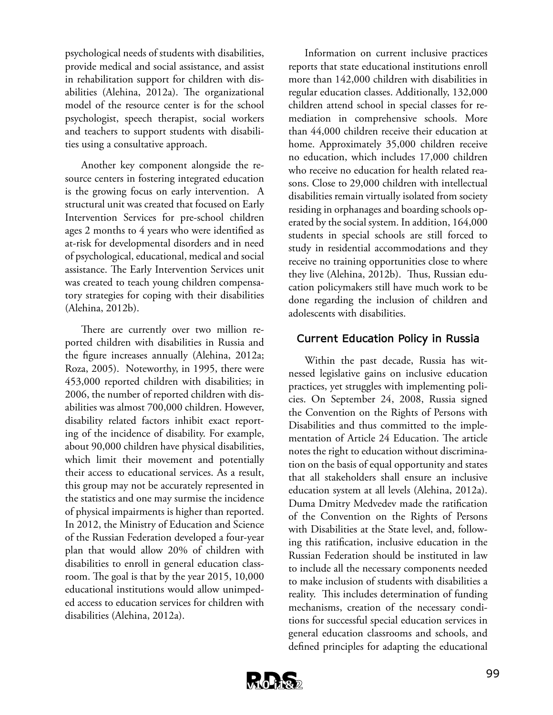psychological needs of students with disabilities, provide medical and social assistance, and assist in rehabilitation support for children with disabilities (Alehina, 2012a). The organizational model of the resource center is for the school psychologist, speech therapist, social workers and teachers to support students with disabilities using a consultative approach.

Another key component alongside the resource centers in fostering integrated education is the growing focus on early intervention. A structural unit was created that focused on Early Intervention Services for pre-school children ages 2 months to 4 years who were identified as at-risk for developmental disorders and in need of psychological, educational, medical and social assistance. The Early Intervention Services unit was created to teach young children compensatory strategies for coping with their disabilities (Alehina, 2012b).

There are currently over two million reported children with disabilities in Russia and the figure increases annually (Alehina, 2012a; Roza, 2005). Noteworthy, in 1995, there were 453,000 reported children with disabilities; in 2006, the number of reported children with disabilities was almost 700,000 children. However, disability related factors inhibit exact reporting of the incidence of disability. For example, about 90,000 children have physical disabilities, which limit their movement and potentially their access to educational services. As a result, this group may not be accurately represented in the statistics and one may surmise the incidence of physical impairments is higher than reported. In 2012, the Ministry of Education and Science of the Russian Federation developed a four-year plan that would allow 20% of children with disabilities to enroll in general education classroom. The goal is that by the year 2015, 10,000 educational institutions would allow unimpeded access to education services for children with disabilities (Alehina, 2012a).

Information on current inclusive practices reports that state educational institutions enroll more than 142,000 children with disabilities in regular education classes. Additionally, 132,000 children attend school in special classes for remediation in comprehensive schools. More than 44,000 children receive their education at home. Approximately 35,000 children receive no education, which includes 17,000 children who receive no education for health related reasons. Close to 29,000 children with intellectual disabilities remain virtually isolated from society residing in orphanages and boarding schools operated by the social system. In addition, 164,000 students in special schools are still forced to study in residential accommodations and they receive no training opportunities close to where they live (Alehina, 2012b). Thus, Russian education policymakers still have much work to be done regarding the inclusion of children and adolescents with disabilities.

#### **Current Education Policy in Russia**

Within the past decade, Russia has witnessed legislative gains on inclusive education practices, yet struggles with implementing policies. On September 24, 2008, Russia signed the Convention on the Rights of Persons with Disabilities and thus committed to the implementation of Article 24 Education. The article notes the right to education without discrimination on the basis of equal opportunity and states that all stakeholders shall ensure an inclusive education system at all levels (Alehina, 2012a). Duma Dmitry Medvedev made the ratification of the Convention on the Rights of Persons with Disabilities at the State level, and, following this ratification, inclusive education in the Russian Federation should be instituted in law to include all the necessary components needed to make inclusion of students with disabilities a reality. This includes determination of funding mechanisms, creation of the necessary conditions for successful special education services in general education classrooms and schools, and defined principles for adapting the educational

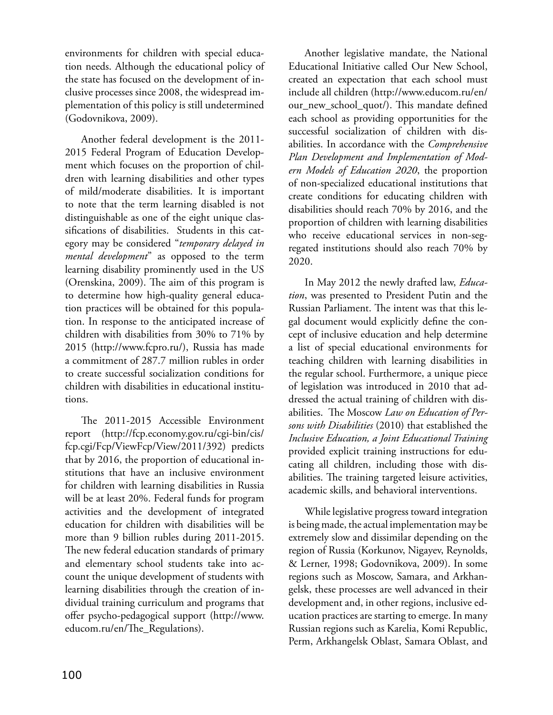environments for children with special education needs. Although the educational policy of the state has focused on the development of inclusive processes since 2008, the widespread implementation of this policy is still undetermined (Godovnikova, 2009).

Another federal development is the 2011- 2015 Federal Program of Education Development which focuses on the proportion of children with learning disabilities and other types of mild/moderate disabilities. It is important to note that the term learning disabled is not distinguishable as one of the eight unique classifications of disabilities. Students in this category may be considered "*temporary delayed in mental development*" as opposed to the term learning disability prominently used in the US (Orenskina, 2009). The aim of this program is to determine how high-quality general education practices will be obtained for this population. In response to the anticipated increase of children with disabilities from 30% to 71% by 2015 (http://www.fcpro.ru/), Russia has made a commitment of 287.7 million rubles in order to create successful socialization conditions for children with disabilities in educational institutions.

The 2011-2015 Accessible Environment report (http://fcp.economy.gov.ru/cgi-bin/cis/ fcp.cgi/Fcp/ViewFcp/View/2011/392) predicts that by 2016, the proportion of educational institutions that have an inclusive environment for children with learning disabilities in Russia will be at least 20%. Federal funds for program activities and the development of integrated education for children with disabilities will be more than 9 billion rubles during 2011-2015. The new federal education standards of primary and elementary school students take into account the unique development of students with learning disabilities through the creation of individual training curriculum and programs that offer psycho-pedagogical support (http://www. educom.ru/en/The\_Regulations).

Another legislative mandate, the National Educational Initiative called Our New School, created an expectation that each school must include all children (http://www.educom.ru/en/ our\_new\_school\_quot/). This mandate defined each school as providing opportunities for the successful socialization of children with disabilities. In accordance with the *Comprehensive Plan Development and Implementation of Modern Models of Education 2020*, the proportion of non-specialized educational institutions that create conditions for educating children with disabilities should reach 70% by 2016, and the proportion of children with learning disabilities who receive educational services in non-segregated institutions should also reach 70% by 2020.

In May 2012 the newly drafted law, *Education*, was presented to President Putin and the Russian Parliament. The intent was that this legal document would explicitly define the concept of inclusive education and help determine a list of special educational environments for teaching children with learning disabilities in the regular school. Furthermore, a unique piece of legislation was introduced in 2010 that addressed the actual training of children with disabilities. The Moscow *Law on Education of Persons with Disabilities* (2010) that established the *Inclusive Education, a Joint Educational Training* provided explicit training instructions for educating all children, including those with disabilities. The training targeted leisure activities, academic skills, and behavioral interventions.

While legislative progress toward integration is being made, the actual implementation may be extremely slow and dissimilar depending on the region of Russia (Korkunov, Nigayev, Reynolds, & Lerner, 1998; Godovnikova, 2009). In some regions such as Moscow, Samara, and Arkhangelsk, these processes are well advanced in their development and, in other regions, inclusive education practices are starting to emerge. In many Russian regions such as Karelia, Komi Republic, Perm, Arkhangelsk Oblast, Samara Oblast, and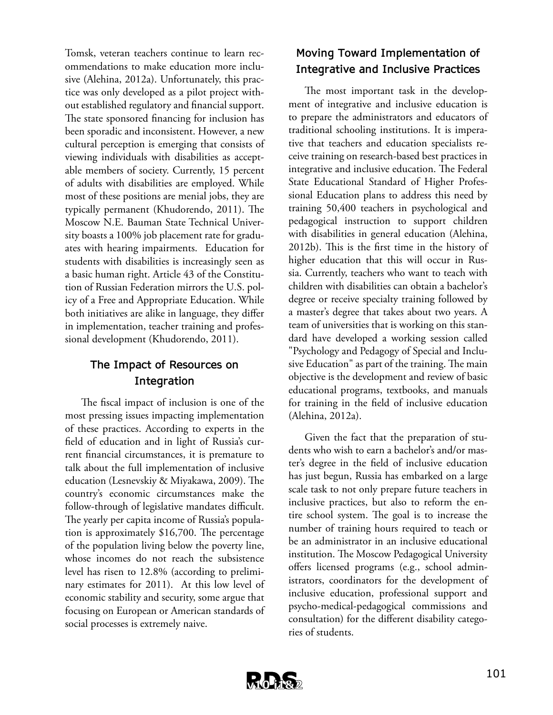Tomsk, veteran teachers continue to learn recommendations to make education more inclusive (Alehina, 2012a). Unfortunately, this practice was only developed as a pilot project without established regulatory and financial support. The state sponsored financing for inclusion has been sporadic and inconsistent. However, a new cultural perception is emerging that consists of viewing individuals with disabilities as acceptable members of society. Currently, 15 percent of adults with disabilities are employed. While most of these positions are menial jobs, they are typically permanent (Khudorendo, 2011). The Moscow N.E. Bauman State Technical University boasts a 100% job placement rate for graduates with hearing impairments. Education for students with disabilities is increasingly seen as a basic human right. Article 43 of the Constitution of Russian Federation mirrors the U.S. policy of a Free and Appropriate Education. While both initiatives are alike in language, they differ in implementation, teacher training and professional development (Khudorendo, 2011).

## **The Impact of Resources on Integration**

The fiscal impact of inclusion is one of the most pressing issues impacting implementation of these practices. According to experts in the field of education and in light of Russia's current financial circumstances, it is premature to talk about the full implementation of inclusive education (Lesnevskiy & Miyakawa, 2009). The country's economic circumstances make the follow-through of legislative mandates difficult. The yearly per capita income of Russia's population is approximately \$16,700. The percentage of the population living below the poverty line, whose incomes do not reach the subsistence level has risen to 12.8% (according to preliminary estimates for 2011). At this low level of economic stability and security, some argue that focusing on European or American standards of social processes is extremely naive.

# **Moving Toward Implementation of Integrative and Inclusive Practices**

The most important task in the development of integrative and inclusive education is to prepare the administrators and educators of traditional schooling institutions. It is imperative that teachers and education specialists receive training on research-based best practices in integrative and inclusive education. The Federal State Educational Standard of Higher Professional Education plans to address this need by training 50,400 teachers in psychological and pedagogical instruction to support children with disabilities in general education (Alehina, 2012b). This is the first time in the history of higher education that this will occur in Russia. Currently, teachers who want to teach with children with disabilities can obtain a bachelor's degree or receive specialty training followed by a master's degree that takes about two years. A team of universities that is working on this standard have developed a working session called "Psychology and Pedagogy of Special and Inclusive Education" as part of the training. The main objective is the development and review of basic educational programs, textbooks, and manuals for training in the field of inclusive education (Alehina, 2012a).

Given the fact that the preparation of students who wish to earn a bachelor's and/or master's degree in the field of inclusive education has just begun, Russia has embarked on a large scale task to not only prepare future teachers in inclusive practices, but also to reform the entire school system. The goal is to increase the number of training hours required to teach or be an administrator in an inclusive educational institution. The Moscow Pedagogical University offers licensed programs (e.g., school administrators, coordinators for the development of inclusive education, professional support and psycho-medical-pedagogical commissions and consultation) for the different disability categories of students.

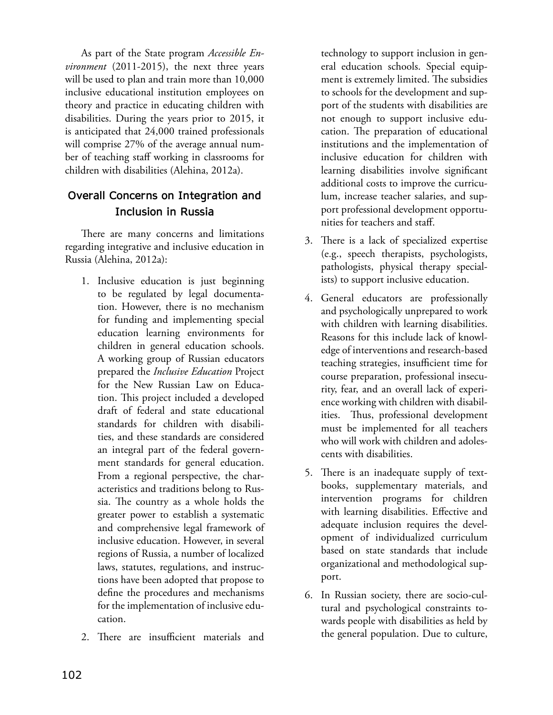As part of the State program *Accessible Environment* (2011-2015), the next three years will be used to plan and train more than 10,000 inclusive educational institution employees on theory and practice in educating children with disabilities. During the years prior to 2015, it is anticipated that 24,000 trained professionals will comprise 27% of the average annual number of teaching staff working in classrooms for children with disabilities (Alehina, 2012a).

# **Overall Concerns on Integration and Inclusion in Russia**

There are many concerns and limitations regarding integrative and inclusive education in Russia (Alehina, 2012a):

- 1. Inclusive education is just beginning to be regulated by legal documentation. However, there is no mechanism for funding and implementing special education learning environments for children in general education schools. A working group of Russian educators prepared the *Inclusive Education* Project for the New Russian Law on Education. This project included a developed draft of federal and state educational standards for children with disabilities, and these standards are considered an integral part of the federal government standards for general education. From a regional perspective, the characteristics and traditions belong to Russia. The country as a whole holds the greater power to establish a systematic and comprehensive legal framework of inclusive education. However, in several regions of Russia, a number of localized laws, statutes, regulations, and instructions have been adopted that propose to define the procedures and mechanisms for the implementation of inclusive education.
- 2. There are insufficient materials and

technology to support inclusion in general education schools. Special equipment is extremely limited. The subsidies to schools for the development and support of the students with disabilities are not enough to support inclusive education. The preparation of educational institutions and the implementation of inclusive education for children with learning disabilities involve significant additional costs to improve the curriculum, increase teacher salaries, and support professional development opportunities for teachers and staff.

- 3. There is a lack of specialized expertise (e.g., speech therapists, psychologists, pathologists, physical therapy specialists) to support inclusive education.
- 4. General educators are professionally and psychologically unprepared to work with children with learning disabilities. Reasons for this include lack of knowledge of interventions and research-based teaching strategies, insufficient time for course preparation, professional insecurity, fear, and an overall lack of experience working with children with disabilities. Thus, professional development must be implemented for all teachers who will work with children and adolescents with disabilities.
- 5. There is an inadequate supply of textbooks, supplementary materials, and intervention programs for children with learning disabilities. Effective and adequate inclusion requires the development of individualized curriculum based on state standards that include organizational and methodological support.
- 6. In Russian society, there are socio-cultural and psychological constraints towards people with disabilities as held by the general population. Due to culture,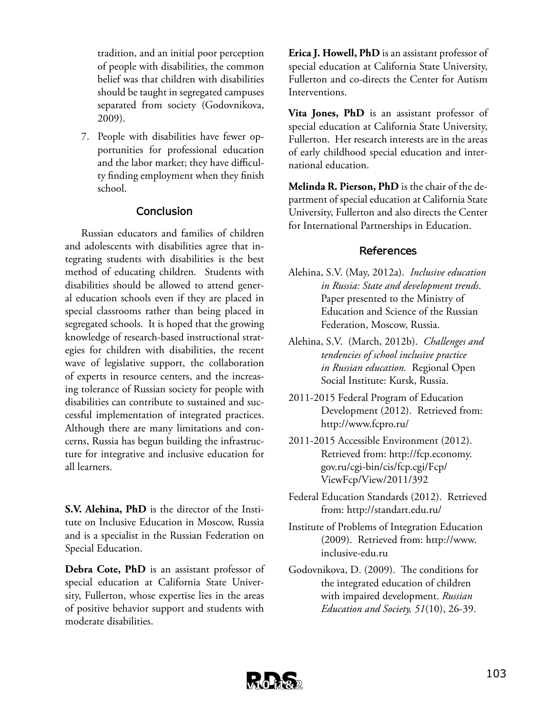tradition, and an initial poor perception of people with disabilities, the common belief was that children with disabilities should be taught in segregated campuses separated from society (Godovnikova, 2009).

7. People with disabilities have fewer opportunities for professional education and the labor market; they have difficulty finding employment when they finish school.

#### **Conclusion**

Russian educators and families of children and adolescents with disabilities agree that integrating students with disabilities is the best method of educating children. Students with disabilities should be allowed to attend general education schools even if they are placed in special classrooms rather than being placed in segregated schools. It is hoped that the growing knowledge of research-based instructional strategies for children with disabilities, the recent wave of legislative support, the collaboration of experts in resource centers, and the increasing tolerance of Russian society for people with disabilities can contribute to sustained and successful implementation of integrated practices. Although there are many limitations and concerns, Russia has begun building the infrastructure for integrative and inclusive education for all learners.

**S.V. Alehina, PhD** is the director of the Institute on Inclusive Education in Moscow, Russia and is a specialist in the Russian Federation on Special Education.

**Debra Cote, PhD** is an assistant professor of special education at California State University, Fullerton, whose expertise lies in the areas of positive behavior support and students with moderate disabilities.

**Erica J. Howell, PhD** is an assistant professor of special education at California State University, Fullerton and co-directs the Center for Autism Interventions.

**Vita Jones, PhD** is an assistant professor of special education at California State University, Fullerton. Her research interests are in the areas of early childhood special education and international education.

**Melinda R. Pierson, PhD** is the chair of the department of special education at California State University, Fullerton and also directs the Center for International Partnerships in Education.

#### **References**

- Alehina, S.V. (May, 2012a). *Inclusive education in Russia: State and development trends*. Paper presented to the Ministry of Education and Science of the Russian Federation, Moscow, Russia.
- Alehina, S.V. (March, 2012b). *Challenges and tendencies of school inclusive practice in Russian education.* Regional Open Social Institute: Kursk, Russia.
- 2011-2015 Federal Program of Education Development (2012). Retrieved from: http://www.fcpro.ru/
- 2011-2015 Accessible Environment (2012). Retrieved from: http://fcp.economy. gov.ru/cgi-bin/cis/fcp.cgi/Fcp/ ViewFcp/View/2011/392
- Federal Education Standards (2012). Retrieved from: http://standart.edu.ru/
- Institute of Problems of Integration Education (2009). Retrieved from: http://www. inclusive-edu.ru
- Godovnikova, D. (2009). The conditions for the integrated education of children with impaired development. *Russian Education and Society, 51*(10), 26-39.

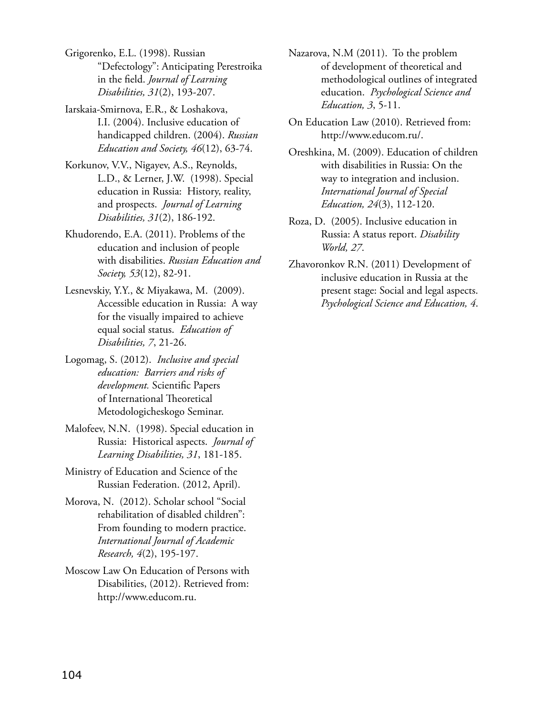Grigorenko, E.L. (1998). Russian "Defectology": Anticipating Perestroika in the field. *Journal of Learning Disabilities, 31*(2), 193-207.

Iarskaia-Smirnova, E.R., & Loshakova, I.I. (2004). Inclusive education of handicapped children. (2004). *Russian Education and Society, 46*(12), 63-74.

Korkunov, V.V., Nigayev, A.S., Reynolds, L.D., & Lerner, J.W. (1998). Special education in Russia: History, reality, and prospects. *Journal of Learning Disabilities, 31*(2), 186-192.

Khudorendo, E.A. (2011). Problems of the education and inclusion of people with disabilities. *Russian Education and Society, 53*(12), 82-91.

Lesnevskiy, Y.Y., & Miyakawa, M. (2009). Accessible education in Russia: A way for the visually impaired to achieve equal social status. *Education of Disabilities, 7*, 21-26.

- Logomag, S. (2012). *Inclusive and special education: Barriers and risks of development.* Scientific Papers of International Theoretical Metodologicheskogo Seminar.
- Malofeev, N.N. (1998). Special education in Russia: Historical aspects. *Journal of Learning Disabilities, 31*, 181-185.

Ministry of Education and Science of the Russian Federation. (2012, April).

Morova, N. (2012). Scholar school "Social rehabilitation of disabled children": From founding to modern practice. *International Journal of Academic Research, 4*(2), 195-197.

Moscow Law On Education of Persons with Disabilities, (2012). Retrieved from: http://www.educom.ru.

Nazarova, N.M (2011). To the problem of development of theoretical and methodological outlines of integrated education. *Psychological Science and Education, 3*, 5-11.

On Education Law (2010). Retrieved from: http://www.educom.ru/.

Oreshkina, M. (2009). Education of children with disabilities in Russia: On the way to integration and inclusion. *International Journal of Special Education, 24*(3), 112-120.

Roza, D. (2005). Inclusive education in Russia: A status report. *Disability World, 27*.

Zhavoronkov R.N. (2011) Development of inclusive education in Russia at the present stage: Social and legal aspects. *Psychological Science and Education, 4*.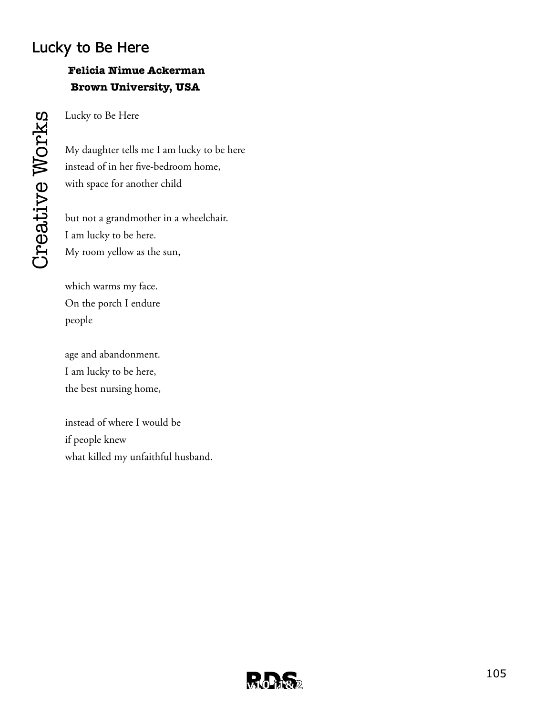# **Lucky to Be Here**

# **Felicia Nimue Ackerman Brown University, USA**

Lucky to Be Here

My daughter tells me I am lucky to be here instead of in her five-bedroom home, with space for another child

but not a grandmother in a wheelchair. I am lucky to be here. My room yellow as the sun,

which warms my face. On the porch I endure people

age and abandonment. I am lucky to be here, the best nursing home,

instead of where I would be if people knew what killed my unfaithful husband.

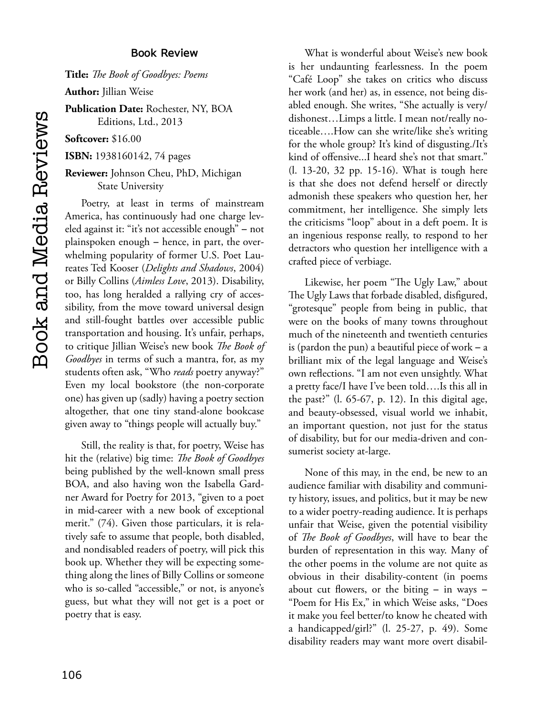#### **Book Review**

**Title:** *The Book of Goodbyes: Poems*

**Author:** Jillian Weise

**Publication Date:** Rochester, NY, BOA Editions, Ltd., 2013

**Softcover:** \$16.00

**ISBN:** 1938160142, 74 pages

#### **Reviewer:** Johnson Cheu, PhD, Michigan State University

Poetry, at least in terms of mainstream America, has continuously had one charge leveled against it: "it's not accessible enough" – not plainspoken enough ‑ hence, in part, the overwhelming popularity of former U.S. Poet Laureates Ted Kooser (*Delights and Shadows*, 2004) or Billy Collins (*Aimless Love*, 2013). Disability, too, has long heralded a rallying cry of accessibility, from the move toward universal design and still-fought battles over accessible public transportation and housing. It's unfair, perhaps, to critique Jillian Weise's new book *The Book of Goodbyes* in terms of such a mantra, for, as my students often ask, "Who *reads* poetry anyway?" Even my local bookstore (the non-corporate one) has given up (sadly) having a poetry section altogether, that one tiny stand-alone bookcase given away to "things people will actually buy."

Still, the reality is that, for poetry, Weise has hit the (relative) big time: *The Book of Goodbyes* being published by the well-known small press BOA, and also having won the Isabella Gardner Award for Poetry for 2013, "given to a poet in mid-career with a new book of exceptional merit." (74). Given those particulars, it is relatively safe to assume that people, both disabled, and nondisabled readers of poetry, will pick this book up. Whether they will be expecting something along the lines of Billy Collins or someone who is so-called "accessible," or not, is anyone's guess, but what they will not get is a poet or poetry that is easy.

What is wonderful about Weise's new book is her undaunting fearlessness. In the poem "Café Loop" she takes on critics who discuss her work (and her) as, in essence, not being disabled enough. She writes, "She actually is very/ dishonest…Limps a little. I mean not/really noticeable….How can she write/like she's writing for the whole group? It's kind of disgusting./It's kind of offensive...I heard she's not that smart." (l. 13-20, 32 pp. 15-16). What is tough here is that she does not defend herself or directly admonish these speakers who question her, her commitment, her intelligence. She simply lets the criticisms "loop" about in a deft poem. It is an ingenious response really, to respond to her detractors who question her intelligence with a crafted piece of verbiage.

Likewise, her poem "The Ugly Law," about The Ugly Laws that forbade disabled, disfigured, "grotesque" people from being in public, that were on the books of many towns throughout much of the nineteenth and twentieth centuries is (pardon the pun) a beautiful piece of work  $- a$ brilliant mix of the legal language and Weise's own reflections. "I am not even unsightly. What a pretty face/I have I've been told….Is this all in the past?" (l. 65-67, p. 12). In this digital age, and beauty-obsessed, visual world we inhabit, an important question, not just for the status of disability, but for our media-driven and consumerist society at-large.

None of this may, in the end, be new to an audience familiar with disability and community history, issues, and politics, but it may be new to a wider poetry-reading audience. It is perhaps unfair that Weise, given the potential visibility of *The Book of Goodbyes*, will have to bear the burden of representation in this way. Many of the other poems in the volume are not quite as obvious in their disability-content (in poems about cut flowers, or the biting  $-$  in ways  $-$ "Poem for His Ex," in which Weise asks, "Does it make you feel better/to know he cheated with a handicapped/girl?" (l. 25-27, p. 49). Some disability readers may want more overt disabil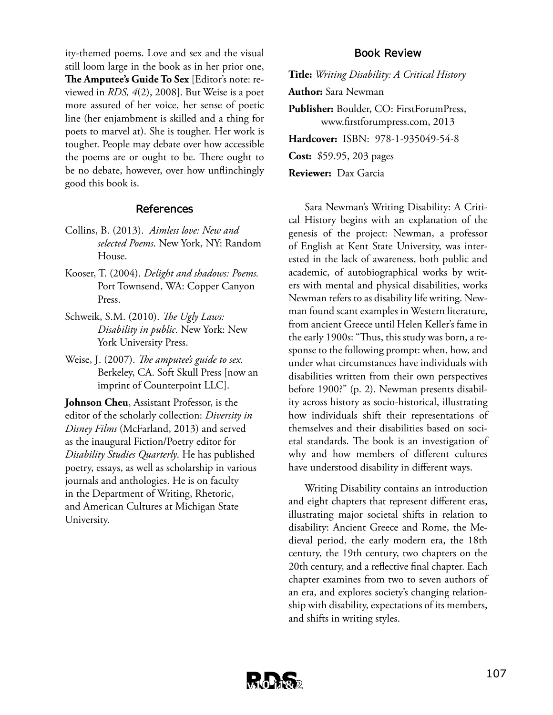ity-themed poems. Love and sex and the visual still loom large in the book as in her prior one, **The Amputee's Guide To Sex** [Editor's note: reviewed in *RDS, 4*(2), 2008]. But Weise is a poet more assured of her voice, her sense of poetic line (her enjambment is skilled and a thing for poets to marvel at). She is tougher. Her work is tougher. People may debate over how accessible the poems are or ought to be. There ought to be no debate, however, over how unflinchingly good this book is.

#### **References**

- Collins, B. (2013). *Aimless love: New and selected Poems*. New York, NY: Random House.
- Kooser, T. (2004). *Delight and shadows: Poems.* Port Townsend, WA: Copper Canyon Press.
- Schweik, S.M. (2010). *The Ugly Laws: Disability in public.* New York: New York University Press.
- Weise, J. (2007). *The amputee's guide to sex.* Berkeley, CA. Soft Skull Press [now an imprint of Counterpoint LLC].

**Johnson Cheu**, Assistant Professor, is the editor of the scholarly collection: *Diversity in Disney Films* (McFarland, 2013) and served as the inaugural Fiction/Poetry editor for *Disability Studies Quarterly*. He has published poetry, essays, as well as scholarship in various journals and anthologies. He is on faculty in the Department of Writing, Rhetoric, and American Cultures at Michigan State University.

#### **Book Review**

**Title:** *Writing Disability: A Critical History*

**Author:** Sara Newman

**Publisher:** Boulder, CO: FirstForumPress, www.firstforumpress.com, 2013

**Hardcover:** ISBN: 978-1-935049-54-8

**Cost:** \$59.95, 203 pages

**Reviewer:** Dax Garcia

Sara Newman's Writing Disability: A Critical History begins with an explanation of the genesis of the project: Newman, a professor of English at Kent State University, was interested in the lack of awareness, both public and academic, of autobiographical works by writers with mental and physical disabilities, works Newman refers to as disability life writing. Newman found scant examples in Western literature, from ancient Greece until Helen Keller's fame in the early 1900s: "Thus, this study was born, a response to the following prompt: when, how, and under what circumstances have individuals with disabilities written from their own perspectives before 1900?" (p. 2). Newman presents disability across history as socio-historical, illustrating how individuals shift their representations of themselves and their disabilities based on societal standards. The book is an investigation of why and how members of different cultures have understood disability in different ways.

Writing Disability contains an introduction and eight chapters that represent different eras, illustrating major societal shifts in relation to disability: Ancient Greece and Rome, the Medieval period, the early modern era, the 18th century, the 19th century, two chapters on the 20th century, and a reflective final chapter. Each chapter examines from two to seven authors of an era, and explores society's changing relationship with disability, expectations of its members, and shifts in writing styles.

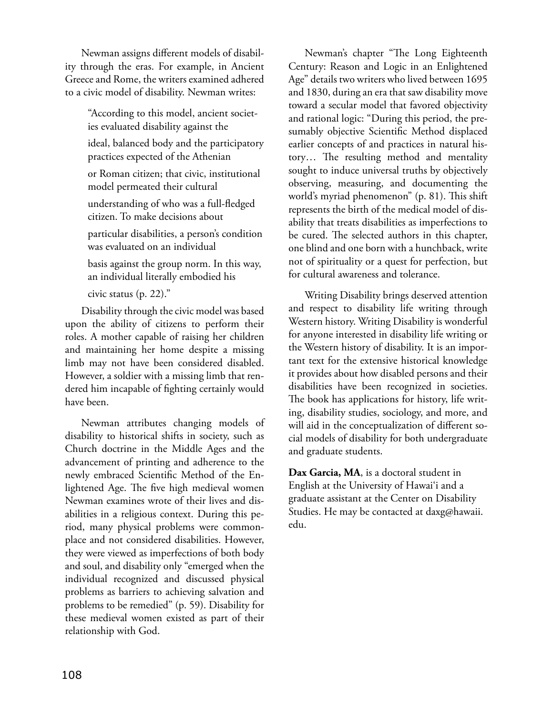Newman assigns different models of disability through the eras. For example, in Ancient Greece and Rome, the writers examined adhered to a civic model of disability. Newman writes:

> "According to this model, ancient societies evaluated disability against the

ideal, balanced body and the participatory practices expected of the Athenian

or Roman citizen; that civic, institutional model permeated their cultural

understanding of who was a full-fledged citizen. To make decisions about

particular disabilities, a person's condition was evaluated on an individual

basis against the group norm. In this way, an individual literally embodied his

civic status (p. 22)."

Disability through the civic model was based upon the ability of citizens to perform their roles. A mother capable of raising her children and maintaining her home despite a missing limb may not have been considered disabled. However, a soldier with a missing limb that rendered him incapable of fighting certainly would have been.

Newman attributes changing models of disability to historical shifts in society, such as Church doctrine in the Middle Ages and the advancement of printing and adherence to the newly embraced Scientific Method of the Enlightened Age. The five high medieval women Newman examines wrote of their lives and disabilities in a religious context. During this period, many physical problems were commonplace and not considered disabilities. However, they were viewed as imperfections of both body and soul, and disability only "emerged when the individual recognized and discussed physical problems as barriers to achieving salvation and problems to be remedied" (p. 59). Disability for these medieval women existed as part of their relationship with God.

Newman's chapter "The Long Eighteenth Century: Reason and Logic in an Enlightened Age" details two writers who lived between 1695 and 1830, during an era that saw disability move toward a secular model that favored objectivity and rational logic: "During this period, the presumably objective Scientific Method displaced earlier concepts of and practices in natural history… The resulting method and mentality sought to induce universal truths by objectively observing, measuring, and documenting the world's myriad phenomenon" (p. 81). This shift represents the birth of the medical model of disability that treats disabilities as imperfections to be cured. The selected authors in this chapter, one blind and one born with a hunchback, write not of spirituality or a quest for perfection, but for cultural awareness and tolerance.

Writing Disability brings deserved attention and respect to disability life writing through Western history. Writing Disability is wonderful for anyone interested in disability life writing or the Western history of disability. It is an important text for the extensive historical knowledge it provides about how disabled persons and their disabilities have been recognized in societies. The book has applications for history, life writing, disability studies, sociology, and more, and will aid in the conceptualization of different social models of disability for both undergraduate and graduate students.

**Dax Garcia, MA**, is a doctoral student in English at the University of Hawai'i and a graduate assistant at the Center on Disability Studies. He may be contacted at daxg@hawaii. edu.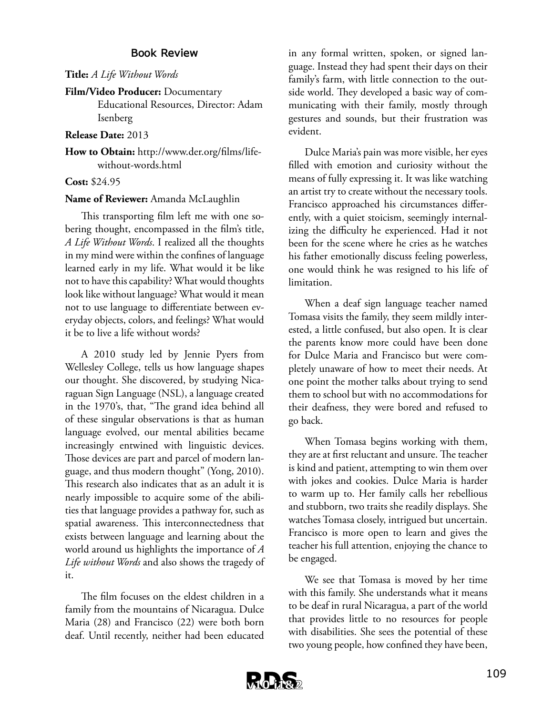### **Book Review**

**Title:** *A Life Without Words*

### **Film/Video Producer:** Documentary

Educational Resources, Director: Adam Isenberg

### **Release Date:** 2013

**How to Obtain:** http://www.der.org/films/lifewithout-words.html

### **Cost:** \$24.95

### **Name of Reviewer:** Amanda McLaughlin

This transporting film left me with one sobering thought, encompassed in the film's title, *A Life Without Words*. I realized all the thoughts in my mind were within the confines of language learned early in my life. What would it be like not to have this capability? What would thoughts look like without language? What would it mean not to use language to differentiate between everyday objects, colors, and feelings? What would it be to live a life without words?

A 2010 study led by Jennie Pyers from Wellesley College, tells us how language shapes our thought. She discovered, by studying Nicaraguan Sign Language (NSL), a language created in the 1970's, that, "The grand idea behind all of these singular observations is that as human language evolved, our mental abilities became increasingly entwined with linguistic devices. Those devices are part and parcel of modern language, and thus modern thought" (Yong, 2010). This research also indicates that as an adult it is nearly impossible to acquire some of the abilities that language provides a pathway for, such as spatial awareness. This interconnectedness that exists between language and learning about the world around us highlights the importance of *A Life without Words* and also shows the tragedy of it.

The film focuses on the eldest children in a family from the mountains of Nicaragua. Dulce Maria (28) and Francisco (22) were both born deaf. Until recently, neither had been educated

in any formal written, spoken, or signed language. Instead they had spent their days on their family's farm, with little connection to the outside world. They developed a basic way of communicating with their family, mostly through gestures and sounds, but their frustration was evident.

Dulce Maria's pain was more visible, her eyes filled with emotion and curiosity without the means of fully expressing it. It was like watching an artist try to create without the necessary tools. Francisco approached his circumstances differently, with a quiet stoicism, seemingly internalizing the difficulty he experienced. Had it not been for the scene where he cries as he watches his father emotionally discuss feeling powerless, one would think he was resigned to his life of limitation.

When a deaf sign language teacher named Tomasa visits the family, they seem mildly interested, a little confused, but also open. It is clear the parents know more could have been done for Dulce Maria and Francisco but were completely unaware of how to meet their needs. At one point the mother talks about trying to send them to school but with no accommodations for their deafness, they were bored and refused to go back.

When Tomasa begins working with them, they are at first reluctant and unsure. The teacher is kind and patient, attempting to win them over with jokes and cookies. Dulce Maria is harder to warm up to. Her family calls her rebellious and stubborn, two traits she readily displays. She watches Tomasa closely, intrigued but uncertain. Francisco is more open to learn and gives the teacher his full attention, enjoying the chance to be engaged.

We see that Tomasa is moved by her time with this family. She understands what it means to be deaf in rural Nicaragua, a part of the world that provides little to no resources for people with disabilities. She sees the potential of these two young people, how confined they have been,

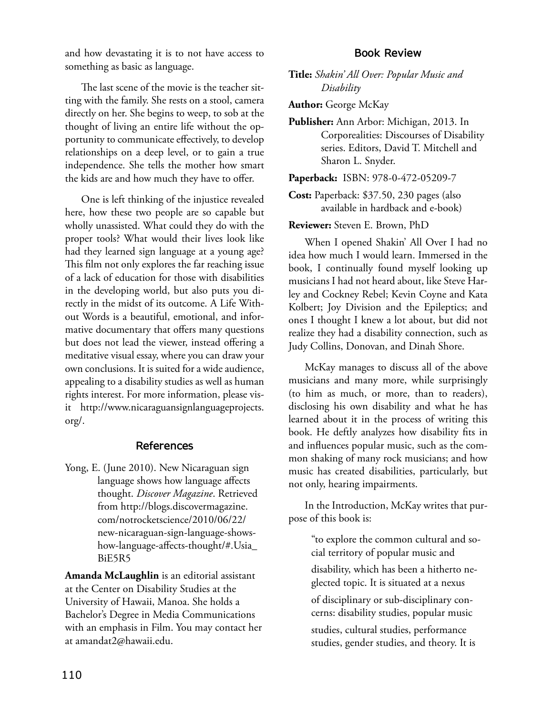and how devastating it is to not have access to something as basic as language.

The last scene of the movie is the teacher sitting with the family. She rests on a stool, camera directly on her. She begins to weep, to sob at the thought of living an entire life without the opportunity to communicate effectively, to develop relationships on a deep level, or to gain a true independence. She tells the mother how smart the kids are and how much they have to offer.

One is left thinking of the injustice revealed here, how these two people are so capable but wholly unassisted. What could they do with the proper tools? What would their lives look like had they learned sign language at a young age? This film not only explores the far reaching issue of a lack of education for those with disabilities in the developing world, but also puts you directly in the midst of its outcome. A Life Without Words is a beautiful, emotional, and informative documentary that offers many questions but does not lead the viewer, instead offering a meditative visual essay, where you can draw your own conclusions. It is suited for a wide audience, appealing to a disability studies as well as human rights interest. For more information, please visit http://www.nicaraguansignlanguageprojects. org/.

### **References**

Yong, E. (June 2010). New Nicaraguan sign language shows how language affects thought. *Discover Magazine*. Retrieved from http://blogs.discovermagazine. com/notrocketscience/2010/06/22/ new-nicaraguan-sign-language-showshow-language-affects-thought/#.Usia\_ BiE5R5

**Amanda McLaughlin** is an editorial assistant at the Center on Disability Studies at the University of Hawaii, Manoa. She holds a Bachelor's Degree in Media Communications with an emphasis in Film. You may contact her at amandat2@hawaii.edu.

#### **Book Review**

**Title:** *Shakin' All Over: Popular Music and Disability*

**Author:** George McKay

**Publisher:** Ann Arbor: Michigan, 2013. In Corporealities: Discourses of Disability series. Editors, David T. Mitchell and Sharon L. Snyder.

**Paperback:** ISBN: 978-0-472-05209-7

**Cost:** Paperback: \$37.50, 230 pages (also available in hardback and e-book)

### **Reviewer:** Steven E. Brown, PhD

When I opened Shakin' All Over I had no idea how much I would learn. Immersed in the book, I continually found myself looking up musicians I had not heard about, like Steve Harley and Cockney Rebel; Kevin Coyne and Kata Kolbert; Joy Division and the Epileptics; and ones I thought I knew a lot about, but did not realize they had a disability connection, such as Judy Collins, Donovan, and Dinah Shore.

McKay manages to discuss all of the above musicians and many more, while surprisingly (to him as much, or more, than to readers), disclosing his own disability and what he has learned about it in the process of writing this book. He deftly analyzes how disability fits in and influences popular music, such as the common shaking of many rock musicians; and how music has created disabilities, particularly, but not only, hearing impairments.

In the Introduction, McKay writes that purpose of this book is:

"to explore the common cultural and social territory of popular music and disability, which has been a hitherto neglected topic. It is situated at a nexus of disciplinary or sub-disciplinary concerns: disability studies, popular music studies, cultural studies, performance studies, gender studies, and theory. It is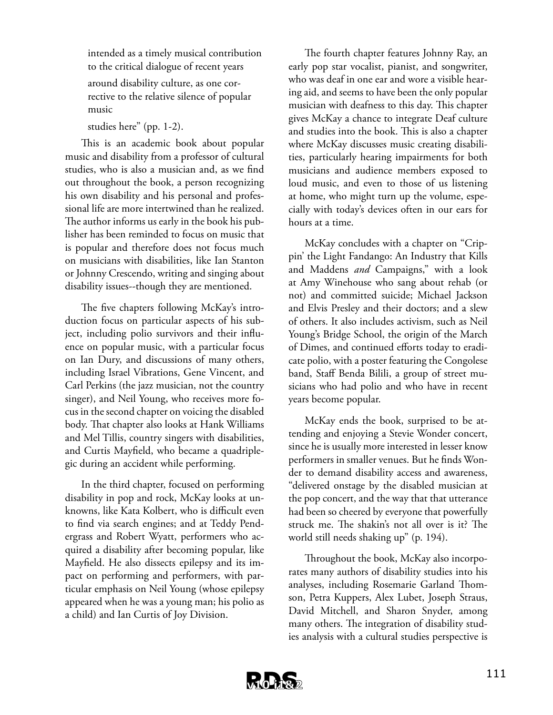intended as a timely musical contribution to the critical dialogue of recent years

around disability culture, as one corrective to the relative silence of popular music

studies here" (pp. 1-2).

This is an academic book about popular music and disability from a professor of cultural studies, who is also a musician and, as we find out throughout the book, a person recognizing his own disability and his personal and professional life are more intertwined than he realized. The author informs us early in the book his publisher has been reminded to focus on music that is popular and therefore does not focus much on musicians with disabilities, like Ian Stanton or Johnny Crescendo, writing and singing about disability issues--though they are mentioned.

The five chapters following McKay's introduction focus on particular aspects of his subject, including polio survivors and their influence on popular music, with a particular focus on Ian Dury, and discussions of many others, including Israel Vibrations, Gene Vincent, and Carl Perkins (the jazz musician, not the country singer), and Neil Young, who receives more focus in the second chapter on voicing the disabled body. That chapter also looks at Hank Williams and Mel Tillis, country singers with disabilities, and Curtis Mayfield, who became a quadriplegic during an accident while performing.

In the third chapter, focused on performing disability in pop and rock, McKay looks at unknowns, like Kata Kolbert, who is difficult even to find via search engines; and at Teddy Pendergrass and Robert Wyatt, performers who acquired a disability after becoming popular, like Mayfield. He also dissects epilepsy and its impact on performing and performers, with particular emphasis on Neil Young (whose epilepsy appeared when he was a young man; his polio as a child) and Ian Curtis of Joy Division.

The fourth chapter features Johnny Ray, an early pop star vocalist, pianist, and songwriter, who was deaf in one ear and wore a visible hearing aid, and seems to have been the only popular musician with deafness to this day. This chapter gives McKay a chance to integrate Deaf culture and studies into the book. This is also a chapter where McKay discusses music creating disabilities, particularly hearing impairments for both musicians and audience members exposed to loud music, and even to those of us listening at home, who might turn up the volume, especially with today's devices often in our ears for hours at a time.

McKay concludes with a chapter on "Crippin' the Light Fandango: An Industry that Kills and Maddens *and* Campaigns," with a look at Amy Winehouse who sang about rehab (or not) and committed suicide; Michael Jackson and Elvis Presley and their doctors; and a slew of others. It also includes activism, such as Neil Young's Bridge School, the origin of the March of Dimes, and continued efforts today to eradicate polio, with a poster featuring the Congolese band, Staff Benda Bilili, a group of street musicians who had polio and who have in recent years become popular.

McKay ends the book, surprised to be attending and enjoying a Stevie Wonder concert, since he is usually more interested in lesser know performers in smaller venues. But he finds Wonder to demand disability access and awareness, "delivered onstage by the disabled musician at the pop concert, and the way that that utterance had been so cheered by everyone that powerfully struck me. The shakin's not all over is it? The world still needs shaking up" (p. 194).

Throughout the book, McKay also incorporates many authors of disability studies into his analyses, including Rosemarie Garland Thomson, Petra Kuppers, Alex Lubet, Joseph Straus, David Mitchell, and Sharon Snyder, among many others. The integration of disability studies analysis with a cultural studies perspective is

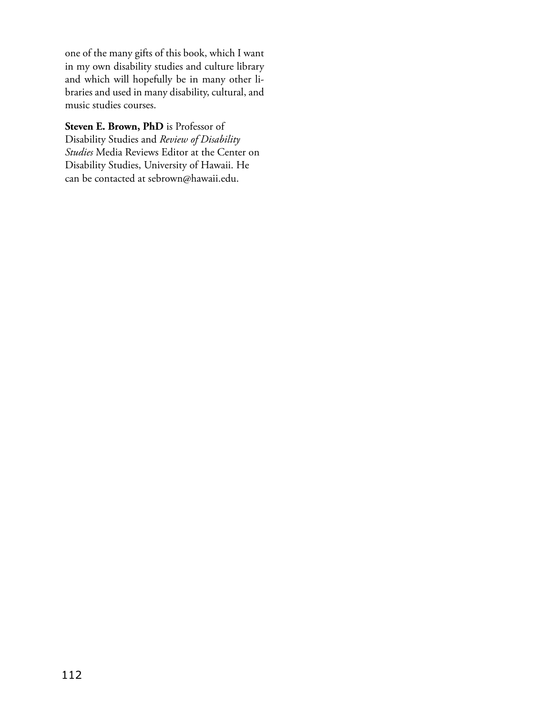one of the many gifts of this book, which I want in my own disability studies and culture library and which will hopefully be in many other libraries and used in many disability, cultural, and music studies courses.

**Steven E. Brown, PhD** is Professor of Disability Studies and *Review of Disability Studies* Media Reviews Editor at the Center on Disability Studies, University of Hawaii. He can be contacted at sebrown@hawaii.edu.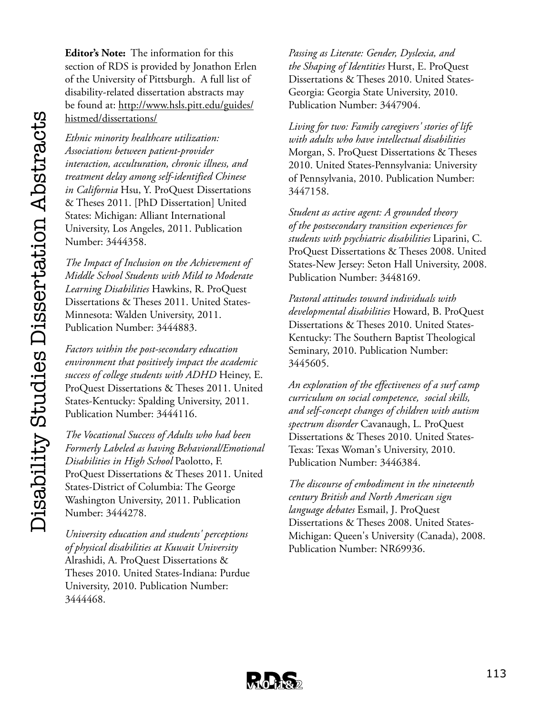**Editor's Note:** The information for this section of RDS is provided by Jonathon Erlen of the University of Pittsburgh. A full list of disability-related dissertation abstracts may be found at: http://www.hsls.pitt.edu/guides/

# histmed/dissertations/

*Ethnic minority healthcare utilization: Associations between patient-provider interaction, acculturation, chronic illness, and treatment delay among self-identified Chinese in California* Hsu, Y. ProQuest Dissertations & Theses 2011. [PhD Dissertation] United States: Michigan: Alliant International University, Los Angeles, 2011. Publication Number: 3444358.

*The Impact of Inclusion on the Achievement of Middle School Students with Mild to Moderate Learning Disabilities* Hawkins, R. ProQuest Dissertations & Theses 2011. United States-Minnesota: Walden University, 2011. Publication Number: 3444883.

*Factors within the post-secondary education environment that positively impact the academic success of college students with ADHD* Heiney, E. ProQuest Dissertations & Theses 2011. United States-Kentucky: Spalding University, 2011. Publication Number: 3444116.

*The Vocational Success of Adults who had been Formerly Labeled as having Behavioral/Emotional Disabilities in High School* Paolotto, F. ProQuest Dissertations & Theses 2011. United States-District of Columbia: The George Washington University, 2011. Publication Number: 3444278.

*University education and students' perceptions of physical disabilities at Kuwait University* Alrashidi, A. ProQuest Dissertations & Theses 2010. United States-Indiana: Purdue University, 2010. Publication Number: 3444468.

*Passing as Literate: Gender, Dyslexia, and the Shaping of Identities* Hurst, E. ProQuest Dissertations & Theses 2010. United States-Georgia: Georgia State University, 2010. Publication Number: 3447904.

*Living for two: Family caregivers' stories of life with adults who have intellectual disabilities* Morgan, S. ProQuest Dissertations & Theses 2010. United States-Pennsylvania: University of Pennsylvania, 2010. Publication Number: 3447158.

*Student as active agent: A grounded theory of the postsecondary transition experiences for students with psychiatric disabilities* Liparini, C. ProQuest Dissertations & Theses 2008. United States-New Jersey: Seton Hall University, 2008. Publication Number: 3448169.

*Pastoral attitudes toward individuals with developmental disabilities* Howard, B. ProQuest Dissertations & Theses 2010. United States-Kentucky: The Southern Baptist Theological Seminary, 2010. Publication Number: 3445605.

*An exploration of the effectiveness of a surf camp curriculum on social competence, social skills, and self-concept changes of children with autism spectrum disorder* Cavanaugh, L. ProQuest Dissertations & Theses 2010. United States-Texas: Texas Woman's University, 2010. Publication Number: 3446384.

*The discourse of embodiment in the nineteenth century British and North American sign language debates* Esmail, J. ProQuest Dissertations & Theses 2008. United States-Michigan: Queen's University (Canada), 2008. Publication Number: NR69936.

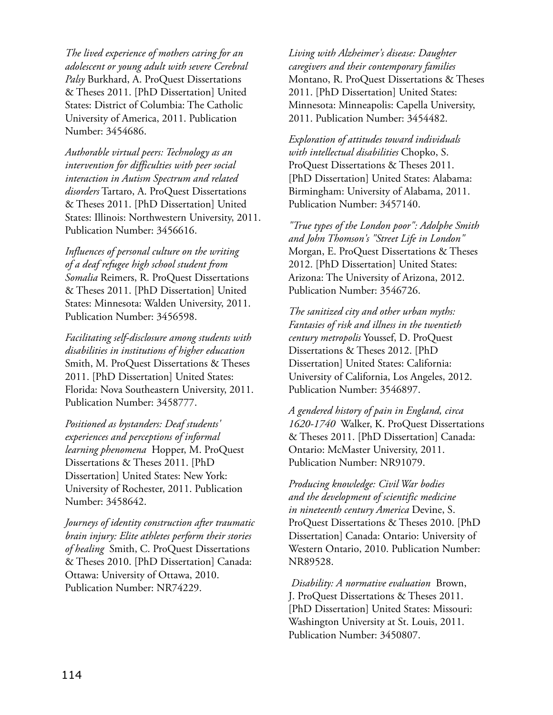*The lived experience of mothers caring for an adolescent or young adult with severe Cerebral Palsy* Burkhard, A. ProQuest Dissertations & Theses 2011. [PhD Dissertation] United States: District of Columbia: The Catholic University of America, 2011. Publication Number: 3454686.

*Authorable virtual peers: Technology as an intervention for difficulties with peer social interaction in Autism Spectrum and related disorders* Tartaro, A. ProQuest Dissertations & Theses 2011. [PhD Dissertation] United States: Illinois: Northwestern University, 2011. Publication Number: 3456616.

*Influences of personal culture on the writing of a deaf refugee high school student from Somalia* Reimers, R. ProQuest Dissertations & Theses 2011. [PhD Dissertation] United States: Minnesota: Walden University, 2011. Publication Number: 3456598.

*Facilitating self-disclosure among students with disabilities in institutions of higher education* Smith, M. ProQuest Dissertations & Theses 2011. [PhD Dissertation] United States: Florida: Nova Southeastern University, 2011. Publication Number: 3458777.

*Positioned as bystanders: Deaf students' experiences and perceptions of informal learning phenomena* Hopper, M. ProQuest Dissertations & Theses 2011. [PhD Dissertation] United States: New York: University of Rochester, 2011. Publication Number: 3458642.

*Journeys of identity construction after traumatic brain injury: Elite athletes perform their stories of healing* Smith, C. ProQuest Dissertations & Theses 2010. [PhD Dissertation] Canada: Ottawa: University of Ottawa, 2010. Publication Number: NR74229.

*Living with Alzheimer's disease: Daughter caregivers and their contemporary families* Montano, R. ProQuest Dissertations & Theses 2011. [PhD Dissertation] United States: Minnesota: Minneapolis: Capella University, 2011. Publication Number: 3454482.

*Exploration of attitudes toward individuals with intellectual disabilities* Chopko, S. ProQuest Dissertations & Theses 2011. [PhD Dissertation] United States: Alabama: Birmingham: University of Alabama, 2011. Publication Number: 3457140.

*"True types of the London poor": Adolphe Smith and John Thomson's "Street Life in London"* Morgan, E. ProQuest Dissertations & Theses 2012. [PhD Dissertation] United States: Arizona: The University of Arizona, 2012. Publication Number: 3546726.

*The sanitized city and other urban myths: Fantasies of risk and illness in the twentieth century metropolis* Youssef, D. ProQuest Dissertations & Theses 2012. [PhD Dissertation] United States: California: University of California, Los Angeles, 2012. Publication Number: 3546897.

*A gendered history of pain in England, circa 1620-1740* Walker, K. ProQuest Dissertations & Theses 2011. [PhD Dissertation] Canada: Ontario: McMaster University, 2011. Publication Number: NR91079.

*Producing knowledge: Civil War bodies and the development of scientific medicine in nineteenth century America* Devine, S. ProQuest Dissertations & Theses 2010. [PhD Dissertation] Canada: Ontario: University of Western Ontario, 2010. Publication Number: NR89528.

*Disability: A normative evaluation* Brown, J. ProQuest Dissertations & Theses 2011. [PhD Dissertation] United States: Missouri: Washington University at St. Louis, 2011. Publication Number: 3450807.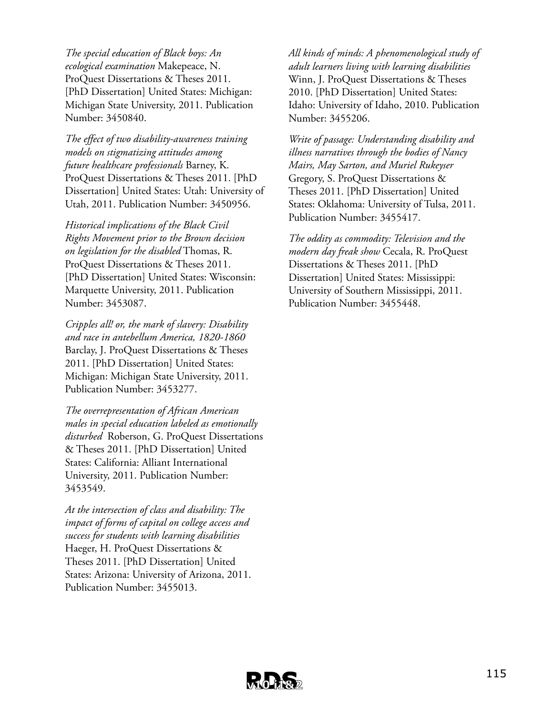*The special education of Black boys: An ecological examination* Makepeace, N. ProQuest Dissertations & Theses 2011. [PhD Dissertation] United States: Michigan: Michigan State University, 2011. Publication Number: 3450840.

*The effect of two disability-awareness training models on stigmatizing attitudes among future healthcare professionals* Barney, K. ProQuest Dissertations & Theses 2011. [PhD Dissertation] United States: Utah: University of Utah, 2011. Publication Number: 3450956.

*Historical implications of the Black Civil Rights Movement prior to the Brown decision on legislation for the disabled* Thomas, R. ProQuest Dissertations & Theses 2011. [PhD Dissertation] United States: Wisconsin: Marquette University, 2011. Publication Number: 3453087.

*Cripples all! or, the mark of slavery: Disability and race in antebellum America, 1820-1860* Barclay, J. ProQuest Dissertations & Theses 2011. [PhD Dissertation] United States: Michigan: Michigan State University, 2011. Publication Number: 3453277.

*The overrepresentation of African American males in special education labeled as emotionally disturbed* Roberson, G. ProQuest Dissertations & Theses 2011. [PhD Dissertation] United States: California: Alliant International University, 2011. Publication Number: 3453549.

*At the intersection of class and disability: The impact of forms of capital on college access and success for students with learning disabilities* Haeger, H. ProQuest Dissertations & Theses 2011. [PhD Dissertation] United States: Arizona: University of Arizona, 2011. Publication Number: 3455013.

*All kinds of minds: A phenomenological study of adult learners living with learning disabilities* Winn, J. ProQuest Dissertations & Theses 2010. [PhD Dissertation] United States: Idaho: University of Idaho, 2010. Publication Number: 3455206.

*Write of passage: Understanding disability and illness narratives through the bodies of Nancy Mairs, May Sarton, and Muriel Rukeyser* Gregory, S. ProQuest Dissertations & Theses 2011. [PhD Dissertation] United States: Oklahoma: University of Tulsa, 2011. Publication Number: 3455417.

*The oddity as commodity: Television and the modern day freak show* Cecala, R. ProQuest Dissertations & Theses 2011. [PhD Dissertation] United States: Mississippi: University of Southern Mississippi, 2011. Publication Number: 3455448.

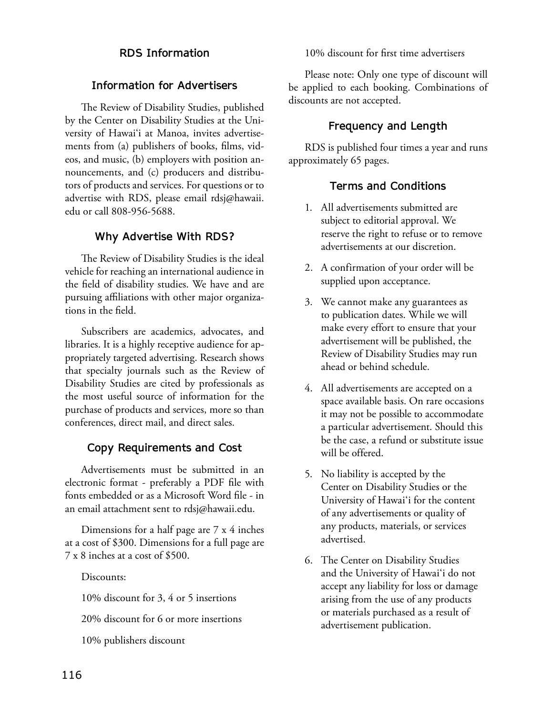## **RDS Information**

### **Information for Advertisers**

The Review of Disability Studies, published by the Center on Disability Studies at the University of Hawai'i at Manoa, invites advertisements from (a) publishers of books, films, videos, and music, (b) employers with position announcements, and (c) producers and distributors of products and services. For questions or to advertise with RDS, please email rdsj@hawaii. edu or call 808-956-5688.

### **Why Advertise With RDS?**

The Review of Disability Studies is the ideal vehicle for reaching an international audience in the field of disability studies. We have and are pursuing affiliations with other major organizations in the field.

Subscribers are academics, advocates, and libraries. It is a highly receptive audience for appropriately targeted advertising. Research shows that specialty journals such as the Review of Disability Studies are cited by professionals as the most useful source of information for the purchase of products and services, more so than conferences, direct mail, and direct sales.

## **Copy Requirements and Cost**

Advertisements must be submitted in an electronic format - preferably a PDF file with fonts embedded or as a Microsoft Word file - in an email attachment sent to rdsj@hawaii.edu.

Dimensions for a half page are 7 x 4 inches at a cost of \$300. Dimensions for a full page are 7 x 8 inches at a cost of \$500.

Discounts:

10% discount for 3, 4 or 5 insertions

20% discount for 6 or more insertions

10% publishers discount

10% discount for first time advertisers

Please note: Only one type of discount will be applied to each booking. Combinations of discounts are not accepted.

## **Frequency and Length**

RDS is published four times a year and runs approximately 65 pages.

## **Terms and Conditions**

- 1. All advertisements submitted are subject to editorial approval. We reserve the right to refuse or to remove advertisements at our discretion.
- 2. A confirmation of your order will be supplied upon acceptance.
- 3. We cannot make any guarantees as to publication dates. While we will make every effort to ensure that your advertisement will be published, the Review of Disability Studies may run ahead or behind schedule.
- 4. All advertisements are accepted on a space available basis. On rare occasions it may not be possible to accommodate a particular advertisement. Should this be the case, a refund or substitute issue will be offered.
- 5. No liability is accepted by the Center on Disability Studies or the University of Hawai'i for the content of any advertisements or quality of any products, materials, or services advertised.
- 6. The Center on Disability Studies and the University of Hawai'i do not accept any liability for loss or damage arising from the use of any products or materials purchased as a result of advertisement publication.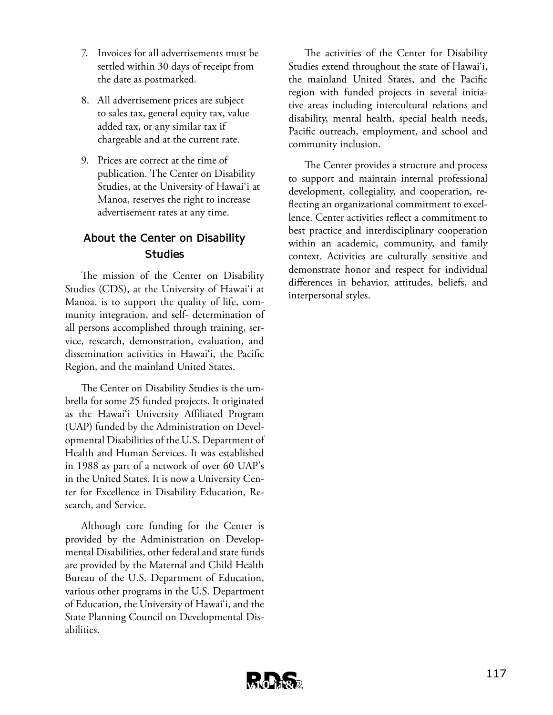- 7. Invoices for all advertisements must be settled within 30 days of receipt from the date as postmarked.
- 8. All advertisement prices are subject to sales tax, general equity tax, value added tax, or any similar tax if chargeable and at the current rate.
- 9. Prices are correct at the time of publication. The Center on Disability Studies, at the University of Hawai'i at Manoa, reserves the right to increase advertisement rates at any time.

# **About the Center on Disability Studies**

The mission of the Center on Disability Studies (CDS), at the University of Hawai'i at Manoa, is to support the quality of life, community integration, and self- determination of all persons accomplished through training, service, research, demonstration, evaluation, and dissemination activities in Hawai'i, the Pacific Region, and the mainland United States.

The Center on Disability Studies is the umbrella for some 25 funded projects. It originated as the Hawai'i University Affiliated Program (UAP) funded by the Administration on Developmental Disabilities of the U.S. Department of Health and Human Services. It was established in 1988 as part of a network of over 60 UAP's in the United States. It is now a University Center for Excellence in Disability Education, Research, and Service.

Although core funding for the Center is provided by the Administration on Developmental Disabilities, other federal and state funds are provided by the Maternal and Child Health Bureau of the U.S. Department of Education, various other programs in the U.S. Department of Education, the University of Hawai'i, and the State Planning Council on Developmental Disabilities.

The activities of the Center for Disability Studies extend throughout the state of Hawai'i, the mainland United States, and the Pacific region with funded projects in several initiative areas including intercultural relations and disability, mental health, special health needs, Pacific outreach, employment, and school and community inclusion.

The Center provides a structure and process to support and maintain internal professional development, collegiality, and cooperation, reflecting an organizational commitment to excellence. Center activities reflect a commitment to best practice and interdisciplinary cooperation within an academic, community, and family context. Activities are culturally sensitive and demonstrate honor and respect for individual differences in behavior, attitudes, beliefs, and interpersonal styles.